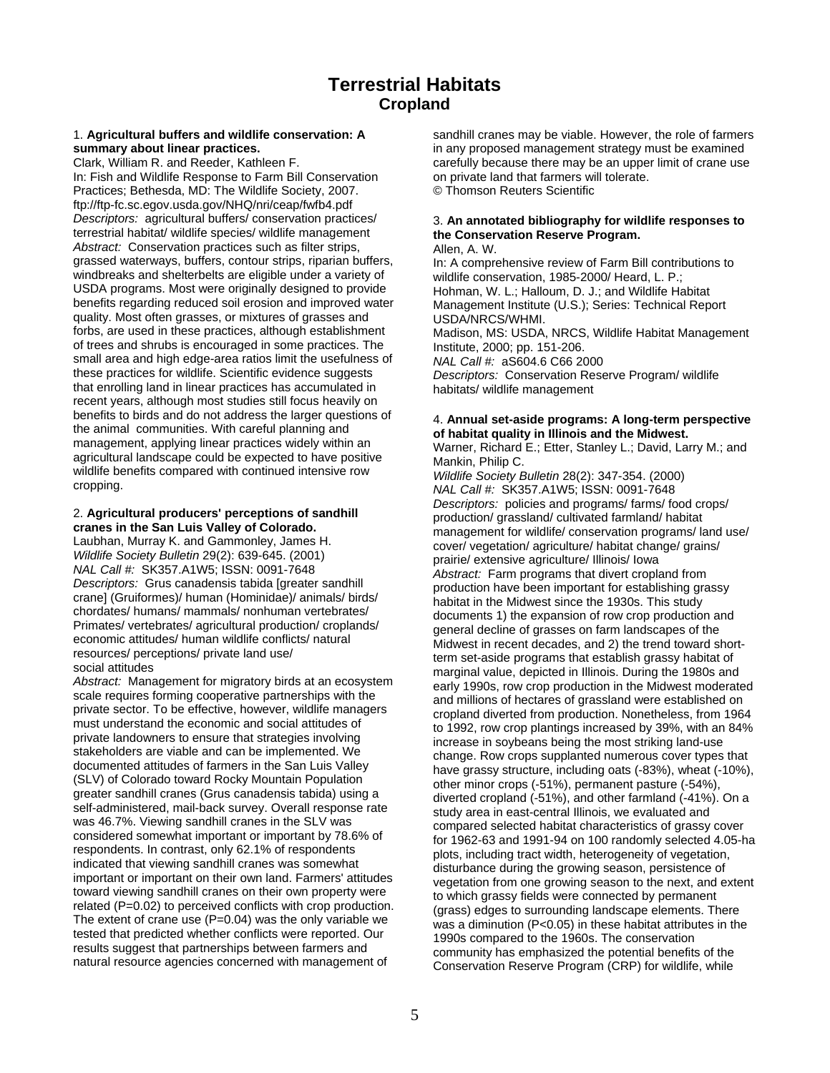In: Fish and Wildlife Response to Farm Bill Conservation on private land that farmers will tolerate. Practices; Bethesda, MD: The Wildlife Society, 2007. © Thomson Reuters Scientific ftp://ftp-fc.sc.egov.usda.gov/NHQ/nri/ceap/fwfb4.pdf terrestrial habitat/ wildlife species/ wildlife management **the Conservation Reserve Program.**  *Abstract:* Conservation practices such as filter strips, Allen, A. W.<br>grassed waterways, buffers, contour strips, riparian buffers, and a comprewindbreaks and shelterbelts are eligible under a variety of USDA programs. Most were originally designed to provide USDA programs. Most were originally designed to provide Hohman, W. L.; Halloum, D. J.; and Wildlife Habitat benefits recarding reduced soil erosion and improved water Management Institute (U.S.): Series: Technical Repo quality. Most often grasses, or mixtures of grasses and USDA/NRCS/WHMI.<br>forbs, are used in these practices, although establishment Madison. MS: USDA. of trees and shrubs is encouraged in some practices. The Institute, 2000; pp. 151-206. small area and high edge-area ratios limit the usefulness of *NAL Call #:* aS604.6 C66 2000 these practices for wildlife. Scientific evidence suggests *Descriptors:* Conservation Reserve Program/ wildlife that enrolling land in linear practices has accumulated in habitats/ wildlife management recent years, although most studies still focus heavily on benefits to birds and do not address the larger questions of the animal communities. With careful planning and<br>the animal communities. With careful planning and<br>management, applying linear practices widely within an<br>agricu

1. **Agricultural buffers and wildlife conservation: A** sandhill cranes may be viable. However, the role of farmers summary about linear practices. in any proposed management strategy must be examined Clark, William R. and Reeder, Kathleen F. carefully because there may be an upper limit of crane use

# *Descriptors:* agricultural buffers/ conservation practices/ 3. **An annotated bibliography for wildlife responses to**

In: A comprehensive review of Farm Bill contributions to wildlife conservation, 1985-2000/ Heard, L. P.; Management Institute (U.S.); Series: Technical Report Madison, MS: USDA, NRCS, Wildlife Habitat Management

2. Agricultural producers' perceptions of sandhill<br>
convinction' production' grassiand cultivated farmland/habitat<br>
canders in the San Lulis Valley of Colorado.<br>
Laudinan, Murray K, and Cammoniey, James H,<br>
management for The extent of crane use  $(P=0.04)$  was the only variable we was a diminution  $(P<0.05)$  in these habitat attributes in the tested that predicted whether conflicts were reported. Our results suggest that partnerships between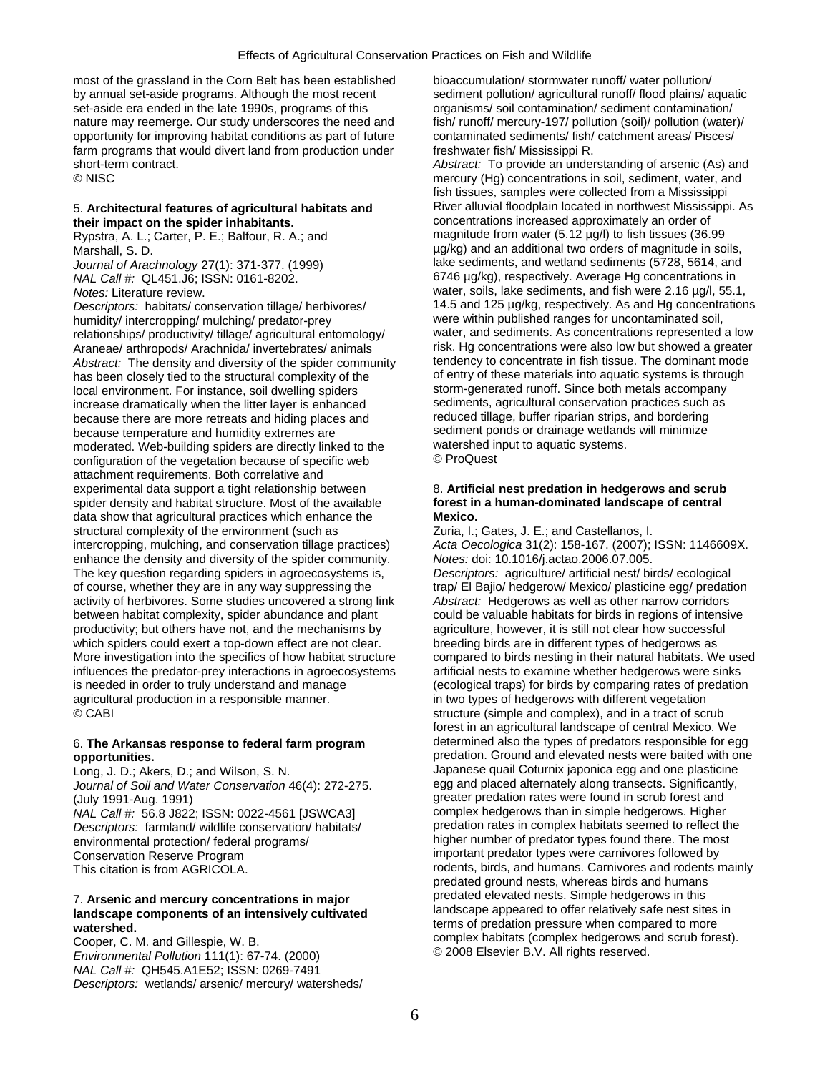most of the grassland in the Corn Belt has been established bioaccumulation/ stormwater runoff/ water pollution/ by annual set-aside programs. Although the most recent sediment pollution/ agricultural runoff/ flood plains/ aquatic set-aside era ended in the late 1990s, programs of this organisms/ soil contamination/ sediment contamination/ nature may reemerge. Our study underscores the need and fish/ runoff/ mercury-197/ pollution (soil)/ pollution (water)/ opportunity for improving habitat conditions as part of future contaminated sediments/ fish/ catchment areas/ Pisces/ farm programs that would divert land from production under freshwater fish/ Mississippi R. short-term contract. *Abstract:* To provide an understanding of arsenic (As) and

*Descriptors:* habitats/ conservation tillage/ herbivores/ 14.5 and 125 µg/kg, respectively. As and Hg concentra<br>humidity/ intercropping/ mulching/ predator-prey were within published ranges for uncontaminated soil. humidity/ intercropping/ mulching/ predator-prey were within published ranges for uncontaminated soil,<br>
relationships/ productivity/ tillage/ agricultural entomology/ water, and sediments. As concentrations represented a l relationships/ productivity/ tillage/ agricultural entomology/ water, and sediments. As concentrations represented a low<br>Araneae/ arthropods/ Arachnida/ invertebrates/ animals risk. Hg concentrations were also low but show Araneae/ arthropods/ Arachnida/ invertebrates/ animals risk. Hg concentrations were also low but showed a greater<br>Abstract: The density and diversity of the spider community tendency to concentrate in fish tissue. The domi *Abstract:* The density and diversity of the spider community tendency to concentrate in fish tissue. The dominant mode<br>has been closely tied to the structural complexity of the section of entry of these materials into aqu has been closely tied to the structural complexity of the local environment. For instance, soil dwelling spiders storm-generated runoff. Since both metals accompany increase dramatically when the litter layer is enhanced sediments, agricultural conservation practices such as<br>because there are more retreats and hiding places and reduced tillage, buffer riparian strips, and bordering because there are more retreats and hiding places and because temperature and humidity extremes are sediment ponds or drainage wetlands will minimize<br>moderated. Web-building spiders are directly linked to the watershed input to aquatic systems. moderated. Web-building spiders are directly linked to the watershed in<br>configuration of the vegetation because of specific web  $\circ$  ProQuest configuration of the vegetation because of specific web attachment requirements. Both correlative and experimental data support a tight relationship between 8. Artificial nest predation in hedgerows and scrub spider density and habitat structure. Most of the available **forest in a human-dominated landscape of central** data show that agricultural practices which enhance the **Mexico.**  structural complexity of the environment (such as Zuria, I.; Gates, J. E.; and Castellanos, I.<br>
intercropping, mulching, and conservation tillage practices) Acta Oecologica 31(2): 158-167. (2007); ISSN: 1146609X. intercropping, mulching, and conservation tillage practices) enhance the density and diversity of the spider community. *Notes:* doi: 10.1016/j.actao.2006.07.005. The key question regarding spiders in agroecosystems is, *Descriptors:* agriculture/ artificial nest/ birds/ ecological of course, whether they are in any way suppressing the trap/ El Bajio/ hedgerow/ Mexico/ plasticine egg/ predation activity of herbivores. Some studies uncovered a strong link *Abstract:* Hedgerows as well as other narrow corridors between habitat complexity, spider abundance and plant could be valuable habitats for birds in regions of intensive productivity; but others have not, and the mechanisms by agriculture, however, it is still not clear how successful which spiders could exert a top-down effect are not clear. breeding birds are in different types of hedgerows as More investigation into the specifics of how habitat structure compared to birds nesting in their natural habitats. We used influences the predator-prey interactions in agroecosystems artificial nests to examine whether hedgerows were sinks is needed in order to truly understand and manage (ecological traps) for birds by comparing rates of predation agricultural production in a responsible manner. in two types of hedgerows with different vegetation © CABI structure (simple and complex), and in a tract of scrub

*Journal of Soil and Water Conservation* 46(4): 272-275. (July 1991-Aug. 1991)<br>
Mat Call #: 56.8 J822: ISSN: 0022-4561 LISWCA3I complex hedgerows than in simple hedgerows. Higher *Descriptors:* farmland/ wildlife conservation/ habitats/ environmental protection/ federal programs/ Conservation Reserve Program interval of the state of the important predator types were carnivores followed by

# **watershed.** terms of predation pressure when compared to more

*NAL Call #:* QH545.A1E52; ISSN: 0269-7491 *Descriptors:* wetlands/ arsenic/ mercury/ watersheds/

© NISC mercury (Hg) concentrations in soil, sediment, water, and fish tissues, samples were collected from a Mississippi 5. **Architectural features of agricultural habitats and River alluvial floodplain located in northwest Mississippi. As**<br> **concentrations increased approximately an order of**<br> **concentrations increased approximately an or** concentrations increased approximately an order of Rypstra, A. L.; Carter, P. E.; Balfour, R. A.; and magnitude from water (5.12 µg/l) to fish tissues (36.99 Marshall, S. D. *Marshall, S. D. Marshall, S. D.**p. 1999* and an additional two orders of magnitude in soils, *Journal of Arachnology* 27(1): 371-377. (1999) lake sediments, and wetland sediments (5728, 5614, and *NAL Call #:* QL451.J6; ISSN: 0161-8202. 6746 µg/kg), respectively. Average Hg concentrations in *Notes:* Literature review.<br>*Descriptors:* habitats/ conservation tillage/ herbivores/ 14.5 and 125 µg/kg, respectively. As and Hg concentrations

forest in an agricultural landscape of central Mexico. We 6. **The Arkansas response to federal farm program** determined also the types of predators responsible for egg **opportunities. predation.** Ground and elevated nests were baited with one Long, J. D.; Akers, D.; and Wilson, S. N. Japanese quail Coturnix japonica egg and one plasticine<br>Journal of Soil and Water Conservation 46(4): 272-275 egg and placed alternately along transects. Significantly, *NAL Call #:* 56.8 J822; ISSN: 0022-4561 [JSWCA3] complex hedgerows than in simple hedgerows. Higher higher number of predator types found there. The most This citation is from AGRICOLA. This citation is from AGRICOLA. This citation is from AGRICOLA. predated ground nests, whereas birds and humans predated elevated nests. Simple hedgerows in this 7. **Arsenic and mercury concentrations in major** landscape appeared to offer relatively safe nest sites in **landscape components of an intensively cultivated**  complex habitats (complex hedgerows and scrub forest).<br>Cooper, C. M. and Gillespie, W. B. Cooper, C. M. and Gillespie, W. B. Complex het complex hedgerows and scrub<br>*Environmental Pollution* 111(1): 67-74. (2000) Complex b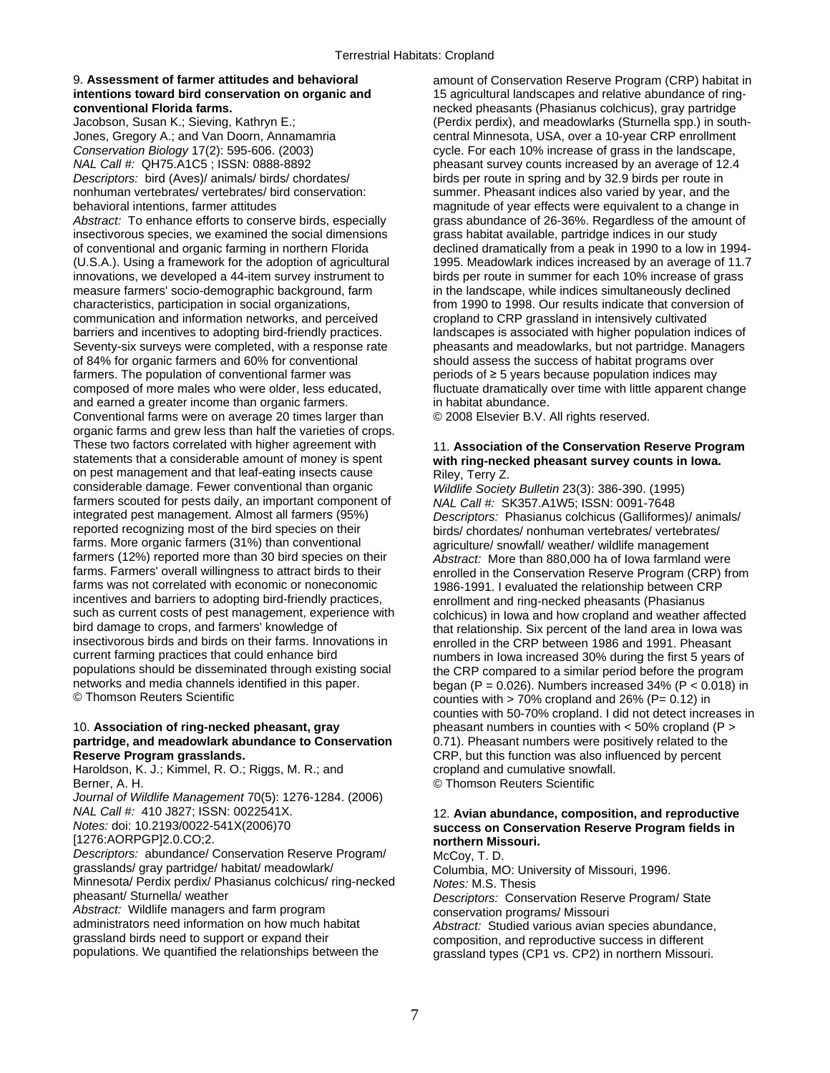# 9. **Assessment of farmer attitudes and behavioral** amount of Conservation Reserve Program (CRP) habitat in

Jones, Gregory A.; and Van Doorn, Annamamria central Minnesota, USA, over a 10-year CRP enrollment *Conservation Biology* 17(2): 595-606. (2003) cycle. For each 10% increase of grass in the landscape, CAL Call #: QH75.A1C5 ; ISSN: 0888-8892 *Descriptors:* bird (Aves)/ animals/ birds/ chordates/ birds per route in spring and by 32.9 birds per route in nonhuman vertebrates/ vertebrates/ bird conservation: summer. Pheasant indices also varied by year, and the behavioral intentions, farmer attitudes magnitude of year effects were equivalent to a change in Abstract: To enhance efforts to conserve birds, especially grass abundance of 26-36%. Regardless of the amount of insectivorous species, we examined the social dimensions grass habitat available, partridge indices in our s insectivorous species, we examined the social dimensions of conventional and organic farming in northern Florida (U.S.A.). Using a framework for the adoption of agricultural innovations, we developed a 44-item survey instrument to measure farmers' socio-demographic background, farm characteristics, participation in social organizations. communication and information networks, and perceived barriers and incentives to adopting bird-friendly practices. landscapes is associated with higher population indices of Seventy-six surveys were completed, with a response rate pheasants and meadowlarks, but not partridge. Managers of 84% for organic farmers and 60% for conventional should assess the success of habitat programs over farmers. The population of conventional farmer was periods of ≥ 5 years because population indices may composed of more males who were older, less educated, fluctuate dramatically over time with little apparent change<br>and earned a greater income than organic farmers.<br>in habitat abundance. and earned a greater income than organic farmers.<br>Conventional farms were on average 20 times larger than  $\circ$  2008 Elsevier B.V. All rights reserved. Conventional farms were on average 20 times larger than organic farms and grew less than half the varieties of crops. These two factors correlated with higher agreement with 11. **Association of the Conservation Reserve Program** statements that a considerable amount of money is spent with ring-necked pheasant survey counts in lowa on pest management and that leaf-eating insects cause Riley, Terry Z. considerable damage. Fewer conventional than organic *Wildlife Society Bulletin* 23(3): 386-390. (1995) farmers scouted for pests daily, an important component of *NAL Call #:* SK357.A1W5; ISSN: 0091-7648<br>integrated pest management. Almost all farmers (95%) *Descriptors: Phasianus colchicus (Galliforme* integrated pest management. Almost all farmers (95%) *Descriptors:* Phasianus colchicus (Galliformes)/ animals/ reported recognizing most of the bird species on their birds/ chordates/ nonhuman vertebrates/ vertebrates/<br>
farms. More organic farmers (31%) than conventional agriculture/ snowfall/ weather/ wildlife management farms. More organic farmers (31%) than conventional agriculture/ snowfall/ weather/ wildlife management<br>farmers (12%) reported more than 30 bird species on their *Abstract: More than 880 000 ha of lowa farmland* w farmers (12%) reported more than 30 bird species on their *Abstract:* More than 880,000 ha of Iowa farmland were<br>farms. Farmers' overall willingness to attract birds to their enrolled in the Conservation Reserve Program (C farms was not correlated with economic or noneconomic 1986-1991. I evaluated the relationship between CRP incentives and barriers to adopting bird-friendly practices, enrollment and ring-necked pheasants (Phasianus<br>such as current costs of pest management, experience with colchicus) in lowa and how cropland and weather and such as current costs of pest management, experience with colchicus) in Iowa and how cropland and weather affected<br>bird damage to crops, and farmers' knowledge of the state of that relationship. Six percent of the land are bird damage to crops, and farmers' knowledge of entitled that relationship. Six percent of the land area in Iowa was<br>insectivorous birds and birds on their farms. Innovations in encolled in the CRP between 1986 and 1991. P insectivorous birds and birds on their farms. Innovations in enrolled in the CRP between 1986 and 1991. Pheasant<br>current farming practices that could enhance bird enrolled by numbers in lowa increased 30% during the first current farming practices that could enhance bird numbers in Iowa increased 30% during the first 5 years of<br>populations should be disseminated through existing social the CRP compared to a similar period before the program populations should be disseminated through existing social the CRP compared to a similar period before the program<br>networks and media channels identified in this paper.<br>period becap (P = 0.026) Numbers increased 34% (P < networks and media channels identified in this paper.<br>
© Thomson Reuters Scientific in this paper.<br>
Counties with > 70% cropland and 26% (P= 0.12) in

## 10. **Association of ring-necked pheasant, gray** pheasant numbers in counties with < 50% cropland (P > **partridge, and meadowlark abundance to Conservation** 0.71). Pheasant numbers were positively related to the **Reserve Program grasslands.** CRP, but this function was also influenced by percent

Haroldson, K. J.; Kimmel, R. O.; Riggs, M. R.; and cropland and cumulative snowfall. Berner, A. H. **Details and Community Community** Community Community Community Community Community Community Community Community Community Community Community Community Community Community Community Community Community Comm

*Journal of Wildlife Management* 70(5): 1276-1284. (2006)

[1276:AORPGP]2.0.CO;2. **northern Missouri.** 

*Descriptors:* abundance/ Conservation Reserve Program/ McCoy, T. D. grasslands/ gray partridge/ habitat/ meadowlark/ Minnesota/ Perdix perdix/ Phasianus colchicus/ ring-necked *Notes:* M.S. Thesis

*Abstract:* Wildlife managers and farm program **conservation programs/ Missouri**<br>
administrators need information on how much habitat *Abstract:* Studied various avian s administrators need information on how much habitat *Abstract:* Studied various avian species abundance, and species abundance, and a composition and reproductive success in different grassland birds need to support or expand their composition, and reproductive success in different<br>populations. We quantified the relationships between the crassland types (CP1 vs. CP2) in northern Missour

**intentions toward bird conservation on organic and** 15 agricultural landscapes and relative abundance of ring**conventional Florida farms. Conventional Florida farms. necked** pheasants (Phasianus colchicus), gray partridge<br>Jacobson, Susan K.; Sieving, Kathryn E.; **1990 Florida (Perdix perdix), and meadowlarks (Sturnella spp.)** (Perdix perdix), and meadowlarks (Sturnella spp.) in southpheasant survey counts increased by an average of 12.4 declined dramatically from a peak in 1990 to a low in 1994-<br>1995. Meadowlark indices increased by an average of 11.7 birds per route in summer for each 10% increase of grass<br>in the landscape, while indices simultaneously declined from 1990 to 1998. Our results indicate that conversion of cropland to CRP grassland in intensively cultivated

# with ring-necked pheasant survey counts in Iowa.

enrolled in the Conservation Reserve Program (CRP) from counties with  $> 70\%$  cropland and 26% (P= 0.12) in counties with 50-70% cropland. I did not detect increases in

## *NAL Call #:* 410 J827; ISSN: 0022541X. 12. **Avian abundance, composition, and reproductive**  *Notes:* doi: 10.2193/0022-541X(2006)70 **success on Conservation Reserve Program fields in**

Columbia, MO: University of Missouri, 1996. **Descriptors: Conservation Reserve Program/ State** grassland types (CP1 vs. CP2) in northern Missouri.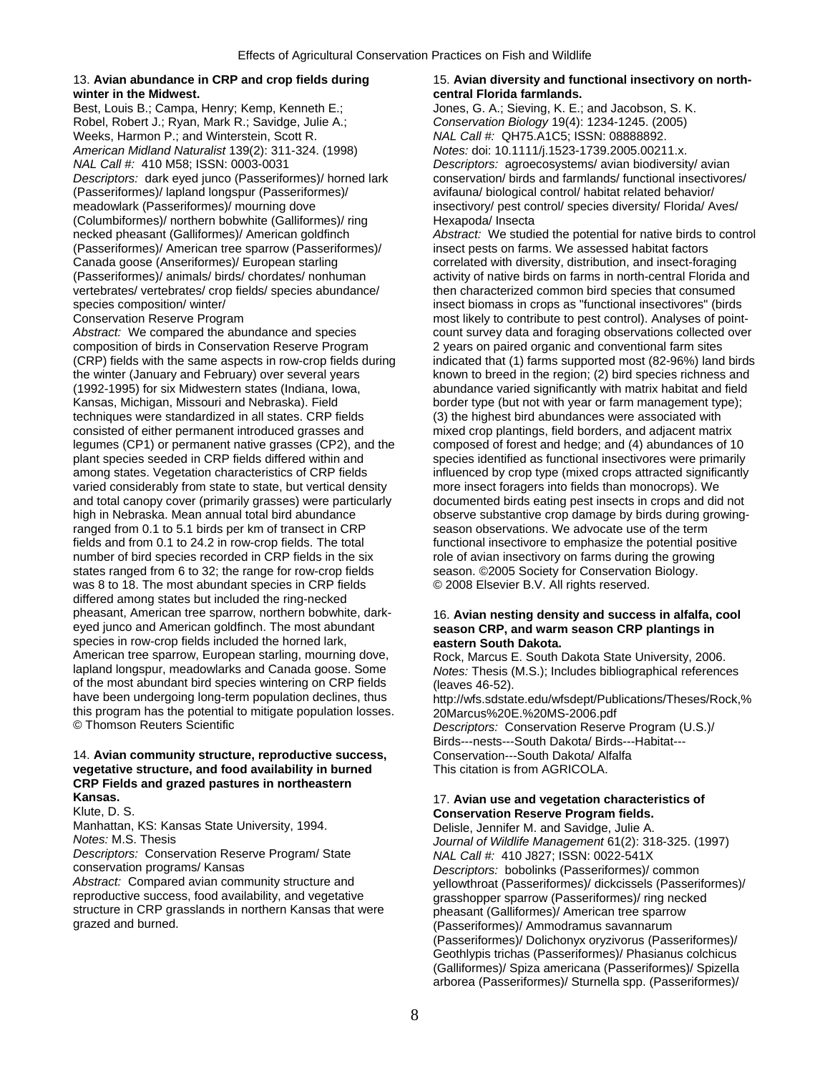## winter in the Midwest. **Communist Communist Communist Communist Communist Communist Communist Communist Communist Communist Communist Communist Communist Communist Communist Communist Communist Communist Communist Communis**

Best, Louis B.; Campa, Henry; Kemp, Kenneth E.; Jones, G. A.; Sieving, K. E.; and Jacobson, S. K. Robel, Robert J.; Ryan, Mark R.; Savidge, Julie A.; *Conservation Biology* 19(4): 1234-1245. (2005) Weeks, Harmon P.; and Winterstein, Scott R. *NAL Call #:* QH75.A1C5; ISSN: 08888892. *American Midland Naturalist* 139(2): 311-324. (1998) *Notes:* doi: 10.1111/j.1523-1739.2005.00211.x. *NAL Call #:* 410 M58; ISSN: 0003-0031 *Descriptors:* agroecosystems/ avian biodiversity/ avian *Descriptors:* dark eyed junco (Passeriformes)/ horned lark conservation/ birds and farmlands/ functional insectivores/ (Passeriformes)/ lapland longspur (Passeriformes)/ avifauna/ biological control/ habitat related behavior/<br>meadowlark (Passeriformes)/ mourning dove insectivory/ pest control/ species diversity/ Florida/ A (Columbiformes)/ northern bobwhite (Galliformes)/ ring Hexapoda/ Insecta (Passeriformes)/ American tree sparrow (Passeriformes)/ insect pests on farms. We assessed habitat factors Canada goose (Anseriformes)/ European starling correlated with diversity, distribution, and insect-foraging (Passeriformes)/ animals/ birds/ chordates/ nonhuman activity of native birds on farms in north-central Florida and vertebrates/ vertebrates/ crop fields/ species abundance/ then characterized common bird species that consumed<br>species composition/ winter/ insect biomass in crops as "functional insectivores" (birds

Abstract: We compared the abundance and species count survey data and foraging observations collected over composition of birds in Conservation Reserve Program 2 years on paired organic and conventional farm sites (CRP) fields with the same aspects in row-crop fields during indicated that (1) farms supported most (82-96%) land birds the winter (January and February) over several years known to breed in the region; (2) bird species richness and (1992-1995) for six Midwestern states (Indiana, Iowa, abundance varied significantly with matrix habitat and field Kansas, Michigan, Missouri and Nebraska). Field border type (but not with year or farm management type); techniques were standardized in all states. CRP fields (3) the highest bird abundances were associated with consisted of either permanent introduced grasses and mixed crop plantings, field borders, and adjacent matrix legumes (CP1) or permanent native grasses (CP2), and the composed of forest and hedge; and (4) abundances of 10 plant species seeded in CRP fields differed within and species identified as functional insectivores were primarily among states. Vegetation characteristics of CRP fields influenced by crop type (mixed crops attracted significantly varied considerably from state to state, but vertical density more insect foragers into fields than monocrops). We and total canopy cover (primarily grasses) were particularly documented birds eating pest insects in crops and did not high in Nebraska. Mean annual total bird abundance observe substantive crop damage by birds during growingranged from 0.1 to 5.1 birds per km of transect in CRP season observations. We advocate use of the term fields and from 0.1 to 24.2 in row-crop fields. The total functional insectivore to emphasize the potential positive number of bird species recorded in CRP fields in the six role of avian insectivory on farms during the growing states ranged from 6 to 32; the range for row-crop fields season. ©2005 Society for Conservation Biology.<br>was 8 to 18. The most abundant species in CRP fields © 2008 Elsevier B.V. All rights reserved. was 8 to 18. The most abundant species in CRP fields differed among states but included the ring-necked pheasant, American tree sparrow, northern bobwhite, dark-<br>
eved junco and American goldfinch. The most abundant<br> **Season CRP, and warm season CRP plantings in** species in row-crop fields included the horned lark, **eastern South Dakota.**<br>American tree sparrow, European starling, mourning dove, Rock, Marcus F. South I American tree sparrow, European starling, mourning dove, Rock, Marcus E. South Dakota State University, 2006.<br>Repland longspur, meadowlarks and Canada goose. Some Motes: Thesis (M.S.): Includes bibliographical reference of the most abundant bird species wintering on CRP fields (leaves 46-52).<br>have been undergoing long-term population declines, thus http://wfs.sdsta this program has the potential to mitigate population losses. <br>© Thomson Reuters Scientific **Description Conservation Reserved**<br>*Descriptors:* Conservation Reserved

## 14. **Avian community structure, reproductive success,** Conservation---South Dakota/ Alfalfa **vegetative structure, and food availability in burned** This citation is from AGRICOLA. **CRP Fields and grazed pastures in northeastern**

Manhattan, KS: Kansas State University, 1994. Delisle, Jennifer M. and Savidge, Julie A.<br>Notes: M.S. Thesis Music State University, 1994. Journal of Wildlife Management 61(2): 31

*Descriptors:* Conservation Reserve Program/ State *NAL Call #:* 410 J827; ISSN: 0022-541X

reproductive success, food availability, and vegetative grasshopper sparrow (Passeriformes)/ ring necked structure in CRP grasslands in northern Kansas that were pheasant (Galliformes)/ American tree sparrow<br>grazed and burned. (Passeriformes)/ Ammodramus sayannarum

# 13. **Avian abundance in CRP and crop fields during** 15. **Avian diversity and functional insectivory on north-**

insectivory/ pest control/ species diversity/ Florida/ Aves/

necked pheasant (Galliformes)/ American goldfinch *Abstract:* We studied the potential for native birds to control species composition/ winter/ insect biomass in crops as "functional insectivores" (birds<br>Conservation Reserve Program in the state of the most likely to contribute to pest control). Analyses of point most likely to contribute to pest control). Analyses of point-

# season CRP, and warm season CRP plantings in

*Notes:* Thesis (M.S.); Includes bibliographical references http://wfs.sdstate.edu/wfsdept/Publications/Theses/Rock,% Descriptors: Conservation Reserve Program (U.S.)/ Birds---nests---South Dakota/ Birds---Habitat---

## **Kansas.** 17. **Avian use and vegetation characteristics of**  Klute, D. S. **Conservation Reserve Program fields.**

*Journal of Wildlife Management* 61(2): 318-325. (1997) conservation programs/ Kansas *Descriptors:* bobolinks (Passeriformes)/ common yellowthroat (Passeriformes)/ dickcissels (Passeriformes)/ (Passeriformes)/ Ammodramus savannarum (Passeriformes)/ Dolichonyx oryzivorus (Passeriformes)/ Geothlypis trichas (Passeriformes)/ Phasianus colchicus (Galliformes)/ Spiza americana (Passeriformes)/ Spizella arborea (Passeriformes)/ Sturnella spp. (Passeriformes)/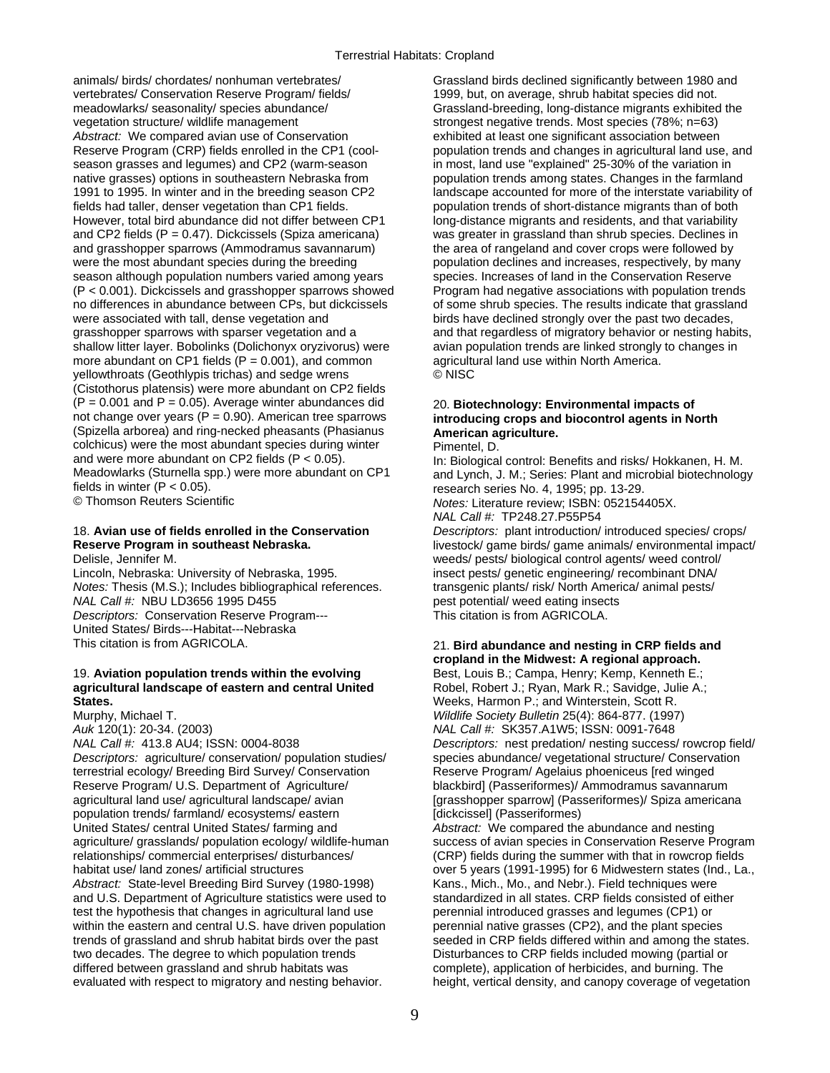animals/ birds/ chordates/ nonhuman vertebrates/ Grassland birds declined significantly between 1980 and vertebrates/ Conservation Reserve Program/ fields/ 1999, but, on average, shrub habitat species did not. meadowlarks/ seasonality/ species abundance/ Grassland-breeding, long-distance migrants exhibited the<br>vegetation structure/ wildlife management strongest negative trends. Most species (78%; n=63) Abstract: We compared avian use of Conservation exhibited at least one significant association between Reserve Program (CRP) fields enrolled in the CP1 (cool- population trends and changes in agricultural land use, and season grasses and legumes) and CP2 (warm-season in most, land use "explained" 25-30% of the variation in native grasses) options in southeastern Nebraska from population trends among states. Changes in the farmland 1991 to 1995. In winter and in the breeding season CP2 landscape accounted for more of the interstate variability of fields had taller, denser vegetation than CP1 fields. population trends of short-distance migrants than of both However, total bird abundance did not differ between CP1 long-distance migrants and residents, and that variability and CP2 fields (P = 0.47). Dickcissels (Spiza americana) was greater in grassland than shrub species. Declines in and grasshopper sparrows (Ammodramus savannarum) the area of rangeland and cover crops were followed by were the most abundant species during the breeding population declines and increases, respectively, by many season although population numbers varied among years species. Increases of land in the Conservation Reserve<br>(P < 0.001). Dickcissels and grasshopper sparrows showed Program had negative associations with population trends  $(P < 0.001)$ . Dickcissels and grasshopper sparrows showed no differences in abundance between CPs. but dickcissels no differences in abundance between CPs, but dickcissels of some shrub species. The results indicate that grassland<br>were associated with tall, dense vegetation and birds have declined strongly over the past two decades, grasshopper sparrows with sparser vegetation and a and that regardless of migratory behavior or nesting habits, shallow litter layer. Bobolinks (Dolichonyx oryzivorus) were avian population trends are linked strongly to changes in more abundant on CP1 fields  $(P = 0.001)$ , and common agricultural land use within North America. yellowthroats (Geothlypis trichas) and sedge wrens © NISC (Cistothorus platensis) were more abundant on CP2 fields (P = 0.001 and P = 0.05). Average winter abundances did 20. **Biotechnology: Environmental impacts of**  (Spizella arborea) and ring-necked pheasants (Phasianus **American agriculture.** colchicus) were the most abundant species during winter  $\qquad$  Pimentel, D.<br>and were more abundant on CP2 fields (P < 0.05). and were more abundant on CP2 fields (P < 0.05). In: Biological control: Benefits and risks/ Hokkanen, H. M.<br>Meadowlarks (Sturnella spp.) were more abundant on CP1 and Lynch. J. M.: Series: Plant and microbial biotechnolog Meadowlarks (Sturnella spp.) were more abundant on CP1 and Lynch, J. M.; Series: Plant and microbial biotechnology<br>fields in winter (P < 0.05). fields in winter (P < 0.05). research series No. 4, 1995; pp. 13-29.

# 18. **Avian use of fields enrolled in the Conservation** *Descriptors:* plant introduction/ introduced species/ crops/

*Notes:* Thesis (M.S.); Includes bibliographical references. transgenic plants/ risk/ North America/ animal pests/ *NAL Call #:* NBU LD3656 1995 D455 pest potential/ weed eating insects *Descriptors:* Conservation Reserve Program--- This citation is from AGRICOLA. United States/ Birds---Habitat---Nebraska This citation is from AGRICOLA. 21. **Bird abundance and nesting in CRP fields and** 

19. **Aviation population trends within the evolving Best, Louis B.; Campa, Henry; Kemp, Kenneth E.; agricultural landscape of eastern and central United Robel, Robel, Robert J.; Ryan, Mark R.; Savidge, Julie A.; States.** Weeks, Harmon P.; and Winterstein, Scott R. Murphy, Michael T. *Wildlife Society Bulletin* 25(4): 864-877. (1997) *Auk* 120(1): 20-34. (2003) *NAL Call #:* SK357.A1W5; ISSN: 0091-7648 terrestrial ecology/ Breeding Bird Survey/ Conservation Reserve Program/ Agelaius phoeniceus [red winged Reserve Program/ U.S. Department of Agriculture/ blackbird] (Passeriformes)/ Ammodramus savannarum population trends/ farmland/ ecosystems/ eastern [dickcissel] (Passeriformes) agriculture/ grasslands/ population ecology/ wildlife-human *Abstract:* State-level Breeding Bird Survey (1980-1998) Kans., Mich., Mo., and Nebr.). Field techniques were and U.S. Department of Agriculture statistics were used to standardized in all states. CRP fields consisted of either test the hypothesis that changes in agricultural land use perennial introduced grasses and legumes (CP1) or within the eastern and central U.S. have driven population perennial native grasses (CP2), and the plant species two decades. The degree to which population trends Disturbances to CRP fields included mowing (partial or differed between grassland and shrub habitats was complete), application of herbicides, and burning. The

strongest negative trends. Most species (78%; n=63) birds have declined strongly over the past two decades,

# introducing crops and biocontrol agents in North

Notes: Literature review; ISBN: 052154405X. *NAL Call #:* TP248.27.P55P54

**Reserve Program in southeast Nebraska. livestock/ game birds/ game animals/ environmental impact/**<br>Delisle, Jennifer M. **Delisle and the southeast Nebraska** entrol weeds/ pests/ biological control agents/ weed control/ weeds/ pests/ biological control agents/ weed control/ Lincoln, Nebraska: University of Nebraska, 1995. insect pests/ genetic engineering/ recombinant DNA/

# **cropland in the Midwest: A regional approach.**

*NAL Call #:* 413.8 AU4; ISSN: 0004-8038 *Descriptors:* nest predation/ nesting success/ rowcrop field/ *Descriptors:* agriculture/ conservation/ population studies/ species abundance/ vegetational structure/ Conservation agricultural land use/ agricultural landscape/ avian [grasshopper sparrow] (Passeriformes)/ Spiza americana

United States/ central United States/ farming and *Abstract:* We compared the abundance and nesting relationships/ commercial enterprises/ disturbances/ (CRP) fields during the summer with that in rowcrop fields habitat use/ land zones/ artificial structures over 5 years (1991-1995) for 6 Midwestern states (Ind., La., trends of grassland and shrub habitat birds over the past seeded in CRP fields differed within and among the states. evaluated with respect to migratory and nesting behavior. height, vertical density, and canopy coverage of vegetation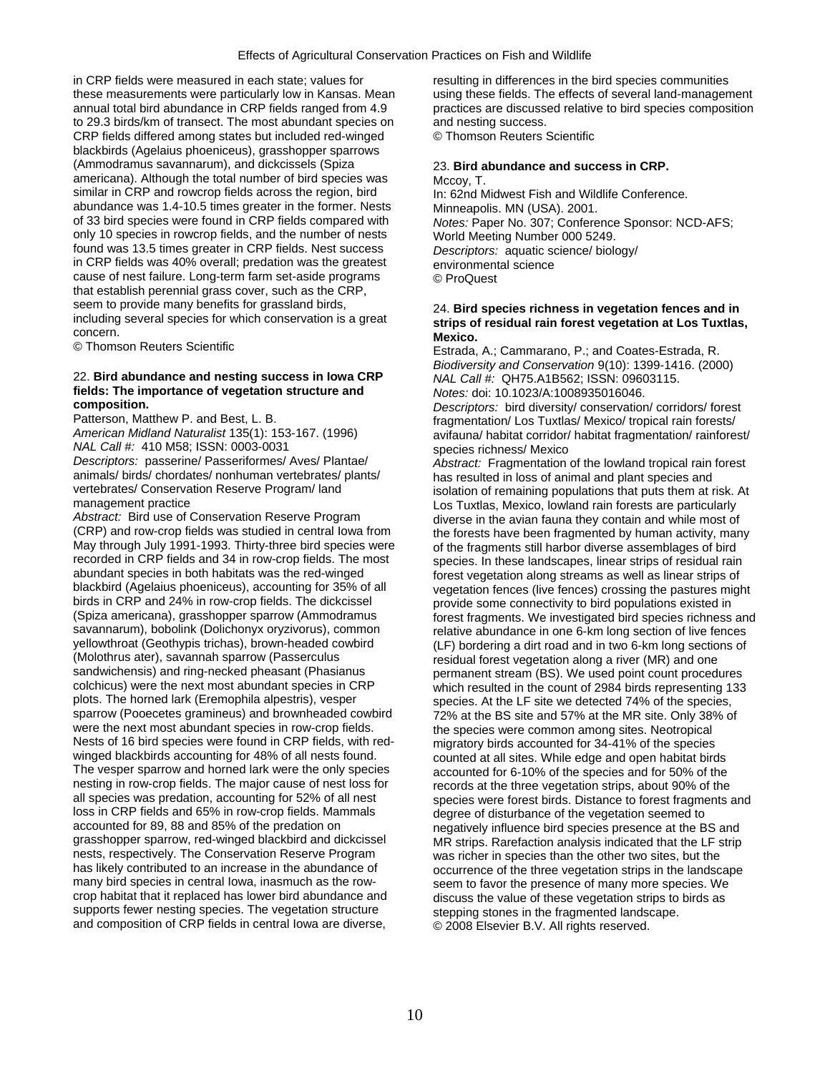in CRP fields were measured in each state; values for resulting in differences in the bird species communities these measurements were particularly low in Kansas. Mean using these fields. The effects of several land-management<br>
annual total bird abundance in CRP fields ranged from 4.9 practices are discussed relative to bird specie to 29.3 birds/km of transect. The most abundant species on and nesting success. CRP fields differed among states but included red-winged © Thomson Reuters Scientific blackbirds (Agelaius phoeniceus), grasshopper sparrows (Ammodramus savannarum), and dickcissels (Spiza 23. **Bird abundance and success in CRP.** americana). Although the total number of bird species was Mccoy, T. similar in CRP and rowcrop fields across the region, bird In: 62nd Midwest Fish and Wildlife Conference. abundance was 1.4-10.5 times greater in the former. Nests Minneapolis. MN (USA). 2001.<br>
of 33 bird species were found in CRP fields compared with *Notes: Paper No. 307: Confere* only 10 species in rowcrop fields, and the number of nests World Meeting Number 000 5249. found was 13.5 times greater in CRP fields. Nest success *Descriptors:* aquatic science/ biology/ in CRP fields was 40% overall; predation was the greatest environmental science cause of nest failure. Long-term farm set-aside programs © ProQuest that establish perennial grass cover, such as the CRP, seem to provide many benefits for grassland birds, seem to provide many benefits for grassland birds,<br>including several species for which conservation is a great<br>concern<br>**Markias** concern. **Mexico.** 

## 22. **Bird abundance and nesting success in Iowa CRP** *NAL Call #:* QH75.A1B562; ISSN: 09603115. **fields: The importance of vegetation structure and** *Motes: doi: 10.1023/A:1008935016046.***<br>Composition.** *Descriptors: bird diversity/ conservation*

*NAL Call #:* 410 M58; ISSN: 0003-0031 species richness/ Mexico<br> *Descriptors:* passerine/ Passeriformes/ Aves/ Plantae/ *Abstract:* Fragmentation *Descriptors:* passerine/ Passeriformes/ Aves/ Plantae/ *Abstract:* Fragmentation of the lowland tropical rain forest animals/ birds/ chordates/ nonhuman vertebrates/ plants/ has resulted in loss of animal and plant species and<br>vertebrates/ Conservation Reserve Program/ land<br>isolation of remaining populations that puts them at r

Abstract: Bird use of Conservation Reserve Program diverse in the avian fauna they contain and while most of Abstract<br>(CRP) and row-crop fields was studied in central lowa from the forests have been fragmented by human act May through July 1991-1993. Thirty-three bird species were of the fragments still harbor diverse assemblages of bird recorded in CRP fields and 34 in row-crop fields. The most species. In these landscapes, linear strips of residual rain abundant species in both habitats was the red-winged forest vegetation along streams as well as linear abundant species in both habitats was the red-winged forest vegetation along streams as well as linear strips of<br>blackbird (Agelaius phoeniceus), accounting for 35% of all superation fences (live fences) crossing the pastu blackbird (Agelaius phoeniceus), accounting for 35% of all vegetation fences (live fences) crossing the pastures might<br>birds in CRP and 24% in row-crop fields. The dickcissel provide some connectivity to bird populations e birds in CRP and 24% in row-crop fields. The dickcissel entity provide some connectivity to bird populations existed in<br>Spiza americana), grasshopper sparrow (Ammodramus forest fragments, We investigated bird species richn savannarum), bobolink (Dolichonyx oryzivorus), common relative abundance in one 6-km long section of live fences<br>Vellowthroat (Geothypis trichas), brown-headed cowbird (F) bordering a dirt road and in two 6-km long section yellowthroat (Geothypis trichas), brown-headed cowbird (LF) bordering a dirt road and in two 6-km long sections of<br>(Molothrus ater), savannah sparrow (Passerculus entity residual forest vegetation along a river (MR) and on (Molothrus ater), savannah sparrow (Passerculus residual forest vegetation along a river (MR) and one<br>sandwichensis) and ring-necked pheasant (Phasianus regermanent stream (BS). We used point count proced sandwichensis) and ring-necked pheasant (Phasianus permanent stream (BS). We used point count procedures colchicus) were the next most abundant species in CRP which resulted in the count of 2984 birds representing 133 colchicus) were the next most abundant species in CRP which resulted in the count of 2984 birds representing 133<br>plots. The horned lark (Eremophila alpestris), vesper species. At the LF site we detected 74% of the species. plots. The horned lark (Eremophila alpestris), vesper species. At the LF site we detected 74% of the species,<br>sparrow (Pooecetes gramineus) and brownheaded cowbird 72% at the BS site and 57% at the MR site. Only 38% o sparrow (Pooecetes gramineus) and brownheaded cowbird 72% at the BS site and 57% at the MR site. Only 38% of were the next most abundant species in row-crop fields. Nests of 16 bird species were found in CRP fields, with red-<br>winged blackbirds accounting for 48% of all nests found.<br>counted at all sites. While edge and open habitat bird winged blackbirds accounting for 48% of all nests found. counted at all sites. While edge and open habitat birds<br>The vesper sparrow and horned lark were the only species accounted for 6-10% of the species and for 50% of th The vesper sparrow and horned lark were the only species accounted for 6-10% of the species and for 50% of the<br>The species and for 50% of the species are specified as the three vegetation strips about 90% of the nesting in row-crop fields. The major cause of nest loss for records at the three vegetation strips, about 90% of the<br>all species was predation, accounting for 52% of all nest species were forest birds. Distance to forest all species was predation, accounting for 52% of all nest species were forest birds. Distance to forest fragments and<br>loss in CRP fields and 65% in row-crop fields. Mammals degree of disturbance of the vegetation seemed to loss in CRP fields and 65% in row-crop fields. Mammals degree of disturbance of the vegetation seemed to accounted for 89, 88 and 85% of the predation on accounted for 89, 88 and 85% of the predation on negatively influence bird species presence at the BS and<br>grasshopper sparrow, red-winged blackbird and dickcissel MR strips. Rarefaction analysis indicated that the LF strip grasshopper sparrow, red-winged blackbird and dickcissel MR strips. Rarefaction analysis indicated that the LF strip<br>nests, respectively. The Conservation Reserve Program was richer in species than the other two sites, but nests, respectively. The Conservation Reserve Program was richer in species than the other two sites, but the<br>has likely contributed to an increase in the abundance of entity occurrence of the three vegetation strips in th has likely contributed to an increase in the abundance of occurrence of the three vegetation strips in the landscape<br>many bird species in central lowa, inasmuch as the row-<br>seem to favor the presence of many more species. crop habitat that it replaced has lower bird abundance and discuss the value of these vegetation strips to birds as supports fewer nesting species. The vegetation structure stepping stones in the fragmented landscape. and composition of CRP fields in central Iowa are diverse, © 2008 Elsevier B.V. All rights reserved.

practices are discussed relative to bird species composition

Notes: Paper No. 307; Conference Sponsor: NCD-AFS;

Estrada, A.; Cammarano, P.; and Coates-Estrada, R. *Biodiversity and Conservation* 9(10): 1399-1416. (2000)

**composition.** *Descriptors:* bird diversity/ conservation/ corridors/ forest Patterson, Matthew P. and Best, L. B. fragmentation/ Los Tuxtlas/ Mexico/ tropical rain forests/<br>American Midland Naturalist 135(1): 153-167. (1996) solitaura/ habitat corridor/ habitat fragmentation/ rainfore *American Midland Naturalist* 135(1): 153-167. (1996) avifauna/ habitat corridor/ habitat fragmentation/ rainforest/

vertebrates/ Conservation Reserve Program/ land isolation of remaining populations that puts them at risk. At<br>I os Tuxtlas Mexico, lowland rain forests are particularly management practice<br>Abstract: Bird use of Conservation Reserve Program<br>
diverse in the avian fauna they contain and while most of the forests have been fragmented by human activity, many (Spiza americana), grasshopper sparrow (Ammodramus forest fragments. We investigated bird species richness and<br>savannarum), bobolink (Dolichonyx oryzivorus), common selective abundance in one 6-km long section of live fenc the species were common among sites. Neotropical seem to favor the presence of many more species. We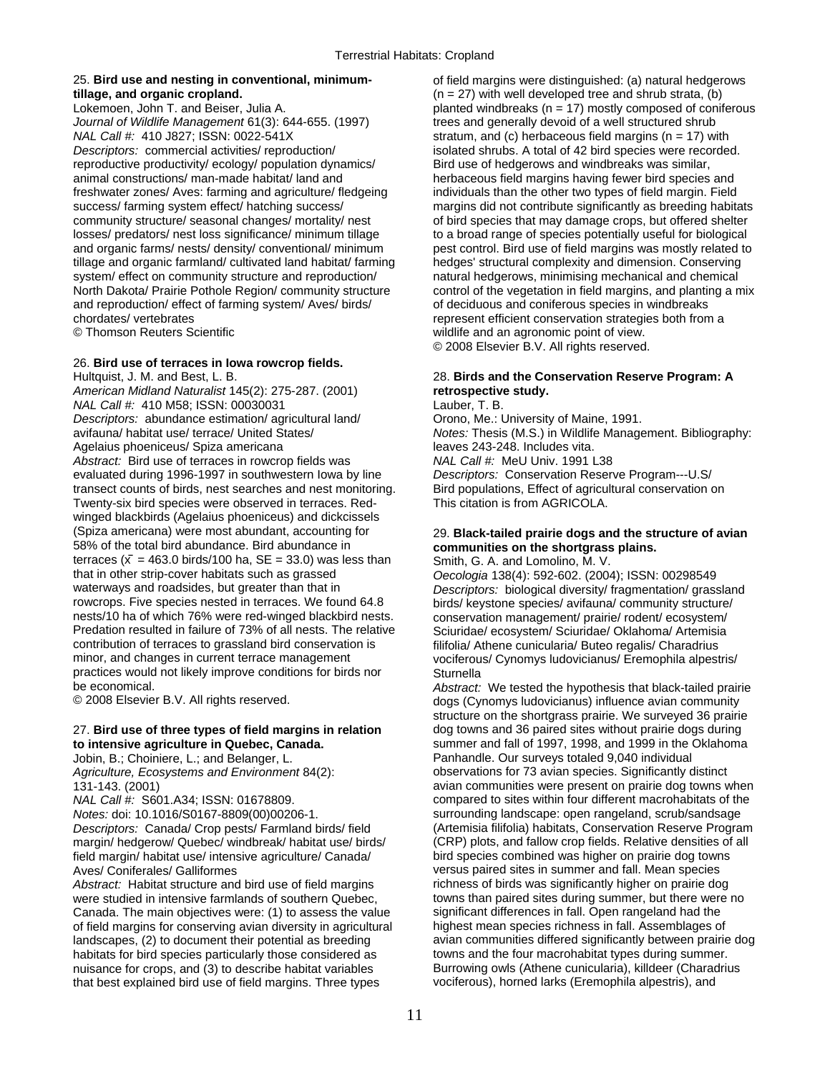# **tillage, and organic cropland.**  $(n = 27)$  with well developed tree and shrub strata, (b)

*Journal of Wildlife Management* 61(3): 644-655. (1997) trees and generally devoid of a well structured shrub *NAL Call #:* 410 J827; ISSN: 0022-541X stratum, and (c) herbaceous field margins (n = 17) with *Descriptors:* commercial activities/ reproduction/ isolated shrubs. A total of 42 bird species were recorded. reproductive productivity/ ecology/ population dynamics/ Bird use of hedgerows and windbreaks was similar, animal constructions/ man-made habitat/ land and herbaceous field margins having fewer bird species and freshwater zones/ Aves: farming and agriculture/ fledgeing individuals than the other two types of field margin. Field community structure/ seasonal changes/ mortality/ nest of bird species that may damage crops, but offered shelter losses/ predators/ nest loss significance/ minimum tillage to a broad range of species potentially useful for biological tillage and organic farmland/ cultivated land habitat/ farming hedges' structural complexity and dimension. Conserving system/ effect on community structure and reproduction/ natural hedgerows, minimising mechanical and chemical and reproduction/ effect of farming system/ Aves/ birds/ chordates/ vertebrates represent efficient conservation strategies both from a

## 26. **Bird use of terraces in Iowa rowcrop fields.**

Hultquist, J. M. and Best, L. B. 28. **Birds and the Conservation Reserve Program: A**  *American Midland Naturalist* 145(2): 275-287. (2001) **retrospective study.**  *NAL Call #: 410 M58; ISSN: 00030031 Descriptors:* abundance estimation/ agricultural land/ Orono, Me.: University of Maine, 1991. avifauna/ habitat use/ terrace/ United States/ *Notes:* Thesis (M.S.) in Wildlife Management. Bibliography: Agelaius phoeniceus/ Spiza americana leaves 243-248. Includes vita. *Abstract:* Bird use of terraces in rowcrop fields was *NAL Call #:* MeU Univ. 1991 L38 evaluated during 1996-1997 in southwestern Iowa by line *Descriptors:* Conservation Reserve Program---U.S/ transect counts of birds, nest searches and nest monitoring. Bird populations, Effect of agricultural conservation on Twenty-six bird species were observed in terraces. Red- This citation is from AGRICOLA. winged blackbirds (Agelaius phoeniceus) and dickcissels (Spiza americana) were most abundant, accounting for 29. **Black-tailed prairie dogs and the structure of avian**  58% of the total bird abundance. Bird abundance in **communities on the shortgrass plains.**  terraces  $(\bar{x} = 463.0 \text{ birds}/100 \text{ ha}, \text{SE} = 33.0)$  was less than Smith, G. A. and Lomolino, M. V.<br>that in other strip-cover habitats such as grassed  $\overline{O}$  Oecologia 138(4): 592-602. (2004 that in other strip-cover habitats such as grassed *Oecologia* 138(4): 592-602. (2004); ISSN: 00298549<br> *Oecologia* 138(4): 592-602. (2004); ISSN: 00298549<br> *Descriptors:* biological diversity/ fragmentation/ grass waterways and roadsides, but greater than that in *Descriptors:* biological diversity/ fragmentation/ grassland<br>
rowcrops. Five species nested in terraces. We found 64.8 birds/ keystone species/ avifauna/ community structu rowcrops. Five species nested in terraces. We found 64.8 birds/ keystone species/ avifauna/ community structure/<br>nests/10 ha of which 76% were red-winged blackbird nests. conservation management/ prairie/ rodent/ ecosystem nests/10 ha of which 76% were red-winged blackbird nests. conservation management/ prairie/ rodent/ ecosystem/<br>Predation resulted in failure of 73% of all nests. The relative Sciuridae/ ecosystem/ Sciuridae/ Oklahoma/ Arte Predation resulted in failure of 73% of all nests. The relative Sciuridae/ ecosystem/ Sciuridae/ Oklahoma/ Artemisia<br>Contribution of terraces to grassland bird conservation is filifolia/ Athene cunicularia/ Buteo regalis/ contribution of terraces to grassland bird conservation is filifolia/ Athene cunicularia/ Buteo regalis/ Charadrius<br>minor, and changes in current terrace management vociferous/ Cynomys Judovicianus/ Fremophila alpest practices would not likely improve conditions for birds nor Sturnella<br>be economical abstract: ̄

# 27. **Bird use of three types of field margins in relation** dog towns and 36 paired sites without prairie dogs during

*Notes:* doi: 10.1016/S0167-8809(00)00206-1. surrounding landscape: open rangeland, scrub/sandsage margin/ hedgerow/ Quebec/ windbreak/ habitat use/ birds/ (CRP) plots, and fallow crop fields. Relative densities of<br>
field margin/ habitat use/ intensive agriculture/ Canada/ bird species combined was higher on prairie dog field margin/ habitat use/ intensive agriculture/ Canada/<br>Aves/ Coniferales/ Galliformes

*Abstract:* Habitat structure and bird use of field margins richness of birds was significantly higher on prairie dog<br>were studied in intensive farmlands of southern Quebec. The towns than paired sites during summer, but t were studied in intensive farmlands of southern Quebec, Canada. The main objectives were: (1) to assess the value significant differences in fall. Open rangeland had the of field margins for conserving avian diversity in agricultural highest mean species richness in fall. Assemblages of habitats for bird species particularly those considered as nuisance for crops, and (3) to describe habitat variables Burrowing owls (Athene cunicularia), killdeer (Charadrius that best explained bird use of field margins. Three types vociferous), horned larks (Eremophila alpestris), and

25. **Bird use and nesting in conventional, minimum-** of field margins were distinguished: (a) natural hedgerows Lokemoen, John T. and Beiser, Julia A. blant by planted windbreaks (n = 17) mostly composed of coniferous success/ farming system effect/ hatching success/ margins did not contribute significantly as breeding habitats and organic farms/ nests/ density/ conventional/ minimum pest control. Bird use of field margins was mostly related to North Dakota/ Prairie Pothole Region/ community structure control of the vegetation in field margins, and planting a mix<br>and reproduction/ effect of farming system/ Aves/ birds/ of deciduous and coniferous species in windb © Thomson Reuters Scientific wildlife and an agronomic point of view. © 2008 Elsevier B.V. All rights reserved.

vociferous/ Cynomys ludovicianus/ Eremophila alpestris/

be economical. *Abstract:* We tested the hypothesis that black-tailed prairie dogs (Cynomys ludovicianus) influence avian community structure on the shortgrass prairie. We surveyed 36 prairie **to intensive agriculture in Quebec, Canada. Summer and fall of 1997, 1998, and 1999** in the Oklahoma<br>Jobin, B.; Choiniere, L.; and Belanger, L. **Exercía entrary constant and Panhandle**. Our surveys totaled 9,040 individ Panhandle. Our surveys totaled 9,040 individual *Agriculture, Ecosystems and Environment* 84(2): observations for 73 avian species. Significantly distinct 131-143. (2001) avian communities were present on prairie dog towns when *NAL Call #:* S601.A34; ISSN: 01678809. compared to sites within four different macrohabitats of the *Descriptors:* Canada/ Crop pests/ Farmland birds/ field (Artemisia filifolia) habitats, Conservation Reserve Program<br>margin/ hedgerow/ Quebec/ windbreak/ habitat use/ birds/ (CRP) plots, and fallow crop fields. Relative d versus paired sites in summer and fall. Mean species<br>richness of birds was significantly higher on prairie dog landscapes, (2) to document their potential as breeding avian communities differed significantly between prairie dog<br>habitats for bird species particularly those considered as towns and the four macrohabitat types during s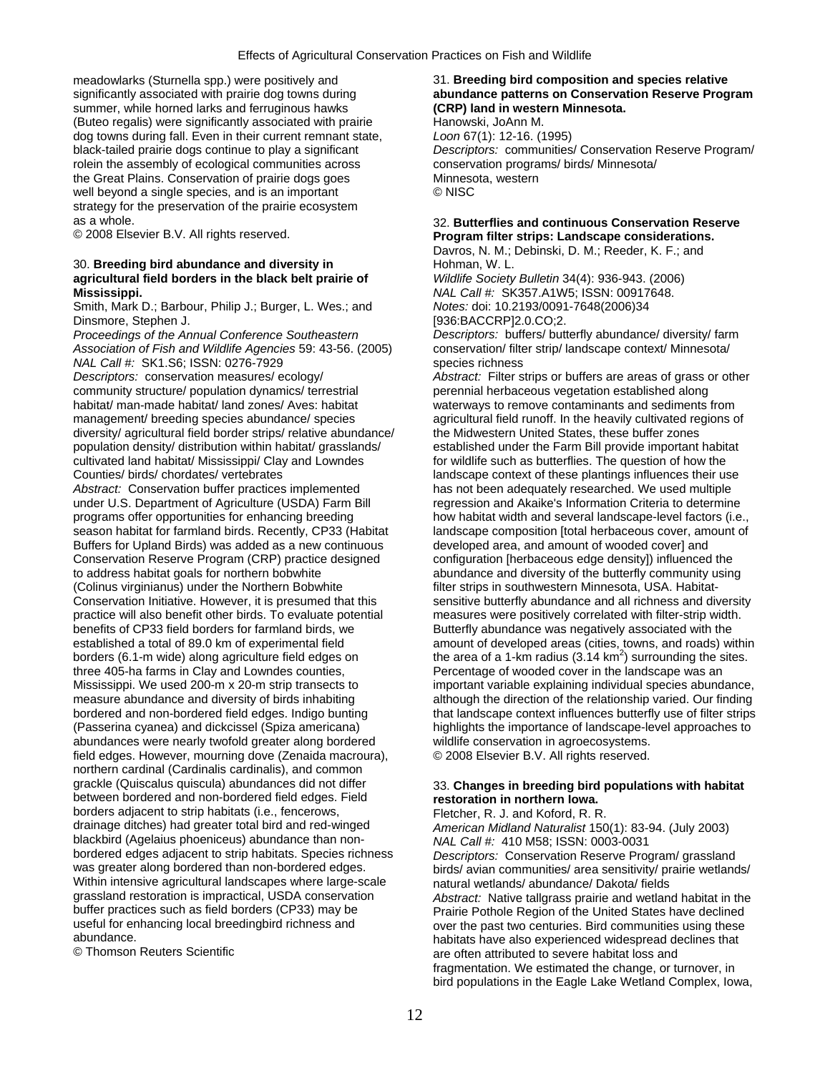meadowlarks (Sturnella spp.) were positively and 31. **Breeding bird composition and species relative**  summer, while horned larks and ferruginous hawks (Buteo regalis) were significantly associated with prairie Hanowski, JoAnn M. dog towns during fall. Even in their current remnant state, *Loon* 67(1): 12-16. (1995) rolein the assembly of ecological communities across conservation programs/ birds/ Minnesota/ the Great Plains. Conservation of prairie dogs goes Minnesota, western well beyond a single species, and is an important  $\heartsuit$  NISC strategy for the preservation of the prairie ecosystem

## 30. **Breeding bird abundance and diversity in Fig. 20. Breeding bird abundance and diversity in Fig. 20. Hohman, W. L. agricultural field borders in the black belt prairie of** *Wildlife Society Bulletin* 34(4): 936-943. (2006) **Mississippi.** *NAL Call #:* SK357.A1W5; ISSN: 00917648.

Smith, Mark D.; Barbour, Philip J.; Burger, L. Wes.; and *Notes:* doi: 10.2193/0091-7648(2006)34

Dinsmore, Stephen J. [936:BACCRP]2.0.CO;2.<br>Proceedings of the Annual Conference Southeastern [936:BACCRP]2.0.CO;2. *Association of Fish and Wildlife Agencies* 59: 43-56. (2005) *NAL Call #:* SK1.S6; ISSN: 0276-7929 species richness

community structure/ population dynamics/ terrestrial perennial herbaceous vegetation established along habitat/ man-made habitat/ land zones/ Aves: habitat waterways to remove contaminants and sediments from management/ breeding species abundance/ species and reagricultural field runoff. In the heavily cultivated regions of diversity/ agricultural field border strips/ relative abundance/ the Midwestern United States, these buffer zones population density/ distribution within habitat/ grasslands/ established under the Farm Bill provide important habitat cultivated land habitat/ Mississippi/ Clay and Lowndes for wildlife such as butterflies. The question of how the Counties/ birds/ chordates/ vertebrates landscape context of these plantings influences their use

*Abstract:* Conservation buffer practices implemented has not been adequately researched. We used multiple under U.S. Department of Agriculture (USDA) Farm Bill regression and Akaike's Information Criteria to determine programs offer opportunities for enhancing breeding how habitat width and several landscape-level factors (i.e., season habitat for farmland birds. Recently, CP33 (Habitat landscape composition [total herbaceous cover, amount of<br>Buffers for Upland Birds) was added as a new continuous developed area, and amount of wooded cover] and Buffers for Upland Birds) was added as a new continuous Conservation Reserve Program (CRP) practice designed configuration [herbaceous edge density]) influenced the to address habitat goals for northern bobwhite abundance and diversity of the butterfly community using<br>(Colinus virginianus) under the Northern Bobwhite filter strips in southwestern Minnesota, USA. Habitat-Conservation Initiative. However, it is presumed that this sensitive butterfly abundance and all richness and diversity practice will also benefit other birds. To evaluate potential measures were positively correlated with filter-strip width. benefits of CP33 field borders for farmland birds, we Butterfly abundance was negatively associated with the borders (6.1-m wide) along agriculture field edges on three 405-ha farms in Clay and Lowndes counties, abundances were nearly twofold greater along bordered wildlife conservation in agroecosystems. field edges. However, mourning dove (Zenaida macroura), © 2008 Elsevier B.V. All rights reserved. northern cardinal (Cardinalis cardinalis), and common grackle (Quiscalus quiscula) abundances did not differ 33. **Changes in breeding bird populations with habitat**  between bordered and non-bordered field edges. Field **restoration in northern Iowa.**  borders adjacent to strip habitats (i.e., fencerows, Fletcher, R. J. and Koford, R. R.<br>drainage ditches) had greater total bird and red-winged American Midland Naturalist 150 blackbird (Agelaius phoeniceus) abundance than nonbordered edges adjacent to strip habitats. Species richness *Descriptors:* Conservation Reserve Program/ grassland Within intensive agricultural landscapes where large-scale natural wetlands/ abundance/ Dakota/ fields<br>grassland restoration is impractical, USDA conservation *Abstract:* Native tallorass prairie and wetlan buffer practices such as field borders (CP33) may be Prairie Pothole Region of the United States have declined useful for enhancing local breedingbird richness and ver the past two centuries. Bird communities using these useful for enhancing local breedingbird richness and over the past two centuries. Bird communities using these<br>abundance. babitats have also experienced widespread declines that

# significantly associated with prairie dog towns during **abundance patterns on Conservation Reserve Program**<br> **(CRP) land in western Minnesota.**<br> **(CRP) land in western Minnesota.**

black-tailed prairie dogs continue to play a significant *Descriptors:* communities/ Conservation Reserve Program/

## as a whole.<br> **32. Butterflies and continuous Conservation Reserve** 32. **Butterflies and continuous Conservation Reserve Conserversity Conserversity Conserversity Program filter strips: Landscape considerations.** Program filter strips: Landscape considerations.

Davros, N. M.; Debinski, D. M.; Reeder, K. F.; and

*Pescriptors:* buffers/ butterfly abundance/ diversity/ farm conservation/ filter strip/ landscape context/ Minnesota/

*Descriptors:* conservation measures/ ecology/ *Abstract:* Filter strips or buffers are areas of grass or other filter strips in southwestern Minnesota, USA. Habitatestablished a total of 89.0 km of experimental field amount of developed areas (cities, towns, and roads) within the area of a 1-km radius  $(3.14 \text{ km}^2)$  surrounding the sites. Percentage of wooded cover in the landscape was an Mississippi. We used 200-m x 20-m strip transects to important variable explaining individual species abundance, measure abundance and diversity of birds inhabiting although the direction of the relationship varied. Our finding bordered and non-bordered field edges. Indigo bunting that landscape context influences butterfly use of filter strips (Passerina cyanea) and dickcissel (Spiza americana) highlights the importance of landscape-level approaches to

American Midland Naturalist 150(1): 83-94. (July 2003)<br>NAL Call #: 410 M58; ISSN: 0003-0031 birds/ avian communities/ area sensitivity/ prairie wetlands/ Abstract: Native tallgrass prairie and wetland habitat in the abundance.<br>
© Thomson Reuters Scientific enters that the server of the also experienced widespread declines that in the T<br>
are often attributed to severe babitat loss and are often attributed to severe habitat loss and fragmentation. We estimated the change, or turnover, in bird populations in the Eagle Lake Wetland Complex, Iowa,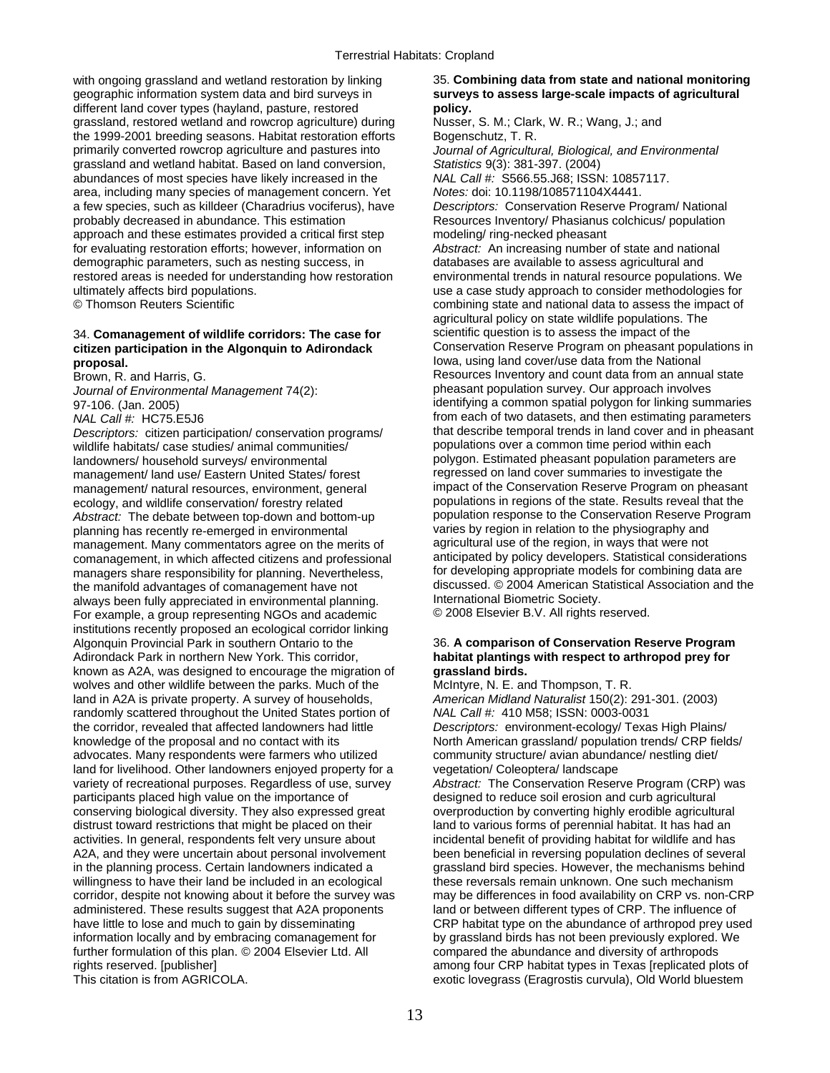with ongoing grassland and wetland restoration by linking 35. **Combining data from state and national monitoring** geographic information system data and bird surveys in **surveys to assess large-scale impacts of agricultural**  different land cover types (hayland, pasture, restored **policy.** grassland, restored wetland and rowcrop agriculture) during Nusser, S. M.; Clark, W. R.; Wang, J.; and the 1999-2001 breeding seasons. Habitat restoration efforts Bogenschutz, T. R. primarily converted rowcrop agriculture and pastures into *Journal of Agricultural, Biological, and Environmental*  grassland and wetland habitat. Based on land conversion, *Statistics* 9(3): 381-397. (2004) abundances of most species have likely increased in the *NAL Call #:* S566.55.J68; ISSN: 10857117. area, including many species of management concern. Yet *Notes:* doi: 10.1198/108571104X4441. a few species, such as killdeer (Charadrius vociferus), have *Descriptors:* Conservation Reserve Program/ National probably decreased in abundance. This estimation Resources Inventory/ Phasianus colchicus/ population approach and these estimates provided a critical first step modeling/ ring-necked pheasant for evaluating restoration efforts; however, information on *Abstract:* An increasing number of state and national demographic parameters, such as nesting success, in databases are available to assess agricultural and restored areas is needed for understanding how restoration environmental trends in natural resource populations. We ultimately affects bird populations.<br>
© Thomson Reuters Scientific **interpretional** combining state and national data to assess the impact of

## **citizen participation in the Algonquin to Adirondack proposal. Iowa, using land cover/use data from the National lowa, using land cover/use data from the National**

*Descriptors:* citizen participation/ conservation programs/ that describe temporal trends in land cover and in ph<br>wildlife habitats/ case studies/ animal communities/ populations over a common time period within each wildlife habitats/ case studies/ animal communities/ landowners/ household surveys/ environmental polygon. Estimated pheasant population parameters are<br>management/ land use/ Fastern United States/ forest regressed on land cover summaries to investigate the management/ land use/ Eastern United States/ forest regressed on land cover summaries to investigate the<br>management/ patural resources environment general impact of the Conservation Reserve Program on pheasant management/ natural resources, environment, general ecology, and wildlife conservation/ forestry related populations in regions of the state. Results reveal that the<br>Abstract: The debate between top-down and bottom-up population response to the Conservation Reserve Program *Abstract:* The debate between top-down and bottom-up population response to the Conservation Reserve P<br>population relation to the physiography and<br>varies by region in relation to the physiography and planning has recently re-emerged in environmental varies by region in relation to the physiography and<br>management, Many commentators agree on the merits of agricultural use of the region, in ways that were not management. Many commentators agree on the merits of agricultural use of the region, in ways that were not<br>comanagement in which affected citizens and professional anticipated by policy developers. Statistical consideratio comanagement, in which affected citizens and professional anticipated by policy developers. Statistical considerations managers share responsibility for planning. Nevertheless, for developing appropriate models for combining data are<br>the manifold advantages of comanagement have not discussed. © 2004 American Statistical Association and the the manifold advantages of comanagement have not discussed. © 2004 American Statistical American Statistical A<br>Always been fully appreciated in environmental planning and the International Biometric Society. always been fully appreciated in environmental planning. International Biometric Society.<br>International Biometric Society. In the society of the section of the section of the section of the section of For example, a group representing NGOs and academic institutions recently proposed an ecological corridor linking Algonquin Provincial Park in southern Ontario to the 36. **A comparison of Conservation Reserve Program**  Adirondack Park in northern New York. This corridor, **habitat plantings with respect to arthropod prey for**  known as A2A, was designed to encourage the migration of **grassland birds.**  wolves and other wildlife between the parks. Much of the McIntyre, N. E. and Thompson, T. R. land in A2A is private property. A survey of households, *American Midland Naturalist* 150(2): 291-301. (2003) randomly scattered throughout the United States portion of *NAL Call #:* 410 M58; ISSN: 0003-0031 the corridor, revealed that affected landowners had little *Descriptors:* environment-ecology/ Texas High Plains/ knowledge of the proposal and no contact with its North American grassland/ population trends/ CRP fields/ advocates. Many respondents were farmers who utilized community structure/ avian abundance/ nestling diet/ land for livelihood. Other landowners enjoyed property for a vegetation/ Coleoptera/ landscape variety of recreational purposes. Regardless of use, survey *Abstract:* The Conservation Reserve Program (CRP) was participants placed high value on the importance of designed to reduce soil erosion and curb agricultural conserving biological diversity. They also expressed great overproduction by converting highly erodible agricultural distrust toward restrictions that might be placed on their land to various forms of perennial habitat. It has had an activities. In general, respondents felt very unsure about incidental benefit of providing habitat for wildlife and has A2A, and they were uncertain about personal involvement been beneficial in reversing population declines of several in the planning process. Certain landowners indicated a grassland bird species. However, the mechanisms behind willingness to have their land be included in an ecological these reversals remain unknown. One such mechanism corridor, despite not knowing about it before the survey was may be differences in food availability on CRP vs. non-CRP administered. These results suggest that A2A proponents land or between different types of CRP. The influence of have little to lose and much to gain by disseminating CRP habitat type on the abundance of arthropod prey used<br>
information locally and by embracing comanagement for by grassland birds has not been previously explored. We further formulation of this plan. © 2004 Elsevier Ltd. All compared the abundance and diversity of arthropods rights reserved. [publisher] among four CRP habitat types in Texas [replicated plots of

combining state and national data to assess the impact of agricultural policy on state wildlife populations. The 34. **Comanagement of wildlife corridors: The case for** scientific question is to assess the impact of the<br>**citizen participation in the Algonquin to Adirondack** Conservation Reserve Program on pheasant populations in Brown, R. and Harris, G. Resources Inventory and count data from an annual state *Journal of Environmental Management* 74(2): pheasant population survey. Our approach involves 97-106. (Jan. 2005) identifying a common spatial polygon for linking summaries *NAL Call #:* HC75.E5J6 *NAL Call #:* HC75.E5J6 *Call time in the stimating parameters* from each of two datasets, and then estimating parameters *Descriptors:* citizen participation/ conservation programs/ that descri

by grassland birds has not been previously explored. We This citation is from AGRICOLA. **Exotic in the Section of Contact** exotic lovegrass (Eragrostis curvula), Old World bluestem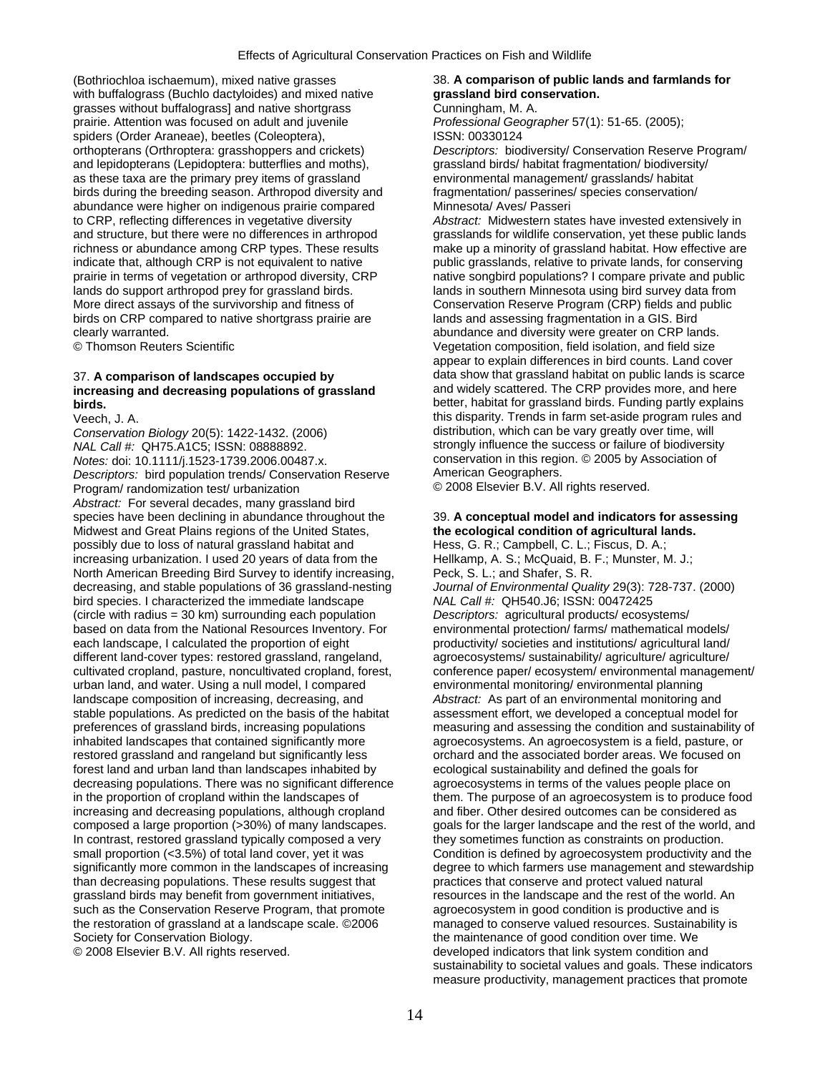(Bothriochloa ischaemum), mixed native grasses 38. **A comparison of public lands and farmlands for** 38. **A comparison of public lands and farmlands for with buffalograss (Buchlo dactyloides) and mixed native grassland bi** with buffalograss (Buchlo dactyloides) and mixed native grasses without buffalograss] and native shortgrass **Cunningham, M. A.** prairie. Attention was focused on adult and juvenile *Professional Geographer* 57(1): 51-65. (2005); spiders (Order Araneae), beetles (Coleoptera), ISSN: 00330124 and lepidopterans (Lepidoptera: butterflies and moths), grassland birds/ habitat fragmentation/ biodiversity/ as these taxa are the primary prey items of grassland environmental management/ grasslands/ habitat birds during the breeding season. Arthropod diversity and fragmentation/ passerines/ species conservation/ abundance were higher on indigenous prairie compared Minnesota/ Aves/ Passeri to CRP, reflecting differences in vegetative diversity *Abstract:* Midwestern states have invested extensively in indicate that, although CRP is not equivalent to native public grasslands, relative to private lands, for conserving lands do support arthropod prey for grassland birds.<br>More direct assavs of the survivorship and fitness of **Conservation Reserve Program (CRP)** fields and public birds on CRP compared to native shortgrass prairie are clearly warranted. abundance and diversity were greater on CRP lands.

# increasing and decreasing populations of grassland

Conservation Biology 20(5): 1422-1432. (2006) distribution, which can be vary greatly over time, will *NAL Call #:* QH75.A1C5; ISSN: 08888892. Strongly influence the success or failure of biodiversity *Notes:* doi: 10.1111/j.1523-1739.2006.00487.x. conservation in this region. © 2005 by Association of *Descriptors:* bird population trends/ Conservation Reserve American Geographers. *Descriptors:* bird population trends/ Conservation Reserve American Geographers. Program/ randomization test/ urbanization *Abstract:* For several decades, many grassland bird species have been declining in abundance throughout the 39. **A conceptual model and indicators for assessing**<br>Midwest and Great Plains regions of the United States, **the ecological condition of agricultural lands.** Midwest and Great Plains regions of the United States, **the ecological condition of agricultural lands. heads** possibly due to loss of natural grassland habitat and **heads** Hess, G. R.; Campbell, C. L.; Fiscus, D. A.; possibly due to loss of natural grassland habitat and Hess, G. R.; Campbell, C. L.; Fiscus, D. A.;<br>
increasing urbanization. I used 20 years of data from the Hellkamp, A. S.; McQuaid, B. F.; Munster, M. J.; increasing urbanization. I used 20 years of data from the Hellkamp, A. S.; McQuaid, B.<br>North American Breeding Bird Survey to identify increasing, Peck, S. L.; and Shafer, S. R. North American Breeding Bird Survey to identify increasing, decreasing, and stable populations of 36 grassland-nesting *Journal of Environmental Quality* 29(3): 728-737. (2000) bird species. I characterized the immediate landscape *NAL Call #:* QH540.J6; ISSN: 00472425 (circle with radius = 30 km) surrounding each population *Descriptors:* agricultural products/ ecosystems/ based on data from the National Resources Inventory. For environmental protection/ farms/ mathematical models/ each landscape, I calculated the proportion of eight productivity/ societies and institutions/ agricultural land/ different land-cover types: restored grassland, rangeland, agroecosystems/ sustainability/ agriculture/ agriculture/ cultivated cropland, pasture, noncultivated cropland, forest, conference paper/ ecosystem/ environmental management/<br>urban land, and water. Using a null model, I compared environmental monitoring/ environmental planning urban land, and water. Using a null model, I compared landscape composition of increasing, decreasing, and *Abstract:* As part of an environmental monitoring and stable populations. As predicted on the basis of the habitat assessment effort, we developed a conceptual model for preferences of grassland birds, increasing populations measuring and assessing the condition and sustainability of inhabited landscapes that contained significantly more agroecosystems. An agroecosystem is a field, pasture, or restored grassland and rangeland but significantly less orchard and the associated border areas. We focused on forest land and urban land than landscapes inhabited by ecological sustainability and defined the goals for decreasing populations. There was no significant difference agroecosystems in terms of the values people place on in the proportion of cropland within the landscapes of them. The purpose of an agroecosystem is to produce food increasing and decreasing populations, although cropland and fiber. Other desired outcomes can be considered as composed a large proportion (>30%) of many landscapes. goals for the larger landscape and the rest of the world, and In contrast, restored grassland typically composed a very they sometimes function as constraints on production. small proportion (<3.5%) of total land cover, yet it was Condition is defined by agroecosystem productivity and the significantly more common in the landscapes of increasing degree to which farmers use management and stewardship than decreasing populations. These results suggest that practices that conserve and protect valued natural grassland birds may benefit from government initiatives, resources in the landscape and the rest of the worl such as the Conservation Reserve Program, that promote agroecosystem in good condition is productive and is the restoration of grassland at a landscape scale. ©2006 managed to conserve valued resources. Sustainability is Society for Conservation Biology. The maintenance of good condition over time. We

orthopterans (Orthroptera: grasshoppers and crickets) *Descriptors:* biodiversity/ Conservation Reserve Program/

and structure, but there were no differences in arthropod grasslands for wildlife conservation, yet these public lands<br>richness or abundance among CRP types. These results make up a minority of grassland habitat. How effec make up a minority of grassland habitat. How effective are prairie in terms of vegetation or arthropod diversity, CRP native songbird populations? I compare private and public Conservation Reserve Program (CRP) fields and public<br>lands and assessing fragmentation in a GIS. Bird © Thomson Reuters Scientific Vegetation composition, field isolation, and field size appear to explain differences in bird counts. Land cover 37. **A comparison of landscapes occupied by** data show that grassland habitat on public lands is scarce **birds. birds. birds.** Funding partly explains **better, habitat for grassland birds.** Funding partly explains Veech, J. A. this disparity. Trends in farm set-aside program rules and

resources in the landscape and the rest of the world. An © 2008 Elsevier B.V. All rights reserved. developed indicators that link system condition and sustainability to societal values and goals. These indicators measure productivity, management practices that promote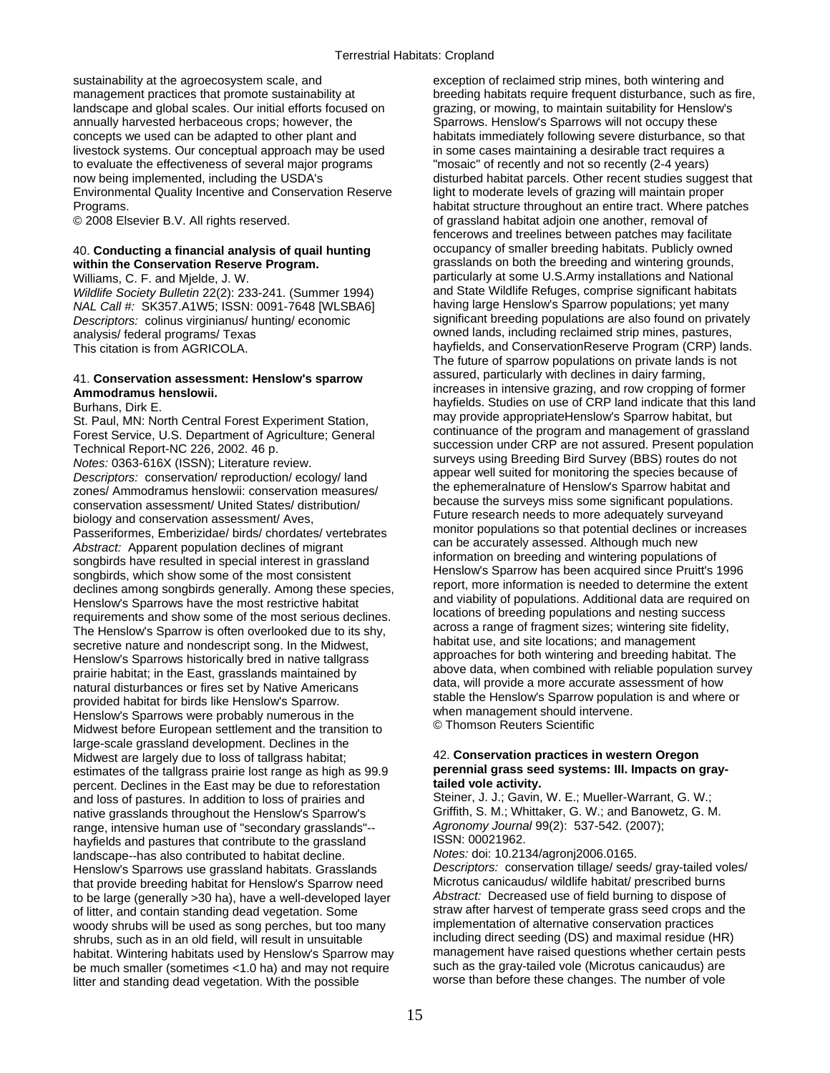sustainability at the agroecosystem scale, and exception of reclaimed strip mines, both wintering and annually harvested herbaceous crops; however, the Sparrows. Henslow's Sparrows will not occupy these concepts we used can be adapted to other plant and habitats immediately following severe disturbance, so that livestock systems. Our conceptual approach may be used in some cases maintaining a desirable tract requires a to evaluate the effectiveness of several major programs "mosaic" of recently and not so recently (2-4 years) Environmental Quality Incentive and Conservation Reserve light to moderate levels of grazing will maintain proper Programs. habitat structure throughout an entire tract. Where patches

*Wildlife Society Bulletin* 22(2): 233-241. (Summer 1994) and State Wildlife Refuges, comprise significant habitats<br>*NAL Call #: SK357.A1W5: ISSN: 0091-7648 [WI SBA6]* having large Henslow's Sparrow populations; yet many *Descriptors:* colinus virginianus/ hunting/ economic analysis/ federal programs/ Texas owned lands, including reclaimed strip mines, pastures,

# 41. Conservation assessment: Henslow's sparrow

conservation assessment/ United States/ distribution/<br>biology and conservation assessment/ Aves<br>Future research needs to more adequately surveyand biology and conservation assessment/ Aves,<br>
Passeriformes, Emberizidae/ birds/ chordates/ vertebrates monitor populations so that potential declines or increases<br>
Abstract: Annarent population declines of migrant<br>
Abstract Abstract: Apparent population declines of migrant<br>songbirds have resulted in special interest in grassland<br>songbirds, which show some of the most consistent<br>declines among songbirds caparally. Among these species<br>declines Henslow's Sparrows were probably numerous in the entity of the management should inte<br>Midwest before European settlement and the transition to @ Thomson Reuters Scientific large-scale grassland development. Declines in the Midwest are largely due to loss of tallgrass habitat; 42. **Conservation practices in western Oregon According to the tallgrass or aray-**<br> **According to the tallgrass prairie lost range as high as 99.9 perennial grass s** estimates of the tallgrass prairie lost range as high as 99.9 **perennial grass see**<br> **percent** Declines in the East may be due to reforestation **tailed vole activity.** percent. Declines in the East may be due to reforestation **tailed vole activity.**  and loss of pastures. In addition to loss of prairies and Steiner, J. J.; Gavin, W. E.; Mueller-Warrant, G. W.;<br>native grasslands throughout the Henslow's Sparrow's Griffith, S. M.; Whittaker, G. W.; and Banowetz, G. M. native grasslands throughout the Henslow's Sparrow's Griffith, S. M.; Whittaker, G. W.; and Banow<br>Tange, intensive human use of "secondary grasslands"-- Agronomy Journal 99(2): 537-542. (2007); range, intensive human use of "secondary grasslands"-- *Agronomy Journal* 99-542. (2007)<br>hayfields and pastures that contribute to the grassland [ISSN: 00021962. hayfields and pastures that contribute to the grassland ISSN: 00021962.<br>Iandscape--has also contributed to babitat decline *Notes:* doi: 10.2134/agronj2006.0165. landscape--has also contributed to habitat decline. *Notes:* doi: 10.2134/agronj2006.0165. Henslow's Sparrows use grassland habitats. Grasslands *Descriptors: conservation tillage/ seeds/ gray-tailed vo*<br>that provide breeding habitat for Henslow's Sparrow need Microtus canicaudus/ wildlife habitat/ prescribed bu that provide breeding habitat for Henslow's Sparrow need Microtus canicaudus/ wildlife habitat/ prescribed burns<br>to be large (generally >30 ha), have a well-developed layer *Abstract:* Decreased use of field burning to dis to be large (generally >30 ha), have a well-developed layer of litter, and contain standing dead vegetation. Some straw after harvest of temperate grass seed crops and the woody shrubs will be used as song perches but too many implementation of alternative conservation practices woody shrubs will be used as song perches, but too many implementation of alternative conservation practices<br>shrubs, such as in an old field, will result in unsuitable including direct seeding (DS) and maximal residue (HR) shrubs, such as in an old field, will result in unsuitable including direct seeding (DS) and maximal residue (HR)<br>habitat Wintering babitats used by Henslow's Sparrow may imanagement have raised questions whether certain p habitat. Wintering habitats used by Henslow's Sparrow may management have raised questions whether certain pe<br>he much smaller (sometimes <1.0 ha) and may not require such as the gray-tailed vole (Microtus canicaudus) are be much smaller (sometimes <1.0 ha) and may not require such as the gray-tailed vole (Microtus canicaudus) are<br>litter and standing dead vegetation. With the possible surface worse than before these changes. The number of v litter and standing dead vegetation. With the possible

management practices that promote sustainability at breeding habitats require frequent disturbance, such as fire,<br>
landscape and global scales. Our initial efforts focused on grazing, or mowing, to maintain suitability for grazing, or mowing, to maintain suitability for Henslow's now being implemented, including the USDA's disturbed habitat parcels. Other recent studies suggest that © 2008 Elsevier B.V. All rights reserved. The second of grassland habitat adjoin one another, removal of fencerows and treelines between patches may facilitate 40. **Conducting a financial analysis of quail hunting** occupancy of smaller breeding habitats. Publicly owned within the Conservation Reserve Program. **Fig. 3** grasslands on both the breeding and wintering grounds, Williams, C. F. and Mjelde, J. W. **Exercise 1994** Particularly at some U.S.Army installations and National Wildlife Society Bulletin 22(2): 233-241 (Summer 1994) and State Wildlife Refuges, comprise significant habitats *NAL Call #:* SK357.A1W5; ISSN: 0091-7648 [WLSBA6] having large Henslow's Sparrow populations; yet many This citation is from AGRICOLA. **hayfields, and ConservationReserve Program (CRP)** lands. The future of sparrow populations on private lands is not assured, particularly with declines in dairy farming, Ammodramus herototical contract of the server of the contract of the contract of the contract of the contract o<br>
Anytields. Studies on use of CRP land indicate that this land<br>
Rurbans Dirk F Eurhans, Dirk E.<br>
St. Paul, MN: North Central Forest Experiment Station,<br>
St. Paul, MN: North Central Forest Experiment Station,<br>
Forest Service, U.S. Department of Agriculture; General<br>
Technical Report-NC 226, 2002. 46 p appear well suited for monitoring the species because of *Descriptors:* conservation/ reproduction/ ecology/ land appear well suited for monitoring the species because of zones/ Ammodramus henslowii: conservation measures/ declines among songbirds generally. Among these species, and viability of populations. Additional data are required on<br>
Henslow's Sparrows have the most restrictive habitat and viability of populations. Additional data are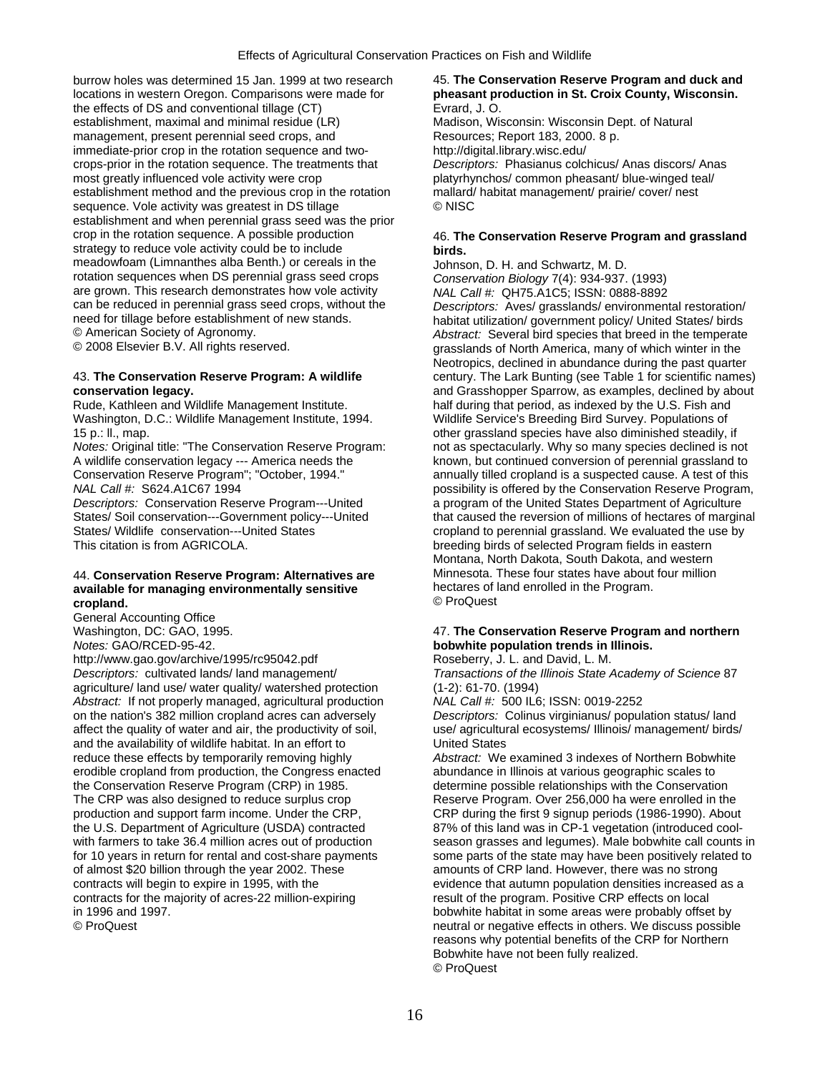establishment and when perennial grass seed was the prior burrow holes was determined 15 Jan. 1999 at tw locations in western Oregon. Comparisons were the effects of DS and conventional tillage (CT) establishment, maximal and minimal residue (LR management, present perennial seed crops, an immediate-prior crop in the rotation sequence and twocrops-prior in the rotation sequence. The treatm most greatly influenced vole activity were crop establishment method and the previous crop in the rotation sequence. Vole activity was greatest in DS tillage crop in the rotation sequence. A possible produc strategy to reduce vole activity could be to include meadowfoam (Limnanthes alba Benth.) or cerea rotation sequences when DS perennial grass seed crops are grown. This research demonstrates how vole activity can be reduced in perennial grass seed crops, without the need for tillage before establishment of new sta © American Society of Agronomy. © 2008 Elsevier B.V. All rights reserved.

Washington, D.C.: Wildlife Management Institute, 1994. Wildlife Service's Breeding Bird Survey. Populations of

## 44. **Conservation Reserve Program: Alternatives are Minnesota. These four states have about available for managing environmentally sensitive in the contained about available for managing environmentally sensitive in the** available for managing environmentally sensitive **cropland.**  $\bullet$  **C** ProQuest

General Accounting Office

http://www.gao.gov/archive/1995/rc95042.pdf Roseberry, J. L. and David, L. M. *Descriptors:* cultivated lands/ land management/ *Transactions of the Illinois State Academy of Science* 87 agriculture/ land use/ water quality/ watershed protection (1-2): 61-70. (1994)<br>Abstract: If not properly managed, agricultural production MAL Call #: 500 IL6; ISSN: 0019-2252 *Abstract:* If not properly managed, agricultural production on the nation's 382 million cropland acres can adversely *Descriptors:* Colinus virginianus/ population status/ land affect the quality of water and air, the productivity of soil, use/ agricultural ecosystems/ Illinois/ management/ birds/ and the availability of wildlife habitat. In an effort to United States reduce these effects by temporarily removing highly *Abstract:* We examined 3 indexes of Northern Bobwhite erodible cropland from production, the Congress enacted abundance in Illinois at various geographic scales to the Conservation Reserve Program (CRP) in 1985. determine possible relationships with the Conservation The CRP was also designed to reduce surplus crop Reserve Program. Over 256,000 ha were enrolled in the of almost \$20 billion through the year 2002. These amounts of CRP land. However, there was no strong contracts for the majority of acres-22 million-expiring result of the program. Positive CRP effects on local in 1996 and 1997. bobwhite habitat in some areas were probably offset by

## 45. The Conservation Reserve Program and duck and pheasant production in St. Croix County, Wisconsin. Evrard, J. O.

) Madison, Wisconsin: Wisconsin Dept. of Natural Resources; Report 183, 2000. 8 p. http://digital.library.wisc.edu/ **Descriptors: Phasianus colchicus/ Anas discors/ Anas** platyrhynchos/ common pheasant/ blue-winged teal/ mallard/ habitat management/ prairie/ cover/ nest e © NISC

## 46. The Conservation Reserve Program and grassland de **birds.**

Johnson, D. H. and Schwartz, M. D. ed crops *Conservation Biology* 7(4): 934-937. (1993) e activity *NAL Call #:* QH75.A1C5; ISSN: 0888-8892 Descriptors: Aves/ grasslands/ environmental restoration/ habitat utilization/ government policy/ United States/ birds *Abstract:* Several bird species that breed in the temperate grasslands of North America, many of which winter in the Neotropics, declined in abundance during the past quarter 43. **The Conservation Reserve Program: A wildlife** century. The Lark Bunting (see Table 1 for scientific names) **conservation legacy.**<br> **Rude, Kathleen and Wildlife Management Institute. and Crasshopper Sparrow, as examples, declined by about Rude, Kathleen and Wildlife Management Institute. 
<b>Alter Action** that period, as indexe half during that period, as indexed by the U.S. Fish and 15 p.: ll., map. other grassland species have also diminished steadily, if *Notes:* Original title: "The Conservation Reserve Program: not as spectacularly. Why so many species declined is not A wildlife conservation legacy --- America needs the known, but continued conversion of perennial grassland to Conservation Reserve Program"; "October, 1994." annually tilled cropland is a suspected cause. A test of this *NAL Call #:* S624.A1C67 1994 *possibility is offered by the Conservation Reserve Program, Descriptors:* Conservation Reserve Program---United a program of the United States Department of Agriculture States/ Soil conservation---Government policy---United that caused the reversion of millions of hectares of marginal States/ Wildlife conservation---United States cropland to perennial grassland. We evaluated the use by<br>This citation is from AGRICOLA.<br>
breeding birds of selected Program fields in eastern breeding birds of selected Program fields in eastern Montana, North Dakota, South Dakota, and western

## Washington, DC: GAO, 1995. 47. **The Conservation Reserve Program and northern**  *Notes:* GAO/RCED-95-42. **bobwhite population trends in Illinois.**

production and support farm income. Under the CRP, CRP during the first 9 signup periods (1986-1990). About the U.S. Department of Agriculture (USDA) contracted 87% of this land was in CP-1 vegetation (introduced coolthe U.S. Department of Agriculture (USDA) contracted 87% of this land was in CP-1 vegetation (introduced cool-<br>with farmers to take 36.4 million acres out of production season grasses and legumes). Male bobwhite call count season grasses and legumes). Male bobwhite call counts in for 10 years in return for rental and cost-share payments some parts of the state may have been positively related to contracts will begin to expire in 1995, with the evidence that autumn population densities increased as a © ProQuest neutral or negative effects in others. We discuss possible reasons why potential benefits of the CRP for Northern Bobwhite have not been fully realized. © ProQuest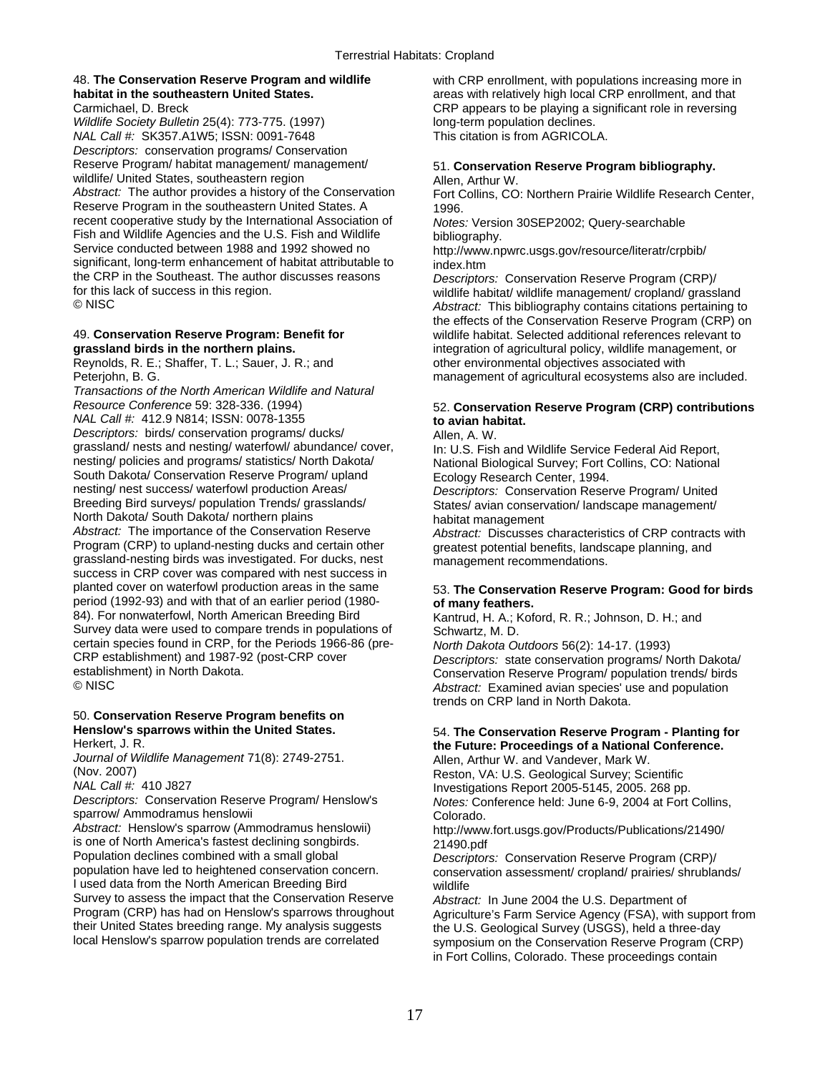*Wildlife Society Bulletin* 25(4): 773-775. (1997) long-term population declines. *NAL Call #:* SK357.A1W5; ISSN: 0091-7648 This citation is from AGRICOLA. *Descriptors:* conservation programs/ Conservation Reserve Program/ habitat management/ management/ 51. **Conservation Reserve Program bibliography.**<br>
wildlife/ United States, southeastern region **and the Conservation Reserve Program bibliography.** wildlife/ United States, southeastern region<br>Abstract: The author provides a history of the Conservation Reserve Program in the southeastern United States. A 1996. recent cooperative study by the International Association of *Notes:* Version 30SEP2002; Query-searchable Fish and Wildlife Agencies and the U.S. Fish and Wildlife bibliography.<br>Service conducted between 1988 and 1992 showed no http://www.nr significant, long-term enhancement of habitat attributable to index.htm the CRP in the Southeast. The author discusses reasons *Descriptors:* Conservation Reserve Program (CRP)/ for this lack of success in this region.<br>
© NISC and the state of success in this region.<br>
Abstract: This bibliography contains citations pertaining to

Reynolds, R. E.; Shaffer, T. L.; Sauer, J. R.; and **other environmental objectives associated with** 

*Transactions of the North American Wildlife and Natural Resource Conference* 59: 328-336. (1994) 52. **Conservation Reserve Program (CRP) contributions**  *NAL Call #:* 412.9 N814; ISSN: 0078-1355 **to avian habitat.**  *Descriptors:* birds/ conservation programs/ ducks/ **Allen, A. W.**<br>grassland/ nests and nesting/ waterfowl/ abundance/ cover, **helling** Fish grassland/ nests and nesting/ waterfowl/ abundance/ cover, <br>nesting/ policies and programs/ statistics/ North Dakota/ National Biological Survey: Fort Collins, CO: National South Dakota/ Conservation Reserve Program/ upland nesting/ nest success/ waterfowl production Areas/ nesting/ nest success/ waterfowl production Areas/ *Descriptors:* Conservation Reserve Program/ United North Dakota/ South Dakota/ northern plains<br>Abstract: The importance of the Conservation Reserve *Abstract: Discusses* Program (CRP) to upland-nesting ducks and certain other greatest potential benefits, landscape planning, and grassland-nesting birds was investigated. For ducks, nest management recommendations. success in CRP cover was compared with nest success in planted cover on waterfowl production areas in the same period (1992-93) and with that of an earlier period (1980-<br>84). For nonwaterfowl. North American Breeding Bird Survey data were used to compare trends in populations of Schwartz, M. D. certain species found in CRP, for the Periods 1966-86 (pre- *North Dakota Outdoors* 56(2): 14-17. (1993) CRP establishment) and 1987-92 (post-CRP cover *Descriptors:* state conservation programs/ North Dakota/ establishment) in North Dakota.<br>
© NISC<br>
© NISC The and population Abstract: Examined avian species' use and population

# 50. **Conservation Reserve Program benefits on**

*Journal of Wildlife Management* 71(8): 2749-2751.<br>(Nov. 2007) Reston, VA: U.S. Geological Survey: Sci

sparrow/ Ammodramus henslowii Colorado.

*Abstract:* Henslow's sparrow (Ammodramus henslowii) http://www.fort.usgs.gov/Products/Publications/21490/ is one of North America's fastest declining songbirds. 21490.pdf<br>Population declines combined with a small global Descriptor Population declines combined with a small global *Descriptors:* Conservation Reserve Program (CRP)/ I used data from the North American Breeding Bird wildlife Survey to assess the impact that the Conservation Reserve *Abstract:* In June 2004 the U.S. Department of Program (CRP) has had on Henslow's sparrows throughout Agniculture's Farm Service Agency (FSA) with s their United States breeding range. My analysis suggests the U.S. Geological Survey (USGS), held a three-day<br>Iocal Henslow's sparrow population trends are correlated symposium on the Conservation Reserve Program (C

48. **The Conservation Reserve Program and wildlife** with CRP enrollment, with populations increasing more in **habitat in the southeastern United States.** areas with relatively high local CRP enrollment, and that Carmichael, D. Breck CRP appears to be playing a significant role in reversing

Fort Collins, CO: Northern Prairie Wildlife Research Center,

http://www.npwrc.usgs.gov/resource/literatr/crpbib/

Abstract: This bibliography contains citations pertaining to the effects of the Conservation Reserve Program (CRP) on 49. **Conservation Reserve Program: Benefit for** wildlife habitat. Selected additional references relevant to **grassland birds in the northern plains.** integration of agricultural policy, wildlife management, or Peterjohn, B. G. management of agricultural ecosystems also are included.

National Biological Survey; Fort Collins, CO: National Ecology Research Center, 1994.

States/ avian conservation/ landscape management/

*Abstract: Discusses characteristics of CRP contracts with* 

# 53. The Conservation Reserve Program: Good for birds of many feathers.

Kantrud, H. A.; Koford, R. R.; Johnson, D. H.; and

Abstract: Examined avian species' use and population trends on CRP land in North Dakota.

## **Henslow's sparrows within the United States. 54. The Conservation Reserve Program - Planting for <br>Herkert, J. R. <b>Conference** Herkert, J. R. **https://edgefierer.org/material conference.**<br> *Allen, Arthur W. and Vandever, Mark W.* and *Wandever, Mark W.*

(Nov. 2007)<br>
MAL Call #: 410 J827 (National Survey) Reston, VA: U.S. Geological Survey; Scientific<br>
Investigations Report 2005-5145, 2005, 268 pp

*NAL Call #:* 410 J827 Investigations Report 2005-5145, 2005. 268 pp. *Notes: Conference held: June 6-9, 2004 at Fort Collins,* 

conservation assessment/ cropland/ prairies/ shrublands/

Program (CRP) has had on Henslow's sparrows throughout Agriculture's Farm Service Agency (FSA), with support from<br>their United States breeding range. My analysis suggests the LLS Geological Survey (LISGS), held a three-day symposium on the Conservation Reserve Program (CRP) in Fort Collins, Colorado. These proceedings contain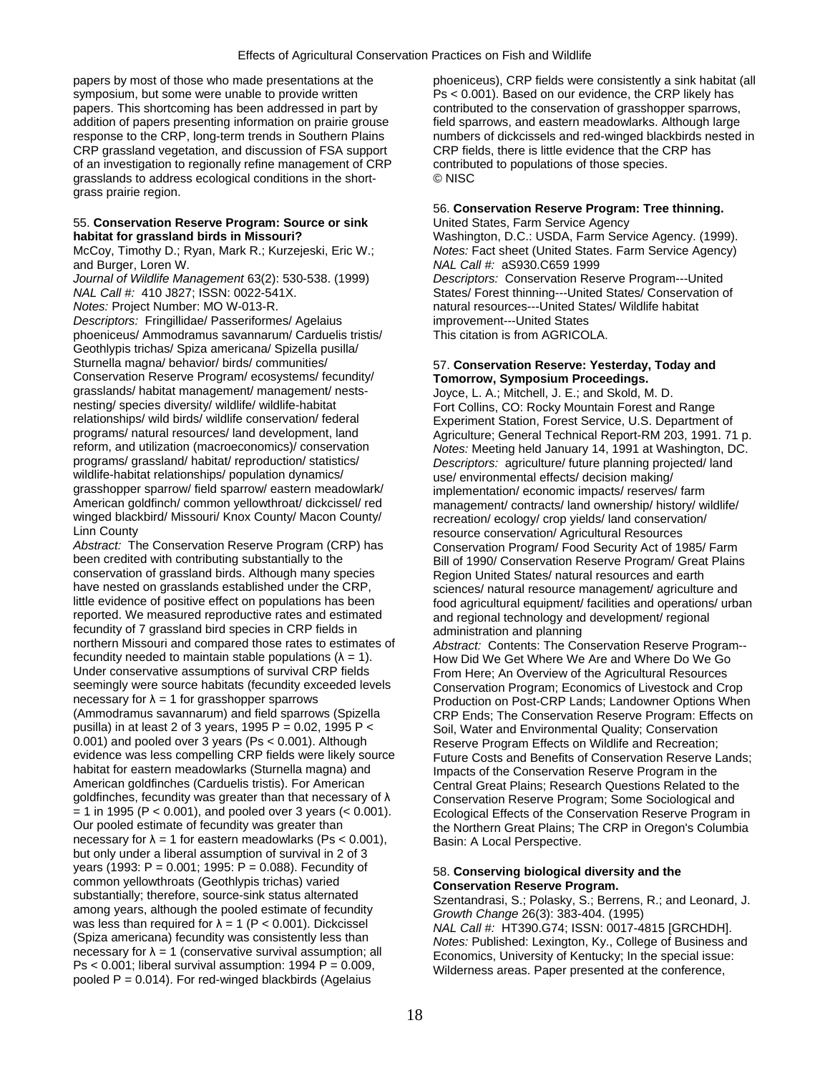symposium, but some were unable to provide written Ps < 0.001). Based on our evidence, the CRP likely has papers. This shortcoming has been addressed in part by entibuted to the conservation of grasshopper sparrows, addition of papers presenting information on prairie grouse field sparrows, and eastern meadowlarks. Although large response to the CRP, long-term trends in Southern Plains numbers of dickcissels and red-winged blackbirds nested in CRP grassland vegetation, and discussion of FSA support CRP fields, there is little evidence that the CRP has of an investigation to regionally refine management of CRP contributed to populations of those species. grasslands to address ecological conditions in the short- © NISC grass prairie region.

# 55. **Conservation Reserve Program: Source or sink** United States, Farm Service Agency

and Burger, Loren W. *NAL Call #:* aS930.C659 1999

*Descriptors:* Fringillidae/ Passeriformes/ Agelaius improvement---United States phoeniceus/ Ammodramus savannarum/ Carduelis tristis/ This citation is from AGRICOLA. Geothlypis trichas/ Spiza americana/ Spizella pusilla/ Sturnella magna/ behavior/ birds/ communities/ 57. **Conservation Reserve: Yesterday, Today and**  Conservation Reserve Program/ ecosystems/ fecundity/ **Tomorrow, Symposium Proceedings.**  grasslands/ habitat management/ management/ nests-<br>
nesting/ species diversity/ wildlife/ wildlife-habitat Fort Collins CO: Rocky Mountain Forest and nesting/ species diversity/ wildlife/ wildlife-habitat Fort Collins, CO: Rocky Mountain Forest and Range<br>Fort Collins, CO: Rocky Mountain Forest Service 11 S. Department relationships/ wild birds/ wildlife conservation/ federal Experiment Station, Forest Service, U.S. Department of<br>1991–77 Programs/ natural resources/ land development, land Agriculture: General Technical Report-RM programs/ grassland/ habitat/ reproduction/ statistics/ *Descriptors:* agriculture/ future planning projected/ land grasshopper sparrow/ field sparrow/ eastern meadowlark/ implementation/ economic impacts/ reserves/ farm<br>American goldfinch/ common yellowthroat/ dickcissel/ red management/ contracts/ land ownershin/ history/ w American goldfinch/ common yellowthroat/ dickcissel/ red management/ contracts/ land ownership/ history/ wildlife/<br>winged blackbird/ Missouri/ Knox County/ Macon County/ recreation/ ecology/ crop vields/ land conservation/ winged blackbird/ Missouri/ Knox County/ Macon County/ recreation/ ecology/ crop yields/ land conservation/<br>Linn County resource conservation/ Agricultural Resources

Abstract: The Conservation Reserve Program (CRP) has Conservation Program/ Food Security Act of 1985/ Farm<br>Bill of 1990/ Conservation Reserve Program/ Great Plains been credited with contributing substantially to the Bill of 1990/ Conservation Reserve Program/ Great Plains<br>
conservation of grassland birds. Although many species Region United States/ natural resources and earth conservation of grassland birds. Although many species Region United States/ natural resources and earth<br>have nested on grasslands established under the CRP,<br>sciences/ natural resource management/ agriculture have nested on grasslands established under the CRP,<br>little evidence of positive effect on populations has been food agricultural equipment/ facilities and operations/ urb little evidence of positive effect on populations has been food agricultural equipment/ facilities and operations/ urban<br>reported. We measured reproductive rates and estimated and regional technology and development/ regio fecundity of 7 grassland bird species in CRP fields in administration and planning<br>northern Missouri and compared those rates to estimates of *Abstract:* Contents: The Co northern Missouri and compared those rates to estimates of *Abstract:* Contents: The Conservation Reserve Program--<br>fecundity needed to maintain stable populations (λ = 1). How Did We Get Where We Are and Where Do We Go Under conservative assumptions of survival CRP fields From Here; An Overview of the Agricultural Resources<br>Seemingly were source habitats (fecundity exceeded levels Conservation Program: Economics of Livestock and Cr seemingly were source habitats (fecundity exceeded levels Conservation Program; Economics of Livestock and Crop<br>Production on Post-CRP Lands: Landowner Options When necessary for λ = 1 for grasshopper sparrows exercises Production on Post-CRP Lands; Landowner Options When<br>(Ammodramus savannarum) and field sparrows (Spizella exercise CRP Ends: The Conservation Reserve Program: Effects pusilla) in at least 2 of 3 years, 1995 P = 0.02, 1995 P < Soil, Water and Environmental Quality; Conservation<br>
0.001) and pooled over 3 years (Ps < 0.001). Although Reserve Program Fffects on Wildlife and Recreation: 0.001) and pooled over 3 years (Ps < 0.001). Although Reserve Program Effects on Wildlife and Recreation;<br>
evidence was less compelling CRP fields were likely source Future Costs and Benefits of Conservation Reserve L evidence was less compelling CRP fields were likely source Future Costs and Benefits of Conservation Reserve Lands;<br>habitat for eastern meadowlarks (Sturnella magna) and Future Conservation Reserve Program in the habitat for eastern meadowlarks (Sturnella magna) and Impacts of the Conservation Reserve Program in the<br>American goldfinches (Carduelis tristis). For American Central Great Plains: Research Questions Related to goldfinches, fecundity was greater than that necessary of λ Conservation Reserve Program; Some Sociological and<br>= 1 in 1995 (P < 0.001), and pooled over 3 years (< 0.001). Foological Effects of the Conservation Reserve Pr = 1 in 1995 (P < 0.001), and pooled over 3 years (< 0.001). Ecological Effects of the Conservation Reserve Program in necessary for  $\lambda = 1$  for eastern meadowlarks (Ps < 0.001), but only under a liberal assumption of survival in 2 of 3 years (1993: P = 0.001; 1995: P = 0.088). Fecundity of<br>
common yellowthroats (Geothlypis trichas) varied<br>
substantially; therefore, source-sink status alternated<br>
among years, although the pooled estimate of fecundity<br>
wa

papers by most of those who made presentations at the phoeniceus), CRP fields were consistently a sink habitat (all

## 56. **Conservation Reserve Program: Tree thinning.**

**habitat for grassland birds in Missouri?** Washington, D.C.: USDA, Farm Service Agency. (1999). McCoy, Timothy D.; Ryan, Mark R.; Kurzejeski, Eric W.; *Notes:* Fact sheet (United States. Farm Service Agency) *Journal of Wildlife Management* 63(2): 530-538. (1999) *Descriptors:* Conservation Reserve Program---United *NAL Call #:* 410 J827; ISSN: 0022-541X. States/ Forest thinning---United States/ Conservation of *Notes:* Project Number: MO W-013-R. **natural resources---United States/ Wildlife habitat** habitat

programs/ natural resources/ land development, land Agriculture; General Technical Report-RM 203, 1991. 71 p.<br>1991 reform, and utilization (macroeconomics)/ conservation Agriculture; Meeting held January 14, 1991 at Washin reform, and utilization (macroeconomics)/ conservation *Notes:* Meeting held January 14, 1991 at Washington, DC.<br>
programs/ grassland/ habitat/ reproduction/ statistics/ *Descriptors: agriculture/ future planning projected* use/ environmental effects/ decision making/ resource conservation/ Agricultural Resources and regional technology and development/ regional

How Did We Get Where We Are and Where Do We Go CRP Ends; The Conservation Reserve Program: Effects on Central Great Plains; Research Questions Related to the the Northern Great Plains; The CRP in Oregon's Columbia<br>Basin: A Local Perspective.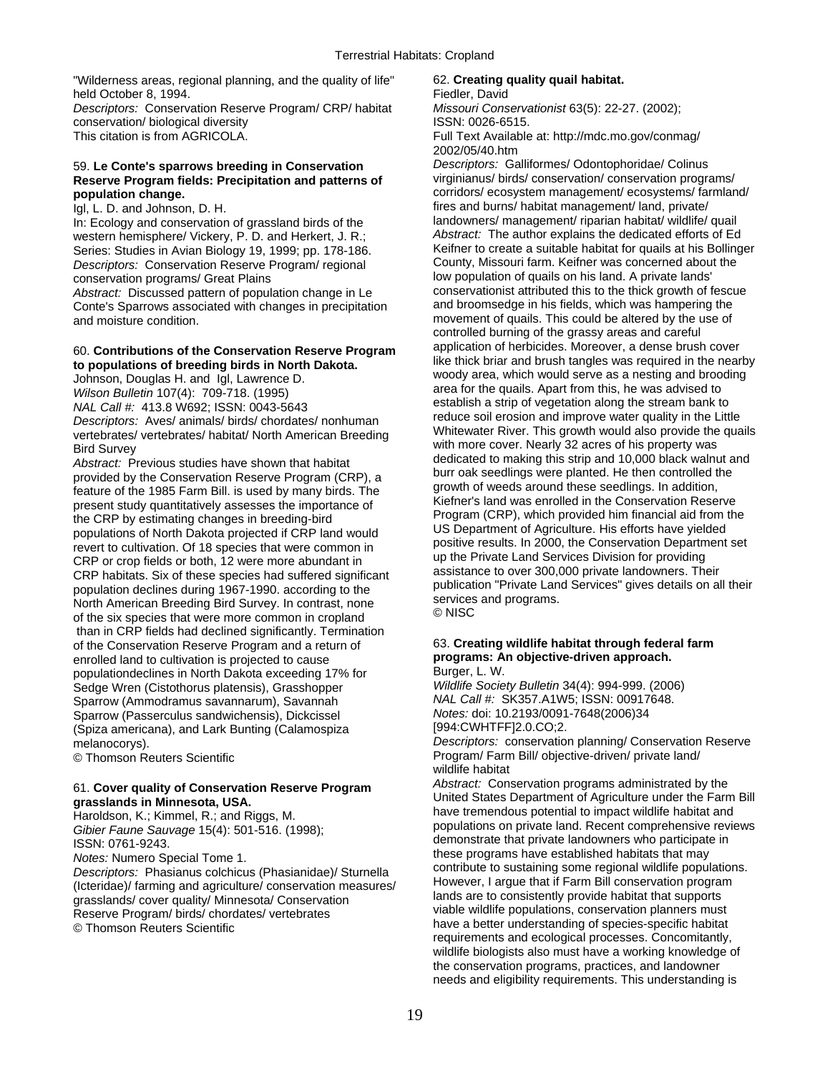"Wilderness areas, regional planning, and the quality of life" 62. **Creating quality quail habitat.**  held October 8, 1994. **Field October 8, 1994.** Fiedler, David

*Descriptors:* Conservation Reserve Program/ CRP/ habitat *Missouri Conservationist* 63(5): 22-27. (2002); conservation/ biological diversity **ISSN: 0026-6515.** 

# **Reserve Program fields: Precipitation and patterns of population change.**

*Descriptors: Conservation Reserve Program/ regional* 

Conte's Sparrows associated with changes in precipitation and moisture condition.

provided by the Conservation Reserve Program (CRP), a<br>
feature of the 1985 Farm Bill. is used by many birds. The<br>
present study quantitatively assesses the importance of<br>
the CRP by estimating changes in breeding the direc than in CRP fields had declined significantly. Termination of the Conservation Reserve Program and a return of 63. **Creating wildlife habitat through federal farm**  enrolled land to cultivation is projected to cause **programs: And in the programs: An object**ive approach. **programs: An objective approach and in** propriation between the paper, L. W. populationdeclines in North Dakota exceeding 17% for Burger, L. W.<br>Sedge Wren (Cistothorus platensis), Grasshopper Wildlife Society Bulletin 34(4): 994-999. (2006) Sedge Wren (Cistothorus platensis), Grasshopper *Wildlife Society Bulletin* 34(4): 994-999. (2006) Sparrow (Ammodramus savannarum), Savannah *NAL Call #:* SK357.A1W5; ISSN: 00917<br>Sparrow (Passerculus sandwichensis), Dickcissel *Notes:* doi: 10.2193/0091-7648(2006)34 Sparrow (Passerculus sandwichensis), Dickcissel *Notes:* doi: 10.2193/0091<br>Spiza americana), and Lark Bunting (Calamospiza **1994:CWHTFF**]2.0.CO;2. (Spiza americana), and Lark Bunting (Calamospiza)

grasslands/ cover quality/ Minnesota/ Conservation and that supports are to consistently provide habitat that supports<br>Reserve Program/ birds/ chordates/ vertebrates and provide wildlife populations, conservation planners

This citation is from AGRICOLA. Full Text Available at: http://mdc.mo.gov/conmag/ 2002/05/40.htm

59. **Le Conte's sparrows breeding in Conservation** *Descriptors:* Galliformes/ Odontophoridae/ Colinus corridors/ ecosystem management/ ecosystems/ farmland/ Igl, L. D. and Johnson, D. H.<br>In: Frology and conservation of grassland birds of the first dandowners/ management/ riparian habitat/ wildlife/ quail In: Ecology and conservation of grassland birds of the landowners/ management/ riparian habitat/ wildlife/ quail<br>western hemisphere/ Vickery, P. D. and Herkert, J. R.: Abstract: The author explains the dedicated efforts of western hemisphere/ Vickery, P. D. and Herkert, J. R.; *Abstract:* The author explains the dedicated efforts of Ed<br>Series: Studies in Avian Biology 19, 1999: pp. 178-186. Keifner to create a suitable habitat for quails at Series: Studies in Avian Biology 19, 1999; pp. 178-186. Keifner to create a suitable habitat for quails at his Bolling<br>Descriptors: Conservation Reserve Program/ regional County, Missouri farm. Keifner was concerned about conservation programs/ Great Plains<br>Abstract: Discussed pattern of population change in Le conservationist attributed this to the thick growth of fescue *Abstract:* Discussed pattern of population change in Le conservationist attributed this to the thick growth of fescue Contells Sparrows associated with changes in precipitation and broomsedge in his fields, which was hamp movement of quails. This could be altered by the use of controlled burning of the grassy areas and careful 60. **Contributions of the Conservation Reserve Program** application of herbicides. Moreover, a dense brush cover<br> **to populations of breeding birds in North Dakota.** We use thick briar and brush tangles was required in th Wilson Bulletin 107(4): 709-718. (1995)<br>
MAL Call #: 413.8 W692; ISSN: 0043-5643<br>
Descriptors: Aves/ animals/ birds/ chordates/ nonhuman<br>
vertebrates/ vertebrates/ habitat/ North American Breeding<br>
vertebrates/ vertebrates vertebrates/ vertebrates/ habitat/ North American Breeding<br>Bird Survey<br>Bird Survey<br>Abstract: Previous studies have shown that habitat<br>provided by the Conservation Reserve Program (CRP), a<br>provided by the Conservation Reser

melanocorys).<br> **Descriptors:** conservation planning/ Conservation Reserve<br> **Descriptors:** conservation planning/ Conservation Reserve<br> **Program/ Farm Bill/ objective-driven/ private land/** Program/ Farm Bill/ objective-driven/ private land/ wildlife habitat

61. Cover quality of Conservation Reserve Program<br>
grasslands in Minnesota, USA.<br>
Haroldson, K.; Kimmel, R.; and Riggs, M.<br>
Haroldson, K.; Kimmel, R.; and Riggs, M.<br>
Haroldson, K.; Kimmel, R.; and Riggs, M.<br>
All have treme Fabier Faune Sauvage 15(4): 501-516. (1998);<br>
Gibier Faune Sauvage 15(4): 501-516. (1998);<br>
ISSN: 0761-9243.<br>
Motes: Numero Special Tome 1 and 1 and 1 and 1 and 1 and 1 and 1 and 1 and 1 and 1 and 1 and 1 and 1 and 1 and 1 Notes: Numero Special Tome 1.<br>
Descriptors: Phasianus colchicus (Phasianidae)/ Sturnella<br>
(Icteridae)/ farming and agriculture/ conservation measures/<br>
(Icteridae)/ farming and agriculture/ conservation measures/<br>
rassland have a better understanding of species-specific habitat requirements and ecological processes. Concomitantly, wildlife biologists also must have a working knowledge of the conservation programs, practices, and landowner needs and eligibility requirements. This understanding is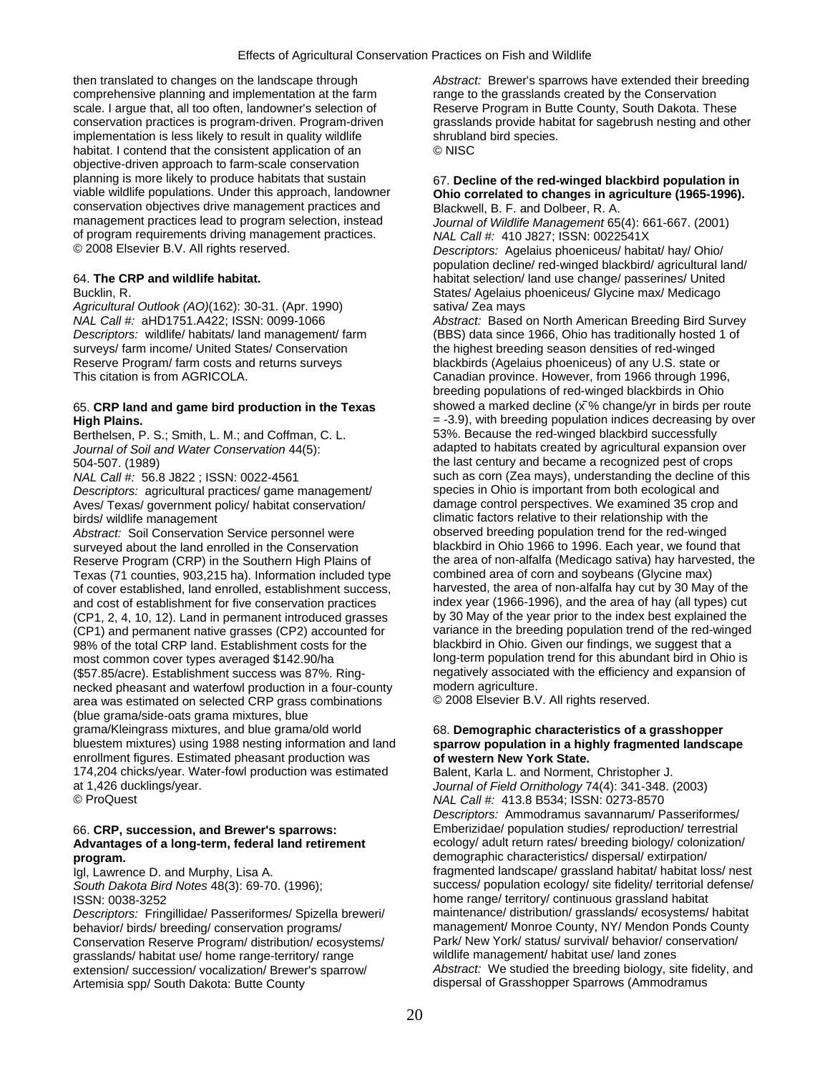then translated to changes on the landscape through *Abstract:* Brewer's sparrows have extended their breeding comprehensive planning and implementation at the farm range to the grasslands created by the Conservation scale. I argue that, all too often, landowner's selection of Reserve Program in Butte County, South Dakota. These implementation is less likely to result in quality wildlife shrubland bird species. habitat. I contend that the consistent application of an © NISC objective-driven approach to farm-scale conservation planning is more likely to produce habitats that sustain 67. **Decline of the red-winged blackbird population in**  conservation objectives drive management practices and Blackwell, B. F. and Dolbeer, R. A.<br>Figures management practices lead to program selection, instead Journal of Wildlife Management 65 of program requirements driving management practices. *NAL Call #:* 410 J827; ISSN: 0022541X

*Agricultural Outlook (AO)*(162): 30-31. (Apr. 1990) sativa/ Zea mays surveys/ farm income/ United States/ Conservation the highest breeding season densities of red-winged Reserve Program/ farm costs and returns surveys blackbirds (Agelaius phoeniceus) of any U.S. state or

Berthelsen, P. S.; Smith, L. M.; and Coffman, C. L.

*Descriptors:* agricultural practices/ game management/ birds/ wildlife management climatic factors relative to their relationship with the

Abstract: Soil Conservation Service personnel were observed breeding population trend for the red-winged surveyed about the land enrolled in the Conservation blackbird in Ohio 1966 to 1996. Each year, we found that Texas (71 counties, 903,215 ha). Information included type combined area of corn and soybeans (Glycine max) of cover established, land enrolled, establishment success, and cost of establishment for five conservation practices index year (1966-1996), and the area of hay (all types) cut<br>(CP1, 2, 4, 10, 12). Land in permanent introduced grasses by 30 May of the year prior to the index best (CP1, 2, 4, 10, 12). Land in permanent introduced grasses by 30 May of the year prior to the index best explained the<br>(CP1) and permanent native grasses (CP2) accounted for variance in the breeding population trend of the (CP1) and permanent native grasses (CP2) accounted for variance in the breeding population trend of the red-wing<br>198% of the total CRP land Establishment costs for the blackbird in Ohio. Given our findings, we suggest that 98% of the total CRP land. Establishment costs for the most common cover types averaged \$142.90/ha long-term population trend for this abundant bird in Ohio is (\$57.85/acre). Establishment success was 87%. Ring-<br>necked pheasant and waterfowl production in a four-county modern agriculture. necked pheasant and waterfowl production in a four-county modern agriculture.<br>area was estimated on selected CRP grass combinations © 2008 Elsevier B.V. All rights reserved. area was estimated on selected CRP grass combinations (blue grama/side-oats grama mixtures, blue grama/Kleingrass mixtures, and blue grama/old world 68. **Demographic characteristics of a grasshopper**<br>bluestem mixtures) using 1988 nesting information and land sparrow population in a highly fragmented landsca enrollment figures. Estimated pheasant production was **of western New York State.**  174,204 chicks/year. Water-fowl production was estimated Balent, Karla L. and Norment, Christopher J.

*Descriptors: Fringillidae/ Passeriformes/ Spizella breweri/* Conservation Reserve Program/ distribution/ ecosystems/ Park/ New York/ status/ survival/ behavior/ conservation<br>
unidlife management/ habitat use/ hand zones<br>
unidlife management/ habitat use/ land zones grasslands/ habitat use/ home range-territory/ range Artemisia spp/ South Dakota: Butte County dispersal of Grasshopper Sparrows (Ammodramus

conservation practices is program-driven. Program-driven grasslands provide habitat for sagebrush nesting and other

# Ohio correlated to changes in agriculture (1965-1996).

Journal of Wildlife Management 65(4): 661-667. (2001) Descriptors: Agelaius phoeniceus/ habitat/ hay/ Ohio/ population decline/ red-winged blackbird/ agricultural land/ 64. **The CRP and wildlife habitat.** habitat selection/ land use change/ passerines/ United Bucklin, R. States/ Agelaius phoeniceus/ Glycine max/ Medicago

*NAL Call #:* aHD1751.A422; ISSN: 0099-1066 *Abstract:* Based on North American Breeding Bird Survey *Descriptors:* wildlife/ habitats/ land management/ farm (BBS) data since 1966, Ohio has traditionally hosted 1 of This citation is from AGRICOLA. Canadian province. However, from 1966 through 1996, breeding populations of red-winged blackbirds in Ohio 65. **CRP land and game bird production in the Texas** showed a marked decline (x % change/yr in birds per route **High Plains.**<br>Berthelsen, P. S.: Smith. L. M.: and Coffman. C. L. **1990 St. 2008** because the red-winged blackbird successfully *Journal of Soil and Water Conservation* 44(5): adapted to habitats created by agricultural expansion over 504-507. (1989) the last century and became a recognized pest of crops *NAL Call #:* 56.8 J822 ; ISSN: 0022-4561 such as corn (Zea mays), understanding the decline of this Descriptors: agricultural practices/ game management/ species in Ohio is important from both ecological and Aves/ Texas/ government policy/ habitat conservation/ damage control perspectives. We examined 35 crop and Reserve Program (CRP) in the Southern High Plains of the area of non-alfalfa (Medicago sativa) hay harvested, the Texas (71 counties, 903,215 ha). Information included type combined area of corn and soybeans (Glycine max) ̄

# sparrow population in a highly fragmented landscape

at 1,426 ducklings/year. *Journal of Field Ornithology* 74(4): 341-348. (2003) © ProQuest *NAL Call #:* 413.8 B534; ISSN: 0273-8570 *Descriptors:* Ammodramus savannarum/ Passeriformes/ 66. **CRP, succession, and Brewer's sparrows:** Emberizidae/ population studies/ reproduction/ terrestrial **Advantages of a long-term, federal land retirement** ecology/ adult return rates/ breeding biology/ colonization/ **program.** demographic characteristics/ dispersal/ extirpation/ Igl, Lawrence D. and Murphy, Lisa A. fragmented landscape/ grassland habitat/ habitat loss/ nest *South Dakota Bird Notes* 48(3): 69-70. (1996); success/ population ecology/ site fidelity/ territorial defense/ ISSN: 0038-3252 home range/ territory/ continuous grassland habitat behavior/ birds/ breeding/ conservation programs/ management/ Monroe County, NY/ Mendon Ponds County<br>Conservation Reserve Program/ distribution/ ecosystems/ Park/ New York/ status/ survival/ behavior/ conservation/ extension/ succession/ vocalization/ Brewer's sparrow/ *Abstract:* We studied the breeding biology, site fidelity, and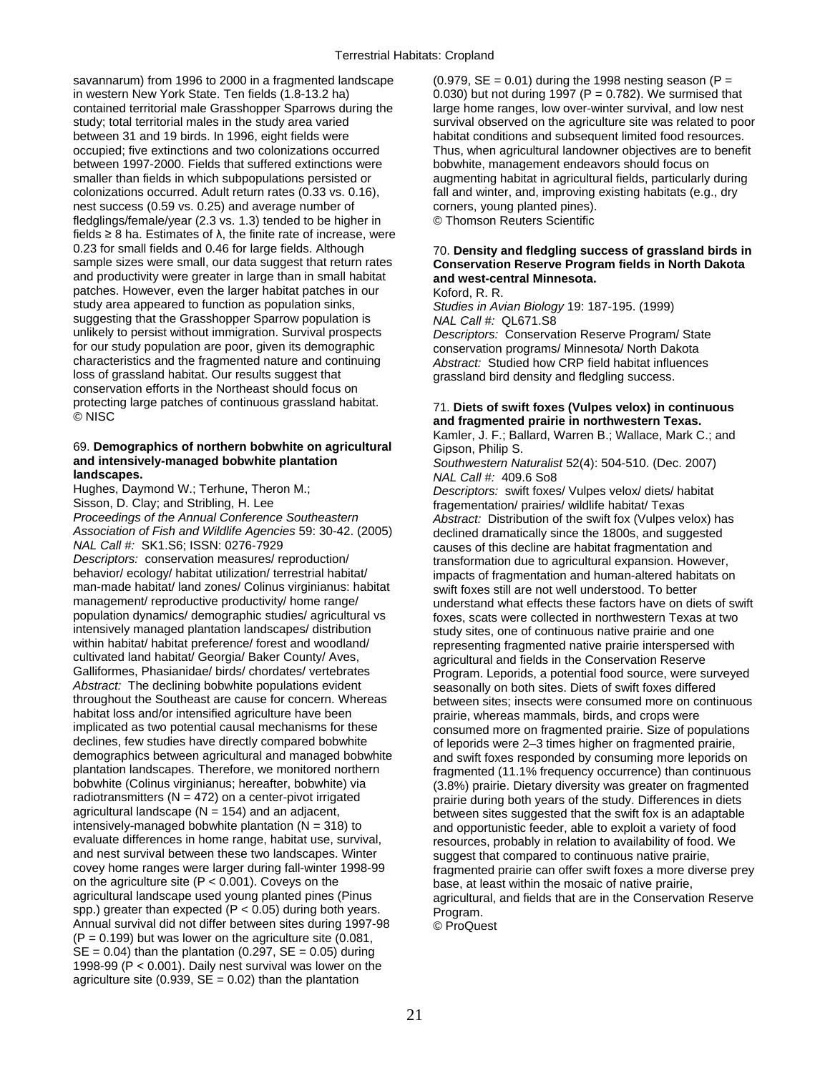savannarum) from 1996 to 2000 in a fragmented landscape  $(0.979, SE = 0.01)$  during the 1998 nesting season (P = in western New York State. Ten fields  $(1.8-13.2 \text{ ha})$   $(0.030)$  but not during 1997 (P = 0.782). We surmised that contained territorial male Grasshopper Sparrows during the large home ranges, low over-winter survival, an contained territorial male Grasshopper Sparrows during the study; total territorial males in the study area varied survival observed on the agriculture site was related to poor between 31 and 19 birds. In 1996, eight fields were habitat conditions and subsequent limited food resources. occupied; five extinctions and two colonizations occurred Thus, when agricultural landowner objectives are to benefit between 1997-2000. Fields that suffered extinctions were bobwhite, management endeavors should focus on smaller than fields in which subpopulations persisted or augmenting habitat in agricultural fields, particularly during colonizations occurred. Adult return rates (0.33 vs. 0.16), fall and winter, and, improving existing habitats (e.g., dry nest success (0.59 vs. 0.25) and average number of corners, young planted pines).<br>
fledglings/female/vear (2.3 vs. 1.3) tended to be higher in C Thomson Reuters Scientific fledglings/female/year  $(2.3 \text{ vs. } 1.3)$  tended to be higher in fields  $\geq 8$  ha. Estimates of  $\lambda$ , the finite rate of increase, were 0.23 for small fields and 0.46 for large fields. Although 0.23 for small fields and 0.46 for large fields. Although 70. **Density and fledgling success of grassland birds in**  and productivity were greater in large than in small habitat **and west-central Minnesota.**  patches. However, even the larger habitat patches in our Koford, R. R.<br>study area appeared to function as population sinks. Studies in Av suggesting that the Grasshopper Sparrow population is unlikely to persist without immigration. Survival prospects unlikely to persist without immigration. Survival prospects *Descriptors:* Conservation Reserve Program/ State for our study population are poor, given its demographic conservation programs/ Minnesota/ North Dakota<br>characteristics and the fragmented nature and continuing *Abstract:* Studied how CRP field habitat influence characteristics and the fragmented nature and continuing *Abstract:* Studied how CRP field habitat influences conservation efforts in the Northeast should focus on protecting large patches of continuous grassland habitat. 71. **Diets of swift foxes (Vulpes velox) in continuous** © NISC **and fragmented prairie in northwestern Texas.** 

## 69. **Demographics of northern bobwhite on agricultural** Gipson, Philip S.<br> **and intensively-managed bobwhite plantation** Southwestern Na **and intensively-managed bobwhite plantation** *Southwestern Naturalist* 52(4): 504-510. (Dec. 2007)

**landscapes.**<br> **Proposition Hughes, Daymond W.; Terhune, Theron M.;** *NAL Call #:* **409.6 So8<br>** *Descriptors: swift foxes* Hughes, Daymond W.; Terhune, Theron M.; *Descriptors:* swift foxes/ Vulpes velox/ diets/ habitat Sisson, D. Clay; and Stribling, H. Lee fragementation/ prairies/ wildlife habitat/ Texas<br>Proceedings of the Annual Conference Southeastern and a abstract: Distribution of the swift fox (Vulnes ve *Association of Fish and Wildlife Agencies* 59: 30-42. (2005) declined dramatically since the 1800s, and suggested *NAL Call #:* SK1.S6; ISSN: 0276-7929 causes of this decline are habitat fragmentation and<br>Descriptors: conservation measures/ reproduction/ results and transformation due to agricultural expansion. Howev Descriptors: conservation measures/ reproduction/ expansion transformation due to agricultural expansion. However,<br>behavior/ ecology/ habitat utilization/ terrestrial habitat/ expansion and human-altered habitats or man-made habitat/ land zones/ Colinus virginianus: habitat swift foxes still are not well understood. To better<br>management/ reproductive productivity/ home range/ understand what effects these factors have on di management/ reproductive productivity/ home range/ understand what effects these factors have on diets of swift<br>population dynamics/ demographic studies/ agricultural vs<br>foxes scats were collected in porthwestern Texas at population dynamics/ demographic studies/ agricultural vs foxes, scats were collected in northwestern Texas at two<br>intensively managed plantation landscapes/ distribution study sites one of continuous native prairie and on intensively managed plantation landscapes/ distribution study sites, one of continuous native prairie and one<br>within habitat/ habitat preference/ forest and woodland/ serve representing fragmented pative prairie interspers within habitat/ habitat preference/ forest and woodland/ representing fragmented native prairie interspersed with<br>cultivated land habitat/ Georgia/ Baker County/ Aves, a representing and fields in the Conservation Reserve cultivated land habitat/ Georgia/ Baker County/ Aves, a maximisagricultural and fields in the Conservation Reserve<br>Galliformes, Phasianidae/ birds/ chordates/ vertebrates Program, Leporids, a potential food source, were su Galliformes, Phasianidae/ birds/ chordates/ vertebrates Program. Leporids, a potential food source, were surveyed<br>Abstract: The declining bobwhite populations evident seasonally on both sites. Diets of swift foxes differed Abstract: The declining bobwhite populations evident seasonally on both sites. Diets of swift foxes differed throughout the Southeast are cause for concern. Whereas between sites: insects were consumed more on contingulary throughout the Southeast are cause for concern. Whereas between sites; insects were consumed more on continuous<br>habitat loss and/or intensified agriculture have been between or prairie whereas mammals birds and crops were habitat loss and/or intensified agriculture have been prairie, whereas mammals, birds, and crops were<br>implicated as two potential causal mechanisms for these consumed more on fragmented prairie. Size of po implicated as two potential causal mechanisms for these consumed more on fragmented prairie. Size of populations<br>declines, few studies have directly compared bobwhite of leporids were 2-3 times higher on fragmented prairie declines, few studies have directly compared bobwhite of leporids were 2–3 times higher on fragmented prairie,<br>demographics between agricultural and managed bobwhite and swift foxes responded by consuming more leporids o demographics between agricultural and managed bobwhite and swift foxes responded by consuming more leporids on<br>plantation landscapes. Therefore, we monitored northern fragmented (11.1% frequency occurrence) than continuous plantation landscapes. Therefore, we monitored northern fragmented (11.1% frequency occurrence) than continuous<br>bobwhite (Colinus virginianus: hereafter, bobwhite) via fragmented (18%) prairie. Dietary diversity was greate bobwhite (Colinus virginianus; hereafter, bobwhite) via (3.8%) prairie. Dietary diversity was greater on fragmented<br>
radiotransmitters (N = 472) on a center-pivot irrigated radio prairie during both vears of the study. Dif radiotransmitters (N = 472) on a center-pivot irrigated prairie during both years of the study. Differences in diets<br>agricultural landscape (N = 154) and an adjacent, between sites suggested that the swift fox is an adapta agricultural landscape (N = 154) and an adjacent, between sites suggested that the swift fox is an adaptable<br>intensively-managed bobwhite plantation (N = 318) to and opportunistic feeder, able to exploit a variety of food intensively-managed bobwhite plantation (N = 318) to and opportunistic feeder, able to exploit a variety of food<br>evaluate differences in home range, habitat use, survival, resources, probably in relation to availability of evaluate differences in home range, habitat use, survival, resources, probably in relation to availability of food. We<br>and nest survival between these two landscapes. Winter suggest that compared to continuous native prair and nest survival between these two landscapes. Winter suggest that compared to continuous native prairie, covey home ranges were larger during fall-winter 1998-99 covey home ranges were larger during fall-winter 1998-99 fragmented prairie can offer swift foxes a more diverse prey<br>on the agriculture site (P < 0.001). Coveys on the state at least within the mosaic of native prairie on the agriculture site  $(P < 0.001)$ . Coveys on the base, at least within the mosaic of native prairie, agricultural landscape used young planted pines (Pinus agricultural, and fields that are in the Conservation spp.) greater than expected  $(P < 0.05)$  during both years. Program. Annual survival did not differ between sites during 1997-98 © ProQuest  $(P = 0.199)$  but was lower on the agriculture site  $(0.081, 0.081)$  $SE = 0.04$ ) than the plantation (0.297,  $SE = 0.05$ ) during 1998-99 (P < 0.001). Daily nest survival was lower on the agriculture site (0.939,  $SE = 0.02$ ) than the plantation

# **Conservation Reserve Program fields in North Dakota**

Studies in Avian Biology 19: 187-195. (1999)<br>NAL Call #: QL671.S8 grassland bird density and fledgling success.

Kamler, J. F.; Ballard, Warren B.; Wallace, Mark C.; and

Abstract: Distribution of the swift fox (Vulpes velox) has impacts of fragmentation and human-altered habitats on agricultural, and fields that are in the Conservation Reserve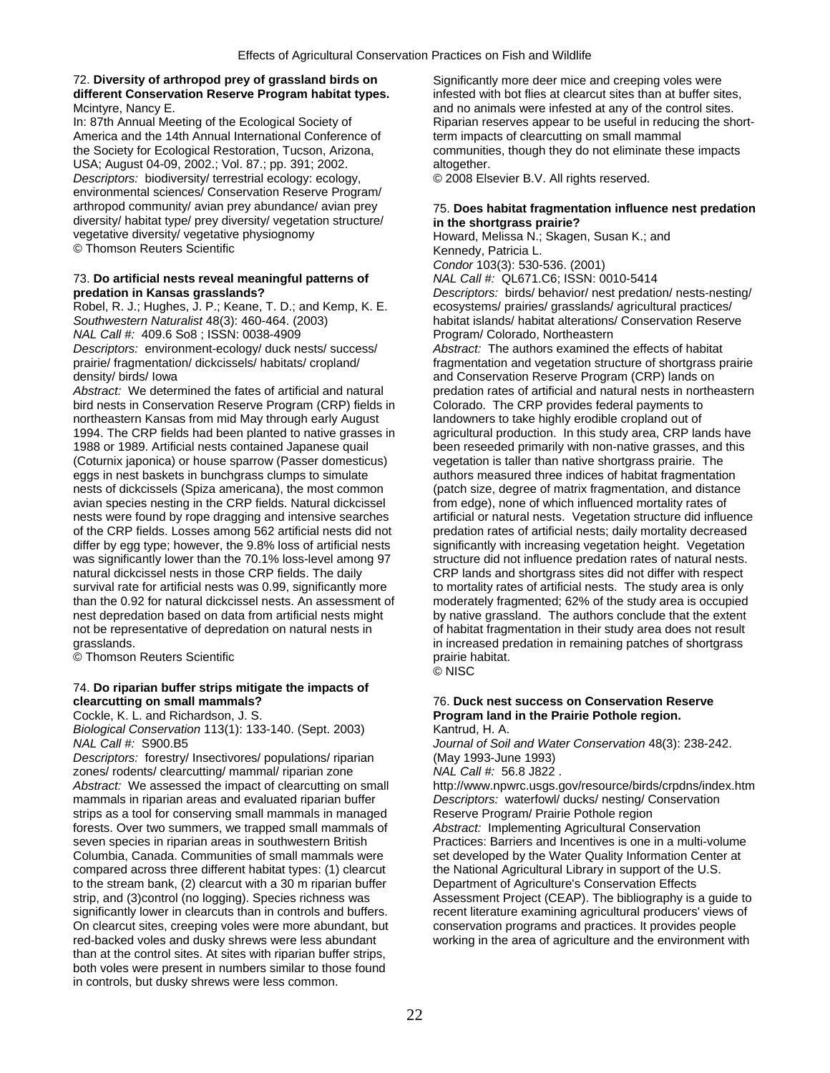## 72. **Diversity of arthropod prey of grassland birds on** Significantly more deer mice and creeping voles were **different Conservation Reserve Program habitat types.** infested with bot flies at clearcut sites than at buffer sites, Mcintyre, Nancy E. **And no animals were infested at any of the control sites.** And no animals were infested at any of the control sites.

America and the 14th Annual International Conference of the term impacts of clearcutting on small mammal the Society for Ecological Restoration, Tucson, Arizona, communities, though they do not eliminate these impacts USA; August 04-09, 2002.; Vol. 87.; pp. 391; 2002. altogether. *Descriptors:* biodiversity/ terrestrial ecology: ecology, © 2008 Elsevier B.V. All rights reserved. environmental sciences/ Conservation Reserve Program/ diversity/ habitat type/ prey diversity/ vegetation structure/ vegetative diversity/ vegetative physiognomy © Thomson Reuters Scientific **Kennedy, Patricia L.** Kennedy, Patricia L.

# 73. **Do artificial nests reveal meaningful patterns of** *NAL Call #:* QL671.C6; ISSN: 0010-5414

*NAL Call #: 409.6 So8 ; ISSN: 0038-4909 Descriptors:* environment-ecology/ duck nests/ success/ *Abstract:* The authors examined the effects of habitat

*Abstract:* We determined the fates of artificial and natural predation rates of artificial and natural nests in northeastern<br>bird nests in Conservation Reserve Program (CRP) fields in Colorado. The CRP provides federal pa bird nests in Conservation Reserve Program (CRP) fields in northeastern Kansas from mid May through early August landowners to take highly erodible cropland out of 1994. The CRP fields had been planted to native grasses in agricultural production. In this study area, CRP lands have 1988 or 1989. Artificial nests contained Japanese quail been reseeded primarily with non-native grasses, and this (Coturnix japonica) or house sparrow (Passer domesticus) vegetation is taller than native shortgrass prairie. The eggs in nest baskets in bunchgrass clumps to simulate authors measured three indices of habitat fragmentation nests of dickcissels (Spiza americana), the most common (patch size, degree of matrix fragmentation, and distance avian species nesting in the CRP fields. Natural dickcissel from edge), none of which influenced mortality rates of nests were found by rope dragging and intensive searches artificial or natural nests. Vegetation structure did influence<br>of the CRP fields. Losses among 562 artificial nests did not predation rates of artificial nests; dai of the CRP fields. Losses among 562 artificial nests did not predation rates of artificial nests; daily mortality decreased<br>differ by egg type; however, the 9.8% loss of artificial nests significantly with increasing veget differ by egg type; however, the 9.8% loss of artificial nests significantly with increasing vegetation height. Vegetation was significantly lower than the 70.1% loss-level among 97 structure did not influence predation ra was significantly lower than the 70.1% loss-level among 97 natural dickcissel nests in those CRP fields. The daily survival rate for artificial nests was 0.99, significantly more to mortality rates of artificial nests. The study area is only than the 0.92 for natural dickcissel nests. An assessment of moderately fragmented; 62% of the study area is occupied nest depredation based on data from artificial nests might by native grassland. The authors conclude that the extent not be representative of depredation on natural nests in of habitat fragmentation in their study area does not result grasslands. in increased predation in remaining patches of shortgrass

© Thomson Reuters Scientific **propriate abitates** prairie habitat.

# 74. **Do riparian buffer strips mitigate the impacts of**

*Biological Conservation* 113(1): 133-140. (Sept. 2003) Kantrud, H. A.

*Descriptors:* forestry/ Insectivores/ populations/ riparian (May 1993-June 1993) zones/ rodents/ clearcutting/ mammal/ riparian zone *NAL Call #:* 56.8 J822 . mammals in riparian areas and evaluated riparian buffer *Descriptors:* waterfowl/ ducks/ nesting/ C<br>
strips as a tool for conserving small mammals in managed Reserve Program/ Prairie Pothole region strips as a tool for conserving small mammals in managed<br>
forests. Over two summers, we trapped small mammals of *Abstract:* Implementing Agricultural Conservation forests. Over two summers, we trapped small mammals of seven species in riparian areas in southwestern British Columbia, Canada. Communities of small mammals were set developed by the Water Quality Information Center at compared across three different habitat types: (1) clearcut the National Agricultural Library in support of the U.S. to the stream bank, (2) clearcut with a 30 m riparian buffer **Department of Agriculture's Conservation Effects** significantly lower in clearcuts than in controls and buffers. The recent literature examining agricultural producers' views of On clearcut sites, creeping voles were more abundant, but conservation programs and practices. It provides people red-backed voles and dusky shrews were less abundant working in the area of agriculture and the environment with than at the control sites. At sites with riparian buffer strips, both voles were present in numbers similar to those found in controls, but dusky shrews were less common.

In: 87th Annual Meeting of the Ecological Society of Riparian reserves appear to be useful in reducing the short-

# arthropod community/ avian prey abundance/ avian prey 75. **Does habitat fragmentation influence nest predation**

Howard, Melissa N.; Skagen, Susan K.; and *Condor* 103(3): 530-536. (2001) **predation in Kansas grasslands?** *Descriptors:* birds/ behavior/ nest predation/ nests-nesting/<br>
Robel, R. J.; Hughes, J. P.; Keane, T. D.; and Kemp, K. E. ecosystems/ prairies/ grasslands/ agricultural practices/ Robel, R. J.; Hughes, J. P.; Keane, T. D.; and Kemp, K. E. ecosystems/ prairies/ grasslands/ agricultural practices/<br>Southwestern Naturalist 48(3): 460-464. (2003) habitat islands/ habitat alterations/ Conservation Reserv habitat islands/ habitat alterations/ Conservation Reserve<br>Program/ Colorado, Northeastern prairie/ fragmentation/ dickcissels/ habitats/ cropland/ fragmentation and vegetation structure of shortgrass prairie density/ birds/ Iowa and Conservation Reserve Program (CRP) lands on CRP lands and shortgrass sites did not differ with respect

© NISC

## **76. Duck nest success on Conservation Reserve** Cockle, K. L. and Richardson, J. S. **Program land in the Prairie Pothole region.**

*NAL Call #:* S900.B5 *Journal of Soil and Water Conservation* 48(3): 238-242.

Abstract: We assessed the impact of clearcutting on small http://www.npwrc.usgs.gov/resource/birds/crpdns/index.htm<br>mammals in riparian areas and evaluated riparian buffer Descriptors: waterfowl/ ducks/ nesting/ Conservati

Practices: Barriers and Incentives is one in a multi-volume strip, and (3)control (no logging). Species richness was Assessment Project (CEAP). The bibliography is a guide to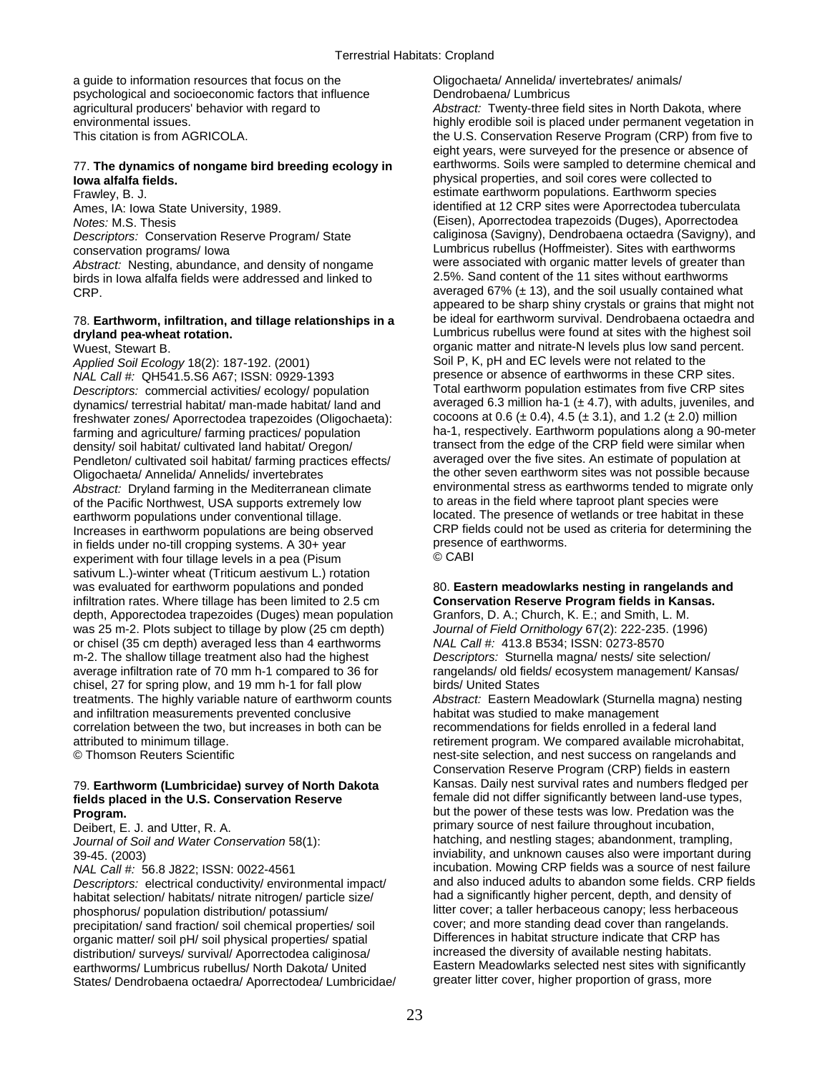a guide to information resources that focus on the Oligochaeta/ Annelida/ invertebrates/ animals/ psychological and socioeconomic factors that influence Dendrobaena/ Lumbricus

birds in Iowa alfalfa fields were addressed and linked to

## 78. Earthworm, infiltration, and tillage relationships in a **dryland pea-wheat rotation.** Lumbricus rubellus were found at sites with the highest soil

*Applied Soil Ecology* 18(2): 187-192. (2001) *NAL Call #:* QH541.5.S6 A67; ISSN: 0929-1393 presence or absence of earthworms in these CRP sites. *Descriptors:* commercial activities/ ecology/ population Total earthworm population estimates from five CRP sites dynamics/ terrestrial habitat/ man-made habitat/ land and averaged 6.3 million ha-1 ( $\pm$  4.7), with adults, juveniles, and freshwater zones/ Aporrectodea trapezoides (Oligochaeta): cocoons at 0.6 ( $\pm$  0.4), 4.5 ( $\pm$  3. freshwater zones/ Aporrectodea trapezoides (Oligochaeta): density/ soil habitat/ cultivated land habitat/ Oregon/ transect from the edge of the CRP field were similar when<br>Pendleton/ cultivated soil habitat/ farming practices effects/ averaged over the five sites. An estimate of Pendleton/ cultivated soil habitat/ farming practices effects/ Oligochaeta/ Annelida/ Annelids/ invertebrates the other seven earthworm sites was not possible because *Abstract:* Dryland farming in the Mediterranean climate environmental stress as earthworms tended to migrate only<br>of the Pacific Northwest, USA supports extremely low to areas in the field where taproot plant species were of the Pacific Northwest, USA supports extremely low earthworm populations under conventional tillage.<br>Increases in earthworm populations are being observed<br>CRP fields could not be used as criteria for determining the Increases in earthworm populations are being observed CRP fields could not be used in fields and are used as criteria for determining the series as criteria for determining the use of earthworms. in fields under no-till cropping systems. A  $30+$  year presence or presence of experiment with four till and levels in a nea (Pisum  $\circledcirc$  CABI experiment with four tillage levels in a pea (Pisum sativum L.)-winter wheat (Triticum aestivum L.) rotation was evaluated for earthworm populations and ponded 80. **Eastern meadowlarks nesting in rangelands and** infiltration rates. Where tillage has been limited to 2.5 cm **Conservation Reserve Program fields in Kansas.**  depth, Apporectodea trapezoides (Duges) mean population Granfors, D. A.; Church, K. E.; and Smith, L. M. was 25 m-2. Plots subject to tillage by plow (25 cm depth) *Journal of Field Ornithology* 67(2): 222-235. (1996) or chisel (35 cm depth) averaged less than 4 earthworms *NAL Call #:* 413.8 B534; ISSN: 0273-8570 m-2. The shallow tillage treatment also had the highest *Descriptors:* Sturnella magna/ nests/ site selection/ average infiltration rate of 70 mm h-1 compared to 36 for rangelands/ old fields/ ecosystem management/ Kansas/<br>chisel, 27 for spring plow, and 19 mm h-1 for fall plow birds/ United States chisel, 27 for spring plow, and 19 mm h-1 for fall plow treatments. The highly variable nature of earthworm counts *Abstract:* Eastern Meadowlark (Sturnella magna) nesting and infiltration measurements prevented conclusive habitat was studied to make management correlation between the two, but increases in both can be recommendations for fields enrolled in a federal land attributed to minimum tillage. The same compared available microhabitat, at the compared available microhabitat,

*Journal of Soil and Water Conservation* 58(1):

*Descriptors:* electrical conductivity/ environmental impact/ habitat selection/ habitats/ nitrate nitrogen/ particle size/ had a significantly higher percent, depth, and density of phosphorus/ population distribution/ potassium/ litter cover; a taller herbaceous canopy; less herbaceous<br>precipitation/ sand fraction/ soil chemical properties/ soil cover; and more standing dead cover than rangelands. precipitation/ sand fraction/ soil chemical properties/ soil cover; and more standing dead cover than rangelands<br>Covering matter/ soil pH/ soil physical properties/ spatial Differences in habitat structure indicate that CR organic matter/ soil pH/ soil physical properties/ spatial Differences in habitat structure indicate that CRP ha<br>distribution/ surveys/ survival/ Aportectodea caliginosa/ increased the diversity of available nesting habita distribution/ surveys/ survival/ Aporrectodea caliginosa/ increased the diversity of available nesting habitats.<br>
Eastern Meadowlarks selected nest sites with significantly<br>
Eastern Meadowlarks selected nest sites with sig earthworms/ Lumbricus rubellus/ North Dakota/ United Eastern Meadowlarks selected nest sites with significantly<br>States/ Dendrobaena octaedra/ Aporrectodea/ Lumbricidae/ greater litter cover, higher proportion of grass, mor States/ Dendrobaena octaedra/ Aporrectodea/ Lumbricidae/

agricultural producers' behavior with regard to *Abstract:* Twenty-three field sites in North Dakota, where environmental issues. https://www.facebook.com/index-basic is placed under permanent vegetation in This citation is from AGRICOLA. the U.S. Conservation Reserve Program (CRP) from five to eight years, were surveyed for the presence or absence of 77. **The dynamics of nongame bird breeding ecology in** earthworms. Soils were sampled to determine chemical and physical properties, and soil cores were collected to Frawley, B. J. estimate earthworm populations. Earthworm species Ames, IA: Iowa State University, 1989. in the state of the Muslim ended at 12 CRP sites were Aporrectodea tuberculata *Notes:* M.S. Thesis (Eisen), Aporrectodea trapezoids (Duges), Aporrectodea *Descriptors:* Conservation Reserve Program/ State caliginosa (Savigny), Dendrobaena octaedra (Savigny), and conservation programs/ Iowa Lumbricus rubellus (Hoffmeister). Sites with earthworms *Abstract:* Nesting, abundance, and density of nongame were associated with organic matter levels of greater than<br>birds in lowa alfalfa fields were addressed and linked to 2.5%. Sand content of the 11 sites without earthwo CRP. averaged 67% (± 13), and the soil usually contained what appeared to be sharp shiny crystals or grains that might not be ideal for earthworm survival. Dendrobaena octaedra and Wuest, Stewart B.<br>Annied Soil Fredory 18(2): 187-192 (2001) Soil P, K, pH and EC levels were not related to the farming and agriculture/ farming practices/ population ha-1, respectively. Earthworm populations along a 90-meter

© Thomson Reuters Scientific **nest-site selection**, and nest success on rangelands and  $\bullet$ Conservation Reserve Program (CRP) fields in eastern 79. **Earthworm (Lumbricidae) survey of North Dakota** Kansas. Daily nest survival rates and numbers fledged per fields placed in the U.S. Conservation Reserve **the act and intermale did not differ significantly between land-use types, Program. Program. but the power of these tests was low. Predation was the** Deibert, E. J. and Utter, R. A. primary source of nest failure throughout incubation,<br>
Journal of Soil and Water Conservation 58(1):<br>
Journal of Soil and Water Conservation 58(1):<br> **Sournal of Soil and Water Conservation 5** 39-45. (2003) inviability, and unknown causes also were important during *NAL Call #:* 56.8 J822; ISSN: 0022-4561 incubation. Mowing CRP fields was a source of nest failure<br>Descriptors: electrical conductivity/ environmental impact/ and also induced adults to abandon some fields. CRP fields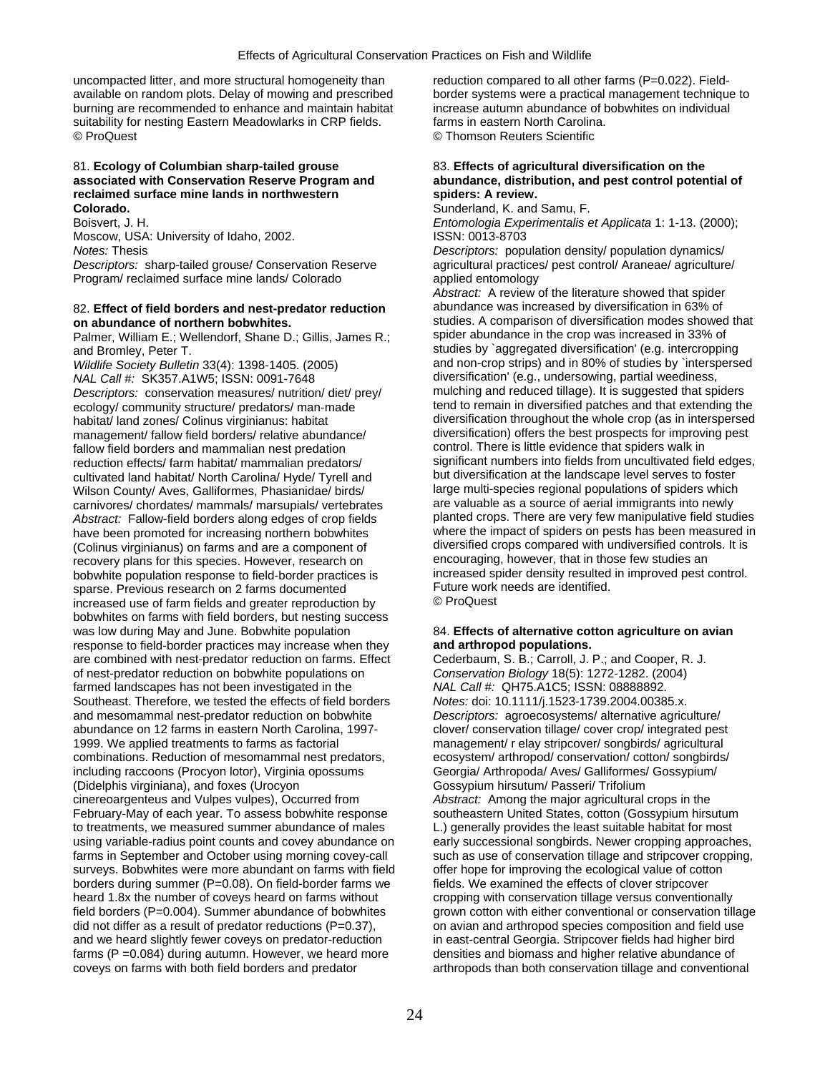uncompacted litter, and more structural homogeneity than reduction compared to all other farms (P=0.022). Fieldavailable on random plots. Delay of mowing and prescribed border systems were a practical management technique to burning are recommended to enhance and maintain habitat increase autumn abundance of bobwhites on individual suitability for nesting Eastern Meadowlarks in CRP fields. Farms in eastern North Carolina. © ProQuest © Thomson Reuters Scientific

## 81. **Ecology of Columbian sharp-tailed grouse** 83. **Effects of agricultural diversification on the**  reclaimed surface mine lands in northwestern spiders: A review. **Colorado.**<br>
Boisvert. J. H. **Sunderland, Sunderland, K. and Samu, F. and Samu, F. and Samu, F. and Samu, F. and Samu, F. and Samu, F. and Samu, F. and Samu, F. and Samu, F. and Samu, F. and Samu, F. and Samu, F. and Samu,**

Moscow, USA: University of Idaho, 2002. ISSN: 0013-8703

Program/ reclaimed surface mine lands/ Colorado applied entomology

Palmer, William E.; Wellendorf, Shane D.; Gillis, James R.;

*NAL Call #:* SK357.A1W5; ISSN: 0091-7648 diversification' (e.g., undersowing, partial weediness,<br>Descriptors: conservation measures/ nutrition/ diet/ prev/ mulching and reduced tillage). It is suggested that spiders ecology/ community structure/ predators/ man-made management/ fallow field borders/ relative abundance/ diversification) offers the best prospects for improving per state per state per state per state per state per state per state per state per state per state per state p reduction effects/ farm habitat/ mammalian predators/ significant numbers into fields from uncultivated field edg<br>cultivated land habitat/ North Carolina/ Hyde/ Tyrell and but diversification at the landscape level serves cultivated land habitat/ North Carolina/ Hyde/ Tyrell and but diversification at the landscape level serves to foster<br>Wilson County/ Aves, Galliformes, Phasianidae/ birds/ large multi-species regional populations of spider Wilson County/ Aves, Galliformes, Phasianidae/ birds/ large multi-species regional populations of spiders which<br>Carnivores/ chordates/ mammals/ marsupials/ vertebrates are valuable as a source of aerial immigrants into new *Abstract:* Fallow-field borders along edges of crop fields. (Colinus virginianus) on farms and are a component of diversified crops compared with undiversified controls. It is<br>
recovery plans for this species However research on encouraging, however, that in those few studies an recovery plans for this species. However, research on encouraging, however, that in those few studies an<br>hobwhite population response to field-border practices is entitled in improved proved pest control. bobwhite population response to field-border practices is increased spider density resulted in improved per control.<br>In improved previous research on 2 farms documented in improvement puture work needs are identified. sparse. Previous research on 2 farms documented Future work<br>increased use of farm fields and greater reproduction by CaroQuest increased use of farm fields and greater reproduction by bobwhites on farms with field borders, but nesting success was low during May and June. Bobwhite population 84. **Effects of alternative cotton agriculture on avian** response to field-border practices may increase when they **and arthropod populations.**  are combined with nest-predator reduction on farms. Effect Cederbaum, S. B.; Carroll, J. P.; and Cooper, R. J. of nest-predator reduction on bobwhite populations on *Conservation Biology* 18(5): 1272-1282. (2004) farmed landscapes has not been investigated in the *NAL Call #:* QH75.A1C5; ISSN: 08888892. Southeast. Therefore, we tested the effects of field borders and mesomammal nest-predator reduction on bobwhite *Descriptors:* agroecosystems/ alternative agriculture/ abundance on 12 farms in eastern North Carolina, 1997-<br>
clover/ conservation tillage/ cover crop/ integrated pest 1999. We applied treatments to farms as factorial management/ r elay stripcover/ songbirds/ agricultural combinations. Reduction of mesomammal nest predators, ecosystem/ arthropod/ conservation/ cotton/ songbirds/ including raccoons (Procyon lotor), Virginia opossums Georgia/ Arthropoda/ Aves/ Galliformes/ Gossypium/ (Didelphis virginiana), and foxes (Urocyon Gossypium hirsutum/ Passeri/ Trifolium cinereoargenteus and Vulpes vulpes), Occurred from *Abstract:* Among the major agricultural crops in the February-May of each year. To assess bobwhite response southeastern United States, cotton (Gossypium hirsutum<br>to treatments, we measured summer abundance of males L.) generally provides the least suitable habitat for most to treatments, we measured summer abundance of males L.) generally provides the least suitable habitat for most<br>using variable-radius point counts and covey abundance on early successional songbirds. Newer cropping approac using variable-radius point counts and covey abundance on farms in September and October using morning covey-call such as use of conservation tillage and stripcover cropping, surveys. Bobwhites were more abundant on farms with field offer hope for improving the ecological value of cotton borders during summer (P=0.08). On field-border farms we fields. We examined the effects of clover stripcover heard 1.8x the number of coveys heard on farms without cropping with conservation tillage versus conventionally did not differ as a result of predator reductions  $(P=0.37)$ , on avian and arthropod species composition and field use and we heard slightly fewer coveys on predator-reduction in east-central Georgia. Stripcover fields had higher bird farms (P = 0.084) during autumn. However, we heard more densities and biomass and higher relative abundance of coveys on farms with both field borders and predator arthropods than both conservation tillage and conventional

# abundance, distribution, and pest control potential of

Entomologia Experimentalis et Applicata 1: 1-13. (2000);

*Notes:* Thesis *Descriptors:* population density/ population dynamics/ *Descriptors:* sharp-tailed grouse/ Conservation Reserve agricultural practices/ pest control/ Araneae/ agriculture/

*Abstract:* A review of the literature showed that spider 82. **Effect of field borders and nest-predator reduction** abundance was increased by diversification in 63% of studies. A comparison of diversification modes showed that spider abundance in the crop was increased in 33% of and Bromley, Peter T.<br>Wildlife Society Bulletin 33(4): 1398-1405. (2005) <br>and non-crop strips) and in 80% of studies by `interspersing and in 80% of studies by `interspersing and non-crop strips) and in 80% of studies by `interspersed *Descriptors:* conservation measures/ nutrition/ diet/ prey/ mulching and reduced tillage). It is suggested that spiders habitat/ land zones/ Colinus virginianus: habitat diversification throughout the whole crop (as in interspersed<br>management/ fallow field borders/ relative abundance/ diversification) offers the best prospects for improving fallow field borders and mammalian nest predation control. There is little evidence that spiders walk in<br>
reduction effects/ farm habitat/ mammalian predators/ significant numbers into fields from uncultivated field edges, carnivores/ chordates/ mammals/ marsupials/ vertebrates are valuable as a source of aerial immigrants into newly<br>Abstract: Fallow-field borders along edges of crop fields blanted crops. There are very few manipulative fiel have been promoted for increasing northern bobwhites where the impact of spiders on pests has been measured in

field borders (P=0.004). Summer abundance of bobwhites grown cotton with either conventional or conservation tillage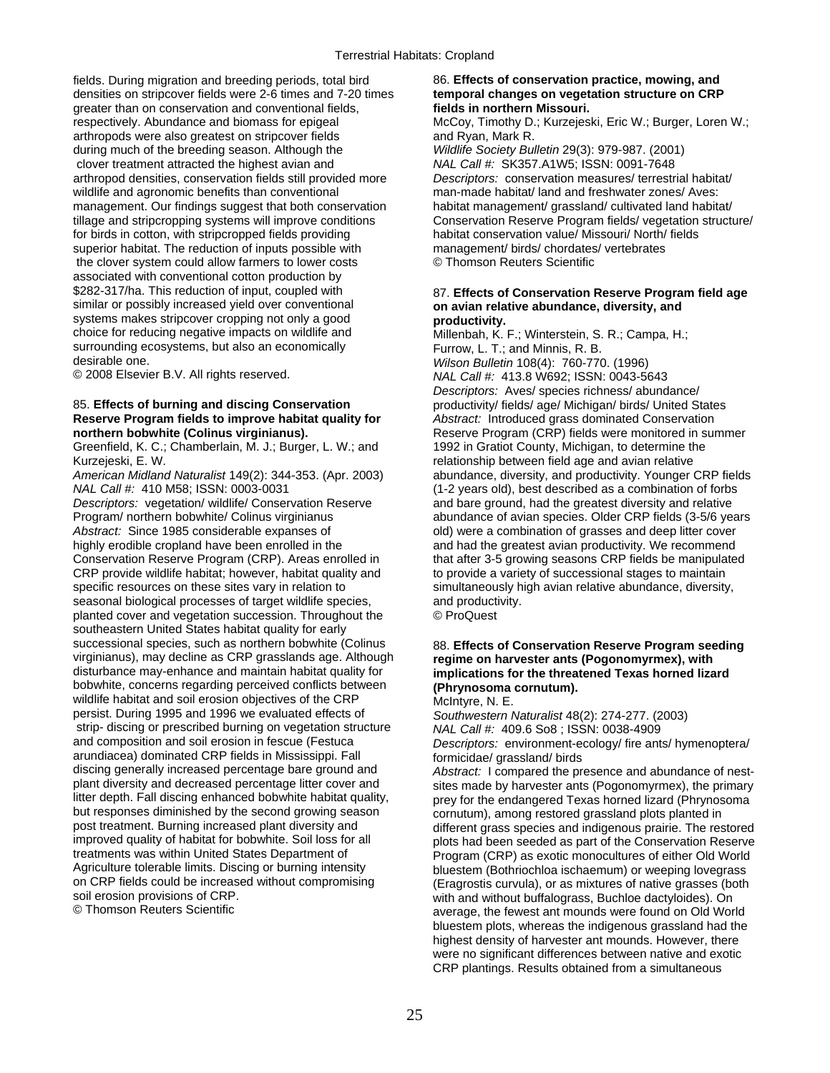fields. During migration and breeding periods, total bird 86. **Effects of conservation practice, mowing, and**  densities on stripcover fields were 2-6 times and 7-20 times **temporal changes on vegetation structure on CRP**  greater than on conservation and conventional fields, **fields in northern Missouri.**  respectively. Abundance and biomass for epigeal McCoy, Timothy D.; Kurzejeski, Eric W.; Burger, Loren W.; arthropods were also greatest on stripcover fields and Ryan, Mark R.<br>
during much of the breeding season. Although the *Wildlife Society Bulletin* 29(3): 979-987. (2001) during much of the breeding season. Although the clover treatment attracted the highest avian and *NAL Call #:* SK357.A1W5; ISSN: 0091-7648 arthropod densities, conservation fields still provided more *Descriptors:* conservation measures/ terrestrial habitat/ wildlife and agronomic benefits than conventional man-made habitat/ land and freshwater zones/ Aves: management. Our findings suggest that both conservation habitat management/ grassland/ cultivated land habitat/ for birds in cotton, with stripcropped fields providing habitat conservation value/ Missouri/ North/ superior habitat. The reduction of inputs possible with management/ birds/ chordates/ vertebrates superior habitat. The reduction of inputs possible with management/ birds/ chordates<br>the clover system could allow farmers to lower costs © Thomson Reuters Scientific the clover system could allow farmers to lower costs associated with conventional cotton production by \$282-317/ha. This reduction of input, coupled with similar or possibly increased yield over conventional **on avian relative abundance, diversity, and** systems makes stripcover cropping not only a good **productivity.**<br>
choice for reducing negative impacts on wildlife and **productivity** Millenbah K surrounding ecosystems, but also an economically Furrow, L. T.; and Minnis, R. B.<br>desirable one. Alless and Milledin 108(4): 760-770

# **Reserve Program fields to improve habitat quality for** *Abstract:* Introduced grass dominated Conservation

Greenfield, K. C.; Chamberlain, M. J.; Burger, L. W.; and 1992 in Gratiot County, Michigan, to determine the Kurzejeski, E. W. The state of the state of the relationship between field age and avian relative

*NAL Call #:* 410 M58; ISSN: 0003-0031 (1-2 years old), best described as a combination of forbs

*Descriptors:* vegetation/ wildlife/ Conservation Reserve and bare ground, had the greatest diversity and relative Program/ northern bobwhite/ Colinus virginianus abundance of avian species. Older CRP fields (3-5/6 years *Abstract:* Since 1985 considerable expanses of old) were a combination of grasses and deep litter cover highly erodible cropland have been enrolled in the and had the greatest avian productivity. We recommend highly erodible cropland have been enrolled in the and had the greatest avian productivity. We recommend<br>Conservation Reserve Program (CRP). Areas enrolled in that after 3-5 growing seasons CRP fields be manipulate CRP provide wildlife habitat; however, habitat quality and specific resources on these sites vary in relation to simultaneously high avian relative abundance, diversity, seasonal biological processes of target wildlife species. The and productivity. planted cover and vegetation succession. Throughout the © ProQuest southeastern United States habitat quality for early successional species, such as northern bobwhite (Colinus 88. Effects of Conservation Reserve Program seeding virginianus), may decline as CRP grasslands age. Although **regime on harvester ants (Pogonomyrmex), with**  disturbance may-enhance and maintain habitat quality for **implications for the threatened Texas horned lizard**  bobwhite, concerns regarding perceived conflicts between **(Phrynosoma cornutum).**  wildlife habitat and soil erosion objectives of the CRP persist. During 1995 and 1996 we evaluated effects of *Southwestern Naturalist* 48(2): 274-277. (2003) strip- discing or prescribed burning on vegetation structure and composition and soil erosion in fescue (Festuca arundiacea) dominated CRP fields in Mississippi. Fall formicidae/ grassland/ birds<br>discing generally increased percentage bare ground and *Abstract:* I compared the pro litter depth. Fall discing enhanced bobwhite habitat quality, example for the endangered Texas horned lizard (Phrynosoma<br>but responses diminished by the second growing season corputum), among restored grassland plots plant but responses diminished by the second growing season cornutum), among restored grassland plots planted in<br>post treatment. Burning increased plant diversity and different grass species and indigenous prairie. The res Agriculture tolerable limits. Discing or burning intensity bluestem (Bothriochloa ischaemum) or weeping lovegrass<br>On CRP fields could be increased without compromising (Fragrostis curvula), or as mixtures of native grasses on CRP fields could be increased without compromising (Eragrostis curvula), or as mixtures of native grasses (both<br>soil erosion provisions of CRP.

tillage and stripcropping systems will improve conditions Conservation Reserve Program fields/ vegetation structure/<br>for birds in cotton, with stripcropped fields providing habitat conservation value/ Missouri/ North/ fiel

# 87. Effects of Conservation Reserve Program field age

Millenbah, K. F.; Winterstein, S. R.; Campa, H.; desirable one. *Wilson Bulletin* 108(4): 760-770. (1996) © 2008 Elsevier B.V. All rights reserved. *NAL Call #:* 413.8 W692; ISSN: 0043-5643 *Descriptors:* Aves/ species richness/ abundance/ 85. **Effects of burning and discing Conservation** productivity/ fields/ age/ Michigan/ birds/ United States **northern bobwhite (Colinus virginianus). Reserve Program (CRP)** fields were monitored in summer *American Midland Naturalist* 149(2): 344-353. (Apr. 2003) abundance, diversity, and productivity. Younger CRP fields that after 3-5 growing seasons CRP fields be manipulated<br>to provide a variety of successional stages to maintain

Descriptors: environment-ecology/ fire ants/ hymenoptera/

discing generally increased percentage bare ground and *Abstract:* I compared the presence and abundance of nest-<br>
plant diversity and decreased percentage litter cover and sites made by harvester ants (Pogonomyrmex), the plant diversity and decreased percentage litter cover and sites made by harvester ants (Pogonomyrmex), the primary<br>litter depth. Fall discing enhanced bobwhite habitat quality, see the press for the endangered Texas horned post treatment. Burning increased plant diversity and different grass species and indigenous prairie. The restored<br>improved quality of habitat for bobwhite. Soil loss for all blots had been seeded as part of the Conservati improved quality of habitat for bobwhite. Soil loss for all plots had been seeded as part of the Conservation Reserve<br>treatments was within United States Department of Program (CRP) as exotic monocultures of either Old Wor treatments was within United States Department of Program (CRP) as exotic monocultures of either Old World<br>Agriculture tolerable limits. Discing or burning intensity bluestem (Bothriochloa ischaemum) or weeping lovegrass soil erosion provisions of CRP.<br>© Thomson Reuters Scientific example and with and without buffalograss, Buchloe dactyloides). On average, the fewest ant mounds were found on Old World bluestem plots, whereas the indigenous grassland had the highest density of harvester ant mounds. However, there were no significant differences between native and exotic CRP plantings. Results obtained from a simultaneous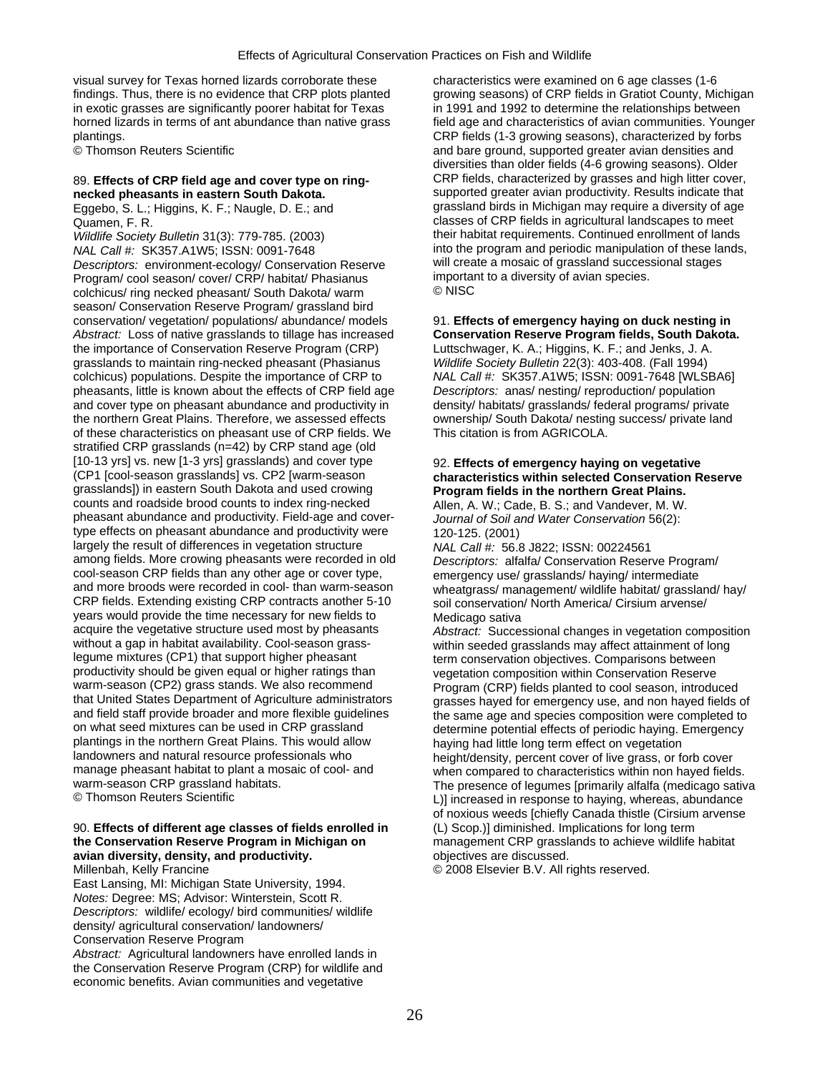visual survey for Texas horned lizards corroborate these characteristics were examined on 6 age classes (1-6 in exotic grasses are significantly poorer habitat for Texas in 1991 and 1992 to determine the relationships between plantings. CRP fields (1-3 growing seasons), characterized by forbs

Eggebo, S. L.; Higgins, K. F.; Naugle, D. E.; and

*NAL Call #:* SK357.A1W5; ISSN: 0091-7648 into the program and periodic manipulation of these lands,<br>Descriptors: environment-ecology/ Conservation Reserve will create a mosaic of grassland successional stages *Descriptors:* environment-ecology/ Conservation Reserve will create a mosaic of grassland succes<br>Program/ cool season/ cover/ CRP/ habitat/ Phasianus important to a diversity of avian species. Program/ cool season/ cover/ CRP/ habitat/ Phasianus important important to a diversity of a diversion of a diversion of a diversion of a diversion of a diversion of a diversion of a diversion of a diversion of a diversion colchicus/ ring necked pheasant/ South Dakota/ warm season/ Conservation Reserve Program/ grassland bird conservation/ vegetation/ populations/ abundance/ models 91. **Effects of emergency haying on duck nesting in**  *Abstract:* Loss of native grasslands to tillage has increased **Conservation Reserve Program fields, South Dakota.**  the importance of Conservation Reserve Program (CRP) Luttschwager, K. A.; Higgins, K. F.; and Jenks, J. A. grasslands to maintain ring-necked pheasant (Phasianus *Wildlife Society Bulletin* 22(3): 403-408. (Fall 1994) colchicus) populations. Despite the importance of CRP to *NAL Call #:* SK357.A1W5; ISSN: 0091-7648 [WLSBA6] pheasants, little is known about the effects of CRP field age *Descriptors:* anas/ nesting/ reproduction/ population and cover type on pheasant abundance and productivity in density/ habitats/ grasslands/ federal programs/ private the northern Great Plains. Therefore, we assessed effects ownership/ South Dakota/ nesting success/ private land of these characteristics on pheasant use of CRP fields. We This citation is from AGRICOLA. stratified CRP grasslands (n=42) by CRP stand age (old [10-13 yrs] vs. new [1-3 yrs] grasslands) and cover type 92. **Effects of emergency haying on vegetative**  grasslands]) in eastern South Dakota and used crowing counts and roadside brood counts to index ring-necked pheasant abundance and productivity. Field-age and cover- *Journal of Soil and Water Conservation* 56(2): type effects on pheasant abundance and productivity were 120-125. (2001) largely the result of differences in vegetation structure *NAL Call #:* 56.8 J822; ISSN: 00224561 among fields. More crowing pheasants were recorded in old *Descriptors: alfalfa/ Conservation Reserve Program/*<br>cool-season CRP fields than any other age or cover type. emergency use/ grasslands/ baying/ intermediate cool-season CRP fields than any other age or cover type, emergency use/ grasslands/ haying/ intermediate<br>and more broods were recorded in cool- than warm-season wheatgrass/ management/ wildlife habitat/ grassla and more broods were recorded in cool- than warm-season wheatgrass/ management/ wildlife habitat/ grassland/ hay/<br>CRP fields. Extending existing CRP contracts another 5-10 soil conservation/ North America/ Cirsium arvense/ years would provide the time necessary for new fields to Medicago sativa<br>acquire the vegetative structure used most by pheasants Abstract: Succes acquire the vegetative structure used most by pheasants *Abstract:* Successional changes in vegetation composition without a gap in habitat availability. Cool-season grass-<br>
legume mixtures (CP1) that support higher pheasant<br>
term conservation objectives Comparisons between productivity should be given equal or higher ratings than vegetation composition within Conservation Reserve<br>warm-season (CP2) grass stands. We also recommend Program (CRP) fields planted to cool season, introdu warm-season (CP2) grass stands. We also recommend entity program (CRP) fields planted to cool season, introduced<br>that United States Department of Agriculture administrators arasses haved for emergency use, and non haved fi that United States Department of Agriculture administrators grasses hayed for emergency use, and non hayed fields of and field staff provide broader and more flexible guidelines the same age and species composition were co and field staff provide broader and more flexible guidelines the same age and species composition were completed to<br>on what seed mixtures can be used in CRP grassland determine potential effects of periodic having Emergenc on what seed mixtures can be used in CRP grassland determine potential effects of periodic haying. Emergency blantings in the northern Great Plains. This would allow plantings in the northern Great Plains. This would allow haying had little long term effect on vegetation<br>landowners and natural resource professionals who height/density percent cover of live grass, or fi landowners and natural resource professionals who height/density, percent cover of live grass, or forb cover<br>manage pheasant habitat to plant a mosaic of cool- and when compared to characteristics within non haved field manage pheasant habitat to plant a mosaic of cool- and when compared to characteristics within non hayed fields.<br>Warm-season CRP grassland habitats. The presence of legumes [primarily alfalfa (medicago sativ warm-season CRP grassland habitats. The presence of legumes [primarily alfalfa (medicago sativa<br>© Thomson Reuters Scientific

## 90. Effects of different age classes of fields enrolled in the Conservation Reserve Program in Michigan on **avian diversity, density, and productivity. and the act of the state of the productivity.** The objectives are discussed.<br>
Millenbah. Kelly Francine

East Lansing, MI: Michigan State University, 1994. *Notes:* Degree: MS; Advisor: Winterstein, Scott R. *Descriptors:* wildlife/ ecology/ bird communities/ wildlife density/ agricultural conservation/ landowners/ Conservation Reserve Program *Abstract:* Agricultural landowners have enrolled lands in the Conservation Reserve Program (CRP) for wildlife and economic benefits. Avian communities and vegetative

findings. Thus, there is no evidence that CRP plots planted growing seasons) of CRP fields in Gratiot County, Michigan horned lizards in terms of ant abundance than native grass field age and characteristics of avian communities. Younger © Thomson Reuters Scientific and bare ground, supported greater avian densities and diversities than older fields (4-6 growing seasons). Older 89. **Effects of CRP field age and cover type on ring-** CRP fields, characterized by grasses and high litter cover, supported greater avian productivity. Results indicate that grassland birds in Michigan may require a diversity of age Quamen, F. R. Classes of CRP fields in agricultural landscapes to meet *Wildlife Society Bulletin* 31(3): 779-785. (2003) their habitat requirements. Continued enrollment of lands

# characteristics within selected Conservation Reserve<br>Program fields in the northern Great Plains.

Allen, A. W.; Cade, B. S.; and Vandever, M. W.

soil conservation/ North America/ Cirsium arvense/

term conservation objectives. Comparisons between L)] increased in response to haying, whereas, abundance of noxious weeds [chiefly Canada thistle (Cirsium arvense (L) Scop.)] diminished. Implications for long term **the Conservation Reserve Program in Michigan on** management CRP grasslands to achieve wildlife habitat

© 2008 Elsevier B.V. All rights reserved.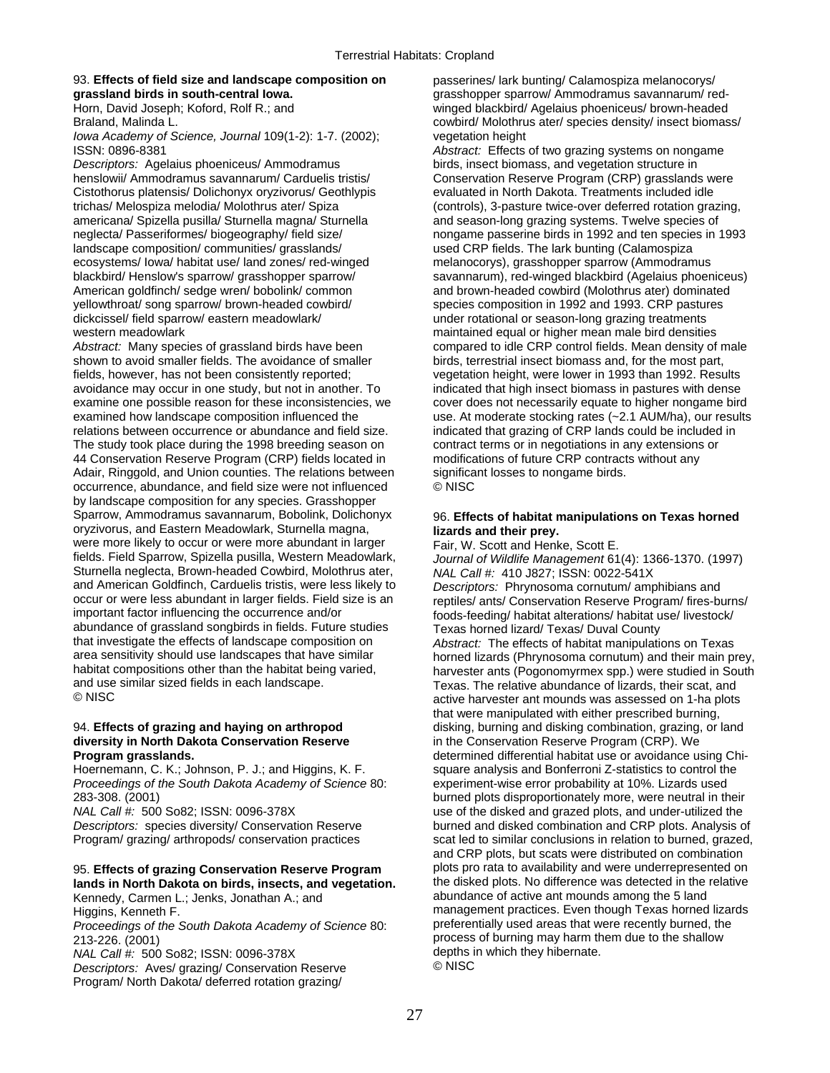# 93. **Effects of field size and landscape composition on** passerines/ lark bunting/ Calamospiza melanocorys/<br>grassland birds in south-central lowa. **proper standard and proper standard and the section** of resistion of re

*Iowa Academy of Science, Journal* 109(1-2): 1-7. (2002); vegetation height ISSN: 0896-8381 *Abstract:* Effects of two grazing systems on nongame

*Descriptors:* Agelaius phoeniceus/ Ammodramus birds, insect biomass, and vegetation structure in henslowii/ Ammodramus savannarum/ Carduelis tristis/ Conservation Reserve Program (CRP) grasslands were Cistothorus platensis/ Dolichonyx oryzivorus/ Geothlypis evaluated in North Dakota. Treatments included idle americana/ Spizella pusilla/ Sturnella magna/ Sturnella and season-long grazing systems. Twelve species of landscape composition/ communities/ grasslands/ used CRP fields. The lark bunting (Calamospiza ecosystems/ Iowa/ habitat use/ land zones/ red-winged melanocorys), grasshopper sparrow (Ammodramus American goldfinch/ sedge wren/ bobolink/ common and brown-headed cowbird (Molothrus ater) dominated<br>
yellowthroat/ song sparrow/ brown-headed cowbird/ species composition in 1992 and 1993. CRP pastures dickcissel/ field sparrow/ eastern meadowlark/ under rotational or season-long grazing treatments western meadowlark maintained equal or higher mean male bird densities

*Abstract:* Many species of grassland birds have been compared to idle CRP control fields. Mean density of male shown to avoid smaller fields. The avoidance of smaller birds, terrestrial insect biomass and, for the most part, fields, however, has not been consistently reported; vegetation height, were lower in 1993 than 1992. Results avoidance may occur in one study, but not in another. To indicated that high insect biomass in pastures with dense examine one possible reason for these inconsistencies, we cover does not necessarily equate to higher nongame bird examined how landscape composition influenced the use. At moderate stocking rates (~2.1 AUM/ha), our results relations between occurrence or abundance and field size. indicated that grazing of CRP lands could be included in The study took place during the 1998 breeding season on contract terms or in negotiations in any extensions or 44 Conservation Reserve Program (CRP) fields located in modifications of future CRP contracts without any Adair, Ringgold, and Union counties. The relations between significant losses to nongame birds. occurrence, abundance, and field size were not influenced © NISC by landscape composition for any species. Grasshopper Sparrow, Ammodramus savannarum, Bobolink, Dolichonyx 96. **Effects of habitat manipulations on Texas horned**  oryzivorus, and Eastern Meadowlark, Sturnella magna, **lizards and their prey.**<br>
were more likely to occur or were more abundant in larger Fair, W. Scott and Henke, Scott E. were more likely to occur or were more abundant in larger<br>fields. Field Sparrow, Spizella pusilla, Western Meadowlark, Sturnella neglecta, Brown-headed Cowbird, Molothrus ater, and American Goldfinch, Carduelis tristis, were less likely to *Descriptors:* Phrynosoma cornutum/ amphibians and occur or were less abundant in larger fields. Field size is an reptiles/ ants/ Conservation Reserve Program/ fires-burns/<br>important factor influencing the occurrence and/or foods-feeding/ habitat alterations/ habitat use/ abundance of grassland songbirds in fields. Future studies Texas horned lizard/ Texas/ Duval County<br>that investigate the effects of landscape composition on Abstract: The effects of habitat manipulation that investigate the effects of landscape composition on *Abstract:* The effects of habitat manipulations on Texas area sensitivity should use landscapes that have similar horned lizards (Phrynosoma cornutum) and their main prey,<br>habitat compositions other than the habitat being varied, harvester ants (Pogonomyrmex spp.) were studied i habitat compositions other than the habitat being varied, harvester ants (Pogonomyrmex spp.) were studied in South and use similar sized fields in each landscape. and use similar sized fields in each landscape. The metal Texas. The relative abundance of lizards, their scat, and<br>© NISC and the plots of the plots of the plots of the plots of the plots of the plots was assessed on 1-ha

# **diversity in North Dakota Conservation Reserve** in the Conservation Reserve Program (CRP). We

Hoernemann, C. K.; Johnson, P. J.; and Higgins, K. F. square analysis and Bonferroni Z-statistics to control the *Proceedings of the South Dakota Academy of Science* 80: experiment-wise error probability at 10%. Lizards used 283-308. (2001) burned plots disproportionately more, were neutral in their

# lands in North Dakota on birds, insects, and vegetation.

*Proceedings of the South Dakota Academy of Science* 80:

*NAL Call #:* 500 So82; ISSN: 0096-378X depths in depths in the depths in the theory of the theory of the theory h<br>Descriptors: Aves/ grazing/ Conservation Reserve. **Descriptors: Aves/ grazing/ Conservation Reserve** Program/ North Dakota/ deferred rotation grazing/

grasshopper sparrow/ Ammodramus savannarum/ red-Horn, David Joseph; Koford, Rolf R.; and winged blackbird/ Agelaius phoeniceus/ brown-headed Braland, Malinda L. Cowbird/ Molothrus ater/ species density/ insect biomass/

trichas/ Melospiza melodia/ Molothrus ater/ Spiza (controls), 3-pasture twice-over deferred rotation grazing, neglecta/ Passeriformes/ biogeography/ field size/ nongame passerine birds in 1992 and ten species in 1993 blackbird/ Henslow's sparrow/ grasshopper sparrow/ savannarum), red-winged blackbird (Agelaius phoeniceus) species composition in 1992 and 1993. CRP pastures

Journal of Wildlife Management 61(4): 1366-1370. (1997)<br>NAL Call #: 410 J827; ISSN: 0022-541X foods-feeding/ habitat alterations/ habitat use/ livestock/ active harvester ant mounds was assessed on 1-ha plots that were manipulated with either prescribed burning, 94. **Effects of grazing and haying on arthropod** disking, burning and disking combination, grazing, or land **Program grasslands. Program grasslands. determined differential habitat use or avoidance using Chi-***NAL Call #:* 500 So82; ISSN: 0096-378X use of the disked and grazed plots, and under-utilized the *Descriptors:* species diversity/ Conservation Reserve burned and disked combination and CRP plots. Analysis of Program/ grazing/ arthropods/ conservation practices scat led to similar conclusions in relation to burned, grazed, and CRP plots, but scats were distributed on combination 95. **Effects of grazing Conservation Reserve Program** plots pro rata to availability and were underrepresented on Kennedy, Carmen L.; Jenks, Jonathan A.; and abundance of active ant mounds among the 5 land Higgins, Kenneth F.<br>
Proceedings of the South Dakota Academy of Science 80: Preferentially used areas that were recently burned, the 213-226. (2001)<br>  $213-226$ . (2001)<br>
MAI Call #: 500 So82: ISSN: 0096-378X<br>  $213-226$ . (2001)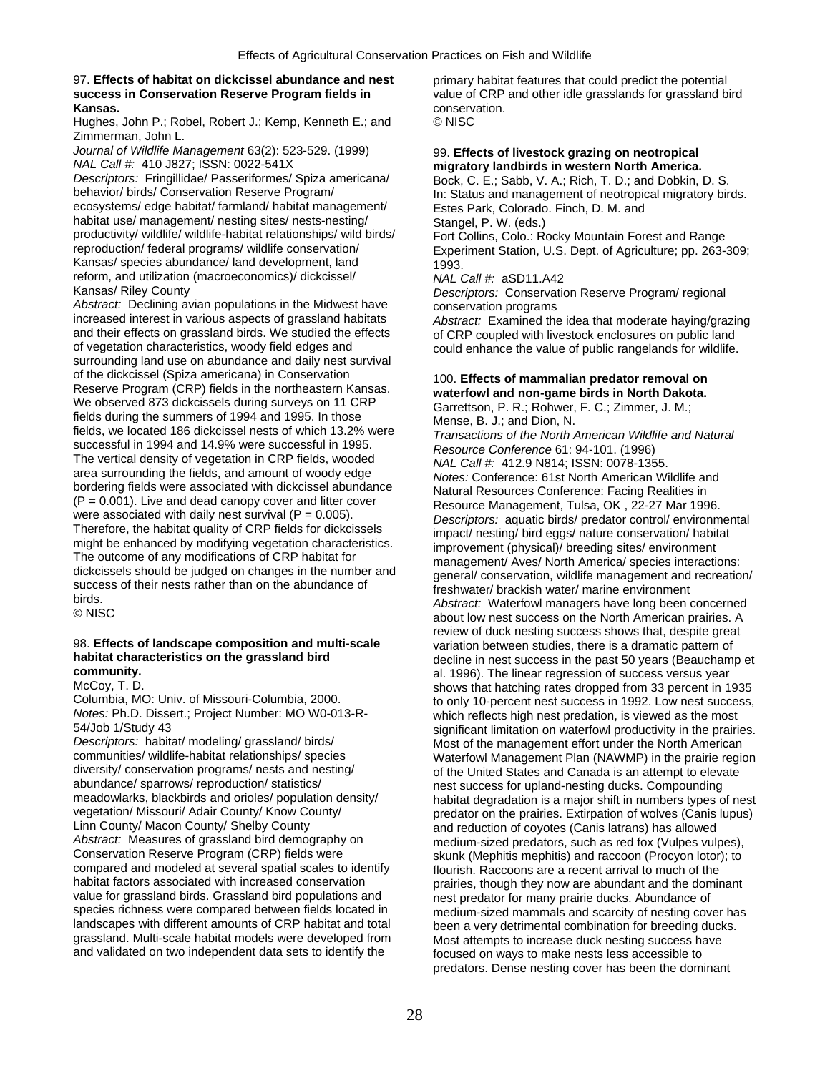## 97. **Effects of habitat on dickcissel abundance and nest** primary habitat features that could predict the potential **success in Conservation Reserve Program fields in** value of CRP and other idle grasslands for grassland bird **Kansas. conservation. Kansas. conservation. Conservation. Conservation. Conservation. conservation. conservation. Conservation. Conservation. Conservation. Conservation. Conservation. Conservat**

Hughes, John P.; Robel, Robert J.; Kemp, Kenneth E.; and Zimmerman, John L.

*Journal of Wildlife Management* 63(2): 523-529. (1999) 99. **Effects of livestock grazing on neotropical** 99. **MAL Call #: 410 J827; ISSN: 0022-541X** https://wexterpaga.org/miniteratory landbirds in western North America.

*Descriptors: Fringillidae/ Passeriformes/ Spiza americana/* Bock, C. E.; Sabb, V. A.; Rich, T. D.; and Dobkin, D. S. behavior/ birds/ Conservation Reserve Program/ In: Status and management of neotropical migratory bir ecosystems/ edge habitat/ farmland/ habitat management/ Estes Park, Colorado. Finch, D. M. and habitat use/ management/ nesting sites/ nests-nesting/ Stangel, P. W. (eds.)<br>productivity/ wildlife/ wildlife-habitat relationships/ wild birds/ Fort Collins, Colo.: Re productivity/ wildlife/ wildlife-habitat relationships/ wild birds/ Fort Collins, Colo.: Rocky Mountain Forest and Range<br>Freproduction/ federal programs/ wildlife conservation/ Experiment Station. U.S. Dept. of Agriculture Kansas/ species abundance/ land development, land 1993. reform, and utilization (macroeconomics)/ dickcissel/ *NAL Call #:* aSD11.A42

*Abstract:* Declining avian populations in the Midwest have conservation programs<br>increased interest in various aspects of grassland habitats *Abstract:* Examined the increased interest in various aspects of grassland habitats *Abstract:* Examined the idea that moderate haying/grazing and their effects on grassland birds. We studied the effects of CRP coupled with livestock enclosures on public land<br>of vegetation characteristics, woody field edges and only enhance the value of public rangelands for wild surrounding land use on abundance and daily nest survival of the dickcissel (Spiza americana) in Conservation<br>
Reserve Program (CRP) fields in the northeastern Kansas.<br>
We observed 873 dickcissels during surveys on 11 CRP<br>
fields during the summers of 1994 and 1995. In those<br>
fie Transactions of the North American Wildlife and Natural<br>successful in 1994 and 14.9% were successful in 1995.<br>The vertical density of vegetation in CRP fields, wooded<br>area surrounding the fields, and amount of woody edge<br>b  $(P = 0.001)$ . Live and dead canopy cover and litter cover<br>were associated with daily nest survival ( $P = 0.005$ ).<br>Therefore, the habitat quality of CRP fields for dickcissels<br>Therefore, the habitat quality of CRP fields for Therefore, the habitat quality of CRP fields for dickcissels<br>
might be enhanced by modifying vegetation characteristics.<br>
The outcome of any modifications of CRP habitat for<br>
dickcissels should be judged on changes in the

Descriptors: habitat/ modeling/ grassland/ birds/ Most of the management effort under the North American<br>Communities/ wildlife-habitat relationships/ species Materfowl Management Plan (NAWMP) in the prairie regio diversity/ conservation programs/ nests and nesting/ or the United States and Canada is an attempt to elevate<br>abundance/ sparrows/ reproduction/ statistics/ particle and conservation of the United States and Canada is an abundance/ sparrows/ reproduction/ statistics/ nest success for upland-nesting ducks. Compounding<br>meadowlarks, blackbirds and orioles/ population density/ habitat degradation is a major shift in numbers types Linn County/ Macon County/ Shelby County<br>Abstract: Measures of grassland bird demography on and reduction of coyotes (Canis latrans) has allowed<br>medium-sized predators, such as red fox (Vulpes vull *Abstract:* Measures of grassland bird demography on medium-sized predators, such as red fox (Vulpes vulpes),<br>Conservation Reserve Program (CRP) fields were subsetively skup k (Mephitis mephitis) and raccoon (Procyon lotor Conservation Reserve Program (CRP) fields were skunk (Mephitis mephitis) and raccoon (Procyon lotor); to<br>compared and modeled at several spatial scales to identify flourish Raccoons are a recent arrival to much of the compared and modeled at several spatial scales to identify flourish. Raccoons are a recent arrival to much of the<br>habitat factors associated with increased conservation rairies though they now are abundant and the domin habitat factors associated with increased conservation prairies, though they now are abundant and the dominant<br>value for grassland birds. Grassland bird populations and present predator for many prairie ducks. Abundance of value for grassland birds. Grassland bird populations and nest predator for many prairie ducks. Abundance of species richness were compared between fields located in medium-sized mammals and scarcity of nesting cover landscapes with different amounts of CRP habitat and total been a very detrimental combination for breeding ducks. grassland. Multi-scale habitat models were developed from Most attempts to increase duck nesting success have<br>and validated on two independent data sets to identify the focused on ways to make nests less accessible to

# *NAL Call #:* 410 J827; ISSN: 0022-541X **migratory landbirds in western North America.**

In: Status and management of neotropical migratory birds.

Experiment Station, U.S. Dept. of Agriculture; pp. 263-309;

Descriptors: Conservation Reserve Program/ regional

could enhance the value of public rangelands for wildlife.

success of their nests rather than on the abundance of entity freshwater/ brackish water/ marine environment<br>birds.<br>© NISC about low nest success on the North American prairies. A review of duck nesting success shows that, despite great 98. **Effects of landscape composition and multi-scale** variation between studies, there is a dramatic pattern of **habitat characteristics on the grassland bird** decline in nest success in the past 50 years (Beauchamp et **community.**<br>al. 1996). The linear regression of success versus year **community.**<br> **al. 1996). The linear regression of success versus year**<br> **al. 1996). The linear regression of success versus year**<br> **al. 1996). The linear regression of success versus year** McCoy, T. D.<br>Columbia, MO: Univ. of Missouri-Columbia, 2000. Shows that hatching rates dropped from 33 percent in 1935<br>Columbia, MO: Univ. of Missouri-Columbia, 2000. Show to only 10-percent nest success in 1992. Low nest Columbia, MO: Univ. of Missouri-Columbia, 2000. to only 10-percent nest success in 1992. Low nest success,<br> *Notes:* Ph.D. Dissert.; Project Number: MO W0-013-R-<br>
which reflects high nest predation, is viewed as the most *Notes:* Ph.D. Dissert.; Project Number: MO W0-013-R- which reflects high nest predation, is viewed as the most 54/Job 1/Study 43 significant limitation on waterfowl productivity in the prairies.<br>Descriptors: habitat/ modeling/ grassland/ birds/ state of the management effort under the North American communities/ wildlife-habitat relationships/ species Waterfowl Management Plan (NAWMP) in the prairie region<br>diversity/ conservation programs/ nests and nesting/<br>of the United States and Canada is an attempt to elevate meadowlarks, blackbirds and orioles/ population density/ habitat degradation is a major shift in numbers types of nest<br>vegetation/Missouri/Adair County/Know County/ needator on the prairies Extirnation of wolves (Canis lup vegetation/ Missouri/ Adair County/ Know County/ predator on the prairies. Extirpation of wolves (Canis lupus)<br>
Linn County/ Macon County/ Shelby County and reduction of covotes (Canis latrans) has allowed medium-sized mammals and scarcity of nesting cover has focused on ways to make nests less accessible to predators. Dense nesting cover has been the dominant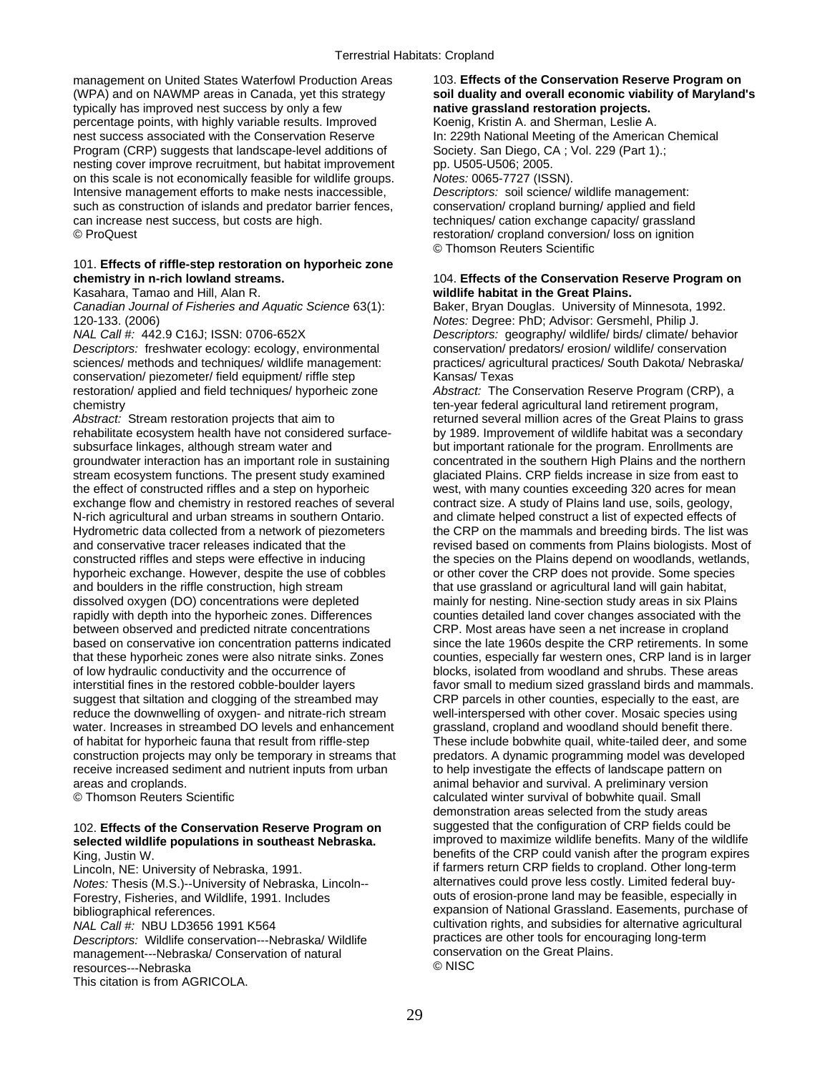management on United States Waterfowl Production Areas 103. **Effects of the Conservation Reserve Program on** (WPA) and on NAWMP areas in Canada, yet this strategy **soil duality and overall economic viability of Maryland's**  typically has improved nest success by only a few **native grassland restoration projects.** percentage points, with highly variable results. Improved nest success associated with the Conservation Reserve In: 229th National Meeting of the American Chemical Program (CRP) suggests that landscape-level additions of Society. San Diego, CA; Vol. 229 (Part 1).; nesting cover improve recruitment, but habitat improvement pp. U505-U506; 2005. on this scale is not economically feasible for wildlife groups. *Notes:* 0065-7727 (ISSN). Intensive management efforts to make nests inaccessible, *Descriptors:* soil science/ wildlife management: such as construction of islands and predator barrier fences, conservation/ cropland burning/ applied and field can increase nest success, but costs are high. the exchange capacity grassland capacity grassland © ProQuest restoration/ cropland conversion/ loss on ignition

## 101. **Effects of riffle-step restoration on hyporheic zone chemistry in n-rich lowland streams.** 104. **Effects of the Conservation Reserve Program on**

*Canadian Journal of Fisheries and Aquatic Science* 63(1): Baker, Bryan Douglas. University of Minnesota, 1992.

conservation/ piezometer/ field equipment/ riffle step Kansas/ Texas restoration/ applied and field techniques/ hyporheic zone *Abstract:* The Conservation Reserve Program (CRP), a chemistry ten-year federal agricultural land retirement program,

*Abstract:* Stream restoration projects that aim to returned several million acres of the Great Plains to grass rehabilitate ecosystem health have not considered surface- by 1989. Improvement of wildlife habitat was a secondary subsurface linkages, although stream water and but important rationale for the program. Enrollments are groundwater interaction has an important role in sustaining concentrated in the southern High Plains and the northern stream ecosystem functions. The present study examined glaciated Plains. CRP fields increase in size from east to the effect of constructed riffles and a step on hyporheic west, with many counties exceeding 320 acres for mean exchange flow and chemistry in restored reaches of several contract size. A study of Plains land use, soils, geology, N-rich agricultural and urban streams in southern Ontario. and climate helped construct a list of expected effects of Hydrometric data collected from a network of piezometers the CRP on the mammals and breeding birds. The list was<br>and conservative tracer releases indicated that the revised based on comments from Plains biologists. Most of constructed riffles and steps were effective in inducing the species on the Plains depend on woodlands, wetlands, hyporheic exchange. However, despite the use of cobbles or other cover the CRP does not provide. Some species and boulders in the riffle construction, high stream that use grassland or agricultural land will gain habitat, dissolved oxygen (DO) concentrations were depleted mainly for nesting. Nine-section study areas in six Plains rapidly with depth into the hyporheic zones. Differences counties detailed land cover changes associated with the between observed and predicted nitrate concentrations CRP. Most areas have seen a net increase in cropland based on conservative ion concentration patterns indicated since the late 1960s despite the CRP retirements. In some that these hyporheic zones were also nitrate sinks. Zones counties, especially far western ones, CRP land is in larger of low hydraulic conductivity and the occurrence of blocks, isolated from woodland and shrubs. These areas interstitial fines in the restored cobble-boulder layers favor small to medium sized grassland birds and mammals. suggest that siltation and clogging of the streambed may CRP parcels in other counties, especially to the east, are reduce the downwelling of oxygen- and nitrate-rich stream well-interspersed with other cover. Mosaic species using water. Increases in streambed DO levels and enhancement grassland, cropland and woodland should benefit there. of habitat for hyporheic fauna that result from riffle-step These include bobwhite quail, white-tailed deer, and some construction projects may only be temporary in streams that predators. A dynamic programming model was developed receive increased sediment and nutrient inputs from urban to help investigate the effects of landscape pattern on areas and croplands. animal behavior and survival. A preliminary version

# selected wildlife populations in southeast Nebraska.

*Descriptors:* Wildlife conservation---Nebraska/ Wildlife **practices are other tools for encouraging long-term**<br>management---Nebraska/ Conservation of natural conservation on the Great Plains. management---Nebraska/ Conservation of natural conservation on the Great Plannic Conservation of natural conserv resources---Nebraska This citation is from AGRICOLA.

© Thomson Reuters Scientific

# Kasahara, Tamao and Hill, Alan R. **wildlife habitat in the Great Plains.**

120-133. (2006) *Notes:* Degree: PhD; Advisor: Gersmehl, Philip J. *Descriptors:* geography/ wildlife/ birds/ climate/ behavior *Descriptors:* freshwater ecology: ecology, environmental conservation/ predators/ erosion/ wildlife/ conservation sciences/ methods and techniques/ wildlife management: practices/ agricultural practices/ South Dakota/ Nebraska/

revised based on comments from Plains biologists. Most of © Thomson Reuters Scientific **calculated winter survival of bobwhite quail.** Small demonstration areas selected from the study areas 102. **Effects of the Conservation Reserve Program on** suggested that the configuration of CRP fields could be King, Justin W. benefits of the CRP could vanish after the program expires Lincoln, NE: University of Nebraska, 1991. **interpretate and Separate Interpretate and CRP** fields to cropland. Other long-term *Notes:* Thesis (M.S.)--University of Nebraska, Lincoln-- alternatives could prove less costly. Limited federal buy-Forestry, Fisheries, and Wildlife, 1991. Includes outs of erosion-prone land may be feasible, especially in bibliographical references. expansion of National Grassland. Easements, purchase of *NAL Call #:* NBU LD3656 1991 K564 cultivation rights, and subsidies for alternative agricultural<br>Descriptors: Wildlife conservation---Nebraska/Wildlife practices are other tools for encouraging long-term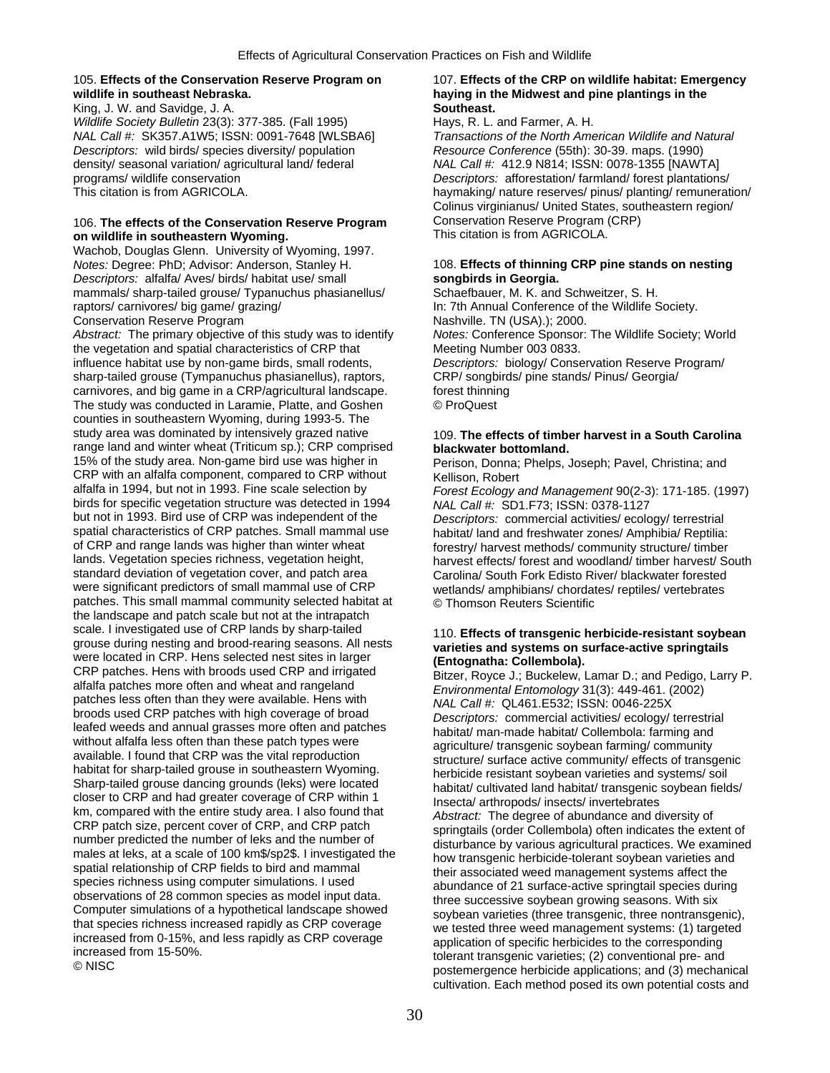## 105. **Effects of the Conservation Reserve Program on** 107. **Effects of the CRP on wildlife habitat: Emergency wildlife in southeast Nebraska. haying in the Midwest and pine plantings in the**

King, J. W. and Savidge, J. A. **Southeast. Southeast. Southeast.** *Wildlife Society Bulletin* 23(3): 377-385. (Fall 1995) Hays, R. L. and Farmer, A. H. *NAL Call #:* SK357.A1W5; ISSN: 0091-7648 [WLSBA6] *Transactions of the North American Wildlife and Natural Descriptors:* wild birds/ species diversity/ population *Resource Conference* (55th): 30-39. maps. (1990) density/ seasonal variation/ agricultural land/ federal *NAL Call #:* 412.9 N814; ISSN: 0078-1355 [NAWTA] programs/ wildlife conservation *Descriptors:* afforestation/ farmland/ forest plantations/

## 106. **The effects of the Conservation Reserve Program** Conservation Reserve Program (CRP) on wildlife in southeastern Wyoming.

Wachob, Douglas Glenn. University of Wyoming, 1997. *Notes:* Degree: PhD; Advisor: Anderson, Stanley H. 108. **Effects of thinning CRP pine stands on nesting**  *Descriptors:* alfalfa/ Aves/ birds/ habitat use/ small **songbirds in Georgia.** mammals/ sharp-tailed grouse/ Typanuchus phasianellus/ Schaefbauer, M. K. and Schweitzer, S. H. raptors/ carnivores/ big game/ grazing/ In: 7th Annual Conference of the Wildlife Society. Conservation Reserve Program Nashville. TN (USA).); 2000.

*Abstract:* The primary objective of this study was to identify *Notes:* Conference Sponsor: The Wildlife Society; World the vegetation and spatial characteristics of CRP that Meeting Number 003 0833. influence habitat use by non-game birds, small rodents, *Descriptors:* biology/ Conservation Reserve Program/ sharp-tailed grouse (Tympanuchus phasianellus), raptors, CRP/ songbirds/ pine stands/ Pinus/ Georgia/ carnivores, and big game in a CRP/agricultural landscape. forest thinning carnivores, and big game in a CRP/agricultural landscape. The study was conducted in Laramie, Platte, and Goshen © ProQuest counties in southeastern Wyoming, during 1993-5. The study area was dominated by intensively grazed native 109. **The effects of timber harvest in a South Carolina** range land and winter wheat (Triticum sp.); CRP comprised **blackwater bottomland.**<br>15% of the study area. Non-game bird use was higher in **Premission** Donna: Phelps. CRP with an alfalfa component, compared to CRP without Kellison, Robert<br>alfalfa in 1994, but not in 1993. Fine scale selection by Forest Ecology a birds for specific vegetation structure was detected in 1994 *NAL Call #:*  $\overline{SD}$ 1.F73; ISSN: 0378-1127<br>but not in 1993. Bird use of CRP was independent of the *Descriptors: commercial activities/ ecolo* spatial characteristics of CRP patches. Small mammal use habitat/ land and freshwater zones/ Amphibia/ Reptilia: of CRP and range lands was higher than winter wheat<br>lands. Vegetation species richness, vegetation height,<br>harvest effects/ forest and woodland/ timber harvest/ So lands. Vegetation species richness, vegetation height, harvest effects/ forest and woodland/ timber harvest/ South<br>standard deviation of vegetation cover, and patch area carolina/ South Fork Edisto River/ blackwater forest standard deviation of vegetation cover, and patch area Carolina/ South Fork Edisto River/ blackwater forested<br>were significant predictors of small mammal use of CRP werlands/ amphibians/ chordates/ reptiles/ vertebrates patches. This small mammal community selected habitat at © Thomson Reuters Scientific the landscape and patch scale but not at the intrapatch scale. I investigated use of CRP and has by sharp-tailed and speaces and speaces and speaces and production the subsect and the seasons. All nests<br>
were located in CRP. Hens selected to RCR constant sorbean and the constan

This citation is from AGRICOLA. **haymaking/ nature reserves/ pinus/ planting/ remuneration/** Colinus virginianus/ United States, southeastern region/

Perison, Donna; Phelps, Joseph; Pavel, Christina; and

Forest Ecology and Management 90(2-3): 171-185. (1997) **Descriptors: commercial activities/ ecology/ terrestrial** wetlands/ amphibians/ chordates/ reptiles/ vertebrates

cultivation. Each method posed its own potential costs and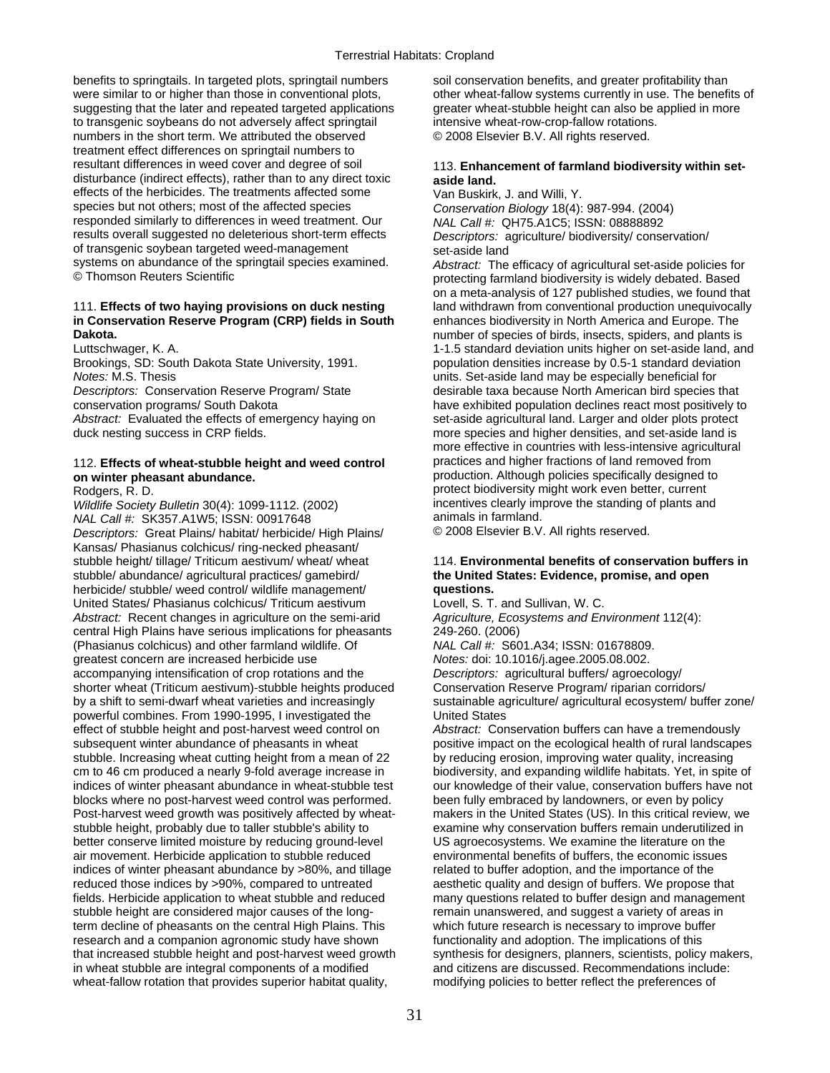benefits to springtails. In targeted plots, springtail numbers soil conservation benefits, and greater profitability than were similar to or higher than those in conventional plots, other wheat-fallow systems currently in use. The benefits of suggesting that the later and repeated targeted applications greater wheat-stubble height can also be to transgenic soybeans do not adversely affect springtail intensive wheat-row-crop-fallow rotations. numbers in the short term. We attributed the observed  $\heartsuit$  2008 Elsevier B.V. All rights reserved. treatment effect differences on springtail numbers to resultant differences in weed cover and degree of soil 113. **Enhancement of farmland biodiversity within set**disturbance (indirect effects), rather than to any direct toxic **aside land.**  effects of the herbicides. The treatments affected some Van Buskirk, J. and Willi, Y.<br>species but not others; most of the affected species Conservation Biology 18(4): responded similarly to differences in weed treatment. Our results overall suggested no deleterious short-term effects *Descriptors:* agriculture/ biodiversity/ conservation/ of transgenic soybean targeted weed-management set-aside land systems on abundance of the springtail species examined. *Abstract:* The efficacy of agricultural set-aside policies for

## 111. **Effects of two haying provisions on duck nesting** land withdrawn from conventional production unequivocally **in Conservation Reserve Program (CRP) fields in South** enhances biodiversity in North America and Europe. The **Dakota. Dakota. number of species of birds, insects, spiders, and plants is and plants is**  $\overline{\phantom{a}}$  **Dakota.**

*Notes:* M.S. Thesis units. Set-aside land may be especially beneficial for

## 112. **Effects of wheat-stubble height and weed control** practices and higher fractions of land removed from **on winter pheasant abundance. production.** Although policies specifically designed to

*Wildlife Society Bulletin* 30(4): 1099-1112. (2002) incentives clearly im<br>
MAL Call #: SK357 A1W5: ISSN: 00917648<br> **MAL Call #: SK357 A1W5: ISSN: 00917648** *NAL Call #:* SK357.A1W5; ISSN: 00917648 animals in farmland.<br>Descriptors: Great Plains/ habitat/ herbicide/ High Plains/ 0 2008 Elsevier B.V. All rights reserved. *Descriptors: Great Plains/ habitat/ herbicide/ High Plains/* Kansas/ Phasianus colchicus/ ring-necked pheasant/ stubble height/ tillage/ Triticum aestivum/ wheat/ wheat 114. **Environmental benefits of conservation buffers in** stubble/ abundance/ agricultural practices/ gamebird/ **the United States: Evidence, promise, and open**  herbicide/ stubble/ weed control/ wildlife management/ **questions.**  United States/ Phasianus colchicus/ Triticum aestivum Lovell, S. T. and Sullivan, W. C. *Abstract:* Recent changes in agriculture on the semi-arid *Agriculture, Ecosystems and Environment* 112(4): central High Plains have serious implications for pheasants 249-260. (2006) (Phasianus colchicus) and other farmland wildlife. Of *NAL Call #:* S601.A34; ISSN: 01678809. greatest concern are increased herbicide use *Notes:* doi: 10.1016/j.agee.2005.08.002. accompanying intensification of crop rotations and the *Descriptors:* agricultural buffers/ agroecology/ shorter wheat (Triticum aestivum)-stubble heights produced Conservation Reserve Program/ riparian corridors/<br>by a shift to semi-dwarf wheat varieties and increasingly sustainable agriculture/ agricultural ecosystem/ buf powerful combines. From 1990-1995, I investigated the United States effect of stubble height and post-harvest weed control on *Abstract:* Conservation buffers can have a tremendously subsequent winter abundance of pheasants in wheat positive impact on the ecological health of rural landscapes stubble. Increasing wheat cutting height from a mean of 22 by reducing erosion, improving water quality, increasing cm to 46 cm produced a nearly 9-fold average increase in biodiversity, and expanding wildlife habitats. Yet, in spite of indices of winter pheasant abundance in wheat-stubble test our knowledge of their value, conservation buffers have not blocks where no post-harvest weed control was performed. been fully embraced by landowners, or even by policy Post-harvest weed growth was positively affected by wheat- makers in the United States (US). In this critical review, we stubble height, probably due to taller stubble's ability to examine why conservation buffers remain underutilized in<br>better conserve limited moisture by reducing ground-level US agroecosystems. We examine the literature on better conserve limited moisture by reducing ground-level air movement. Herbicide application to stubble reduced environmental benefits of buffers, the economic issues indices of winter pheasant abundance by >80%, and tillage related to buffer adoption, and the importance of the reduced those indices by >90%, compared to untreated aesthetic quality and design of buffers. We propose that fields. Herbicide application to wheat stubble and reduced many questions related to buffer design and management stubble height are considered major causes of the long- remain unanswered, and suggest a variety of areas in term decline of pheasants on the central High Plains. This which future research is necessary to improve buffer research and a companion agronomic study have shown functionality and adoption. The implications of this that increased stubble height and post-harvest weed growth synthesis for designers, planners, scientists, policy makers, in wheat stubble are integral components of a modified and citizens are discussed. Recommendations include: wheat-fallow rotation that provides superior habitat quality, modifying policies to better reflect the preferences of

greater wheat-stubble height can also be applied in more

Conservation Biology 18(4): 987-994. (2004)<br>NAL Call #: QH75.A1C5; ISSN: 08888892

protecting farmland biodiversity is widely debated. Based on a meta-analysis of 127 published studies, we found that Luttschwager, K. A. 1-1.5 standard deviation units higher on set-aside land, and Brookings, SD: South Dakota State University, 1991. population densities increase by 0.5-1 standard deviation **Descriptors: Conservation Reserve Program/ State desirable taxa because North American bird species that** conservation programs/ South Dakota have exhibited population declines react most positively to Abstract: Evaluated the effects of emergency haying on set-aside agricultural land. Larger and older plots protect duck nesting success in CRP fields. The more species and higher densities, and set-aside land is more effective in countries with less-intensive agricultural Rodgers, R. D.<br>Wildlife Society Bulletin 30(4): 1099-1112. (2002) entity incentives clearly improve the standing of plants and

sustainable agriculture/ agricultural ecosystem/ buffer zone/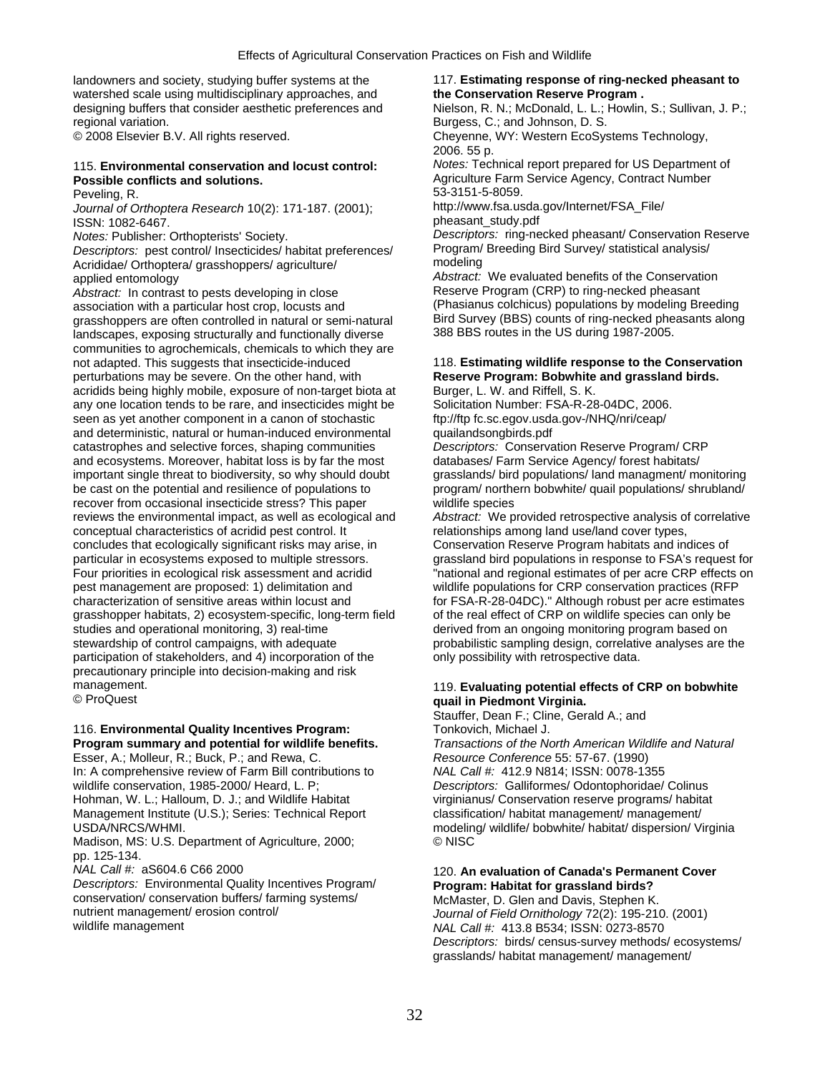landowners and society, studying buffer systems at the 117. **Estimating response of ring-necked pheasant to** watershed scale using multidisciplinary approaches, and **the Conservation Reserve Program.** regional variation. **Burgess, C.; and Johnson, D. S.** Burgess, C.; and Johnson, D. S.

*Journal of Orthoptera Research* 10(2): 171-187. (2001); ISSN: 1082-6467.

*Descriptors:* pest control/ Insecticides/ habitat preferences/ Program/<br>Acrididae/ Orthontera/ grasshoppers/ agriculture/ modeling Acrididae/ Orthoptera/ grasshoppers/ agriculture/

*Abstract:* In contrast to pests developing in close association with a particular host crop, locusts and (Phasianus colchicus) populations by modeling Breeding<br>association with a particular host crop, locusts and (Phasianus colchicus) populations by modeling Breeding<br>are of grasshoppers are often controlled in natural or semi-natural Bird Survey (BBS) counts of ring-necked phe<br>Iandscapes, exposing structurally and functionally diverse 388 BBS routes in the US during 1987-2005. landscapes, exposing structurally and functionally diverse communities to agrochemicals, chemicals to which they are not adapted. This suggests that insecticide-induced 118. **Estimating wildlife response to the Conservation**  perturbations may be severe. On the other hand, with **Reserve Program: Bobwhite and grassland birds. Reserve Program: Bobwhite and grassland birds. actional program: Bobwhite and grassland birds. actional program: Bu** acridids being highly mobile, exposure of non-target biota at Burger, L. W. and Riffell, S. K.<br>
any one location tends to be rare, and insecticides might be Solicitation Number: FSA-R-28-04DC, 2006. any one location tends to be rare, and insecticides might be seen as yet another component in a canon of stochastic ftp://ftp fc.sc.egov.usda.gov-/NHQ/nri/ceap/ and deterministic, natural or human-induced environmental quailandsongbirds.pdf catastrophes and selective forces, shaping communities *Descriptors:* Conservation Reserve Program/ CRP and ecosystems. Moreover, habitat loss is by far the most databases/ Farm Service Agency/ forest habitats/ important single threat to biodiversity, so why should doubt grasslands/ bird populations/ land managment/ monitoring be cast on the potential and resilience of populations to program/ northern bobwhite/ quail populations/ shrubland/ recover from occasional insecticide stress? This paper wildlife species reviews the environmental impact, as well as ecological and *Abstract:* We provided retrospective analysis of correlative conceptual characteristics of acridid pest control. It relationships among land use/land cover types,<br>concludes that ecologically significant risks may arise, in Conservation Reserve Program habitats and indices of concludes that ecologically significant risks may arise, in particular in ecosystems exposed to multiple stressors. particular in ecosystems exposed to multiple stressors. exposed and provide bird populations in response to FSA's request for<br>Four priorities in ecological risk assessment and acridid exportantional and regional estimates pest management are proposed: 1) delimitation and wildlife populations for CRP conservation practices (RFP characterization of sensitive areas within locust and for FSA-R-28-04DC)." Although robust per acre estimates<br>grasshopper habitats, 2) ecosystem-specific, long-term field of the real effect of CRP on wildlife species can o grasshopper habitats, 2) ecosystem-specific, long-term field studies and operational monitoring, 3) real-time derived from an ongoing monitoring program based on stewardship of control campaigns, with adequate probabilistic sampling design, correlative analyses are the participation of stakeholders, and 4) incorporation of the only possibility with retrospective data. precautionary principle into decision-making and risk

# 116. Environmental Quality Incentives Program:

Esser, A.; Molleur, R.; Buck, P.; and Rewa, C. *Resource Conference* 55: 57-67. (1990)<br>In: A comprehensive review of Farm Bill contributions to *NAL Call #:* 412.9 N814; ISSN: 0078-1355 In: A comprehensive review of Farm Bill contributions to wildlife conservation, 1985-2000/ Heard, L. P; *Descriptors:* Galliformes/ Odontophoridae/ Colinus Hohman, W. L.; Halloum, D. J.; and Wildlife Habitat virginianus/ Conservation reserve programs/ habitat Management Institute (U.S.); Series: Technical Report classification/ habitat management/ management/

Madison, MS: U.S. Department of Agriculture, 2000; pp. 125-134.

*Descriptors:* Environmental Quality Incentives Program/ **Program: Habitat for grassland birds?**  conservation/ conservation buffers/ farming systems/ McMaster, D. Glen and Davis, Stephen K.<br>195-216 (Curnal of Field Ornithology 72(2): 195-216 nutrient management/ erosion control/ *Journal of Field Ornithology* 72(2): 195-210. (2001)<br> *NAL Call #: 413 8 B534: ISSN: 0273-8570*<br> *NAL Call #: 413 8 B534: ISSN: 0273-8570* 

designing buffers that consider aesthetic preferences and Nielson, R. N.; McDonald, L. L.; Howlin, S.; Sullivan, J. P.; © 2008 Elsevier B.V. All rights reserved. Cheyenne, WY: Western EcoSystems Technology,

2006. 55 p. 115. **Environmental conservation and locust control:** *Notes:* Technical report prepared for US Department of Agriculture Farm Service Agency, Contract Number

Peveling, R. 53-3151-5-8059.<br>- 10 http://www.fsa.usda.gov/Internet/FSA File/ pheasant\_study.pdf

*Notes:* Publisher: Orthopterists' Society. *Descriptors:* ring-necked pheasant/ Conservation Reserve

applied entomology<br>Abstract: We evaluated benefits of the Conservation<br>Abstract: In contrast to pests developing in close<br>Reserve Program (CRP) to ring-necked pheasant

 $\overline{r}$ national and regional estimates of per acre CRP effects on

## management.<br> **Evaluating potential effects of CRP on bobwhite CRP on bobwhite and the contract of CRP on bobwhite CRP** on **contract of CRP** on bobwhite **and the contract of CRP** on bobwhite © ProQuest **quail in Piedmont Virginia.**

Stauffer, Dean F.; Cline, Gerald A.; and<br>Tonkovich, Michael J.

**Program summary and potential for wildlife benefits.** *Transactions of the North American Wildlife and Natural*  USDA/NRCS/WHMI.<br>Madison. MS: U.S. Department of Agriculture. 2000: <br>© NISC © NISC

# *NAL Call #:* aS604.6 C66 2000 120. **An evaluation of Canada's Permanent Cover**

WAL Call #: 413.8 B534; ISSN: 0273-8570 *Descriptors:* birds/ census-survey methods/ ecosystems/ grasslands/ habitat management/ management/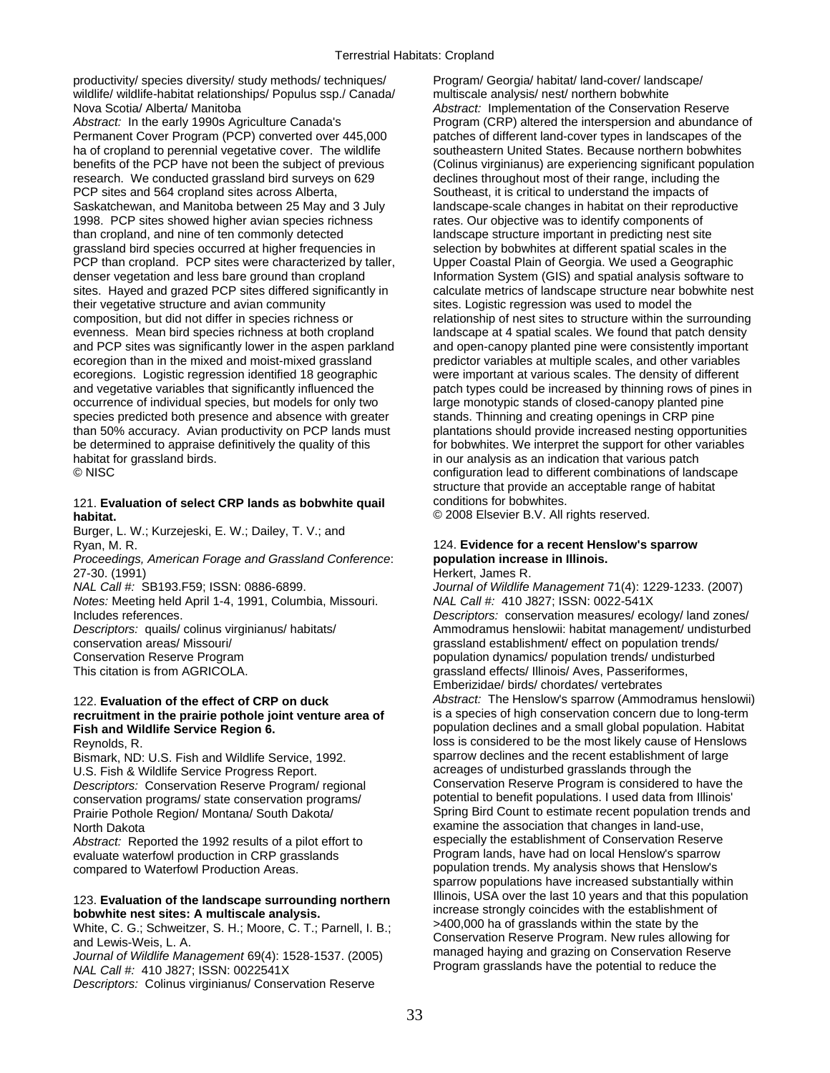productivity/ species diversity/ study methods/ techniques/ Program/ Georgia/ habitat/ land-cover/ landscape/ wildlife/ wildlife-habitat relationships/ Populus ssp./ Canada/ multiscale analysis/ nest/ northern bobwhite Nova Scotia/ Alberta/ Manitoba **Abstract: Implementation of the Conservation Reserve** 

*Abstract:* In the early 1990s Agriculture Canada's Program (CRP) altered the interspersion and abundance of Permanent Cover Program (PCP) converted over 445,000 patches of different land-cover types in landscapes of the ha of cropland to perennial vegetative cover. The wildlife southeastern United States. Because northern bobwhites benefits of the PCP have not been the subject of previous (Colinus virginianus) are experiencing significant population research. We conducted grassland bird surveys on 629 declines throughout most of their range, including the PCP sites and 564 cropland sites across Alberta, Southeast, it is critical to understand the impacts of Saskatchewan, and Manitoba between 25 May and 3 July landscape-scale changes in habitat on their reproductive 1998. PCP sites showed higher avian species richness rates. Our objective was to identify components of than cropland, and nine of ten commonly detected landscape structure important in predicting nest site<br>grassland bird species occurred at higher frequencies in selection by bobwhites at different spatial scales in t PCP than cropland. PCP sites were characterized by taller, Upper Coastal Plain of Georgia. We used a Geographic denser vegetation and less bare ground than cropland Information System (GIS) and spatial analysis software to sites. Hayed and grazed PCP sites differed significantly in calculate metrics of landscape structure near bobwhite nest<br>their vegetative structure and avian community sites. Logistic regression was used to model the composition, but did not differ in species richness or relationship of nest sites to structure within the surrounding evenness. Mean bird species richness at both cropland landscape at 4 spatial scales. We found that patch density and PCP sites was significantly lower in the aspen parkland and open-canopy planted pine were consistently important ecoregion than in the mixed and moist-mixed grassland predictor variables at multiple scales, and other variables ecoregions. Logistic regression identified 18 geographic were important at various scales. The density of different and vegetative variables that significantly influenced the patch types could be increased by thinning rows of pines in occurrence of individual species, but models for only two large monotypic stands of closed-canopy planted pine species predicted both presence and absence with greater stands. Thinning and creating openings in CRP pine than 50% accuracy. Avian productivity on PCP lands must plantations should provide increased nesting opportunities be determined to appraise definitively the quality of this for bobwhites. We interpret the support for other variables habitat for grassland birds. in our analysis as an indication that various patch

## 121. **Evaluation of select CRP lands as bobwhite quail** conditions for bobwhites. **habitat. habitat. Solution** *n nabitat.* **<b>***C nabitat.* **<b>***C nabitat. C nabitat. nabitat. nabitat. nabitat. nabitat. nabitat. nabitat... nabitat... nabitat... nab*

Burger, L. W.; Kurzejeski, E. W.; Dailey, T. V.; and Ryan, M. R. 124. **Evidence for a recent Henslow's sparrow** 

*Proceedings, American Forage and Grassland Conference*: **population increase in Illinois.**  27-30. (1991) **Herkert, James R.** (1991)

*NAL Call #:* SB193.F59; ISSN: 0886-6899. *Journal of Wildlife Management* 71(4): 1229-1233. (2007) *Notes:* Meeting held April 1-4, 1991, Columbia, Missouri. *NAL Call #:* 410 J827; ISSN: 0022-541X

## recruitment in the prairie pothole joint venture area of **Fish and Wildlife Service Region 6.** population declines and a small global population. Habitat

Bismark, ND: U.S. Fish and Wildlife Service, 1992. Sparrow declines and the recent establishment c<br>U.S. Fish & Wildlife Service Progress Report strategy of larges of undisturbed grasslands through the conservation programs/ state conservation programs/<br>Prairie Pothole Region/ Montana/ South Dakota/

evaluate waterfowl production in CRP grasslands compared to Waterfowl Production Areas. population trends. My analysis shows that Henslow's

*Descriptors:* Colinus virginianus/ Conservation Reserve

selection by bobwhites at different spatial scales in the sites. Logistic regression was used to model the © NISC configuration lead to different combinations of landscape structure that provide an acceptable range of habitat

Includes references. *Descriptors:* conservation measures/ ecology/ land zones/ *Descriptors:* quails/ colinus virginianus/ habitats/ Ammodramus henslowii: habitat management/ undisturbed conservation areas/ Missouri/  $q$  are set of the stablishment/ effect on population trends/ Conservation Reserve Program example and the summanum population dynamics/ population trends/ undisturbed<br>
This citation is from AGRICOLA. This citation is from AGRICOLA. grassland effects/ Illinois/ Aves, Passeriformes, Emberizidae/ birds/ chordates/ vertebrates 122. **Evaluation of the effect of CRP on duck** *Abstract:* The Henslow's sparrow (Ammodramus henslowii) Reynolds, R.<br>Rismark ND: U.S. Fish and Wildlife Service 1992<br>Rismark ND: U.S. Fish and Wildlife Service 1992 U.S. Fish & Wildlife Service Progress Report.<br>Descriptors: Conservation Reserve Program/ regional Conservation Reserve Program is considered to have the *Descriptors:* Conservation Reserve Program/ regional Conservation Reserve Program is considered to have the conservation programs conservation programs conservation programs conservation programs conservation programs con Spring Bird Count to estimate recent population trends and North Dakota<br>Abstract: Reported the 1992 results of a pilot effort to examine the association that changes in land-use,<br>Abstract: Reported the 1992 results of a pilot effort to especially the establishment of Conservation *Abstract:* Reported the 1992 results of a pilot effort to especially the establishment of Conservation Reserve<br>evaluate waterfowl production in CRP grasslands<br>Program lands, have had on local Henslow's sparrow sparrow populations have increased substantially within<br>Illinois, USA over the last 10 years and that this population 123. Evaluation of the landscape surrounding northern<br>bobwhite nest sites: A multiscale analysis.<br>White C. G.: Schweitzer, S. H.: Moore, C. T.: Parnell, J. R. (2000) >400,000 ha of grasslands within the state by the White, C. G.; Schweitzer, S. H.; Moore, C. T.; Parnell, I. B.;<br>and Lewis-Weis, L. A.<br>Journal of Wildlife Management 69(4): 1528-1537. (2005) Transaction Reserve Program. New rules allowing for<br>NAL Call #: 410 J827; ISSN: 0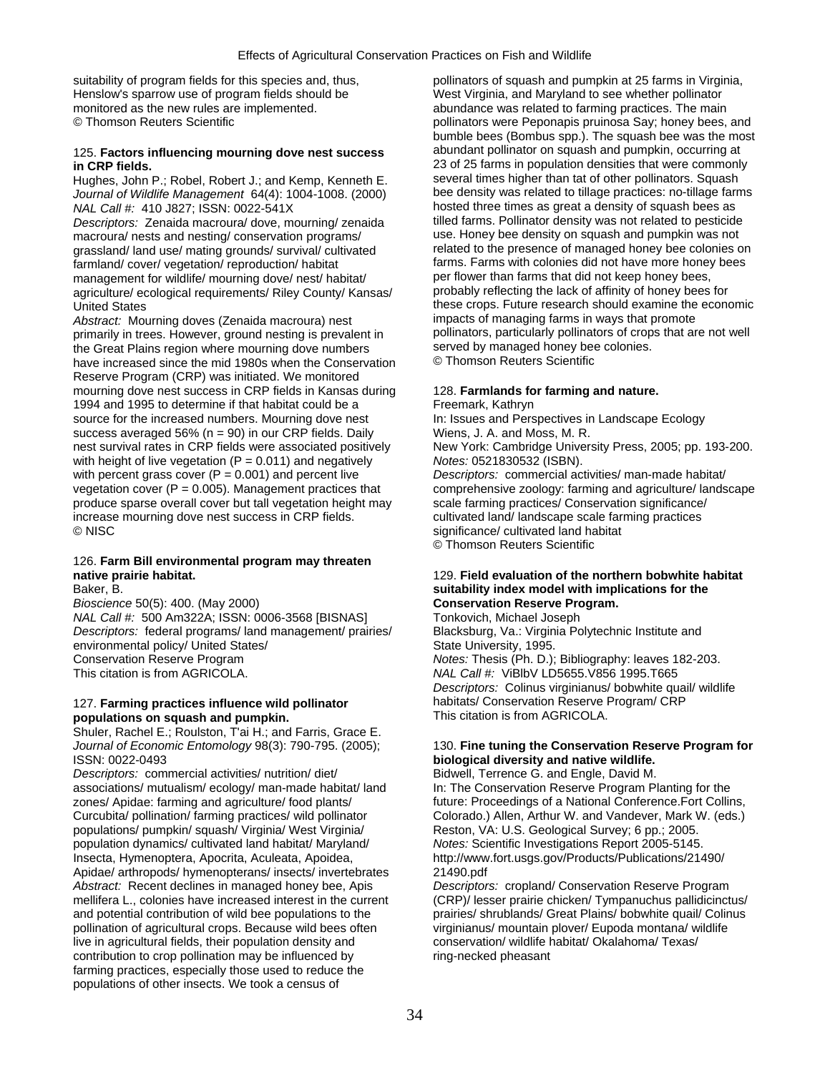suitability of program fields for this species and, thus, pollinators of squash and pumpkin at 25 farms in Virginia, Henslow's sparrow use of program fields should be West Virginia, and Maryland to see whether pollinator<br>monitored as the new rules are implemented. <br>abundance was related to farming practices. The main

*Journal of Wildlife Management* 64(4): 1004-1008. (2000)<br>NAL Call #: 410 J827: ISSN: 0022-541X

macroura/ nests and nesting/ conservation programs/ use. Honey bee density on squash and pumpkin was not<br>grassland/ land use/ mating grounds/ survival/ cultivated related to the presence of managed honey bee colonies on grassland/ land use/ mating grounds/ survival/ cultivated farmland/ cover/ vegetation/ reproduction/ habitat farms. Farms with colonies did not have more honey bees<br>management for wildlife/ mourning dove/ nest/ habitat/ per flower than farms that did not keep honey bees. management for wildlife/ mourning dove/ nest/ habitat/ per flower than farms that did not keep honey bees,<br>
probably reflecting the lack of affinity of honey bees for<br>
probably reflecting the lack of affinity of honey bees agriculture/ ecological requirements/ Riley County/ Kansas/

Abstract: Mourning doves (Zenaida macroura) nest impacts of managing farms in ways that promote<br>The primarily in trees. However, ground nesting is prevalent in a pollinators, particularly pollinators of crops that are not primarily in trees. However, ground nesting is prevalent in pollinators, particularly pollinators of crop<br>the Great Plains region where mourning dove numbers served by managed honey bee colonies. the Great Plains region where mourning dove numbers served by managed honey bee<br>have increased since the mid 1980s when the Conservation © Thomson Reuters Scientific have increased since the mid 1980s when the Conservation Reserve Program (CRP) was initiated. We monitored mourning dove nest success in CRP fields in Kansas during 128. **Farmlands for farming and nature.**  1994 and 1995 to determine if that habitat could be a Freemark, Kathryn source for the increased numbers. Mourning dove nest In: Issues and Perspectives in Landscape Ecology success averaged  $56\%$  (n = 90) in our CRP fields. Daily Wiens, J. A. and Moss, M. R. nest survival rates in CRP fields were associated positively New York: Cambridge University Press, 2005; pp. 193-200. with height of live vegetation (P = 0.011) and negatively *Notes:* 0521830532 (ISBN). with percent grass cover (P = 0.001) and percent live *Descriptors:* commercial activities/ man-made habitat/ vegetation cover (P = 0.005). Management practices that comprehensive zoology: farming and agriculture/ landscape produce sparse overall cover but tall vegetation height may scale farming practices/ Conservation significance/ increase mourning dove nest success in CRP fields.<br>
© NISC<br>
© NISC

# 126. **Farm Bill environmental program may threaten**

*NAL Call #:* 500 Am322A; ISSN: 0006-3568 [BISNAS] Tonkovich, Michael Joseph *Descriptors:* federal programs/ land management/ prairies/ Blacksburg, Va.: Virginia Polytechnic Institute and *Descriptors:* federal programs/ land management/ prairies/ environmental policy/ United States/ State University, 1995. Conservation Reserve Program *Notes:* Thesis (Ph. D.); Bibliography: leaves 182-203. This citation is from AGRICOLA. **NAL CALL CALL ACALL NAL CALL #: VIBIbV LD5655.V856 1995.T665** 

## 127. **Farming practices influence wild pollinator habitats/ Conservation Reserve I**<br>This citation is from AGRICOLA. populations on squash and pumpkin.

Shuler, Rachel E.; Roulston, T'ai H.; and Farris, Grace E. Journal of Economic Entomology 98(3): 790-795. (2005);

*Descriptors:* commercial activities/ nutrition/ diet/ associations/ mutualism/ ecology/ man-made habitat/ land In: The Conservation Reserve Program Planting for the zones/ Apidae: farming and agriculture/ food plants/ future: Proceedings of a National Conference.Fort Collins, Curcubita/ pollination/ farming practices/ wild pollinator Colorado.) Allen, Arthur W. and Vandever, Mark W. (eds.) populations/ pumpkin/ squash/ Virginia/ West Virginia/ Reston, VA: U.S. Geological Survey; 6 pp.; 2005. population dynamics/ cultivated land habitat/ Maryland/ *Notes:* Scientific Investigations Report 2005-5145. Insecta, Hymenoptera, Apocrita, Aculeata, Apoidea, http://www.fort.usgs.gov/Products/Publications/21490/ Apidae/ arthropods/ hymenopterans/ insects/ invertebrates 21490.pdf *Abstract:* Recent declines in managed honey bee, Apis *Descriptors:* cropland/ Conservation Reserve Program mellifera L., colonies have increased interest in the current (CRP)/ lesser prairie chicken/ Tympanuchus pallidicinctus/ and potential contribution of wild bee populations to the prairies/ shrublands/ Great Plains/ bobwhite quail/ Colinus pollination of agricultural crops. Because wild bees often virginianus/ mountain plover/ Eupoda montana/ wildlife live in agricultural fields, their population density and conservation/ wildlife habitat/ Okalahoma/ Texas/ contribution to crop pollination may be influenced by ring-necked pheasant farming practices, especially those used to reduce the populations of other insects. We took a census of

abundance was related to farming practices. The main © Thomson Reuters Scientific pollinators were Peponapis pruinosa Say; honey bees, and bumble bees (Bombus spp.). The squash bee was the most 125. **Factors influencing mourning dove nest success** abundant pollinator on squash and pumpkin, occurring at **in CRP fields.**<br> **23** of 25 farms in population densities that were commonly<br> **Hughes, John P.: Robel, Robert J.: and Kemp, Kenneth F. Several times higher than tat of other pollinators. Squash** Hughes, John P.; Robel, Robert J.; and Kemp, Kenneth E. several times higher than tat of other pollinators. Squash<br>Journal of Wildlife Management 64(4): 1004-1008. (2000) bee density was related to tillage practices: no-ti hosted three times as great a density of squash bees as tilled farms. Pollinator density was not related to pesticide *Descriptors:* Zenaida macroura/ dove, mourning/ zenaida tilled farms. Pollinator density was not related to pesticide<br>macroura/ nests and nesting/ conservation programs/<br>use. Honey bee density on squash and pumpkin was no United States<br>
Abstract: Mourning doves (Zenaida macroura) nest<br>  $\frac{1}{2}$  impacts of managing farms in ways that promote

significance/ cultivated land habitat © Thomson Reuters Scientific

## **native prairie habitat.** 129. **Field evaluation of the northern bobwhite habitat**  Baker, B. **suitability index model with implications for the**  *Bioscience* 50(5): 400. (May 2000) **Conservation Reserve Program.**

*Descriptors:* Colinus virginianus/ bobwhite quail/ wildlife

## *Journal of Economic Entomology* 98(3): 790-795. (2005); 130. **Fine tuning the Conservation Reserve Program for** *ISSN*: 0022-0493 biological diversity and native wildlife.<br>Bidwell, Terrence G. and Engle, David M.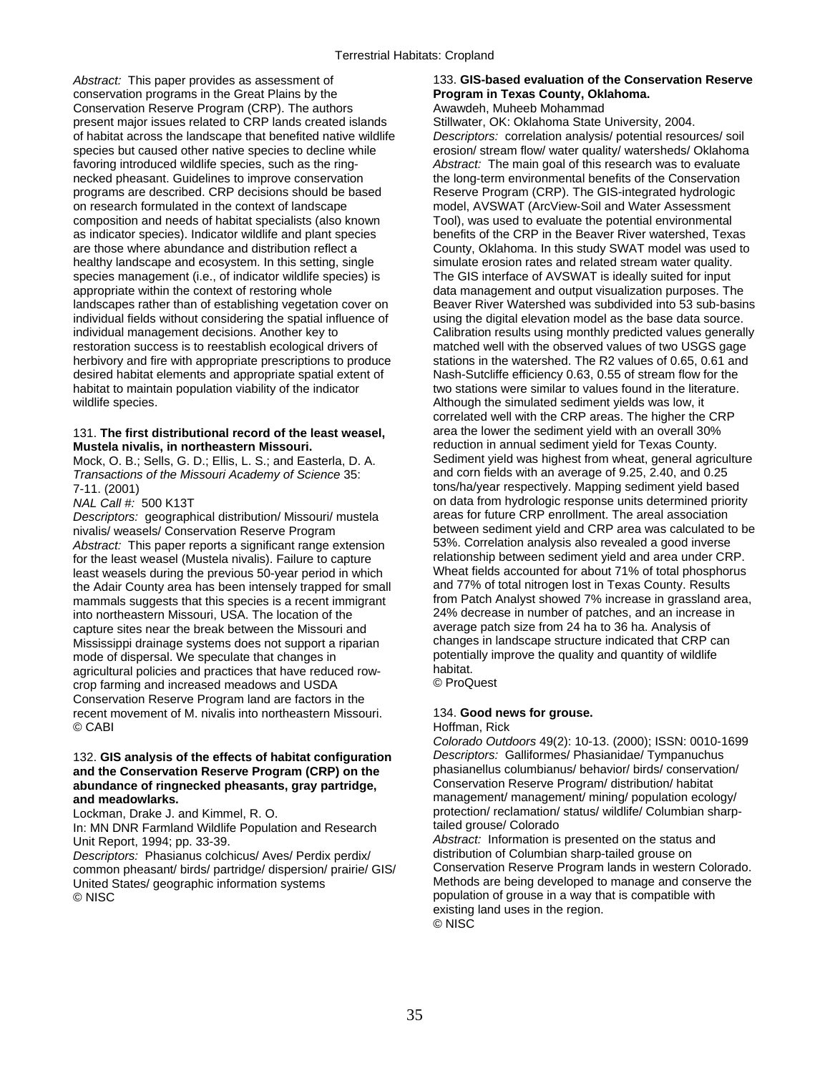*Abstract:* This paper provides as assessment of 133. **GIS-based evaluation of the Conservation Reserve**  conservation programs in the Great Plains by the **Program in Texas County, Oklahoma.**  Conservation Reserve Program (CRP). The authors **Awawdeh, Muheeb Mohammad** present major issues related to CRP lands created islands Stillwater, OK: Oklahoma State University, 2004. of habitat across the landscape that benefited native wildlife *Descriptors:* correlation analysis/ potential resources/ soil species but caused other native species to decline while erosion/ stream flow/ water quality/ watersheds/ Oklahoma favoring introduced wildlife species, such as the ring- *Abstract:* The main goal of this research was to evaluate necked pheasant. Guidelines to improve conservation the long-term environmental benefits of the Conservation programs are described. CRP decisions should be based Reserve Program (CRP). The GIS-integrated hydrologic on research formulated in the context of landscape model, AVSWAT (ArcView-Soil and Water Assessment composition and needs of habitat specialists (also known Tool), was used to evaluate the potential environmental as indicator species). Indicator wildlife and plant species benefits of the CRP in the Beaver River watershed, Texas are those where abundance and distribution reflect a County, Oklahoma. In this study SWAT model was used healthy landscape and ecosystem. In this setting, single simulate erosion rates and related stream water quality.<br>species management (i.e., of indicator wildlife species) is The GIS interface of AVSWAT is ideally suited fo species management (i.e., of indicator wildlife species) is appropriate within the context of restoring whole appropriate within the context of restoring whole data management and output visualization purposes. The data management and output visualization purposes. The data management and output visualization purposes. The data ma individual fields without considering the spatial influence of using the digital elevation model as the base data source. individual management decisions. Another key to Calibration results using monthly predicted values generally restoration success is to reestablish ecological drivers of matched well with the observed values of two USGS gage herbivory and fire with appropriate prescriptions to produce stations in the watershed. The R2 values of 0.65, 0.61 and desired habitat elements and appropriate spatial extent of Nash-Sutcliffe efficiency 0.63, 0.55 of stream flow for the habitat to maintain population viability of the indicator two stations were similar to values found in the literature. wildlife species. The state of the simulated sediment yields was low, it

# 131. **The first distributional record of the least weasel,** area the lower the sediment yield with an overall 30%

Mock, O. B.; Sells, G. D.; Ellis, L. S.; and Easterla, D. A. Sediment yield was highest from wheat, general agricul<br>Transactions of the Missouri Academy of Science 35: Transactions in a average of 9.25, 2.40, and 0.25 *Transactions of the Missouri Academy of Science* 35:

*Descriptors:* geographical distribution/ Missouri/ mustela nivalis/ weasels/ Conservation Reserve Program *Abstract:* This paper reports a significant range extension 53%. Correlation analysis also revealed a good inverse for the least weasel (Mustela nivalis). Failure to capture relationship between sediment yield and area under CRP.<br>Least weasels during the previous 50-year period in which Wheat fields accounted for about 71% of total pho least weasels during the previous 50-year period in which Wheat fields accounted for about 71% of total phosphor<br>the Adair County area has been intensely trapped for small and 77% of total nitrogen lost in Texas County. Re the Adair County area has been intensely trapped for small into northeastern Missouri, USA. The location of the 24% decrease in number of patches, and an increase in capture sites near the break between the Missouri and average patch size from 24 ha to 36 ha. Analysis of capture sites near the break between the Missouri and average patch size from 24 ha to 36 ha. Analysis of cap-<br>Mississippi drainage systems does not support a riparian changes in landscape structure indicated that CRP can Mississippi drainage systems does not support a riparian changes in landscape structure indicated that CRP can<br>mode of dispersal. We speculate that changes in example of protentially improve the quality and quantity of wil mode of dispersal. We speculate that changes in potentially potentially improve that changes in the quality potential agricultural policies and practices that have reduced row-<br>crop farming and increased meadows and USDA C ProQuest crop farming and increased meadows and USDA Conservation Reserve Program land are factors in the recent movement of M. nivalis into northeastern Missouri. 134. **Good news for grouse.**  © CABI Hoffman, Rick

## **and the Conservation Reserve Program (CRP) on the** phasianellus columbianus/ behavior/ birds/ conservation/ abundance of ringnecked pheasants, gray partridge,

In: MN DNR Farmland Wildlife Population and Research Unit Report, 1994; pp. 33-39.

*Descriptors:* Phasianus colchicus/ Aves/ Perdix perdix/ distribution of Columbian sharp-tailed grouse on common pheasant/ birds/ partridge/ dispersion/ prairie/ GIS/ United States/ geographic information systems Methods are being developed to manage and conserve the © NISC population of grouse in a way that is compatible with

County, Oklahoma. In this study SWAT model was used to Beaver River Watershed was subdivided into 53 sub-basins correlated well with the CRP areas. The higher the CRP **Mustela nivalis, in northeastern Missouri. reduction in annual sediment yield for Texas County.**<br>Mock, O. B.: Sells, G. D.: Fllis, L. S.: and Fasterla, D. A. **Sediment yield was highest from wheat, general agriculture** 7-11. (2001) tons/ha/year respectively. Mapping sediment yield based *NAL Call #:* 500 K13T **on data from hydrologic response units determined priority<br>Descriptors: geographical distribution/ Missouri/ mustela areas for future CRP enrollment. The areal association** between sediment yield and CRP area was calculated to be<br>53%. Correlation analysis also revealed a good inverse mammals suggests that this species is a recent immigrant from Patch Analyst showed 7% increase in grassland area,

*Colorado Outdoors* 49(2): 10-13. (2000); ISSN: 0010-1699 132. **GIS analysis of the effects of habitat configuration** *Descriptors:* Galliformes/ Phasianidae/ Tympanuchus and meadowlarks.<br>
Lockman, Drake J. and Kimmel, R. O. **management/ management/ management/ mining/ population ecology/**<br>
protection/ reclamation/ status/ wildlife/ Columbian sharpprotection/ reclamation/ status/ wildlife/ Columbian sharp-<br>tailed grouse/ Colorado

Abstract: Information is presented on the status and distribution of Columbian sharp-tailed grouse on existing land uses in the region. © NISC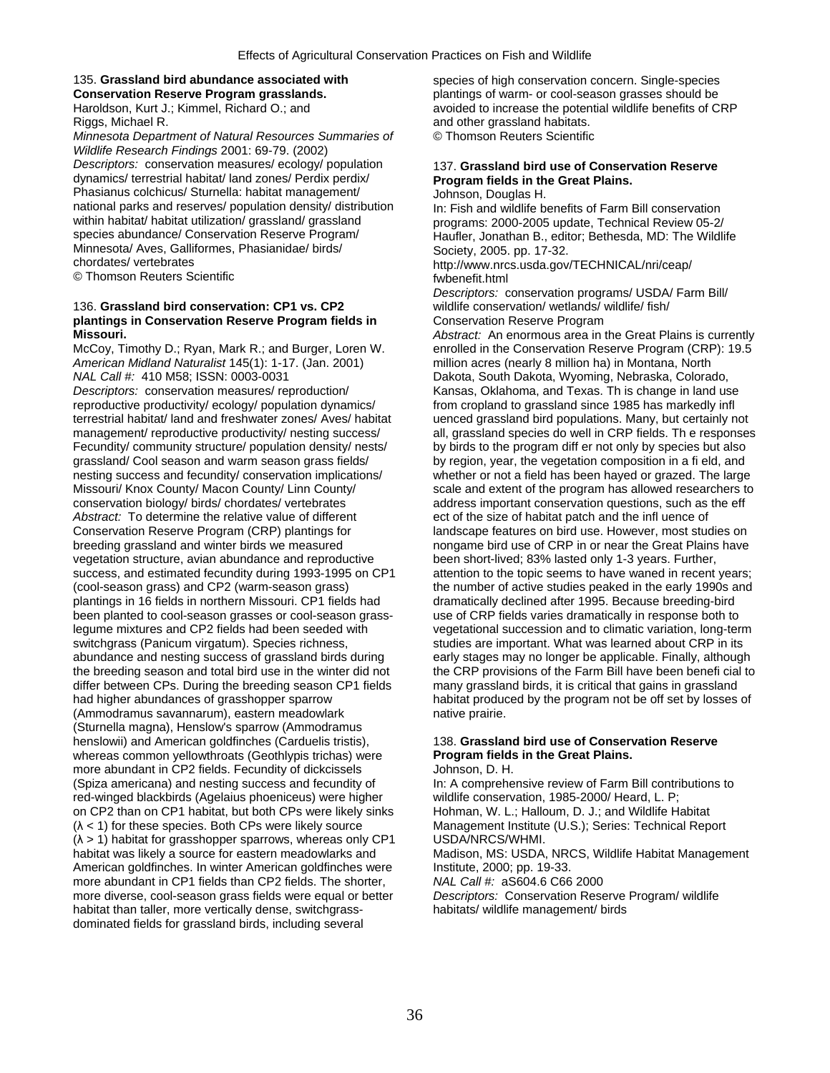Riggs, Michael R. and other grassland habitats.

*Minnesota Department of Natural Resources Summaries of* © Thomson Reuters Scientific *Wildlife Research Findings* 2001: 69-79. (2002) *Descriptors:* conservation measures/ ecology/ population 137. **Grassland bird use of Conservation Reserve**  dynamics/ terrestrial habitat/ land zones/ Perdix perdix/ Phasianus colchicus/ Sturnella: habitat management/ Johnson, Douglas H.<br>
national parks and reserves/ population density/ distribution In: Fish and wildlife b national parks and reserves/ population density/ distribution In: Fish and wildlife benefits of Farm Bill conservation<br>1-2000 within habitat/ habitat utilization/ grassland/ grassland programs: 2000-2005 undate Technical R within habitat/ habitat utilization/ grassland/ grassland programs: 2000-2005 update, Technical Review 05-2/<br>Species abundance/ Conservation Reserve Program/ Haufler, Jonathan B., editor: Bethesda, MD: The Wildli Minnesota/ Aves, Galliformes, Phasianidae/ birds/ Society, 2005. pp. 17-32.<br>
chordates/ vertebrates<br>
only the large state dove

© Thomson Reuters Scientific function of the function of the fwbenefit.html

## 136. **Grassland bird conservation: CP1 vs. CP2** wildlife conservation/ wetlands/ wildlife/ fish/ **plantings in Conservation Reserve Program fields in Conservation Reserve Program Missouri.** *Abstract:* An enormous area in the Great Plains is currently

*American Midland Naturalist* 145(1): 1-17. (Jan. 2001) million acres (nearly 8 million ha) in Montana, North *NAL Call #:* 410 M58; ISSN: 0003-0031 Dakota, South Dakota, Wyoming, Nebraska, Colorado, Descriptors: conservation measures/ reproduction/ Kansas, Oklahoma, and Texas. This change in land us reproductive productivity/ ecology/ population dynamics/ from cropland to grassland since 1985 has markedly infl<br>terrestrial habitat/ land and freshwater zones/ Aves/ habitat uenced grassland bird populations. Many, but ce Fecundity/ community structure/ population density/ nests/ by birds to the program diff er not only by species but also grassland/ Cool season and warm season grass fields/ by region, year, the vegetation composition in a fi eld, and nesting success and fecundity/ conservation implications/ whether or not a field has been hayed or grazed. The large Missouri/ Knox County/ Macon County/ Linn County/ scale and extent of the program has allowed researchers to conservation biology/ birds/ chordates/ vertebrates and address important conservation questions, such as the eff *Abstract:* To determine the relative value of different ect of the size of habitat patch and the infl uence of Conservation Reserve Program (CRP) plantings for landscape features on bird use. However, most studies on breeding grassland and winter birds we measured breeding grassland and winter birds we measured breeding grassland a breeding grassland and winter birds we measured nongame bird use of CRP in or near the Great Plains have<br>vegetation structure, avian abundance and reproductive been short-lived; 83% lasted only 1-3 years. Further, success, and estimated fecundity during 1993-1995 on CP1 (cool-season grass) and CP2 (warm-season grass) plantings in 16 fields in northern Missouri. CP1 fields had dramatically declined after 1995. Because breeding-bird been planted to cool-season grasses or cool-season grass- use of CRP fields varies dramatically in response both to legume mixtures and CP2 fields had been seeded with vegetational succession and to climatic variation, long-term switchgrass (Panicum virgatum). Species richness, studies are important. What was learned about CRP in its abundance and nesting success of grassland birds during early stages may no longer be applicable. Finally, although differ between CPs. During the breeding season CP1 fields many grassland birds, it is critical that gains in grassland had higher abundances of grasshopper sparrow habitat produced by the program not be off set by losses of (Ammodramus savannarum), eastern meadowlark native prairie. (Sturnella magna), Henslow's sparrow (Ammodramus henslowii) and American goldfinches (Carduelis tristis), 138. **Grassland bird use of Conservation Reserve**  whereas common yellowthroats (Geothlypis trichas) were **Program fields in the Great Plains.**  more abundant in CP2 fields. Fecundity of dickcissels **Johnson, D. H.** (Spiza americana) and nesting success and fecundity of In: A comprehensive review of Farm Bill contributions to red-winged blackbirds (Agelaius phoeniceus) were higher wildlife conservation, 1985-2000/ Heard, L. P; on CP2 than on CP1 habitat, but both CPs were likely sinks Hohman, W. L.; Halloum, D. J.; and Wildlife Habitat (λ < 1) for these species. Both CPs were likely source Management Institute (U.S.); Series: Technical Report (λ > 1) habitat for grasshopper sparrows, whereas only CP1 USDA/NRCS/WHMI. habitat was likely a source for eastern meadowlarks and Madison, MS: USDA, NRCS, Wildlife Habitat Management American goldfinches. In winter American goldfinches were Institute, 2000; pp. 19-33. more abundant in CP1 fields than CP2 fields. The shorter, *NAL Call #:* aS604.6 C66 2000<br>more diverse, cool-season grass fields were equal or better *Descriptors:* Conservation Reserve Program/ wildlife more diverse, cool-season grass fields were equal or better habitat than taller, more vertically dense, switchgrass-<br>
habitats/ wildlife management/ birds dominated fields for grassland birds, including several

135. **Grassland bird abundance associated with** species of high conservation concern. Single-species **Conservation Reserve Program grasslands.** plantings of warm- or cool-season grasses should be Haroldson, Kurt J.; Kimmel, Richard O.; and avoided to increase the potential wildlife benefits of CRP

Haufler, Jonathan B., editor; Bethesda, MD: The Wildlife

http://www.nrcs.usda.gov/TECHNICAL/nri/ceap/

*Descriptors:* conservation programs/ USDA/ Farm Bill/

McCoy, Timothy D.; Ryan, Mark R.; and Burger, Loren W. enrolled in the Conservation Reserve Program (CRP): 19.5 Kansas, Oklahoma, and Texas. Th is change in land use uenced grassland bird populations. Many, but certainly not management/ reproductive productivity/ nesting success/ all, grassland species do well in CRP fields. Th e responses been short-lived; 83% lasted only 1-3 years. Further,<br>attention to the topic seems to have waned in recent years; the number of active studies peaked in the early 1990s and the breeding season and total bird use in the winter did not the CRP provisions of the Farm Bill have been benefi cial to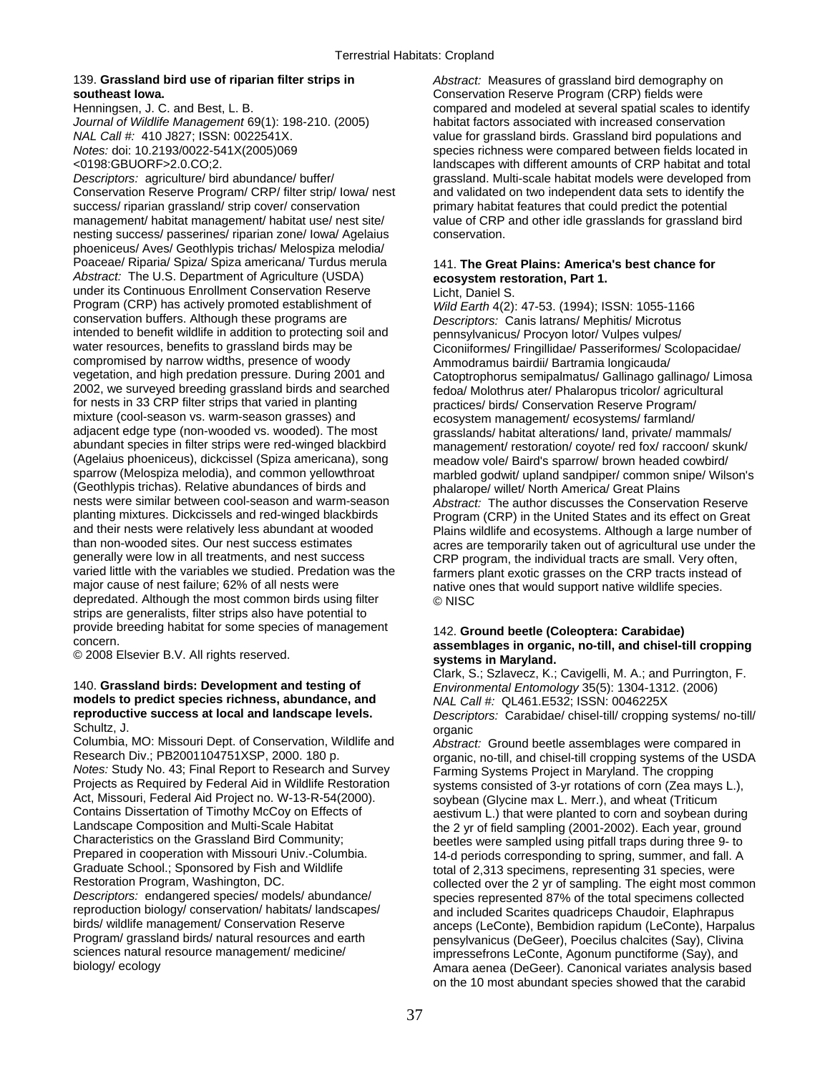# **southeast Iowa. Conservation Reserve Program (CRP)** fields were

*Journal of Wildlife Management* 69(1): 198-210. (2005) habitat factors associated with increased conservation

*Descriptors:* agriculture/ bird abundance/ buffer/ grassland. Multi-scale habitat models were developed from Conservation Reserve Program/ CRP/ filter strip/ Iowa/ nest and validated on two independent data sets to identify the success/ riparian grassland/ strip cover/ conservation primary habitat features that could predict the potential management/ habitat management/ habitat use/ nest site/ value of CRP and other idle grasslands for grassland bird nesting success/ passerines/ riparian zone/ Iowa/ Agelaius conservation. phoeniceus/ Aves/ Geothlypis trichas/ Melospiza melodia/ Poaceae/ Riparia/ Spiza/ Spiza americana/ Turdus merula 141. **The Great Plains: America's best chance for**  *Abstract:* The U.S. Department of Agriculture (USDA) **ecosystem restoration, Part 1.**  under its Continuous Enrollment Conservation Reserve Licht, Daniel S.<br>Program (CRP) has actively promoted establishment of Wild Farth 4(2) Program (CRP) has actively promoted establishment of *Wild Earth* 4(2): 47-53. (1994); ISSN: 1055-1166 intended to benefit wildlife in addition to protecting soil and pennsylvanicus/ Procyon lotor/ Vulpes vulpes/<br>water resources, benefits to grassland birds may be Ciconiformes/ Fringillidae/ Passeriformes/ Sco water resources, benefits to grassland birds may be Ciconiiformes/ Fringillidae/ Passeriformes/ Scolopacidae/<br>
compromised by narrow widths, presence of woody<br>
Ammodramus bairdii/ Bartramia longicauda/ compromised by narrow widths, presence of woody<br>
vegetation, and high predation pressure. During 2001 and<br>
Catoptrophorus semipalmatus/ Gallinago ga vegetation, and high predation pressure. During 2001 and Catoptrophorus semipalmatus/ Gallinago gallinago/ Limosa<br>2002, we surveyed breeding grassland birds and searched fedoa/ Molothrus ater/ Phalaropus tricolor/ agricult for nests in 33 CRP filter strips that varied in planting practices/ birds/ Conservation Reserve Program/ mixture (cool-season vs. warm-season grasses) and<br>adjacent edge type (non-wooded vs. wooded). The most<br>grasslands/ habitat alterations/ land. private/ man adjacent edge type (non-wooded vs. wooded). The most grasslands/ habitat alterations/ land, private/ mammals/<br>abundant species in filter strips were red-winged blackbird management/ restoration/ covote/ red fox/ raccoon/ s abundant species in filter strips were red-winged blackbird management/ restoration/ coyote/ red fox/ raccoon/ skunk/<br>(Agelaius phoeniceus), dickcissel (Spiza americana), song meadow vole/ Baird's sparrow/ brown headed cow (Agelaius phoeniceus), dickcissel (Spiza americana), song meadow vole/ Baird's sparrow/ brown headed cowbird/ (Geothlypis trichas). Relative abundances of birds and phalarope/ willet/ North America/ Great Plains<br>nests were similar between cool-season and warm-season abstract: The author discusses the Conservat nests were similar between cool-season and warm-season *Abstract:* The author discusses the Conservation Reserve planting mixtures. Dickcissels and red-winged blackbirds Program (CRP) in the United States and its effect on Great<br>Plains wildlife and ecosystems. Although a large number of and their nests were relatively less abundant at wooded<br>
The Plains wildlife and ecosystems. Although a large number of<br>
Plains wildlife and ecosystems. Although a large number of<br>
Acres are temporarily taken out of agricu than non-wooded sites. Our nest success estimates acres are temporarily taken out of agricultural use under the<br>
creative were low in all treatments, and nest success can all CRP program the individual tracts are small. Ve generally were low in all treatments, and nest success CRP program, the individual tracts are small. Very often,<br>varied little with the variables we studied. Predation was the farmers plant exotic grasses on the CRP tracts varied little with the variables we studied. Predation was the farmers plant exotic grasses on the CRP tracts instead of major cause of nest failure; 62% of all nests were native ones that would support native wildlife spe depredated. Although the most common birds using filter  $\odot$  NISC strips are generalists, filter strips also have potential to provide breeding habitat for some species of management 142. **Ground beetle (Coleoptera: Carabidae)** 

## 140. **Grassland birds: Development and testing of** *Environmental Entomology* 35(5): 1304-1312. (2006) models to predict species richness, abundance, and reproductive success at local and landscape levels.

Schultz, J. organic<br>Columbia, MO: Missouri Dept. of Conservation, Wildlife and *Abstrac* Columbia, MO: Missouri Dept. of Conservation, Wildlife and *Abstract:* Ground beetle assemblages were compared in *Notes:* Study No. 43; Final Report to Research and Survey Farming Systems Project in Maryland. The cropping Projects as Required by Federal Aid in Wildlife Restoration systems consisted of 3-yr rotations of corn (Zea may Projects as Required by Federal Aid in Wildlife Restoration systems consisted of 3-yr rotations of corn (Zea mays L.),<br>Act, Missouri, Federal Aid Project no. W-13-R-54(2000). show a sovbean (Glycine max L. Merr.), and whea Act, Missouri, Federal Aid Project no. W-13-R-54(2000). soybean (Glycine max L. Merr.), and wheat (Triticum<br>Contains Dissertation of Timothy McCoy on Effects of sensitivum L.) that were planted to corn and soybean c Contains Dissertation of Timothy McCoy on Effects of and sestivum L.) that were planted to corn and soybean during<br>Landscape Composition and Multi-Scale Habitat and the 2 yr of field sampling (2001-2002). Fach year, ground Landscape Composition and Multi-Scale Habitat the 2 yr of field sampling (2001-2002). Each year, ground<br>Characteristics on the Grassland Bird Community; exampled using or the field sampled using orifall traps during three Characteristics on the Grassland Bird Community; beetles were sampled using pitfall traps during three 9- to<br>Prepared in cooperation with Missouri Univ.-Columbia. 14-d periods corresponding to spring summer and fall A Prepared in cooperation with Missouri Univ.-Columbia. 14-d periods corresponding to spring, summer, and fall. A<br>14-d periods corresponding to spring, summer, and fall of an integration of 2.313 specimens representing 31 sp Graduate School.; Sponsored by Fish and Wildlife total of 2,313 specimens, representing 31 species, were<br>Restoration Program, Washington, DC.<br>Collected over the 2 yr of sampling. The eight most comm

139. **Grassland bird use of riparian filter strips in** *Abstract:* Measures of grassland bird demography on Henningsen, J. C. and Best, L. B. compared and modeled at several spatial scales to identify *NAL Call #:* 410 J827; ISSN: 0022541X. value for grassland birds. Grassland bird populations and *Notes:* doi: 10.2193/0022-541X(2005)069 species richness were compared between fields located in <0198:GBUORF>2.0.CO;2. landscapes with different amounts of CRP habitat and total

Descriptors: Canis latrans/ Mephitis/ Microtus fedoa/ Molothrus ater/ Phalaropus tricolor/ agricultural marbled godwit/ upland sandpiper/ common snipe/ Wilson's native ones that would support native wildlife species.

# concern. **assemblages in organic, no-till, and chisel-till cropping** © 2008 Elsevier B.V. All rights reserved. **systems in Maryland.**

Clark, S.; Szlavecz, K.; Cavigelli, M. A.; and Purrington, F. **reproductive success at local and landscape levels.** *Descriptors:* Carabidae/ chisel-till/ cropping systems/ no-till/

Research Div.; PB2001104751XSP, 2000. 180 p. organic, no-till, and chisel-till cropping systems of the USDA<br>Notes: Study No. 43; Final Report to Research and Survey Farming Systems Project in Maryland. The cropping Restoration Program, Washington, DC. collected over the 2 yr of sampling. The eight most common<br>Descriptors: endangered species/ models/ abundance/ species represented 87% of the total specimens collected species represented 87% of the total specimens collected reproduction biology/ conservation/ habitats/ landscapes/ and included Scarites quadriceps Chaudoir, Elaphrapus<br>birds/ wildlife management/ Conservation Reserve anceps (LeConte). Bembidion rapidum (LeConte). Harpa birds/ wildlife management/ Conservation Reserve anceps (LeConte), Bembidion rapidum (LeConte), Harpalus<br>Program/ grassland birds/ natural resources and earth and program programs (DeGeer), Poecilus chalcites (Say) Program/ grassland birds/ natural resources and earth pensylvanicus (DeGeer), Poecilus chalcites (Say), Clivina<br>sciences natural resource management/ medicine/ metals impressefrons LeConte, Agonum punctiforme (Say), and sciences natural resource management/ medicine/ inpressefrons LeConte, Agonum punctiforme (Say), and<br>Amara aenea (DeGeer), Canonical variates analysis base Amara aenea (DeGeer). Canonical variates analysis based on the 10 most abundant species showed that the carabid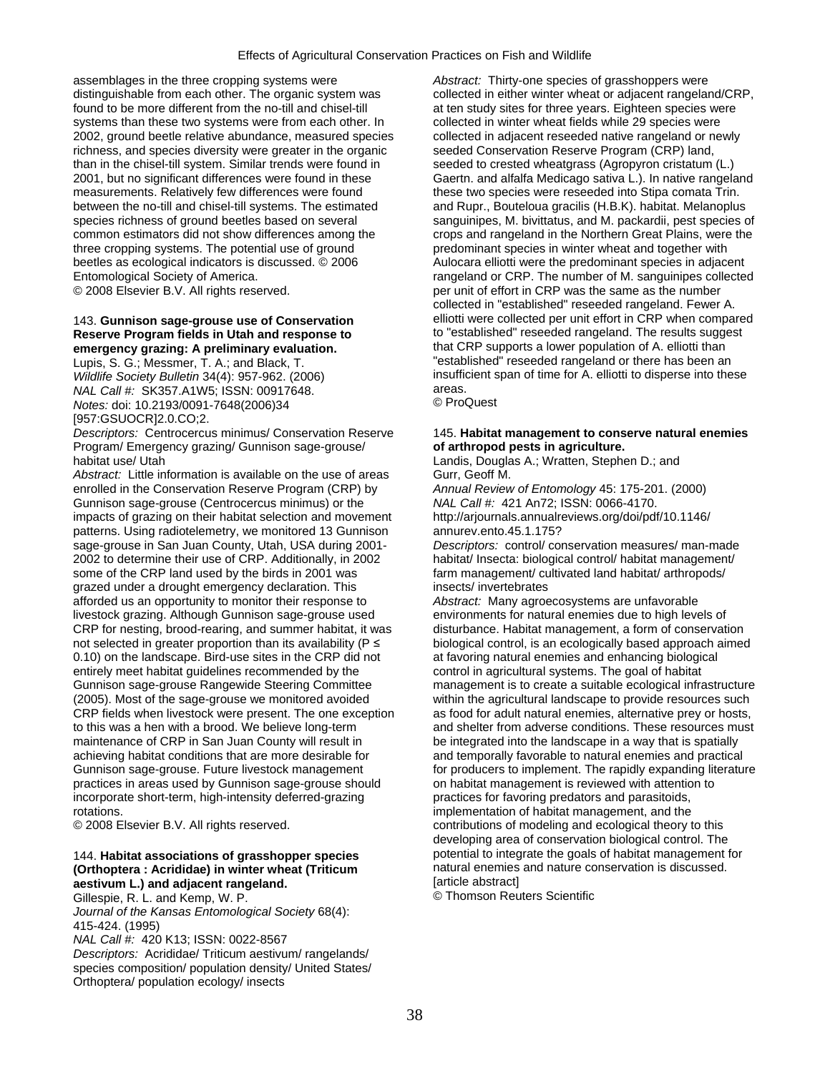assemblages in the three cropping systems were *Abstract:* Thirty-one species of grasshoppers were distinguishable from each other. The organic system was collected in either winter wheat or adjacent rangeland/CRP, found to be more different from the no-till and chisel-till at ten study sites for three years. Eighteen species were systems than these two systems were from each other. In collected in winter wheat fields while 29 species were 2002, ground beetle relative abundance, measured species collected in adjacent reseeded native rangeland or newly richness, and species diversity were greater in the organic seeded Conservation Reserve Program (CRP) land, than in the chisel-till system. Similar trends were found in seeded to crested wheatgrass (Agropyron cristatum (L.) 2001, but no significant differences were found in these Gaertn. and alfalfa Medicago sativa L.). In native rangeland measurements. Relatively few differences were found these two species were reseeded into Stipa comata Trin. between the no-till and chisel-till systems. The estimated and Rupr., Bouteloua gracilis (H.B.K). habitat. Melanoplus three cropping systems. The potential use of ground predominant species in winter wheat and together with beetles as ecological indicators is discussed. © 2006 Aulocara elliotti were the predominant species in adjacent

# emergency grazing: A preliminary evaluation.

*NAL Call #:* SK357.A1W5; ISSN: 00917648. **areas.** areas. areas. areas. areas. areas. areas. areas. areas. areas. areas. areas. **areas.**  $\bullet$  ProQuest *Notes:* doi: 10.2193/0091-7648(2006)34 [957:GSUOCR]2.0.CO;2.

*Descriptors:* Centrocercus minimus/ Conservation Reserve 145. **Habitat management to conserve natural enemies**  Program/ Emergency grazing/ Gunnison sage-grouse/ **of arthropod pests in agriculture.**  habitat use/ Utah Landis, Douglas A.; Wratten, Stephen D.; and

Abstract: Little information is available on the use of areas Gurr, Geoff M. enrolled in the Conservation Reserve Program (CRP) by *Annual Review of Entomology* 45: 175-201. (2000) Gunnison sage-grouse (Centrocercus minimus) or the *NAL Call #:* 421 An72; ISSN: 0066-4170.<br>
Impacts of grazing on their habitat selection and movement http://arjournals.annualreviews.org/doi/pdf/10.1146/ impacts of grazing on their habitat selection and movement patterns. Using radiotelemetry, we monitored 13 Gunnison annurev.ento.45.1.175? sage-grouse in San Juan County, Utah, USA during 2001- *Descriptors:* control/ conservation measures/ man-made 2002 to determine their use of CRP. Additionally, in 2002 habitat/ Insecta: biological control/ habitat management/ some of the CRP land used by the birds in 2001 was farm management/ cultivated land habitat/ arthropods/ grazed under a drought emergency declaration. This insects/ invertebrates afforded us an opportunity to monitor their response to *Abstract:* Many agroecosystems are unfavorable livestock grazing. Although Gunnison sage-grouse used environments for natural enemies due to high levels of CRP for nesting, brood-rearing, and summer habitat, it was disturbance. Habitat management, a form of conservation not selected in greater proportion than its availability (P ≤ biological control, is an ecologically based approach aimed 0.10) on the landscape. Bird-use sites in the CRP did not at favoring natural enemies and enhancing biological entirely meet habitat guidelines recommended by the control in agricultural systems. The goal of habitat Gunnison sage-grouse Rangewide Steering Committee management is to create a suitable ecological infrastructure (2005). Most of the sage-grouse we monitored avoided within the agricultural landscape to provide resources such CRP fields when livestock were present. The one exception as food for adult natural enemies, alternative prey or hosts, to this was a hen with a brood. We believe long-term and shelter from adverse conditions. These resources must maintenance of CRP in San Juan County will result in be integrated into the landscape in a way that is spatially achieving habitat conditions that are more desirable for and temporally favorable to natural enemies and practical Gunnison sage-grouse. Future livestock management for producers to implement. The rapidly expanding literature practices in areas used by Gunnison sage-grouse should on habitat management is reviewed with attention to incorporate short-term, high-intensity deferred-grazing practices for favoring predators and parasitoids, rotations. implementation of habitat management, and the

## **(Orthoptera : Acrididae) in winter wheat (Triticum inclusion in a natural enemies and natural enemies and natural enemies and natural enemies and natural enemies and natural enemies and natural enemies and natural enemies aestivum L.) and adjacent rangeland. absolution and adjacent rangeland. and Southern Communisty Communisty Communisty Communisty Communisty Communisty Communisty Communisty Communisty Communisty Communisty Communisty**

Gillespie, R. L. and Kemp, W. P.

*Journal of the Kansas Entomological Society* 68(4): 415-424. (1995)

*NAL Call #:* 420 K13; ISSN: 0022-8567

*Descriptors:* Acrididae/ Triticum aestivum/ rangelands/ species composition/ population density/ United States/ Orthoptera/ population ecology/ insects

species richness of ground beetles based on several sanguinipes, M. bivittatus, and M. packardii, pest species of common estimators did not show differences among the crops and rangeland in the Northern Great Plains, were the Entomological Society of America.<br>
© 2008 Elsevier B.V. All rights reserved. 
Fact the number unit of effort in CRP was the same as the number of M. sanguinipes collected per unit of effort in CRP was the same as the number collected in "established" reseeded rangeland. Fewer A. 143. **Gunnison sage-grouse use of Conservation** elliotti were collected per unit effort in CRP when compared **Reserve Program fields in Utah and response to the setablished" reseeded rangeland. The results suggestion of A. elliotti than**<br> **Expression of A. elliotti than** Lupis, S. G.; Messmer, T. A.; and Black, T. The Music of Testablished" reseeded rangeland or there has been an *Wildlife Society Bulletin* 34(4): 957-962. (2006) insufficient span of time for A. elliotti to disperse into these<br>
NAL Call #: SK357.A1W5: ISSN: 00917648.

© 2008 Elsevier B.V. All rights reserved. contributions of modeling and ecological theory to this developing area of conservation biological control. The 144. **Habitat associations of grasshopper species** potential to integrate the goals of habitat management for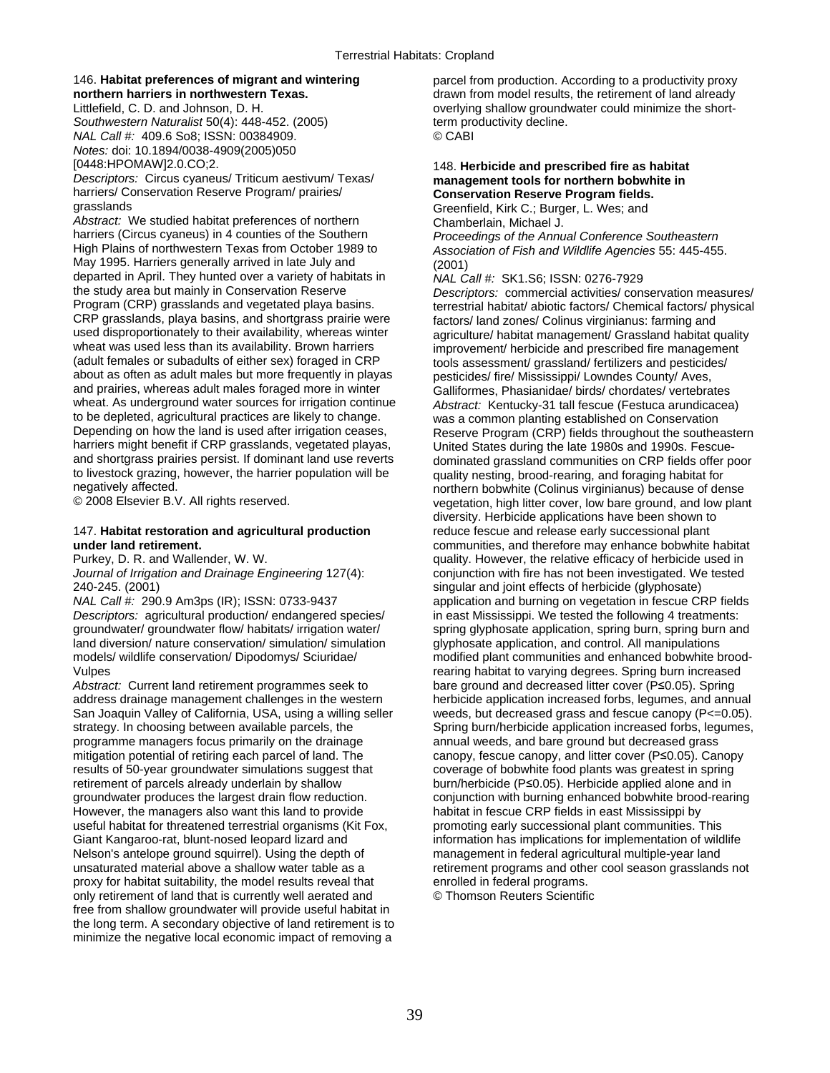*Southwestern Naturalist* 50(4): 448-452. (2005) term productivity decline. *NAL Call #:* 409.6 So8; ISSN: 00384909. © CABI *Notes:* doi: 10.1894/0038-4909(2005)050

*Descriptors:* Circus cyaneus/ Triticum aestivum/ Texas/ harriers/ Conservation Reserve Program/ prairies/ harriers/ Conservation Reserve Program/ prairies/ **Conservation Reserve Program fields.**<br>
Greenfield Kirk C.: Burger J. Wes: and

*Abstract:* We studied habitat preferences of northern Chamberlain, Michael J.<br>
harriers (Circus cyaneus) in 4 counties of the Southern *Proceedings of the Annu* harriers (Circus cyaneus) in 4 counties of the Southern *Proceedings of the Annual Conference Southeastern*<br>
High Plains of northwestern Texas from October 1989 to *Association of Fish and Wildlife Agencies* 55: 445-455 May 1995. Harriers generally arrived in late July and (2001) departed in April. They hunted over a variety of habitats in *NAL Call #:* SK1.S6; ISSN: 0276-7929 CRP grasslands, playa basins, and shortgrass prairie were factors/ land zones/ Colinus virginianus: farming and<br>used disproportionately to their availability, whereas winter and anticulture/ habitat management/ Grassland h used disproportionately to their availability, whereas winter agriculture/ habitat management/ Grassland habitat quality<br>wheat was used less than its availability. Brown harriers improvement/ herbicide and prescribed fire wheat was used less than its availability. Brown harriers improvement/ herbicide and prescribed fire management<br>(adult females or subadults of either sex) foraged in CRP tools assessment/ grassland/ fertilizers and pestici about as often as adult males but more frequently in playas pesticides/ fire/ Mississippi/ Lowndes County/ Aves, and prairies, whereas adult males foraged more in winter Galliformes, Phasianidae/ birds/ chordates/ vertebrates<br>
wheat. As underground water sources for irrigation continue *Abstract:* Kentucky-31 tall fescue (Festuca aru wheat. As underground water sources for irrigation continue *Abstract:* Kentucky-31 tall fescue (Festuca arundicacea)<br>to be depleted, agricultural practices are likely to change. was a common planting established on Conser to be depleted, agricultural practices are likely to change. was a common planting established on Conservation<br>Depending on how the land is used after irrigation ceases, Reserve Program (CRP) fields throughout the southe harriers might benefit if CRP grasslands, vegetated playas, United States during the late 1980s and 1990s. Fescue-<br>and shortgrass prairies persist. If dominant land use reverts dominated grassland communities on CRP fields to livestock grazing, however, the harrier population will be quality nesting, brood-rearing, and foraging habitat for<br>negatively affected.

# 147. **Habitat restoration and agricultural production** reduce fescue and release early successional plant

*Descriptors:* agricultural production/ endangered species/ in east Mississippi. We tested the following 4 treatments: land diversion/ nature conservation/ simulation/ simulation glyphosate application, and control. All manipulations

*Abstract:* Current land retirement programmes seek to bare ground and decreased litter cover (P≤0.05). Spring address drainage management challenges in the western herbicide application increased forbs, legumes, and annu San Joaquin Valley of California, USA, using a willing seller weeds, but decreased grass and fescue canopy (P<=0.05). programme managers focus primarily on the drainage annual weeds, and bare ground but decreased grass mitigation potential of retiring each parcel of land. The canopy, fescue canopy, and litter cover (P≤0.05). Canopy results of 50-year groundwater simulations suggest that coverage of bobwhite food plants was greatest in spring retirement of parcels already underlain by shallow burn/herbicide (P≤0.05). Herbicide applied alone and in groundwater produces the largest drain flow reduction. conjunction with burning enhanced bobwhite brood-rearing However, the managers also want this land to provide habitat in fescue CRP fields in east Mississippi by useful habitat for threatened terrestrial organisms (Kit Fox, promoting early successional plant communities. This Giant Kangaroo-rat, blunt-nosed leopard lizard and information has implications for implementation of wildlife Nelson's antelope ground squirrel). Using the depth of management in federal agricultural multiple-year land unsaturated material above a shallow water table as a retirement programs and other cool season grasslands not<br>proxy for habitat suitability, the model results reveal that enrolled in federal programs. proxy for habitat suitability, the model results reveal that enrolled in federal programs.<br>
only retirement of land that is currently well aerated and Composon Reuters Scientific only retirement of land that is currently well aerated and free from shallow groundwater will provide useful habitat in the long term. A secondary objective of land retirement is to minimize the negative local economic impact of removing a

146. **Habitat preferences of migrant and wintering** parcel from production. According to a productivity proxy **northern harriers in northwestern Texas. drawn from model results, the retirement of land already** Littlefield, C. D. and Johnson, D. H. **C. A. A. S. C. A. S. A. S. S. A. S. A.** overlying shallow groundwater could minimize the short-

# [0448:HPOMAW]2.0.CO;2. 148. **Herbicide and prescribed fire as habitat**

Greenfield, Kirk C.; Burger, L. Wes; and

Association of Fish and Wildlife Agencies 55: 445-455.

the study area but mainly in Conservation Reserve *Descriptors:* commercial activities/ conservation measures/ Program (CRP) grasslands and vegetated playa basins. The exprestrial habitat/ abiotic factors/ Chemical factors/ physical CRP grasslands, playa basins, and shortgrass prairie were  $\frac{1}{2}$  factors/ land zones/ Colinus vir tools assessment/ grassland/ fertilizers and pesticides/ Reserve Program (CRP) fields throughout the southeastern dominated grassland communities on CRP fields offer poor negatively affected. northern bobwhite (Colinus virginianus) because of dense vegetation, high litter cover, low bare ground, and low plant diversity. Herbicide applications have been shown to **under land retirement.** The same communities, and therefore may enhance bobwhite habitat purkey, D. R. and Wallender, W. W. The same communities, and therefore may enhance bobwhite habitat purkey, D. R. and Wallender, W. Purkey, D. R. and Wallender, W. W. example purity. However, the relative efficacy of herbicide used in purity. However, the relative efficacy of herbicide used in Journal of Irrigation and Drainage Engineering 127(4): conj conjunction with fire has not been investigated. We tested 240-245. (2001)<br>
240-245. (2001) singular and joint effects of herbicide (glyphosate)<br>
240-245. (290.9 Am3ps (IR); ISSN: 0733-9437 application and burning on vegetation in fescue CI application and burning on vegetation in fescue CRP fields groundwater/ groundwater flow/ habitats/ irrigation water/ spring glyphosate application, spring burn, spring burn and models/ wildlife conservation/ Dipodomys/ Sciuridae/ modified plant communities and enhanced bobwhite brood-Vulpes rearing habitat to varying degrees. Spring burn increased herbicide application increased forbs, legumes, and annual strategy. In choosing between available parcels, the Spring burn/herbicide application increased forbs, legumes,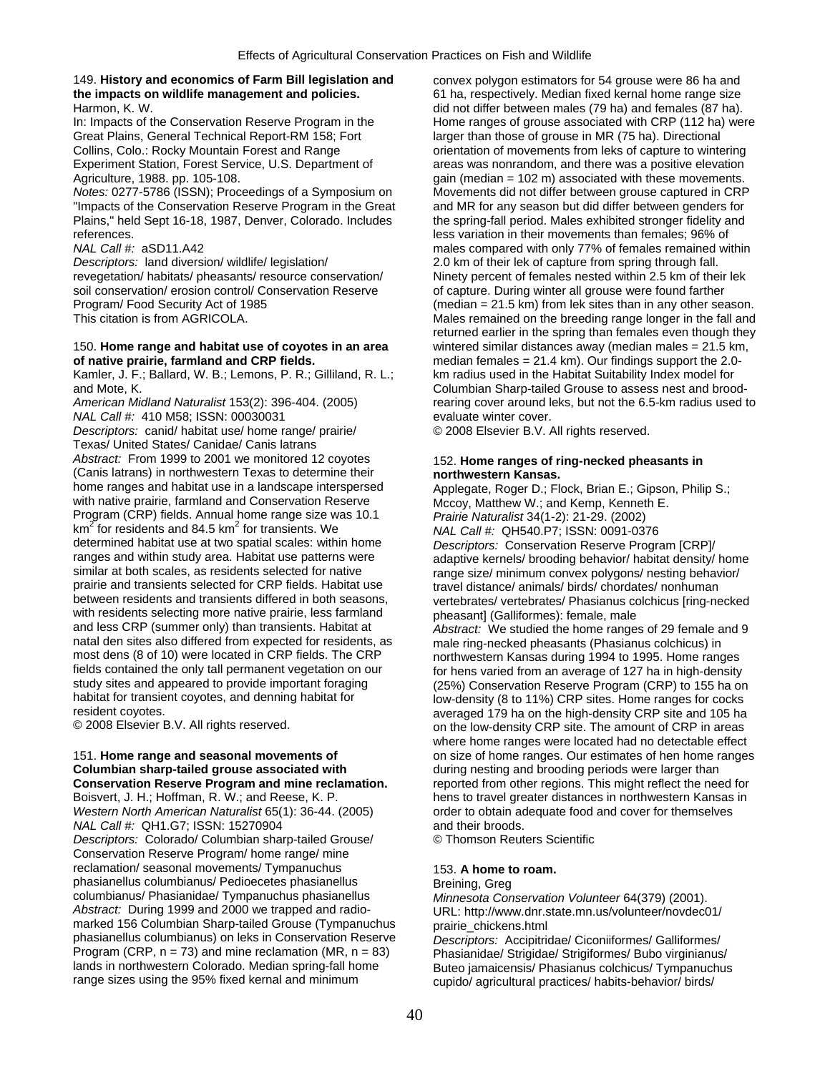## 149. **History and economics of Farm Bill legislation and** convex polygon estimators for 54 grouse were 86 ha and **the impacts on wildlife management and policies.** 61 ha, respectively. Median fixed kernal home range size

Great Plains, General Technical Report-RM 158; Fort larger than those of grouse in MR (75 ha). Directional

"Impacts of the Conservation Reserve Program in the Great and MR for any season but did differ between genders for Plains," held Sept 16-18, 1987, Denver, Colorado. Includes the spring-fall period. Males exhibited stronger fidelity and references. less variation in their movements than females; 96% of

*Descriptors:* land diversion/ wildlife/ legislation/ 2.0 km of their lek of capture from spring through fall.<br>
revegetation/ habitats/ pheasants/ resource conservation/ Ninety percent of females nested within 2.5 km of th soil conservation/ erosion control/ Conservation Reserve of capture. During winter all grouse were found farther<br>Program/ Food Security Act of 1985 (median = 21.5 km) from lek sites than in any other sea

## **of native prairie, farmland and CRP fields. median females = 21.4 km). Our findings support the 2.0-**

Kamler, J. F.; Ballard, W. B.; Lemons, P. R.; Gilliland, R. L.; km radius used in the Habitat Suitability Index model for

*NAL Call #:* 410 M58; ISSN: 00030031 evaluate winter cover.<br> *Descriptors:* canid/ habitat use/ home range/ prairie/ © 2008 Elsevier B.V. All rights reserved. *Descriptors:* canid/ habitat use/ home range/ prairie/ Texas/ United States/ Canidae/ Canis latrans *Abstract:* From 1999 to 2001 we monitored 12 coyotes 152. **Home ranges of ring-necked pheasants in**  (Canis latrans) in northwestern Texas to determine their **northwestern Kansas.**<br>home ranges and habitat use in a landscape interspersed Applegate Roger D · Fl with native prairie, farmland and Conservation Reserve Mccoy, Matthew W.; and Kemp, Kenneth E. Program (CRP) fields. Annual home range size was 10.1 *Prairie Naturalist* 34(1-2): 21-29. (2002)  $km^2$  for residents and 84.5 km<sup>2</sup> km<sup>2</sup> for residents and 84.5 km<sup>2</sup> for transients. We *NAL Call #:* QH540.P7; ISSN: 0091-0376<br>determined habitat use at two spatial scales: within home *Descriptors: Conservation Reserve Progra* determined habitat use at two spatial scales: within home *Descriptors:* Conservation Reserve Program [CRP]/ ranges and within study area. Habitat use patterns were adaptive kernels/ brooding behavior/ habitat density/ home<br>similar at both scales, as residents selected for native range size/ minimum convex polygons/ nesting behav similar at both scales, as residents selected for native range size/ minimum convex polygons/ nesting behavior/<br>prairie and transients selected for CRP fields. Habitat use ray ray distance/ animals/ birds/ chordates/ nonhu prairie and transients selected for CRP fields. Habitat use travel distance/ animals/ birds/ chordates/ nonhuman<br>between residents and transients differed in both seasons, experied that the hasten Phasianus colchicus [ring with residents selecting more native prairie, less farmland pheasant] (Galliformes): female, male<br>and less CRP (summer only) than transients. Habitat at *Abstract:* We studied the home range natal den sites also differed from expected for residents, as male ring-necked pheasants (Phasianus colchicus) in<br>most dens (8 of 10) were located in CRP fields. The CRP northwestern Kansas during 1994 to 1995. Home rang most dens (8 of 10) were located in CRP fields. The CRP northwestern Kansas during 1994 to 1995. Home ranges<br>fields contained the only tall permanent vegetation on our for hens varied from an average of 127 ha in high-dens fields contained the only tall permanent vegetation on our for hens varied from an average of 127 ha in high-density<br>study sites and appeared to provide important foraging (25%) Conservation Reserve Program (CRP) to 155 ha study sites and appeared to provide important foraging (25%) Conservation Reserve Program (CRP) to 155 ha on<br>habitat for transient coyotes, and denning habitat for source on the low-density (8 to 11%) CRP sites. Home range habitat for transient coyotes, and denning habitat for low-density (8 to 11%) CRP sites. Home ranges for cocks<br>averaged 179 ha on the high-density CRP site and 105 ha

*NAL Call #:* QH1.G7; ISSN: 15270904 **and their broods.** 

*Descriptors:* Colorado/ Columbian sharp-tailed Grouse/ © Thomson Reuters Scientific Conservation Reserve Program/ home range/ mine reclamation/ seasonal movements/ Tympanuchus 153. A home to roam. phasianellus columbianus/ Pedioecetes phasianellus Breining, Greg columbianus/ Phasianidae/ Tympanuchus phasianellus *Minnesota Conservation Volunteer* 64(379) (2001). *Abstract:* During 1999 and 2000 we trapped and radio- URL: http://www.dnr.state.mn.us/volunteer/novdec01/ marked 156 Columbian Sharp-tailed Grouse (Tympanuchus prairie\_chickens.html<br>phasianellus columbianus) on leks in Conservation Reserve Descriptors: Accipitric phasianellus columbianus) on leks in Conservation Reserve *Descriptors:* Accipitridae/ Ciconiiformes/ Galliformes/ Program (CRP, n = 73) and mine reclamation (MR, n = 83) Phasianidae/ Strigidae/ Strigiformes/ Bubo virginianus/<br>Iands in northwestern Colorado. Median spring-fall home Buteo iamaicensis/ Phasianus colchicus/ Tympanuchus lands in northwestern Colorado. Median spring-fall home Buteo jamaicensis/ Phasianus colchicus/ Tympanuchus<br>
range sizes using the 95% fixed kernal and minimum<br>
cupido/ agricultural practices/ habits-behavior/ birds/

Harmon, K. W. did not differ between males (79 ha) and females (87 ha). In: Impacts of the Conservation Reserve Program in the Home ranges of grouse associated with CRP (112 ha) were Collins, Colo.: Rocky Mountain Forest and Range orientation of movements from leks of capture to wintering Experiment Station, Forest Service, U.S. Department of areas was nonrandom, and there was a positive elevation Agriculture, 1988. pp. 105-108. Gain (median = 102 m) associated with these movements. *Notes:* 0277-5786 (ISSN); Proceedings of a Symposium on Movements did not differ between grouse captured in CRP *NAL Call #:* aSD11.A42 males compared with only 77% of females remained within Ninety percent of females nested within 2.5 km of their lek Program/ Food Security Act of 1985 (median = 21.5 km) from lek sites than in any other season.<br>This citation is from AGRICOLA. This citation is from AGRICOLA. Males remained on the breeding range longer in the fall and returned earlier in the spring than females even though they 150. **Home range and habitat use of coyotes in an area** wintered similar distances away (median males = 21.5 km, and Mote, K. and Mote, K. Columbian Sharp-tailed Grouse to assess nest and brood-<br>American Midland Naturalist 153(2): 396-404. (2005) rearing cover around leks, but not the 6.5-km radius used t rearing cover around leks, but not the 6.5-km radius used to

Applegate, Roger D.; Flock, Brian E.; Gipson, Philip S.; vertebrates/ vertebrates/ Phasianus colchicus [ring-necked] Abstract: We studied the home ranges of 29 female and 9 resident coyotes.<br>
© 2008 Elsevier B.V. All rights reserved.<br>
on the low-density CRP site. The amount of CRP in areas on the low-density CRP site. The amount of CRP in areas where home ranges were located had no detectable effect 151. **Home range and seasonal movements of** on size of home ranges. Our estimates of hen home ranges during nesting and brooding periods were larger than **Conservation Reserve Program and mine reclamation.** reported from other regions. This might reflect the need for Boisvert, J. H.; Hoffman, R. W.; and Reese, K. P. hens to travel greater distances in northwestern Kansas in *Western North American Naturalist* 65(1): 36-44. (2005) order to obtain adequate food and cover for themselves

cupido/ agricultural practices/ habits-behavior/ birds/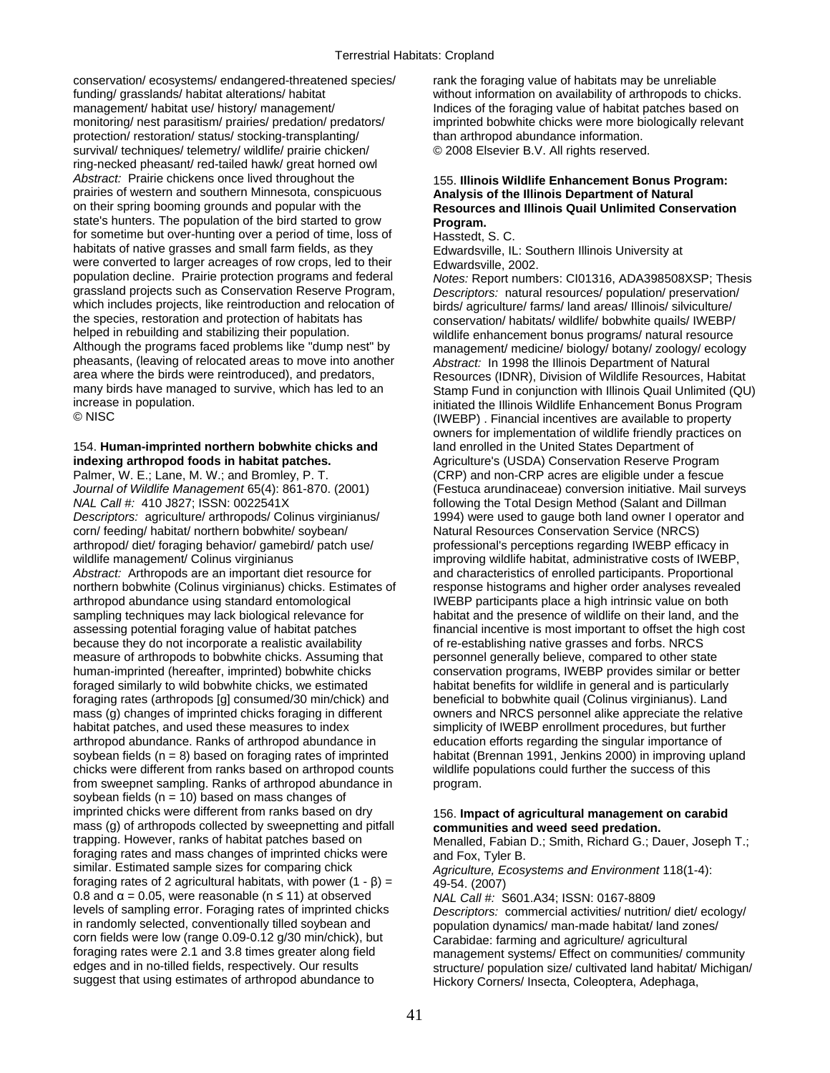conservation/ ecosystems/ endangered-threatened species/ rank the foraging value of habitats may be unreliable funding/ grasslands/ habitat alterations/ habitat without information on availability of arthropods to chicks. management/ habitat use/ history/ management/ **Indices of the foraging value of habitat patches based on** monitoring/ nest parasitism/ prairies/ predation/ predators/ imprinted bobwhite chicks were more biologically relevant protection/ restoration/ status/ stocking-transplanting/ than arthropod abundance information. survival/ techniques/ telemetry/ wildlife/ prairie chicken/  $\degree$  2008 Elsevier B.V. All rights reserved. ring-necked pheasant/ red-tailed hawk/ great horned owl Abstract: Prairie chickens once lived throughout the 155. **Illinois Wildlife Enhancement Bonus Program:** <br>
prairies of western and southern Minnesota, conspicuous **Analysis of the Illinois Department of Natural** prairies of western and southern Minnesota, conspicuous on their spring booming grounds and popular with the state's hunters. The population of the bird started to grow **Program.** for sometime but over-hunting over a period of time, loss of Hasstedt, S.C. habitats of native grasses and small farm fields, as they Edwardsville, IL: Southern Illinois University at were converted to larger acreages of row crops, led to their Edwardsville, 2002.<br>
population decline. Prairie protection programs and federal Motes: Report numb grassland projects such as Conservation Reserve Program, *Descriptors:* natural resources/ population/ preservation/<br>which includes projects, like reintroduction and relocation of birds/ agriculture/ farms/ land areas/ Ill which includes projects, like reintroduction and relocation of birds/ agriculture/ farms/ land areas/ Illinois/ silviculture/<br>conservation/ habitats/ wildlife/ hobwhite quails/ IWEBP/ the species, restoration and protection of habitats has conservation/ habitats/ wildlife/ bobwhite quails/ IWEBP/<br>helped in rebuilding and stabilizing their population. The mildlife enhancement bonus programs/ natural reso helped in rebuilding and stabilizing their population.<br>Although the programs faced problems like "dump nest" by enhancement/ medicine/ biology/ botany/ zoology/ ecolo pheasants, (leaving of relocated areas to move into another *Abstract:* In 1998 the Illinois Department of Natural area where the birds were reintroduced), and predators, Resources (IDNR). Division of Wildlife Resources. H area where the birds were reintroduced), and predators, Resources (IDNR), Division of Wildlife Resources, Habitat<br>many birds have managed to survive, which has led to an Stamp Fund in conjunction with Illinois Quail Unlimi many birds have managed to survive, which has led to an Stamp Fund in conjunction with Illinois Quail Unlimited (QU)<br>initiated the Illinois Wildlife Enhancement Bonus Program

## 154. **Human-imprinted northern bobwhite chicks and** land enrolled in the United States Department of **indexing arthropod foods in habitat patches. Agriculture's (USDA) Conservation Reserve Program**

Palmer, W. E.; Lane, M. W.; and Bromley, P. T. (CRP) and non-CRP acres are eligible under a fescue *Journal of Wildlife Management* 65(4): 861-870. (2001) (Festuca arundinaceae) conversion initiative. Mail surveys *NAL Call #:* 410 J827; ISSN: 0022541X following the Total Design Method (Salant and Dillman *Descriptors:* agriculture/ arthropods/ Colinus virginianus/ 1994) were used to gauge both land owner I operator and corn/ feeding/ habitat/ northern bobwhite/ soybean/ Natural Resources Conservation Service (NRCS) arthropod/ diet/ foraging behavior/ gamebird/ patch use/ professional's perceptions regarding IWEBP efficacy in<br>wildlife management/ Colinus virginianus<br>improving wildlife habitat, administrative costs of IWEBF *Abstract:* Arthropods are an important diet resource for and characteristics of enrolled participants. Proportional northern bobwhite (Colinus virginianus) chicks. Estimates of response histograms and higher order analyses revealed arthropod abundance using standard entomological **IWEBP** participants place a high intrinsic value on both sampling techniques may lack biological relevance for habitat and the presence of wildlife on their land, and the assessing potential foraging value of habitat patches financial incentive is most important to offset the high cost because they do not incorporate a realistic availability of re-establishing native grasses and forbs. NRCS measure of arthropods to bobwhite chicks. Assuming that personnel generally believe, compared to other state human-imprinted (hereafter, imprinted) bobwhite chicks conservation programs, IWEBP provides similar or better foraged similarly to wild bobwhite chicks, we estimated habitat benefits for wildlife in general and is particularly foraging rates (arthropods [g] consumed/30 min/chick) and beneficial to bobwhite quail (Colinus virginianus). Land mass (g) changes of imprinted chicks foraging in different owners and NRCS personnel alike appreciate the relative habitat patches, and used these measures to index simplicity of IWEBP enrollment procedures, but further arthropod abundance. Ranks of arthropod abundance in education efforts regarding the singular importance of soybean fields (n = 8) based on foraging rates of imprinted habitat (Brennan 1991, Jenkins 2000) in improving upland chicks were different from ranks based on arthropod counts wildlife populations could further the success of this from sweepnet sampling. Ranks of arthropod abundance in program. soybean fields ( $n = 10$ ) based on mass changes of imprinted chicks were different from ranks based on dry 156. **Impact of agricultural management on carabid**  mass (g) of arthropods collected by sweepnetting and pitfall **communities and weed seed predation.**<br> **communities and weed seed predation.**<br>
Menalled. Fabian D.: Smith. Richard G.: Da foraging rates and mass changes of imprinted chicks were and Fox, Tyler B.<br>
similar. Estimated sample sizes for comparing chick and anticulture Foos foraging rates of 2 agricultural habitats, with power  $(1 - β) = 49.54$ . (2007) 0.8 and α = 0.05, were reasonable (n ≤ 11) at observed *NAL Call #:* S601.A34; ISSN: 0167-8809 levels of sampling error. Foraging rates of imprinted chicks *Descriptors:* commercial activities/ nutrition/ diet/ ecology/ in randomly selected, conventionally tilled soybean and population dynamics/ man-made habitat/ land zones/ corn fields were low (range 0.09-0.12 g/30 min/chick), but Carabidae: farming and agriculture/ agricultural<br>foraging rates were 2.1 and 3.8 times greater along field management systems/ Fffect on communities/ foraging rates were 2.1 and 3.8 times greater along field management systems/ Effect on communities/ community<br>| edges and in no-tilled fields, respectively. Our results structure/ population size/ cultivated land habitat suggest that using estimates of arthropod abundance to Hickory Corners/ Insecta, Coleoptera, Adephaga,

# **Resources and Illinois Quail Unlimited Conservation**

Notes: Report numbers: CI01316, ADA398508XSP; Thesis management/ medicine/ biology/ botany/ zoology/ ecology increase in population. initiated the Illinois Wildlife Enhancement Bonus Program (IWEBP). Financial incentives are available to property owners for implementation of wildlife friendly practices on improving wildlife habitat, administrative costs of IWEBP,

Menalled, Fabian D.; Smith, Richard G.; Dauer, Joseph T.;

Agriculture, Ecosystems and Environment 118(1-4):

structure/ population size/ cultivated land habitat/ Michigan/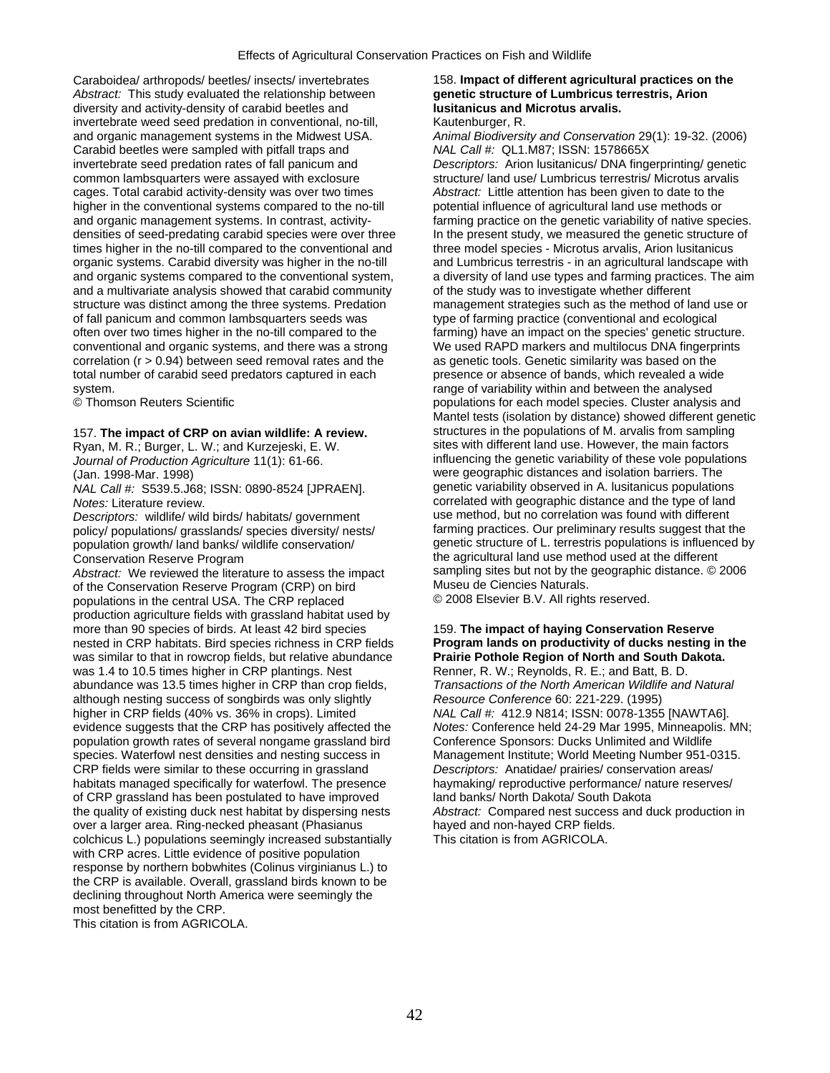Caraboidea/ arthropods/ beetles/ insects/ invertebrates 158. **Impact of different agricultural practices on the**  *Abstract:* This study evaluated the relationship between **genetic structure of Lumbricus terrestris, Arion**  diversity and activity-density of carabid beetles and invertebrate weed seed predation in conventional, no-till, Kautenburger, R. and organic management systems in the Midwest USA. *Animal Biodiversity and Conservation* 29(1): 19-32. (2006) Carabid beetles were sampled with pitfall traps and *NAL Call #:* QL1.M87; ISSN: 1578665X invertebrate seed predation rates of fall panicum and *Descriptors:* Arion lusitanicus/ DNA fingerprinting/ genetic common lambsquarters were assayed with exclosure structure/ land use/ Lumbricus terrestris/ Microtus arvalis cages. Total carabid activity-density was over two times *Abstract:* Little attention has been given to date to the higher in the conventional systems compared to the no-till potential influence of agricultural land use methods or and organic management systems. In contrast, activity- farming practice on the genetic variability of native species. densities of seed-predating carabid species were over three In the present study, we measured the genetic structure of times higher in the no-till compared to the conventional and three model species - Microtus arvalis, Ar times higher in the no-till compared to the conventional and organic systems. Carabid diversity was higher in the no-till and Lumbricus terrestris - in an agricultural landscape with and organic systems compared to the conventional system, a diversity of land use types and farming practices. The aim and a multivariate analysis showed that carabid community of the study was to investigate whether differ and a multivariate analysis showed that carabid community structure was distinct among the three systems. Predation of fall panicum and common lambsquarters seeds was often over two times higher in the no-till compared to the farming) have an impact on the species' genetic structure. conventional and organic systems, and there was a strong We used RAPD markers and multilocus DNA fingerprints correlation  $(r > 0.94)$  between seed removal rates and the as genetic tools. Genetic similarity was based on the total number of carabid seed predators captured in each presence or absence of bands, which revealed a wide

*NAL Call #: S539.5.J68; ISSN: 0890-8524 [JPRAEN].* 

population growth/ land banks/ wildlife conservation/<br>Conservation Reserve Program

*Abstract:* We reviewed the literature to assess the impact sampling sites but not by the geographic distance. CRP) on bird **Museu de Ciencies Naturals.** of the Conservation Reserve Program (CRP) on bird Museu de Ciencies Naturals.<br>
populations in the central USA. The CRP replaced 
COO8 Elsevier B.V. All rights reserved. populations in the central USA. The CRP replaced production agriculture fields with grassland habitat used by more than 90 species of birds. At least 42 bird species 159. **The impact of haying Conservation Reserve** nested in CRP habitats. Bird species richness in CRP fields **Program lands on productivity of ducks nesting in the**  was similar to that in rowcrop fields, but relative abundance **Prairie Pothole Region of North and South Dakota.**  was 1.4 to 10.5 times higher in CRP plantings. Nest Renner, R. W.; Reynolds, R. E.; and Batt, B. D.<br>abundance was 13.5 times higher in CRP than crop fields, Transactions of the North American Wildlife and Natural abundance was 13.5 times higher in CRP than crop fields, although nesting success of songbirds was only slightly *Resource Conference* 60: 221-229. (1995) higher in CRP fields (40% vs. 36% in crops). Limited *NAL Call #:* 412.9 N814; ISSN: 0078-1355 [NAWTA6]. evidence suggests that the CRP has positively affected the *Notes:* Conference held 24-29 Mar 1995, Minneapolis. MN; population growth rates of several nongame grassland bird Conference Sponsors: Ducks Unlimited and Wildlife<br>Species. Waterfowl nest densities and nesting success in Management Institute: World Meeting Number 951-0 CRP fields were similar to these occurring in grassland *Descriptors:* Anatidae/ prairies/ conservation areas/ habitats managed specifically for waterfowl. The presence haymaking/ reproductive performance/ nature reserves/ of CRP grassland has been postulated to have improved land banks/ North Dakota/ South Dakota the quality of existing duck nest habitat by dispersing nests *Abstract:* Compared nest success and duck production in over a larger area. Ring-necked pheasant (Phasianus hayed and non-hayed CRP fields. colchicus L.) populations seemingly increased substantially This citation is from AGRICOLA. with CRP acres. Little evidence of positive population response by northern bobwhites (Colinus virginianus L.) to the CRP is available. Overall, grassland birds known to be declining throughout North America were seemingly the most benefitted by the CRP.

This citation is from AGRICOLA.

management strategies such as the method of land use or type of farming practice (conventional and ecological system.<br> **Example of variability within and between the analysed**<br> **Contained to propositions for each model species. Cluster analysis**<br> **Contained to propositions for each model species. Cluster analysis** populations for each model species. Cluster analysis and Mantel tests (isolation by distance) showed different genetic 157. **The impact of CRP on avian wildlife: A review.** structures in the populations of M. arvalis from sampling Ryan, M. R.; Burger, L. W.; and Kurzejeski, E. W. sites with different land use. However, the main factors *Journal of Production Agriculture* 11(1): 61-66. **influencing the genetic variability of these vole populations** (Jan. 1998-Mar. 1998)<br>
Martin Call #: S539 5 J68: ISSN: 0890-8524 [JPRAFN] were geographic distances and isolation barriers. The<br>
genetic variability observed in A. Iusitanicus populations *Notes:* Literature review.<br> *Descriptors:* wildlife/ wild birds/ habitats/ government use method, but no correlation was found with different *Descriptors:* wildlife/ wild birds/ habitats/ government use method, but no correlation was found with different policy/ populations/ grasslands/ species diversity/ nests/ farming practices. Our preliminary results suggest that the<br>population growth/ land banks/ wildlife conservation/ genetic structure of L. terrestris populations is the agricultural land use method used at the different sampling sites but not by the geographic distance. © 2006

Management Institute; World Meeting Number 951-0315.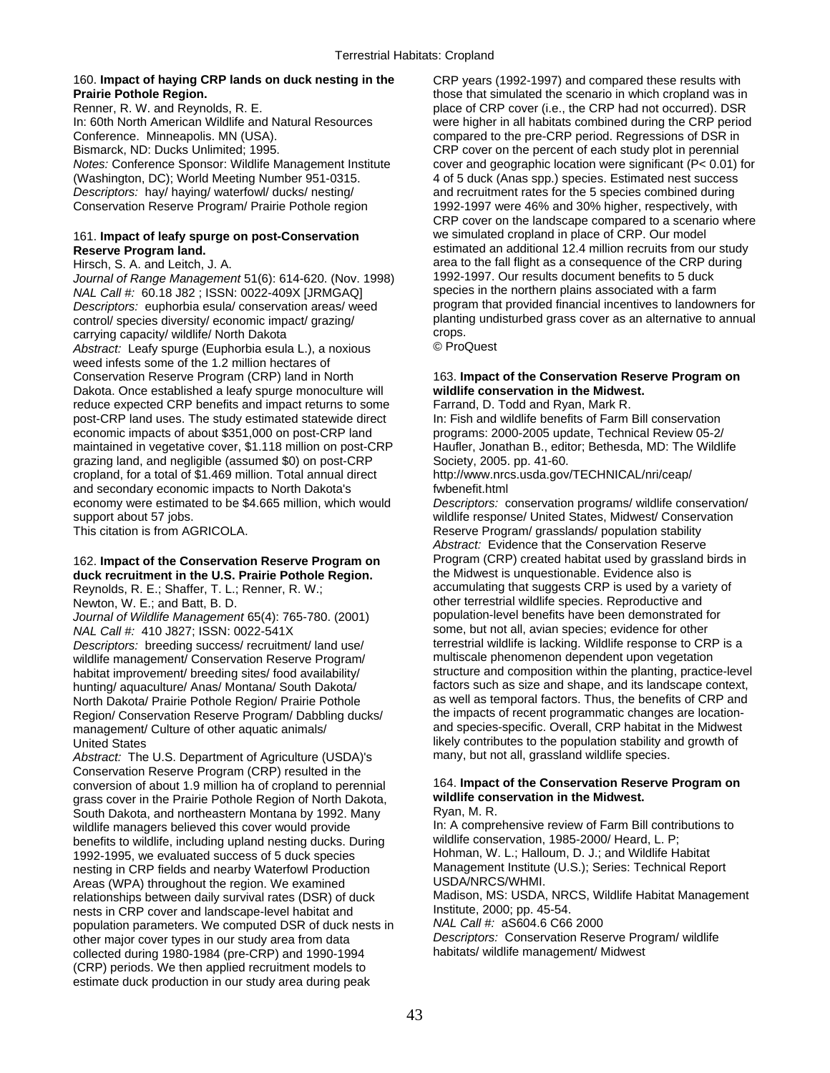# 160. **Impact of haying CRP lands on duck nesting in the** CRP years (1992-1997) and compared these results with

Conference. Minneapolis. MN (USA). compared to the pre-CRP period. Regressions of DSR in Bismarck, ND: Ducks Unlimited; 1995. CRP cover on the percent of each study plot in perennial (Washington, DC); World Meeting Number 951-0315. 4 of 5 duck (Anas spp.) species. Estimated nest success<br>
Descriptors: hay/ haying/ waterfowl/ ducks/ nesting/ and recruitment rates for the 5 species combined during Conservation Reserve Program/ Prairie Pothole region 1992-1997 were 46% and 30% higher, respectively, with

# 161. **Impact of leafy spurge on post-Conservation**

*Journal of Range Management* 51(6): 614-620. (Nov. 1998) 1992-1997. Our results document benefits to 5 duck<br>
NAL Call #: 60.18.J82 · ISSN: 0022-409X [JRMGAO] species in the northern plains associated with a farm *NAL Call #:* 60.18 J82 ; ISSN: 0022-409X [JRMGAQ] species in the northern plains associated with a farm<br>Descriptors: euphorbia esula/ conservation areas/ weed program that provided financial incentives to landowners for *Descriptors:* euphorbia esula/ conservation areas/ weed program that provided financial incentives to landowners for<br>
planting undisturbed grass cover as an alternative to annual<br>
planting undisturbed grass cover as an al control/ species diversity/ economic impact/ grazing/ planting planting planting constant grass cover as an annual to annual to annual planting cover as an alternative to annual to annual to annual to annual to annual to a carrying capacity/ wildlife/ North Dakota<br>Abstract: Leaty spurge (Euphorbia esula L.) a novious C. C. ProQuest *Abstract:* Leafy spurge (Euphorbia esula L.), a noxious weed infests some of the 1.2 million hectares of Conservation Reserve Program (CRP) land in North 163. **Impact of the Conservation Reserve Program on**  Dakota. Once established a leafy spurge monoculture will **wildlife conservation in the Midwest.**  reduce expected CRP benefits and impact returns to some Farrand, D. Todd and Ryan, Mark R. post-CRP land uses. The study estimated statewide direct In: Fish and wildlife benefits of Farm Bill conservation economic impacts of about \$351,000 on post-CRP land programs: 2000-2005 update, Technical Review 05-2/ maintained in vegetative cover, \$1.118 million on post-CRP Haufler, Jonathan B., editor; Bethesda, MD: The Wildlife grazing land, and negligible (assumed \$0) on post-CRP Society, 2005. pp. 41-60. cropland, for a total of \$1.469 million. Total annual direct http://www.nrcs.usda.gov/TECHNICAL/nri/ceap/ and secondary economic impacts to North Dakota's fwbenefit.html economy were estimated to be \$4.665 million, which would *Descriptors:* conservation programs/ wildlife conservation/

Reynolds, R. E.; Shaffer, T. L.; Renner, R. W.;

*Journal of Wildlife Management* 65(4): 765-780. (2001) *Descriptors:* breeding success/ recruitment/ land use/ terrestrial wildlife is lacking. Wildlife response to CRP<br>wildlife management/ Conservation Reserve Program/ multiscale phenomenon dependent upon vegetation wildlife management/ Conservation Reserve Program/ Region/ Conservation Reserve Program/ Dabbling ducks/

Abstract: The U.S. Department of Agriculture (USDA)'s Conservation Reserve Program (CRP) resulted in the conversion of about 1.9 million ha of cropland to perennial 164. **Impact of the Conservation Reserve Program on**  grass cover in the Prairie Pothole Region of North Dakota, **wildlife con**<br>South Dakota, and northeastern Montana by 1992, Many Ryan, M. R. South Dakota, and northeastern Montana by 1992. Many Ryan, M. R.<br>wildlife managers believed this cover would provide **Read and South Provide** In: A comprehensive review of Farm Bill contributions to wildlife managers believed this cover would provide In: A comprehensive review of Farm Bill contribution<br>Senefits to wildlife including upland nesting ducks During Wildlife conservation, 1985-2000/Heard, L. P; benefits to wildlife, including upland nesting ducks. During wildlife conservation, 1985-2000/ Heard, L. P;<br>1992-1995, we evaluated success of 5 duck species Hohman, W. L.; Halloum, D. J.; and Wildlife Habitat 1992-1995, we evaluated success of 5 duck species Hohman, W. L.; Halloum, D. J.; and Wildlife Habitat<br>nesting in CRP fields and nearby Waterfowl Production Management Institute (U.S.); Series: Technical Report nesting in CRP fields and nearby Waterfowl Production Management Institute<br>Areas (WPA) throughout the region We examined USDA/NRCS/WHMI. Areas (WPA) throughout the region. We examined relationships between daily survival rates (DSR) of duck Madison, MS: USDA, NRCS, Wildlife Habitat Management<br>
nests in CRP cover and landscape-level habitat and linstitute, 2000; pp. 45-54. nests in CRP cover and landscape-level habitat and Institute, 2000; pp. 45-54.<br>nopulation parameters. We computed DSR of duck nests in MAL Call #: aS604.6 C66 2000 population parameters. We computed DSR of duck nests in *NAL Call #:* aS604.6 C66 2000 other major cover types in our study area from data *Descriptors:* Conservation Reserve Pro<br>
collected during 1980-1984 (pre-CRP) and 1990-1994 habitats/ wildlife management/ Midwest collected during 1980-1984 (pre-CRP) and 1990-1994 (CRP) periods. We then applied recruitment models to estimate duck production in our study area during peak

**Prairie Pothole Region.**<br> **Renner, R. W. and Reynolds, R. E. Example 20** Example 20 and **Propertion** of CRP cover (i.e., the CRP had not occurred). DSR place of CRP cover (i.e., the CRP had not occurred). DSR In: 60th North American Wildlife and Natural Resources were higher in all habitats combined during the CRP period *Notes:* Conference Sponsor: Wildlife Management Institute cover and geographic location were significant (P< 0.01) for and recruitment rates for the 5 species combined during CRP cover on the landscape compared to a scenario where we simulated cropland in place of CRP. Our model **Reserve Program land.** estimated an additional 12.4 million recruits from our study Hirsch, S. A. and Leitch, J. A. and Leitch, J. A. area to the fall flight as a consequence of the CRP during<br>Journal of Range Management 51(6): 614-620 (Nov. 1998) 1992-1997. Our results document benefits to 5 duck

support about 57 jobs.<br>
This citation is from AGRICOLA. 
Wildlife response/ United States, Midwest/ Conservation<br>
Reserve Program/ grasslands/ population stability Reserve Program/ grasslands/ population stability *Abstract:* Evidence that the Conservation Reserve 162. **Impact of the Conservation Reserve Program on** Program (CRP) created habitat used by grassland birds in **duck recruitment in the U.S. Prairie Pothole Region.** the Midwest is unquestionable. Evidence also is Newton, W. E.; and Batt, B. D. comes and the restrial wildlife species. Reproductive and<br>Dournal of Wildlife Management 65(4): 765-780 (2001) population-level benefits have been demonstrated for *NAL Call #:* 410 J827; ISSN: 0022-541X some, but not all, avian species; evidence for other<br>Descriptors: breeding success/ recruitment/ land use/ terrestrial wildlife is lacking. Wildlife response to CRP is a habitat improvement/ breeding sites/ food availability/ structure and composition within the planting, practice-level<br>hunting/ aquaculture/ Anas/ Montana/ South Dakota/ factors such as size and shape, and its landscape con hunting/ aquaculture/ Anas/ Montana/ South Dakota/ factors such as size and shape, and its landscape context,<br>North Dakota/ Prairie Pothole Region/ Prairie Pothole as well as temporal factors. Thus, the benefits of CRP and as well as temporal factors. Thus, the benefits of CRP and the impacts of recent programmatic changes are locationmanagement/ Culture of other aquatic animals/ and species-specific. Overall, CRP habitat in the Midwest United States<br>Abstract: The U.S. Department of Agriculture (USDA)'s many, but not all, grassland wildlife species.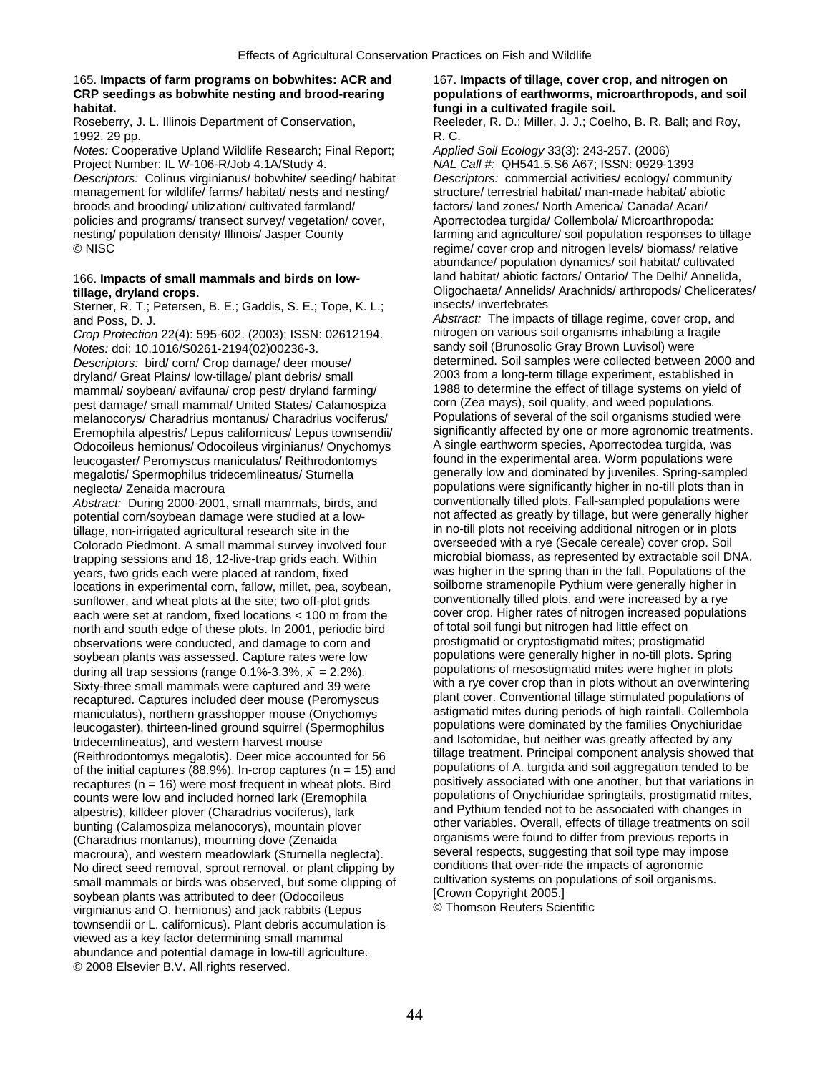## 165. **Impacts of farm programs on bobwhites: ACR and** 167. **Impacts of tillage, cover crop, and nitrogen on CRP seedings as bobwhite nesting and brood-rearing populations of earthworms, microarthropods, and soil habitat. fungi in a cultivated fragile soil.**

1992. 29 pp. **R. C.** 

*Notes:* Cooperative Upland Wildlife Research; Final Report; *Applied Soil Ecology* 33(3): 243-257. (2006) Project Number: IL W-106-R/Job 4.1A/Study 4. *NAL Call #:* QH541.5.S6 A67; ISSN: 0929-1393

*Descriptors:* Colinus virginianus/ bobwhite/ seeding/ habitat *Descriptors:* commercial activities/ ecology/ community management for wildlife/ farms/ habitat/ nests and nesting/ structure/ terrestrial habitat/ man-made habitat/ abiotic broods and brooding/ utilization/ cultivated farmland/ factors/ land zones/ North America/ Canada/ Acari/ policies and programs/ transect survey/ vegetation/ cover, <br>
nesting/ population density/ Illinois/ Jasper County farming and agriculture/ soil population responses to nesting/ population density/ Illinois/ Jasper County farming and agriculture/ soil population responses to tillage<br>
© NISC entime over crop and nitrogen levels/ biomass/ relative

## 166. **Impacts of small mammals and birds on low-**

Sterner, R. T.; Petersen, B. E.; Gaddis, S. E.; Tope, K. L.;

*Crop Protection* 22(4): 595-602. (2003); ISSN: 02612194. nitrogen on various soil organisms inhabiting a fra<br>
Notes: doi: 10.1016/S0261-2194/02)00236-3<br>
sandy soil (Brunosolic Gray Brown Luvisol) were

*Descriptors:* bird/ corn/ Crop damage/ deer mouse/ determined. Soil samples were collected between 2000 and determined. Soil samples were collected between 2000 for determined. Soil samples were collected between 2000 for dryland/ Great Plains/ low-tillage/ plant debris/ small 2003 from a long-term tillage experiment, established in<br>mammal/ soybean/ avifauna/ crop pest/ dryland farming/ 1988 to determine the effect of tillage systems on yie mammal/ soybean/ avifauna/ crop pest/ dryland farming/ 1988 to determine the effect of tillage systems on yie<br>nest damage/ small mammal/ United States/ Calamospiza corn (Zea mays), soil quality, and weed populations. pest damage/ small mammal/ United States/ Calamospiza corn (Zea mays), soil quality, and weed populations.<br>melanocorys/ Charadrius montanus/ Charadrius vociferus/<br>Populations of several of the soil organisms studied were Eremophila alpestris/ Lepus californicus/ Lepus townsendii/ significantly affected by one or more agronomic treatme<br>Odocoileus hemionus/ Odocoileus virginianus/ Onychomys A single earthworm species, Aporrectodea turgida, w Odocoileus hemionus/ Odocoileus virginianus/ Onychomys A single earthworm species, Aporrectodea turgida, was<br>
leucogaster/ Peromyscus maniculatus/ Reithrodontomys found in the experimental area. Worm populations were leucogaster/ Peromyscus maniculatus/ Reithrodontomys megalotis/ Spermophilus tridecemlineatus/ Sturnella generally low and dominated by juveniles. Spring-sampled

potential corn/soybean damage were studied at a lowtillage, non-irrigated agricultural research site in the in no-till plots not receiving additional nitrogen or in plots<br>Colorado Piedmont. A small mammal survey involved four overseeded with a rye (Secale cereale) cover cr Colorado Piedmont. A small mammal survey involved four overseeded with a rye (Secale cereale) cover crop. Soil<br>
trapping sessions and 18, 12-live-trap grids each Within microbial biomass, as represented by extractable soil trapping sessions and 18, 12-live-trap grids each. Within years, two grids each were placed at random, fixed was higher in the spring than in the fall. Populations of the<br>locations in experimental corn, fallow, millet, pea. soybean. Soilborne stramenopile Pythium were generally h locations in experimental corn, fallow, millet, pea, soybean, sunflower, and wheat plots at the site; two off-plot grids conventionally tilled plots, and were increased by a rye<br>each were set at random fixed locations < 100 m from the cover crop. Higher rates of nitrogen increased po each were set at random, fixed locations < 100 m from the cover crop. Higher rates of nitrogen increased porth and south edge of these plots. In 2001, periodic bird of total soil fungi but nitrogen had little effect on north and south edge of these plots. In 2001, periodic bird of total soil fungi but nitrogen had little effect on<br>observations were conducted, and damage to corn and prostigmatid or cryptostigmatid mites; prostigmatid observations were conducted, and damage to corn and prostigmatid or cryptostigmatid mites; prostigmatid soybean plants was assessed. Capture rates were low populations were generally higher in no-till plots. Spring<br>during all tran sessions (range 0.1%-3.3%,  $\bar{x} = 2.2\%$ ) populations of mesostigmatid mites were higher in pl during all trap sessions (range 0.1%-3.3%,  $\bar{x} = 2.2$ %).<br>Sixty-three small mammals were cantured and 39 were with a rye cover crop than in plots without an overwintering Sixty-three small mammals were captured and 39 were with a rye cover crop than in plots without an overwintering<br>Fecaptured Captures included deer mouse (Peromyscus plant cover. Conventional tillage stimulated populations recaptured. Captures included deer mouse (Peromyscus plant cover. Conventional tillage stimulated populations of<br>maniculatus), northern grasshopper mouse (Onvchomys astigmatid mites during periods of high rainfall. Collemb maniculatus), northern grasshopper mouse (Onychomys astigmatid mites during periods of high rainfall. Collembola<br>Ieucogaster), thirteen-lined ground squirrel (Spermophilus populations were dominated by the families Onychiu leucogaster), thirteen-lined ground squirrel (Spermophilus (Reithrodontomys megalotis). Deer mice accounted for 56 tillage treatment. Principal component analysis showed that<br>of the initial captures (88.9%), In-crop captures (n = 15) and populations of A, turgida and soil aggregat recaptures (n = 16) were most frequent in wheat plots. Bird positively associated with one another, but that variations in<br>counts were low and included borned lark (Eremophila populations of Onychiuridae springtails, prost counts were low and included horned lark (Eremophila populations of Onychiuridae springtails, prostigmatid mites<br>alpestris), killdeer ployer (Charadrius vociferus), lark and Pythium tended not to be associated with changes alpestris), killdeer plover (Charadrius vociferus), lark and Pythium tended not to be associated with changes in<br>bunting (Calamosniza melanocorys), mountain plover other variables. Overall, effects of tillage treatments on bunting (Calamospiza melanocorys), mountain plover other variables. Overall, effects of tillage treatments on<br>Charadrius montanus), mourning dove (Zenaida organisms were found to differ from previous reports in (Charadrius montanus), mourning dove (Zenaida organisms were found to differ from previous reports in<br>macroura), and western meadowlark (Sturnella neglecta) several respects, suggesting that soil type may impose macroura), and western meadowlark (Sturnella neglecta). Several respects, suggesting that soil type may impose<br>No direct seed removal sprout removal or plant clipping by several respects, suggesting that soil type may imp No direct seed removal, sprout removal, or plant clipping by conditions that over-ride the impacts of agronomic<br>small mammals or birds was observed, but some clipping of cultivation systems on populations of soil organisms small mammals or birds was observed, but some clipping of cultivation systems on po<br>sovhean plants was attributed to deer (Odocoileus [Crown Copyright 2005.] soybean plants was attributed to deer (Odocoileus [Crown Copyright 2005.]<br>virginianus and O. hemionus) and jack rabbits (Lenus Common Reuters Scientific virginianus and O. hemionus) and jack rabbits (Lepus townsendii or L. californicus). Plant debris accumulation is viewed as a key factor determining small mammal abundance and potential damage in low-till agriculture. © 2008 Elsevier B.V. All rights reserved. ̄

Roseberry, J. L. Illinois Department of Conservation, Reeleder, R. D.; Miller, J. J.; Coelho, B. R. Ball; and Roy,

regime/ cover crop and nitrogen levels/ biomass/ relative abundance/ population dynamics/ soil habitat/ cultivated<br>land habitat/ abiotic factors/ Ontario/ The Delhi/ Annelida, **tillage, dryland crops.**<br> **tillage, dryland crops.**<br>
Sterner R T : Petersen B F : Gaddis S F : Tope K I : insects/ invertebrates

and Poss, D. J.<br> *Crop Protection* 22(4): 595-602 (2003): ISSN: 02612194 *Abstract:* The impacts of tillage regime, cover crop, and<br> *Crop Protection* 22(4): 595-602 (2003): ISSN: 02612194 **hitrogen on various soil organis** *Notes:* doi: 10.1016/S0261-2194(02)00236-3.<br>*Descriptors: bird/corp/Crop damage/ deer mouse/* determined. Soil samples were collected between 2000 and melanocorys/ Charadrius montanus/ Charadrius vociferus/ Populations of several of the soil organisms studied were<br>Fremophila alpestris/ Lenus californicus/ Lenus townsendii/ significantly affected by one or more agronomic neglecta/ Zenaida macroura<br>Abstract: During 2000-2001, small mammals, birds and proventionally tilled plots. Fall-sampled populations were *Abstract:* During 2000-2001, small mammals, birds, and conventionally tilled plots. Fall-sampled populations were tridecemlineatus), and western harvest mouse and Isotomidae, but neither was greatly affected by any<br>(Reithrodontomys megalotis), Deer mice accounted for 56 tillage treatment. Principal component analysis showed that of the initial captures (88.9%). In-crop captures (n = 15) and populations of A. turgida and soil aggregation tended to be<br>recaptures (n = 16) were most frequent in wheat plots. Bird positively associated with one another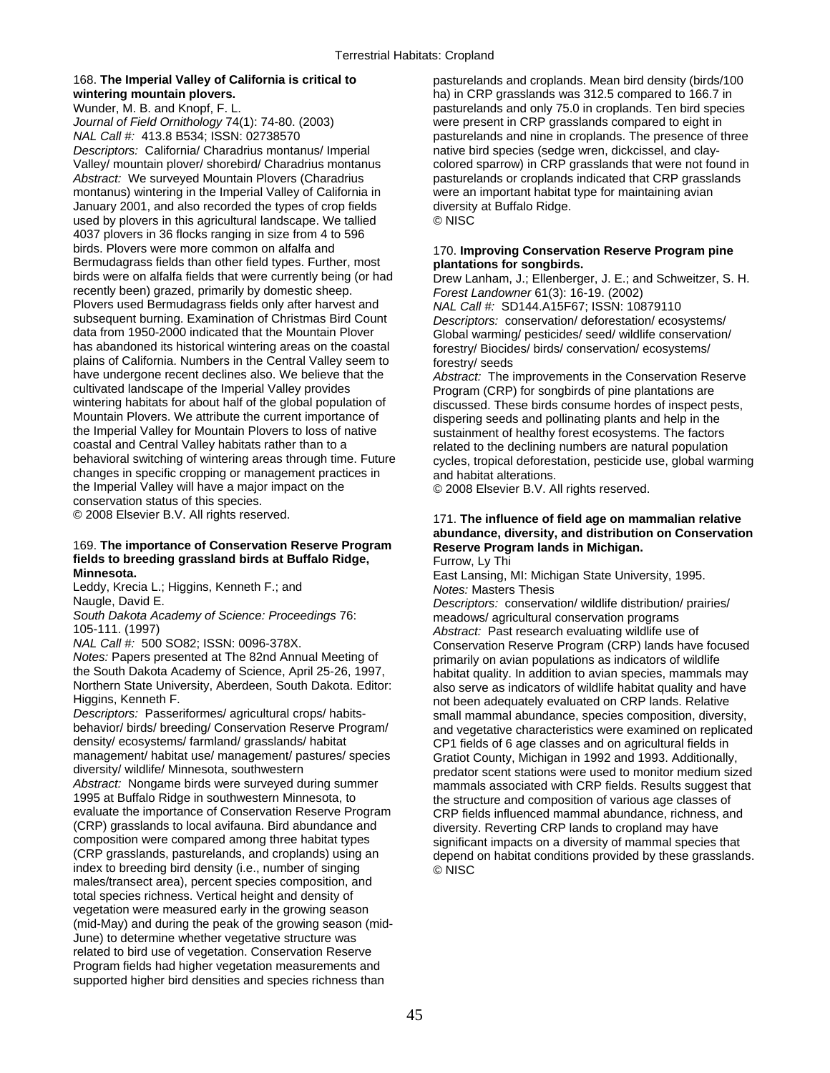*Journal of Field Ornithology* 74(1): 74-80. (2003) were present in CRP grasslands compared to eight in *NAL Call #:* 413.8 B534; ISSN: 02738570 pasturelands and nine in croplands. The presence of three *Descriptors:* California/ Charadrius montanus/ Imperial native bird species (sedge wren, dickcissel, and clay-Valley/ mountain plover/ shorebird/ Charadrius montanus colored sparrow) in CRP grasslands that were not found in Abstract: We surveyed Mountain Plovers (Charadrius pasturelands or croplands indicated that CRP grasslands montanus) wintering in the Imperial Valley of California in were an important habitat type for maintaining avian January 2001, and also recorded the types of crop fields diversity at Buffalo Ridge. used by plovers in this agricultural landscape. We tallied © NISC 4037 plovers in 36 flocks ranging in size from 4 to 596 Bermudagrass fields than other field types. Further, most **plantations for songbirds.**  recently been) grazed, primarily by domestic sheep. *Forest Landowner* 61(3): 16-19. (2002) Plovers used Bermudagrass fields only after harvest and *NAL Call #:* SD144.A15F67; ISSN: 10879110 subsequent burning. Examination of Christmas Bird Count *Descriptors:* conservation/ deforestation/ ecosystems/ data from 1950-2000 indicated that the Mountain Plover Global warming/ pesticides/ seed/ wildlife conservation/<br>has abandoned its historical wintering areas on the coastal forestry/ Biocides/ birds/ conservation/ ecosystem plains of California. Numbers in the Central Valley seem to have undergone recent declines also. We believe that the have undergone recent declines also. We believe that the *Abstract:* The improvements in the Conservation Reserve cultivated landscape of the Imperial Valley provides **Program** (CRP) for songbirds of pine plantations are wintering habitats for about half of the global population of discussed. These birds consume hordes of inspect pests,<br>Mountain Plovers. We attribute the current importance of dispering seeds and pollinating plants and help Mountain Plovers. We attribute the current importance of dispering seeds and pollinating plants and help in the<br>the Imperial Valley for Mountain Plovers to loss of native sustainment of healthy forest ecosystems. The facto the Imperial Valley for Mountain Plovers to loss of native sustainment of healthy forest ecosystems. The factors<br>coastal and Central Valley habitats rather than to a series of netated to the declining numbers are natural p coastal and Central Valley habitats rather than to a related to the declining numbers are natural population<br>behavioral switching of wintering areas through time. Future cycles, tropical deforestation, pesticide use, globa changes in specific cropping or management practices in and habitat alterations. the Imperial Valley will have a major impact on the  $\degree$  2008 Elsevier B.V. All rights reserved. conservation status of this species.

## 169. **The importance of Conservation Reserve Program Reserve Program lands in Michigan. fields to breeding grassland birds at Buffalo Ridge,** Furrow, Ly Thi

Leddy, Krecia L.; Higgins, Kenneth F.; and *Notes:* Masters Thesis

*South Dakota Academy of Science: Proceedings* 76: meadows/ agricultural conservation programs

*Notes:* Papers presented at The 82nd Annual Meeting of primarily on avian populations as indicators of wildlife<br>the South Dakota Academy of Science, April 25-26, 1997, habitat quality, In addition to avian species, mammal the South Dakota Academy of Science, April 25-26, 1997, habitat quality. In addition to avian species, mammals may<br>Northern State University, Aberdeen, South Dakota. Editor: also serve as indicators of wildlife habitat qua Northern State University, Aberdeen, South Dakota. Editor: also serve as indicators of wildlife habitat quality and have<br>Higgins, Kenneth F. elative

*Descriptors:* Passeriformes/ agricultural crops/ habits-<br>
behavior/ birds/ breeding/ Conservation Reserve Program/ and vegetative characteristics were examined on replicate behavior/ birds/ breeding/ Conservation Reserve Program/ and vegetative characteristics were examined on replicated<br>density/ ecosystems/ farmland/ grasslands/ habitat CP1 fields of 6 age classes and on agricultural fields density/ ecosystems/ farmland/ grasslands/ habitat CP1 fields of 6 age classes and on agricultural fields in<br>Cratiot County Michigan in 1992 and 1993 Additionally management/ habitat use/ management/ pastures/ species Gratiot County, Michigan in 1992 and 1993. Additionally,<br>diversity/ wildlife/ Minnesota, southwestern example and the original or scent stations were used to monitor m diversity/ wildlife/ Minnesota, southwestern predator scent stations were used to monitor medium sized<br>Abstract: Nongame birds were surveyed during summer predator scent stations with CRP fields. Results suggest that Abstract: Nongame birds were surveyed during summer mammals associated with CRP fields. Results suggest that<br>1995 at Buffalo Ridge in southwestern Minnesota, to say the structure and composition of various age classes of 1995 at Buffalo Ridge in southwestern Minnesota, to the structure and composition of various age classes of evaluate the importance of Conservation Reserve Program corrections can composition of various age classes of evaluate the importance of Conservation Reserve Program CRP fields influenced mammal abundance, richness, and<br>(CRP) grasslands to local avifauna. Bird abundance and diversity Reverting CRP lands to cropland may have (CRP) grasslands to local avifauna. Bird abundance and diversity. Reverting CRP lands to cropland may have compared among three habitat types<br>significant impacts on a diversity of mammal species composition were compared among three habitat types significant impacts on a diversity of mammal species that<br>CRP grasslands, pasturelands, and croplands) using an denend on habitat conditions provided by these grassland index to breeding bird density (i.e., number of singing  $\heartsuit$  NISC males/transect area), percent species composition, and total species richness. Vertical height and density of vegetation were measured early in the growing season (mid-May) and during the peak of the growing season (mid-June) to determine whether vegetative structure was related to bird use of vegetation. Conservation Reserve Program fields had higher vegetation measurements and supported higher bird densities and species richness than

168. **The Imperial Valley of California is critical to** pasturelands and croplands. Mean bird density (birds/100 **wintering mountain plovers. ha**) in CRP grasslands was 312.5 compared to 166.7 in<br>Wunder, M. B. and Knopf, F. L. **hall can be a compared to the contract of the section of the section of the pasturelands and only 75.0 in** pasturelands and only 75.0 in croplands. Ten bird species

## 170. Improving Conservation Reserve Program pine

Drew Lanham, J.; Ellenberger, J. E.; and Schweitzer, S. H. forestry/ Biocides/ birds/ conservation/ ecosystems/ forestry/ seeds

Program (CRP) for songbirds of pine plantations are cycles, tropical deforestation, pesticide use, global warming

## © 2008 Elsevier B.V. All rights reserved. 171. **The influence of field age on mammalian relative abundance, diversity, and distribution on Conservation**

East Lansing, MI: Michigan State University, 1995.

Descriptors: conservation/ wildlife distribution/ prairies/ 105-111. (1997) *Abstract:* Past research evaluating wildlife use of *NAL Call #:* 500 SO82; ISSN: 0096-378X.<br>*Notes:* Papers presented at The 82nd Annual Meeting of example increasive on avian populations as indicators of wildlife Higgins, Kenneth F.<br>Descriptors: Passeriformes/ agricultural crops/ habits-<br>Small mammal abundance, species composition, divers depend on habitat conditions provided by these grasslands.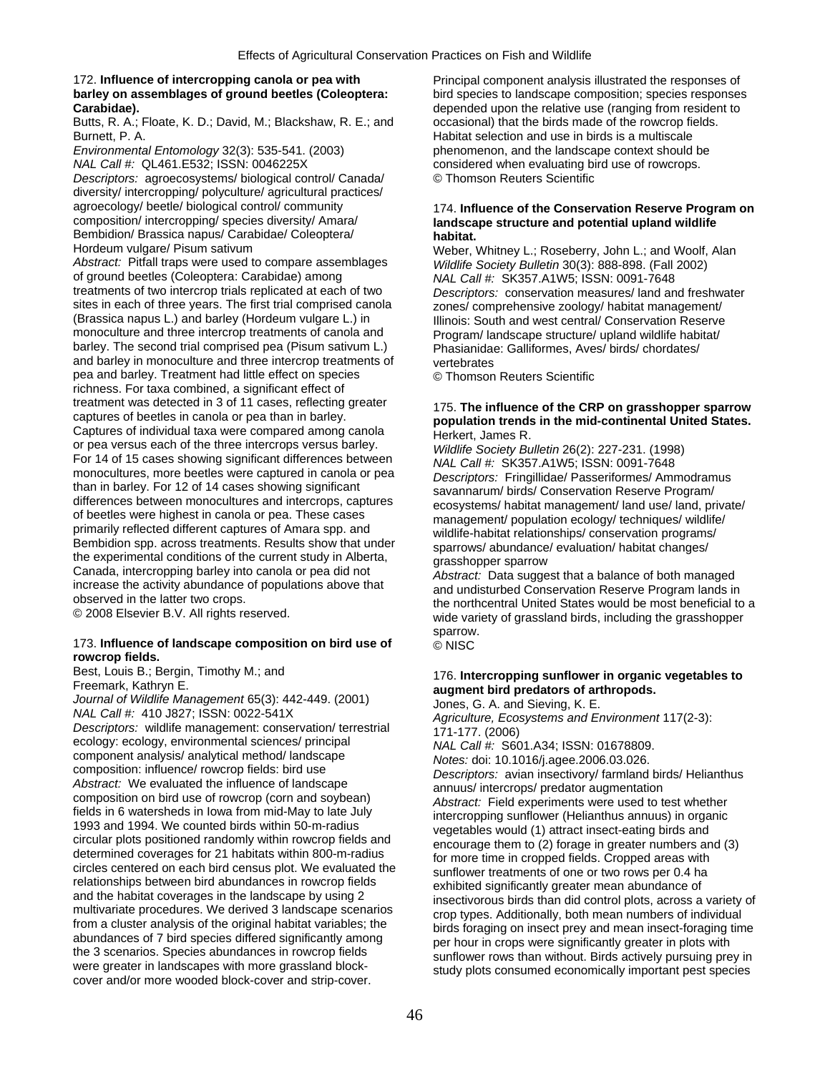# 172. **Influence of intercropping canola or pea with** Principal component analysis illustrated the responses of

Butts, R. A.; Floate, K. D.; David, M.; Blackshaw, R. E.; and Burnett, P. A. Habitat selection and use in birds is a multiscale

*NAL Call #:* QL461.E532; ISSN: 0046225X considered when evaluating bird use of rowcrops.

*Descriptors:* agroecosystems/ biological control/ Canada/ © Thomson Reuters Scientific diversity/ intercropping/ polyculture/ agricultural practices/ Bembidion/ Brassica napus/ Carabidae/ Coleoptera/ **habitat.** 

*Abstract:* Pitfall traps were used to compare assemblages *Wildlife Society Bulletin* 30(3): 888-898. (Fall 2002) of ground beetles (Coleoptera: Carabidae) among *NAL Call #:* SK357.A1W5; ISSN: 0091-7648 treatments of two intercrop trials replicated at each of two *Descriptors:* conservation measures/ land and freshwater sites in each of three years. The first trial comprised canola zones/ comprehensive zoology/ habitat management/<br>(Brassica napus L.) and barley (Hordeum vulgare L.) in [llinois: South and west central/ Conservation Reserve (Brassica napus L.) and barley (Hordeum vulgare L.) in Illinois: South and west central/ Conservation Reserve<br>monoculture and three intercrop treatments of canola and Program/ landscape structure/ upland wildlife habitat monoculture and three intercrop treatments of canola and Program/ landscape structure/ upland wildlife habitat/<br>
parley. The second trial comprised pea (Pisum sativum L.) Phasianidae: Galliformes, Aves/ birds/ chordates/ and barley in monoculture and three intercrop treatments of vertebrates pea and barley. Treatment had little effect on species © Thomson Reuters Scientific richness. For taxa combined, a significant effect of<br>treatment was detected in 3 of 11 cases, reflecting greater treatment was detected in 3 of 11 cases, reflecting greater<br>
captures of beetles in canola or pea than in barley.<br>
Captures of individual taxa were compared among canola<br>
Creative Society Bulletin 26(2): 227-231. (1998)<br>
F

## 173. **Influence of landscape composition on bird use of** © NISC **rowcrop fields.**

Best, Louis B.; Bergin, Timothy M.; and<br>
Freemark, Kathryn E.<br>
Freemark, Kathryn E. Sand Sieving, K. E.<br>
Journal of Wildlife Management 65(3): 442-449. (2001)<br>
Jones, G. A. and Sieving, K. E.<br>
Descriptors: wildlife managem and the habitat coverages in the landscape by using 2<br>
multivariate procedures. We derived 3 landscape scenarios<br>
from a cluster analysis of the original habitat variables; the<br>
abundances of 7 bird species differed signif

**barley on assemblages of ground beetles (Coleoptera:** bird species to landscape composition; species responses depended upon the relative use (ranging from resident to carabidae). depended upon the relative use (ranging from resident to occasional) that the birds made of the rowcrop fields. *Environmental Entomology* 32(3): 535-541. (2003) phenomenon, and the landscape context should be

## agroecology/ beetle/ biological control/ community 174. **Influence of the Conservation Reserve Program on composition/** intercropping/ species diversity/ Amara/ **and scape structure and potential upland wildlife** landscape structure and potential upland wildlife

Weber, Whitney L.; Roseberry, John L.; and Woolf, Alan Phasianidae: Galliformes, Aves/ birds/ chordates/

© 2008 Elsevier B.V. All rights reserved. wide variety of grassland birds, including the grasshopper sparrow.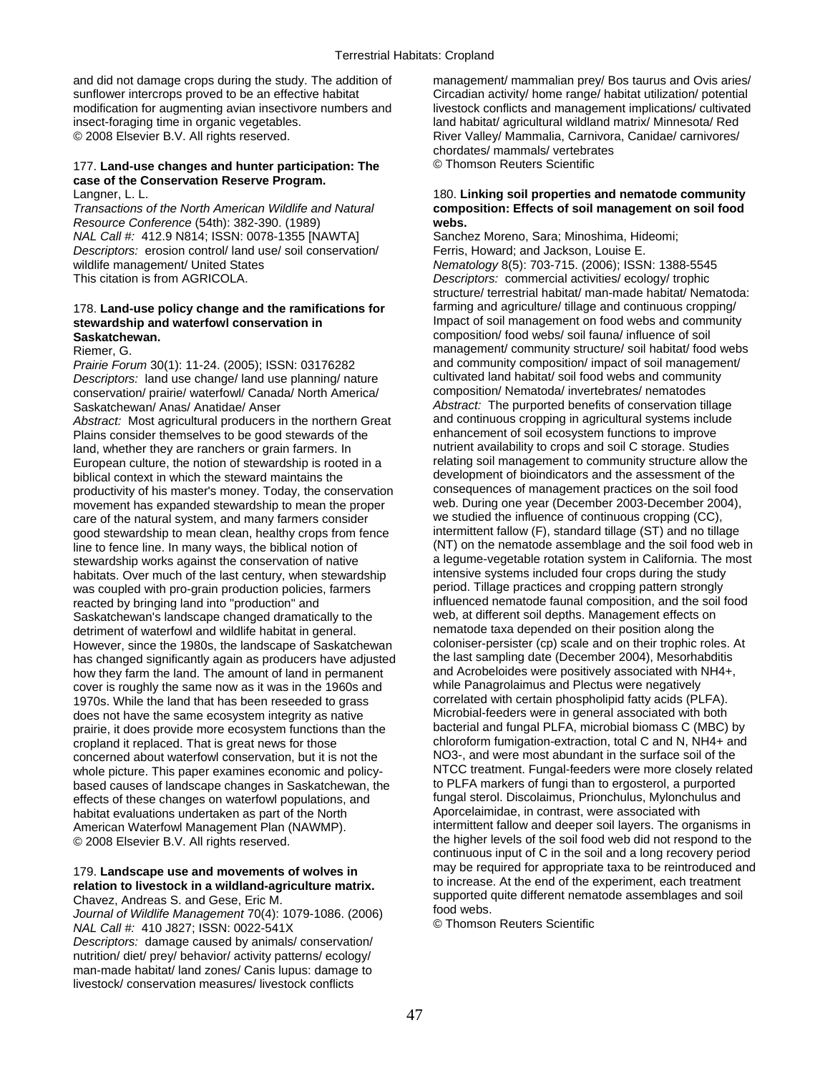and did not damage crops during the study. The addition of management/ mammalian prey/ Bos taurus and Ovis aries/ sunflower intercrops proved to be an effective habitat Circadian activity/ home range/ habitat utilization/ potential modification for augmenting avian insectivore numbers and livestock conflicts and management implications/ cultivated insect-foraging time in organic vegetables. land habitat/ agricultural wildland matrix/ Minnesota/ Red

## 177. **Land-use changes and hunter participation: The** © Thomson Reuters Scientific **case of the Conservation Reserve Program.**

*Resource Conference* (54th): 382-390. (1989) **webs.**  *NAL Call #:* 412.9 N814; ISSN: 0078-1355 [NAWTA] Sanchez Moreno, Sara; Minoshima, Hideomi; **Descriptors: erosion control/ land use/ soil conservation/** Ferris, Howard: and Jackson, Louise E. wildlife management/ United States **Network 1998** Nematology 8(5): 703-715. (2006); ISSN: 1388-5545 This citation is from AGRICOLA. *Descriptors:* commercial activities/ ecology/ trophic

# **Saskatchewan.** composition/ food webs/ soil fauna/ influence of soil

*Prairie Forum* 30(1): 11-24. (2005); ISSN: 03176282 and community composition/ impact of soil management *Descriptors:* Jand use change/land use planning/ pature *Descriptors:* land use change/ land use planning/ nature cultivated land habitat/ soil food webs and commun<br>conservation/ prairie/ waterfowl/ Canada/ North America/ composition/ Nematoda/ invertebrates/ nematodes conservation/ prairie/ waterfowl/ Canada/ North America/ Saskatchewan/ Anas/ Anatidae/ Anser *Abstract:* The purported benefits of conservation tillage *Abstract:* Most agricultural producers in the northern Great and continuous cropping in agricultural systems inclu<br>Plains consider themselves to be good stewards of the enhancement of soil ecosystem functions to improve Plains consider themselves to be good stewards of the enhancement of soil ecosystem functions to improve<br>
land whether they are ranchers or grain farmers In entitient availability to crops and soil C storage. Studies land, whether they are ranchers or grain farmers. In example in nutrient availability to crops and soil C storage. Studies<br>Furopean culture, the notion of stewardship is rooted in a example relating soil management to comm European culture, the notion of stewardship is rooted in a biblical context in which the steward maintains the development of bioindicators and the assessment of the productivity of his master's money. Today, the conservation consequences of management practices on the soil food productivity of his master's money. Today, the conservation consequences of management practices on the soil food<br>movement has expanded stewardship to mean the proper web. During one year (December 2003-December 2004), movement has expanded stewardship to mean the proper web. During one year (December 2003-December 200<br>care of the natural system, and many farmers consider we studied the influence of continuous cropping (CC), care of the natural system, and many farmers consider we studied the influence of continuous cropping (CC),<br>cood stewardship to mean clean, healthy crops from fence intermittent fallow (F), standard tillage (ST) and no til good stewardship to mean clean, healthy crops from fence line to fence line. In many ways, the biblical notion of (NT) on the nematode assemblage and the soil food web in stewardship works against the conservation of native a legume-vegetable rotation system in California. The most<br>habitats Over much of the last century when stewardship intensive systems included four crops during the study habitats. Over much of the last century, when stewardship intensive systems included four crops during the study<br>was coupled with pro-grain production policies, farmers period. Tillage practices and cropping pattern strong was coupled with pro-grain production policies, farmers period. Tillage practices and cropping pattern strongly<br>Freacted by bringing land into "production" and strongly influenced nematode faunal composition, and the soil reacted by bringing land into "production" and interestion influenced nematode faunal composition, and the soi<br>Saskatchewan's landscape changed dramatically to the web, at different soil depths. Management effects on Saskatchewan's landscape changed dramatically to the web, at different soil depths. Management effects on<br>detriment of waterfowl and wildlife habitat in general nematode taxa depended on their position along the detriment of waterfowl and wildlife habitat in general.<br>However since the 1980s, the landscape of Saskatchewan coloniser-persister (cp) scale and on their trophic roles. At However, since the 1980s, the landscape of Saskatchewan coloniser-persister (cp) scale and on their trophic roles. At controller the last sampling date (December 2004), Mesorhabditis has changed significantly again as prod has changed significantly again as producers have adjusted the last sampling date (December 2004), Mesorhabditis<br>how they farm the land. The amount of land in permanent and Acrobeloides were positively associated with NH4+ how they farm the land. The amount of land in permanent and Acrobeloides were positively associated with  $\frac{1}{10}$  cover is roughly the same now as it was in the 1960s and while Panagrolaimus and Plectus were negatively cover is roughly the same now as it was in the 1960s and while Panagrolaimus and Plectus were negatively<br>1970s, While the land that has been reseeded to grass correlated with certain phospholipid fatty acids (PLFA). 1970s. While the land that has been reseeded to grass correlated with certain phospholipid fatty acids (PLFA).<br>does not have the same ecosystem integrity as native Microbial-feeders were in general associated with both does not have the same ecosystem integrity as native Microbial-feeders were in general associated with both<br>
prairie, it does provide more ecosystem functions than the bacterial and fungal PLFA, microbial biomass C (MBC) b prairie, it does provide more ecosystem functions than the cropland it replaced. That is great news for those chloroform fumigation-extraction, total C and N, NH4+ and<br>concerned about waterfowl conservation, but it is not the NO3-, and were most abundant in the surface soil of the concerned about waterfowl conservation, but it is not the NO3-, and were most abundant in the surface soil of the<br>Whole picture This paper examines economic and policy-NTCC treatment. Fungal-feeders were more closely relat whole picture. This paper examines economic and policy-<br>hased causes of landscape changes in Saskatchewan, the forest to PLFA markers of fungi than to ergosterol, a purported based causes of landscape changes in Saskatchewan, the to PLFA markers of fungi than to ergosterol, a purported<br>effects of these changes on waterfowl populations, and fungal sterol. Discolaimus, Prionchulus, Mylonchulus an effects of these changes on waterfowl populations, and fungal sterol. Discolaimus, Prionchulus, Mylonchu<br>habitat evaluations undertaken as part of the North Aporcelaimidae, in contrast, were associated with habitat evaluations undertaken as part of the North American Waterfowl Management Plan (NAWMP). © 2008 Elsevier B.V. All rights reserved. the thigher levels of the soil food web did not respond to the

*Descriptors:* damage caused by animals/ conservation/ nutrition/ diet/ prey/ behavior/ activity patterns/ ecology/ man-made habitat/ land zones/ Canis lupus: damage to livestock/ conservation measures/ livestock conflicts

© 2008 Elsevier B.V. All rights reserved. River Valley/ Mammalia, Carnivora, Canidae/ carnivores/ chordates/ mammals/ vertebrates

## Langner, L. L. 180. **Linking soil properties and nematode community**  *Transactions of the North American Wildlife and Natural* **composition: Effects of soil management on soil food**

structure/ terrestrial habitat/ man-made habitat/ Nematoda: 178. **Land-use policy change and the ramifications for** farming and agriculture/ tillage and continuous cropping/ Impact of soil management on food webs and community Riemer, G. management/ community structure/ soil habitat/ food webs<br> *Prairie Forum* 30(1): 11-24 (2005): ISSN: 03176282 and community composition/ impact of soil management/ intermittent fallow and deeper soil layers. The organisms in continuous input of C in the soil and a long recovery period 179. Landscape use and movements of wolves in<br>
relation to livestock in a wildland-agriculture matrix.<br>
Chavez, Andreas S. and Gese, Eric M.<br>
Journal of Wildlife Management 70(4): 1079-1086. (2006)<br>
NAL Call #: 410 J827; I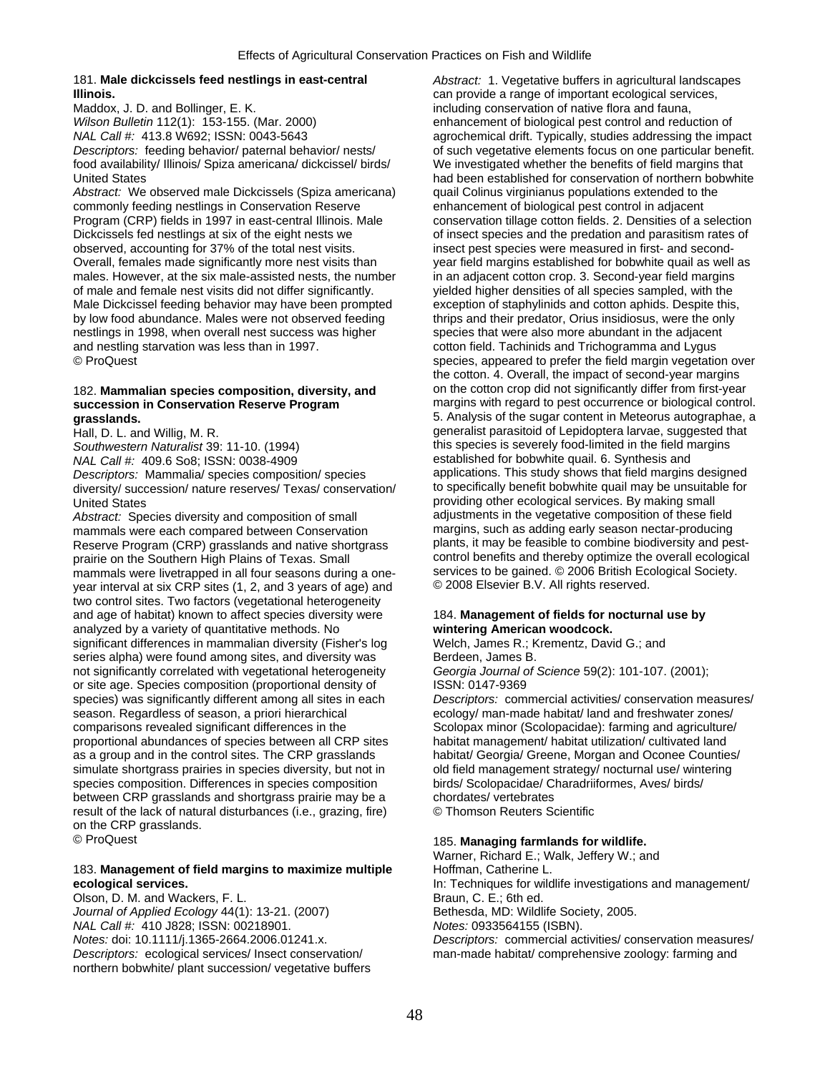## 181. **Male dickcissels feed nestlings in east-central** *Abstract:* 1. Vegetative buffers in agricultural landscapes **Illinois.** can provide a range of important ecological services,

Maddox, J. D. and Bollinger, E. K. including conservation of native flora and fauna, *Wilson Bulletin* 112(1): 153-155. (Mar. 2000) enhancement of biological pest control and reduction of food availability/ Illinois/ Spiza americana/ dickcissel/ birds/ We investigated whether the benefits of field margins that

*Abstract:* We observed male Dickcissels (Spiza americana) quail Colinus virginianus populations extended to the commonly feeding nestlings in Conservation Reserve enhancement of biological pest control in adjacent Program (CRP) fields in 1997 in east-central Illinois. Male conservation tillage cotton fields. 2. Densities of a selection Dickcissels fed nestlings at six of the eight nests we of insect species and the predation and parasitism rates of observed, accounting for 37% of the total nest visits.<br>
Insect pest species were measured in first- and sec Overall, females made significantly more nest visits than year field margins established for bobwhite quail as well as males. However, at the six male-assisted nests, the number in an adjacent cotton crop. 3. Second-year field margins<br>of male and female nest visits did not differ significantly. yielded higher densities of all species sampl Male Dickcissel feeding behavior may have been prompted by low food abundance. Males were not observed feeding thrips and their predator, Orius insidiosus, were the only nestlings in 1998, when overall nest success was higher species that were also more abundant in the adjacent and nestling starvation was less than in 1997. cotton field. Tachinids and Trichogramma and Lygus

*Southwestern Naturalist* 39: 11-10. (1994) this species is severely food-limited in the field margins *NAL Call #:* 409.6 So8; ISSN: 0038-4909 established for bobwhite quail. 6. Synthesis and<br>Descriptors: Mammalia/ species composition/ species applications. This study shows that field margins designed *Descriptors:* Mammalia/ species composition/ species applications. This study shows that field margins designed diversity/ succession/ nature reserves/ Texas/ conservation/

*Abstract:* Species diversity and composition of small adjustments in the vegetative composition of these field<br>mammals were each compared between Conservation **margins**, such as adding early season nectar-producing mammals were each compared between Conservation margins, such as adding early season nectar-producing<br>Reserve Program (CRP) grasslands and native shortgrass plants, it may be feasible to combine biodiversity and pest-Reserve Program (CRP) grasslands and native shortgrass plants, it may be feasible to combine biodiversity and pest-<br>prairie on the Southern High Plains of Texas. Small control benefits and thereby optimize the overall ecol prairie on the Southern High Plains of Texas. Small control benefits and thereby optimize the overall ecological<br>mammals were livetrapped in all four seasons during a one-<br>services to be gained. © 2006 British Ecological S mammals were livetrapped in all four seasons during a one-<br>services to be gained. © 2006 Elsevied. On British Ecology vear interval at six CRP sites (1, 2, and 3 years o year interval at six CRP sites (1, 2, and 3 years of age) and two control sites. Two factors (vegetational heterogeneity and age of habitat) known to affect species diversity were 184. **Management of fields for nocturnal use by**  analyzed by a variety of quantitative methods. No **wintering American woodcock.**  significant differences in mammalian diversity (Fisher's log Welch, James R.; Krementz, David G.; and series alpha) were found among sites, and diversity was Berdeen, James B. not significantly correlated with vegetational heterogeneity *Georgia Journal of Science* 59(2): 101-107. (2001); or site age. Species composition (proportional density of ISSN: 0147-9369 season. Regardless of season, a priori hierarchical ecology/ man-made habitat/ land and freshwater zones/ comparisons revealed significant differences in the Scolopax minor (Scolopacidae): farming and agriculture/ proportional abundances of species between all CRP sites habitat management/ habitat utilization/ cultivated land as a group and in the control sites. The CRP grasslands habitat/ Georgia/ Greene, Morgan and Oconee Counties/ simulate shortgrass prairies in species diversity, but not in old field management strategy/ nocturnal use/ wintering species composition. Differences in species composition birds/ Scolopacidae/ Charadriiformes, Aves/ birds/ between CRP grasslands and shortgrass prairie may be a chordates/ vertebrates result of the lack of natural disturbances (i.e., grazing, fire) © Thomson Reuters Scientific on the CRP grasslands.

# 183. **Management of field margins to maximize multiple** Hoffman, Catherine L.

Olson, D. M. and Wackers, F. L. Braun, C. E.; 6th ed. *Journal of Applied Ecology* 44(1): 13-21. (2007) Bethesda, MD: Wildlife Society, 2005. *NAL Call #:* 410 J828; ISSN: 00218901. *Notes:* 0933564155 (ISBN). northern bobwhite/ plant succession/ vegetative buffers

*NAL Call #:* 413.8 W692; ISSN: 0043-5643 agrochemical drift. Typically, studies addressing the impact *Descriptors:* feeding behavior/ paternal behavior/ nests/ of such vegetative elements focus on one particular benefit. United States **had been established for conservation of northern bobwhite** bobwhite insect pest species were measured in first- and secondyielded higher densities of all species sampled, with the exception of staphylinids and cotton aphids. Despite this. © ProQuest species, appeared to prefer the field margin vegetation over the cotton. 4. Overall, the impact of second-year margins 182. **Mammalian species composition, diversity, and** on the cotton crop did not significantly differ from first-year **succession in Conservation Reserve Program** margins with regard to pest occurrence or biological control. **grasslands.** 5. Analysis of the sugar content in Meteorus autographae, a Hall, D. L. and Willig, M. R. generalist parasitoid of Lepidoptera larvae, suggested that United States<br>
Abstract: Species diversity and composition of small adjustments in the vegetative composition of these field

species) was significantly different among all sites in each *Descriptors:* commercial activities/ conservation measures/

## © ProQuest 185. **Managing farmlands for wildlife.**

Warner, Richard E.; Walk, Jeffery W.; and **ecological services.** In: Techniques for wildlife investigations and management/ *Notes:* doi: 10.1111/j.1365-2664.2006.01241.x. *Descriptors:* commercial activities/ conservation measures/ *Descriptors:* ecological services/ Insect conservation/ man-made habitat/ comprehensive zoology: farming and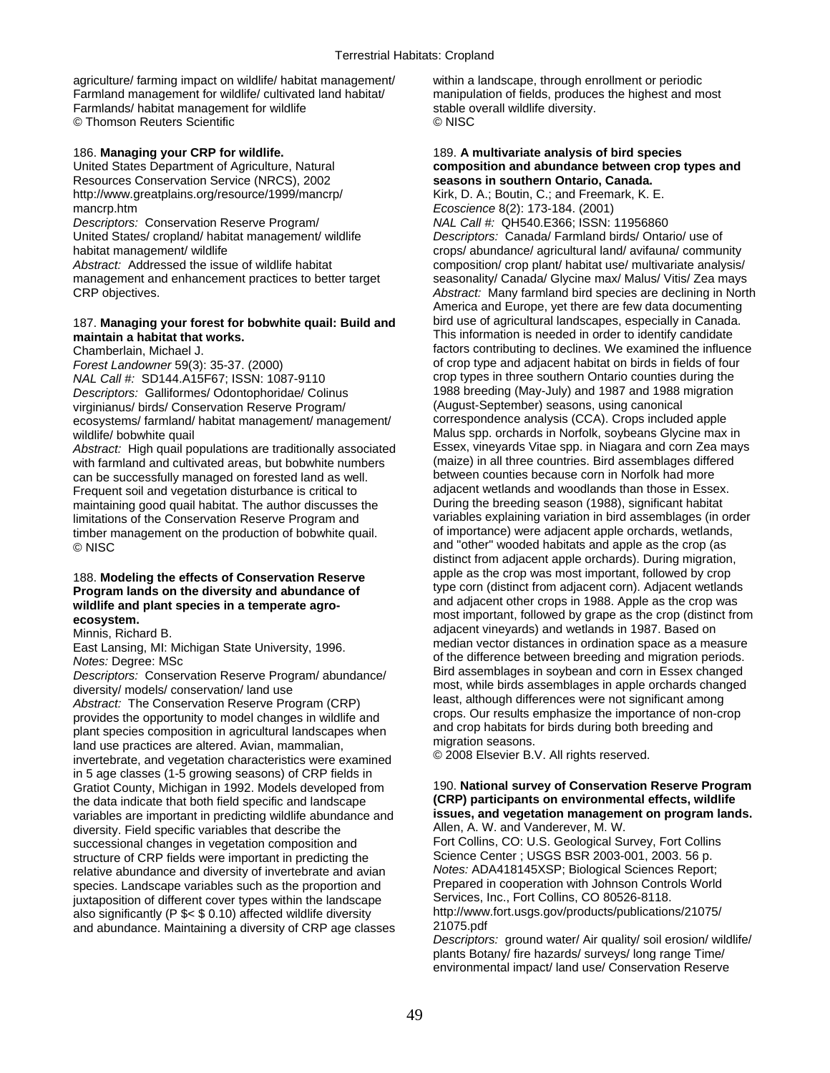agriculture/ farming impact on wildlife/ habitat management/ within a landscape, through enrollment or periodic Farmland management for wildlife/ cultivated land habitat/ manipulation of fields, produces the highest and most Farmlands/ habitat management for wildlife stable overall wildlife diversity. © Thomson Reuters Scientific © NISC

Resources Conservation Service (NRCS), 2002 **seasons in southern Ontario, Canada.**  http://www.greatplains.org/resource/1999/mancrp/

United States/ cropland/ habitat management/ wildlife *Descriptors:* Canada/ Farmland birds/ Ontario/ use of

*NAL Call #:* SD144.A15F67; ISSN: 1087-9110 crop types in three southern Ontario counties during the *Descriptors:* Galliformes/ Odontophoridae/ Colinus 1988 breeding (May-July) and 1987 and 1988<br>
virginianus/ birds/ Conservation Reserve Program/ (August-September) seasons, using canonical virginianus/ birds/ Conservation Reserve Program/ (August-September) seasons, using canonical ecosystems/ farmland/ habitat management/ management/

Abstract: High quail populations are traditionally associated Essex, vineyards Vitae spp. in Niagara and corn Zea ma<br>with farmland and cultivated areas, but bobwhite numbers (maize) in all three countries. Bird assemblages with farmland and cultivated areas, but bobwhite numbers (maize) in all three countries. Bird assemblages differed areas, but bobwhite numbers (maize) in all three countries. Bird assemblages difference connection of the s can be successfully managed on forested land as well. between counties because corn in Norfolk had more<br>Frequent soil and vegetation disturbance is critical to a diacent wetlands and woodlands than those in Essex. Frequent soil and vegetation disturbance is critical to adjacent wetlands and woodlands than those in Essex.<br>maintaining good quail habitat. The author discusses the During the breeding season (1988), significant habitat maintaining good quail habitat. The author discusses the limitations of the Conservation Reserve Program and variables explaining variation in bird assemblages (in order<br>timber management on the production of bobwhite quail. of importance) were adjacent apple orchards, wetlands, timber management on the production of bobwhite quail. © NISC and "other" wooded habitats and apple as the crop (as

# wildlife and plant species in a temperate agro-

in 5 age classes (1-5 growing seasons) of CRP fields in Gratiot County, Michigan in 1992. Models developed from 190. **National survey of Conservation Reserve Program**<br>the data indicate that both field specific and landscape (CRP) participants on environmental effects, wildlife the data indicate that both field specific and landscape **(CRP) participants on environmental effects, wildlife**  variables are important in predicting wildlife abundance and **issues, and vegetation manageme**<br>diversity, Field specific variables that describe the **Allen, A. W. and Vanderever, M. W.** diversity. Field specific variables that describe the Allen, A. W. and Vanderever, M. W.<br>Successional changes in vegetation composition and Fort Collins, CO: U.S. Geological Survey, Fort Collins successional changes in vegetation composition and Fort Collins, CO: U.S. Geological Survey, Fort Collins (Science Center ; USGS BSR 2003-001, 2003. 56 p. structure of CRP fields were important in predicting the Science Center ; USGS BSR 2003-001, 2003. 56 p.<br>Frelative abundance and diversity of invertebrate and avian Motes: ADA418145XSP; Biological Sciences Report; relative abundance and diversity of invertebrate and avian *Notes:* ADA418145XSP; Biological Sciences Report; species. Landscape variables such as the proportion and Prepared in cooperation with Johnson Controls in the same<br>Services, Inc., Fort Collins, CO 80526-8118. juxtaposition of different cover types within the landscape Services, Inc., Fort Collins, CO 80526-8118.<br>Services, Inc., Fort Collins, CO 80526-8118.<br>http://www.fort.usgs.gov/products/publications/21075/ also significantly (P \$< \$ 0.10) affected wildlife diversity http://www.<br>and abundance. Maintaining a diversity of CRP age classes. 21075.pdf and abundance. Maintaining a diversity of CRP age classes

## 186. **Managing your CRP for wildlife.** 189. **A multivariate analysis of bird species**  United States Department of Agriculture, Natural **composition and abundance between crop types and**<br>
Resources Conservation Service (NRCS), 2002 **Seasons in southern Ontario, Canada.**

mancrp.htm<br> **Ecoscience** 8(2): 173-184. (2001)<br> *Descriptors:* Conservation Reserve Program/ **Ecoscience** 8(2): 173-184. (2001) *Descriptors:* Conservation Reserve Program/ *NAL Call #:* QH540.E366; ISSN: 11956860 habitat management/ wildlife crops/ abundance/ agricultural land/ avifauna/ community Abstract: Addressed the issue of wildlife habitat composition/ crop plant/ habitat use/ multivariate analysis/ management and enhancement practices to better target seasonality/ Canada/ Glycine max/ Malus/ Vitis/ Zea mays<br>Abstract: Many farmland bird species are declining in North Abstract: Many farmland bird species are declining in North America and Europe, yet there are few data documenting 187. **Managing your forest for bobwhite quail: Build and** bird use of agricultural landscapes, especially in Canada. **maintain a habitat that works. This information is needed in order to identify candidate**<br>Chamberlain, Michael J. **Chamberlain, Michael J.** Michael J. **Chamberlain**, Michael J. **Chamberlain**, Michael J. factors contributing to declines. We examined the influence *Forest Landowner* 59(3): 35-37. (2000) of crop type and adjacent habitat on birds in fields of four<br> *NAL Call #*: SD144 A15F67: ISSN: 1087-9110 wildlife/ bobwhite quail<br>Abstract: High quail populations are traditionally associated Essex, vineyards Vitae spp. in Niagara and corn Zea mays distinct from adjacent apple orchards). During migration, 188. Modeling the effects of Conservation Reserve apple as the crop was most important, followed by crop<br> **Program lands on the diversity and abundance of** type corn (distinct from adjacent corn). Adjacent wetlands<br>
wildli most important, followed by grape as the crop (distinct from **ecosystem.**  Example 1987. Based on<br>Minnis, Richard B. and State University, 1996.<br>East Lansing, MI: Michigan State University, 1996.<br>East Lansing, MI: Michigan State University, 1996. East Lansing, MI: Michigan State University, 1996.<br>
Median vector distances in ordination space as a measure<br>
Motes: Degree: MSc<br>
Descriptors: Conservation Reserve Program/abundance/<br>
diversity/models/conservation/land use

*Descriptors:* ground water/ Air quality/ soil erosion/ wildlife/ plants Botany/ fire hazards/ surveys/ long range Time/ environmental impact/ land use/ Conservation Reserve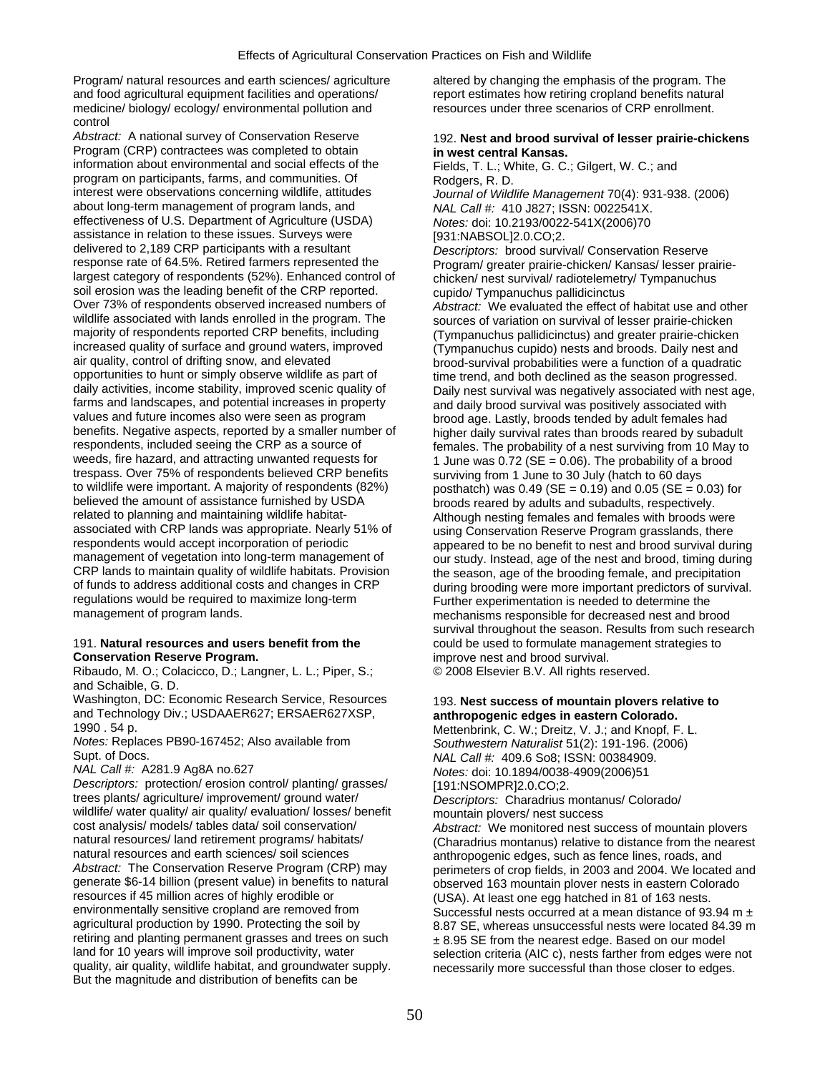and food agricultural equipment facilities and operations/ report estimates how retiring cropland benefits natural medicine/ biology/ ecology/ environmental pollution and resources under three scenarios of CRP enrollment. control

*Abstract:* A national survey of Conservation Reserve 192. **Nest and brood survival of lesser prairie-chickens**  Program (CRP) contractees was completed to obtain **in west central Kansas.**<br>
information about environmental and social effects of the Fields, T. L.; White, G. C.; Gilgert, W. C.; and information about environmental and social effects of the program on participants, farms, and communities. Of Rodgers, R. D.<br>interest were observations concerning wildlife, attitudes Journal of Wild. about long-term management of program lands, and *NAL Call #:* 410 J827; ISSN: 0022541X. effectiveness of U.S. Department of Agriculture (USDA) *Notes:* doi: 10.2193/0022-541X(2006)70 assistance in relation to these issues. Surveys were [931:NABSOL]2.0.CO;2. delivered to 2,189 CRP participants with a resultant *Descriptors:* brood survival/ Conservation Reserve response rate of 64.5%. Retired farmers represented the Program/ greater prairie-chicken/ Kansas/ lesser prairielargest category of respondents (52%). Enhanced control of chicken/ nest survival/ radiotelemetry/ Tympanuchus soil erosion was the leading benefit of the CRP reported. cupido/ Tympanuchus pallidicinctus<br>Over 73% of respondents observed increased numbers of a higher or We evaluated the effect of Over 73% of respondents observed increased numbers of *Abstract:* We evaluated the effect of habitat use and other wildlife associated with lands enrolled in the program. The sources of variation on survival of lesser prairie-chicken<br>Tympanuchus pallidicinctus) and greater prairie-chicker majority of readers including majority of respo majority of respondents reported CRP benefits, including (Tympanuchus pallidicinctus) and greater prairie-chicken<br>increased quality of surface and ground waters, improved (Tympanuchus cupido) nests and broods. Daily nest a increased quality of surface and ground waters, improved (Tympanuchus cupido) nests and broods. Daily nest and<br>air quality, control of drifting snow, and elevated brood-survival probabilities were a function of a quadratic air quality, control of drifting snow, and elevated brood-survival probabilities were a function of a quadratic<br>opportunities to hunt or simply observe wildlife as part of time trend, and both declined as the season progre opportunities to hunt or simply observe wildlife as part of time trend, and both declined as the season progressed.<br>daily activities, income stability, improved scenic quality of Daily nest survival was negatively associat farms and landscapes, and potential increases in property and daily brood survival was positively associated with values and future incomes also were seen as program values and future incomes also were seen as program brood age. Lastly, broods tended by adult females had<br>benefits. Negative aspects, reported by a smaller number of bigher daily survival rates than broods reared by subad benefits. Negative aspects, reported by a smaller number of higher daily survival rates than broods reared by subadult respondents, included seeing the CRP as a source of females. The probability of a nest surviving from 1 respondents, included seeing the CRP as a source of females. The probability of a nest surviving from 10 May to<br>weeds, fire hazard, and attracting unwanted requests for  $\frac{1}{1}$  lune was 0.72 (SF = 0.06). The probability weeds, fire hazard, and attracting unwanted requests for  $\frac{1 \text{ June}}{\text{ sample}}$  1 June was 0.72 (SE = 0.06). The probability of a brood trespass. Over 75% of respondents believed CRP benefits trespass. Over 75% of respondents believed CRP benefits surviving from 1 June to 30 July (hatch to 60 days<br>to wildlife were important. A majority of respondents (82%) sure posthatch) was 0.49 (SF = 0.19) and 0.05 (SF = to wildlife were important. A majority of respondents (82%) posthatch) was 0.49 (SE = 0.19) and 0.05 (SE = 0.03) for<br>believed the amount of assistance furnished by USDA broods reared by adults and subadults respectively believed the amount of assistance furnished by USDA broods reared by adults and subadults, respectively.<br>
related to planning and maintaining wildlife habitat-<br>
Although nesting females and females with broods w related to planning and maintaining wildlife habitat-<br>associated with CRP lands was appropriate. Nearly 51% of a surging Conservation Reserve Program grasslands, there associated with CRP lands was appropriate. Nearly 51% of using Conservation Reserve Program grasslands, there<br>respondents would accept incorporation of periodic<br>appeared to be no benefit to nest and brood survival dur respondents would accept incorporation of periodic entity appeared to be no benefit to nest and brood survival during<br>management of vegetation into long-term management of entity our study. Instead, age of the nest and bro management of vegetation into long-term management of our study. Instead, age of the nest and brood, timing during<br>CRP lands to maintain quality of wildlife habitats. Provision the season age of the brooding female, and pr CRP lands to maintain quality of wildlife habitats. Provision the season, age of the brooding female, and precipitation<br>The season, age of the brooding female, and precipitation of funds to during prooding were more import regulations would be required to maximize long-term Further experimentation is needed to determine the<br>mechanisms responsible for decreased nest and brown anagement of program lands.

## 191. **Natural resources and users benefit from the** could be used to formulate management strategies to **Conservation Reserve Program. improve nest and brood survival.**

Ribaudo, M. O.; Colacicco, D.; Langner, L. L.; Piper, S.; © 2008 Elsevier B.V. All rights reserved. and Schaible, G. D.

Washington, DC: Economic Research Service, Resources 193. Nest success of mountain plovers relative to and Technology Div.; USDAAER627; ERSAER627XSP, **anthropogenic edges in eastern Colorado.** 

*Notes:* Replaces PB90-167452; Also available from *Southwestern Naturalist* 51(2): 191-196. (2006)

**Descriptors:** protection/ erosion control/ planting/ grasses/ [191:NSOMPR]2.0.CO;2.<br>trees plants/ agriculture/ improvement/ ground water/ [191:NSOMPR]2.0.CO;2. wildlife/ water quality/ air quality/ evaluation/ losses/ benefit mountain plovers/ nest success<br>cost analysis/ models/ tables data/ soil conservation/ *Abstract:* We monitored nest su cost analysis/ models/ tables data/ soil conservation/ *Abstract:* We monitored nest success of mountain plovers natural resources and earth sciences/ soil sciences anthropogenic edges, such as fence lines, roads, and<br>Abstract: The Conservation Reserve Program (CRP) may arrive respectively and 2003 and 2004. We locate resources if 45 million acres of highly erodible or (USA). At least one egg hatched in 81 of 163 nests.<br>
environmentally sensitive cropland are removed from Successful nests occurred at a mean distance of 93 environmentally sensitive cropland are removed from Successful nests occurred at a mean distance of 93.94 m  $\pm$ <br>Successful nests were located 84.39 m<br>B.87 SE, whereas unsuccessful nests were located 84.39 m retiring and planting permanent grasses and trees on such  $\pm 8.95$  SE from the nearest edge. Based on our model<br>land for 10 years will improve soil productivity, water selection criteria (AIC c), nests farther from edges land for 10 years will improve soil productivity, water supply selection criteria (AIC c), nests farther from edges were not sucleived and the selection criteria (AIC c), nests farther from edges were not quality, wildlife But the magnitude and distribution of benefits can be

Program/ natural resources and earth sciences/ agriculture altered by changing the emphasis of the program. The

Journal of Wildlife Management 70(4): 931-938. (2006) Daily nest survival was negatively associated with nest age, during brooding were more important predictors of survival. mechanisms responsible for decreased nest and brood survival throughout the season. Results from such research

1990 . 54 p.<br>
Notes: Replaces PB90-167452; Also available from Mettenbrink, C. W.; Dreitz, V. J.; and Knopf, F. L.<br>
Southwestern Naturalist 51(2): 191-196 (2006) Supt. of Docs. *NAL Call #:* 409.6 So8; ISSN: 00384909. *Notes: doi: 10.1894/0038-4909(2006)51* Descriptors: Charadrius montanus/ Colorado/

natural resources/ land retirement programs/ habitats/ (Charadrius montanus) relative to distance from the nearest<br>
natural resources and earth sciences/ soil sciences<br>
anthropogenic edges such as fence lines roads and Abstract: The Conservation Reserve Program (CRP) may perimeters of crop fields, in 2003 and 2004. We located and generate \$6-14 billion (present value) in benefits to natural observed 163 mountain plover nests in eastern C 8.87 SE, whereas unsuccessful nests were located 84.39 m necessarily more successful than those closer to edges.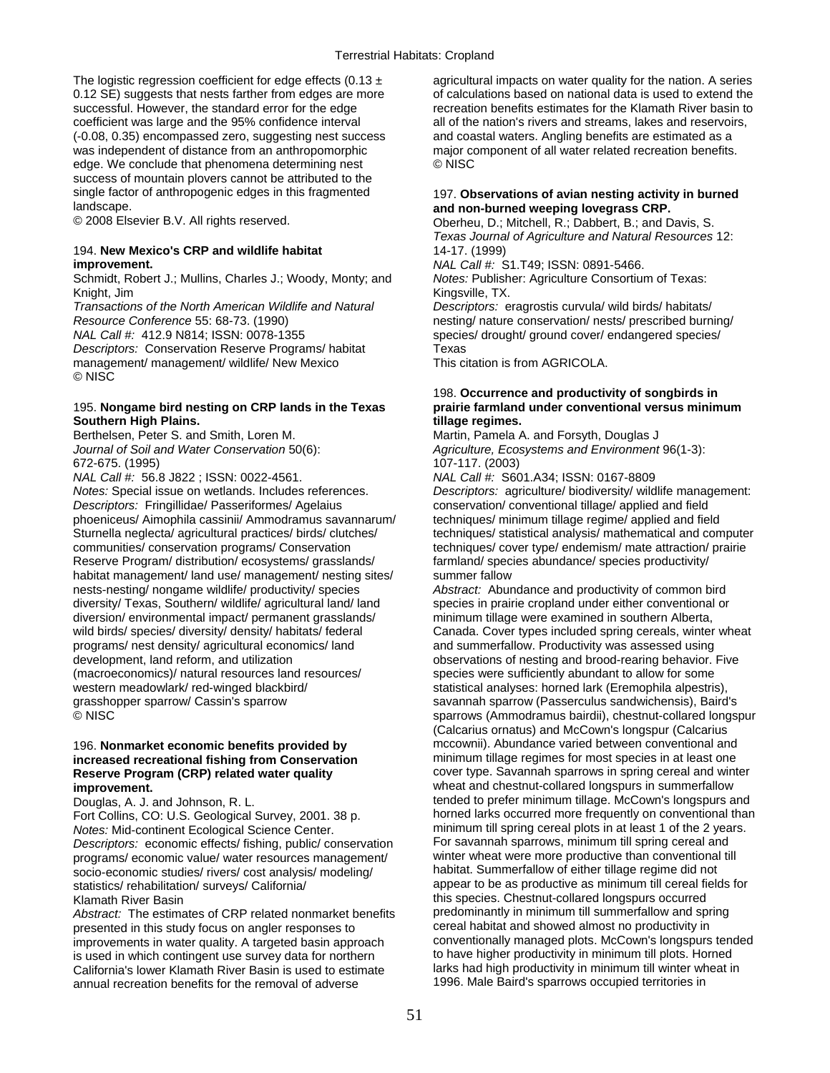coefficient was large and the 95% confidence interval (-0.08, 0.35) encompassed zero, suggesting nest success and coastal waters. Angling benefits are estimated as a was independent of distance from an anthropomorphic major component of all water related recreation benefits. edge. We conclude that phenomena determining nest © NISC success of mountain plovers cannot be attributed to the single factor of anthropogenic edges in this fragmented 197. **Observations of avian nesting activity in burned**<br>and non-burned weeping lovegrass CRP. landscape. **and non-burned weeping lovegrass CRP.** 

## 194. **New Mexico's CRP and wildlife habitat** 14-17. (1999) **improvement.** *NAL Call #:* S1.T49; ISSN: 0891-5466.

Schmidt, Robert J.; Mullins, Charles J.; Woody, Monty; and *Notes:* Publisher: Agriculture Consortium of Texas: Knight, Jim **Kingsville, TX.** 

*Transactions of the North American Wildlife and Natural Descriptors:* eragrostis curvula/ wild birds/ habitats/ *Resource Conference* 55: 68-73. (1990) nesting/ nature conservation/ nests/ prescribed burning/

**Descriptors: Conservation Reserve Programs/ habitat Texas** management/ management/ wildlife/ New Mexico This citation is from AGRICOLA. © NISC

## 195. **Nongame bird nesting on CRP lands in the Texas prairie farmland under conventional versus minimum**  Southern High Plains. **tillage regimes.**

Berthelsen, Peter S. and Smith, Loren M. Martin, Pamela A. and Forsyth, Douglas J

672-675. (1995) 107-117. (2003) *NAL Call #: 56.8 J822 ; ISSN: 0022-4561.* 

*Descriptors:* Fringillidae/ Passeriformes/ Agelaius phoeniceus/ Aimophila cassinii/ Ammodramus savannarum/ techniques/ minimum tillage regime/ applied and field communities/ conservation programs/ Conservation techniques/ cover type/ endemism/ mate attraction/ prairie Reserve Program/ distribution/ ecosystems/ grasslands/ farmland/ species abundance/ species productivity/ habitat management/ land use/ management/ nesting sites/ summer fallow nests-nesting/ nongame wildlife/ productivity/ species *Abstract:* Abundance and productivity of common bird diversity/ Texas, Southern/ wildlife/ agricultural land/ land species in prairie cropland under either conventional or diversion/ environmental impact/ permanent grasslands/ minimum tillage were examined in southern Alberta,<br>wild birds/ species/ diversity/ density/ habitats/ federal Canada. Cover types included spring cereals, winter programs/ nest density/ agricultural economics/ land and summerfallow. Productivity was assessed using development, land reform, and utilization observations of nesting and brood-rearing behavior. Five (macroeconomics)/ natural resources land resources/ species were sufficiently abundant to allow for some western meadowlark/ red-winged blackbird/ statistical analyses: horned lark (Eremophila alpestris), vertical analyses: horned lark (Eremophila alpestris), Baird<br>statistical analyses: horned lark (Eremophila alpestris), Bai

# **Reserve Program (CRP) related water quality**

Fort Collins, CO: U.S. Geological Survey, 2001. 38 p. *Notes:* Mid-continent Ecological Science Center.<br>
Descriptors: economic effects/ fishing. public/ conservation For savannah sparrows, minimum till spring cereal and *Descriptors:* economic effects/ fishing, public/ conservation For savannah sparrows, minimum till spring cereal and<br>programs/ economic value/ water resources management/ winter wheat were more productive than conventional programs/ economic value/ water resources management/ winter wheat were more productive than conventional<br>socio-economic studies/ rivers/ cost analysis/ modeling/ habitat. Summerfallow of either tillage regime did not socio-economic studies/ rivers/ cost analysis/ modeling/ statistics/ rehabilitation/ surveys/ California/ and appear to be as productive as minimum till cereal fields for

*Abstract:* The estimates of CRP related nonmarket benefits predominantly in minimum till summerfallow and spr<br>presented in this study focus on angler responses to ereal habitat and showed almost no productivity in improvements in water quality. A targeted basin approach conventionally managed plots. McCown's longspurs tend<br>is used in which contingent use survey data for northern to have higher productivity in minimum till plots. Hor is used in which contingent use survey data for northern to have higher productivity in minimum till plots. Horned<br>California's lower Klamath River Basin is used to estimate larks had high productivity in minimum till wint California's lower Klamath River Basin is used to estimate larks had high productivity in minimum till winter wh<br>
annual recreation benefits for the removal of adverse 1996. Male Baird's sparrows occupied territories in annual recreation benefits for the removal of adverse

The logistic regression coefficient for edge effects  $(0.13 \pm \text{a})$  agricultural impacts on water quality for the nation. A series 0.12 SE) suggests that nests farther from edges are more of calculations based on national data is used to extend the successful. However, the standard error for the edge recreation benefits estimates for the Klamath River basin to<br>coefficient was large and the 95% confidence interval all of the nation's rivers and streams. lakes and rese

Oberheu, D.; Mitchell, R.; Dabbert, B.; and Davis, S. *Texas Journal of Agriculture and Natural Resources* 12:

*NAL Call #:* 412.9 N814; ISSN: 0078-1355 species/ drought/ ground cover/ endangered species/

# 198. **Occurrence and productivity of songbirds in**

*Journal of Soil and Water Conservation* 50(6): *Agriculture, Ecosystems and Environment* 96(1-3):

*Notes:* Special issue on wetlands. Includes references. *Descriptors:* agriculture/ biodiversity/ wildlife management: *Descriptors: agriculture/ biodiversity/ wildlife management: Descriptors: Fringillidae/ Passeriform* Sturnella neglecta/ agricultural practices/ birds/ clutches/ techniques/ statistical analysis/ mathematical and computer

Canada. Cover types included spring cereals, winter wheat savannah sparrow (Passerculus sandwichensis), Baird's © NISC sparrows (Ammodramus bairdii), chestnut-collared longspur (Calcarius ornatus) and McCown's longspur (Calcarius 196. **Nonmarket economic benefits provided by** mccownii). Abundance varied between conventional and **increased recreational fishing from Conservation minimum tillage regimes for most species in at least one**<br>Reserve Program (CRP) related water quality **cover type.** Savannah sparrows in spring cereal and winter **improvement. in the collared of the state of the state of the state of the state of the state of the state of the state of the state of the state of the state of the state of the state of the state of the state of the s** Douglas, A. J. and Johnson, R. L. tended to prefer minimum tillage. McCown's longspurs and<br>
Fort Collins CO: U.S. Geological Survey 2001, 38 p<br>
Fort Collins CO: U.S. Geological Survey 2001, 38 p<br>
Fort Collins CO: U.S. Geol Klamath River Basin<br>Abstract: The estimates of CRP related nonmarket benefits predominantly in minimum till summerfallow and spring presented in this study focus on angler responses to example of the other and showed almost no productivity in<br>improvements in water quality. A targeted basin approach conventionally managed plots. McCown's longspurs tende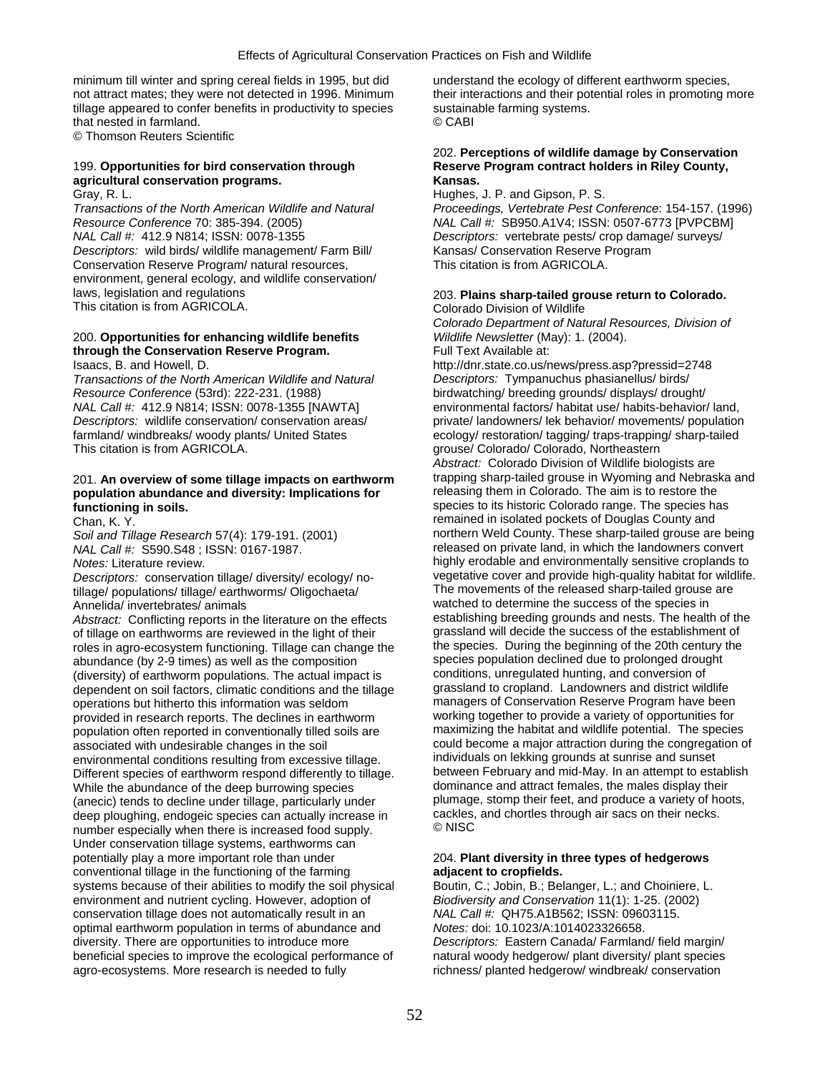minimum till winter and spring cereal fields in 1995, but did understand the ecology of different earthworm species, not attract mates; they were not detected in 1996. Minimum their interactions and their potential roles in promoting more tillage appeared to confer benefits in productivity to species sustainable farming systems. that nested in farmland. © CABI

© Thomson Reuters Scientific

# **agricultural conservation programs.**

*NAL Call #:* 412.9 N814; ISSN: 0078-1355 *Descriptors:* vertebrate pests/ crop damage/ surveys/ *Descriptors:* wild birds/ wildlife management/ Farm Bill/ Kansas/ Conservation Reserve Program Conservation Reserve Program/ natural resources, This citation is from AGRICOLA. environment, general ecology, and wildlife conservation/ laws, legislation and regulations 203. **Plains sharp-tailed grouse return to Colorado.**  This citation is from AGRICOLA. Colorado Division of Wildlife

## 200. **Opportunities for enhancing wildlife benefits** *Wildlife Newsletter* (May): 1. (2004). through the Conservation Reserve Program.

*Transactions of the North American Wildlife and Natural Descriptors:* Tympanuchus phasianellus/ birds/ *Resource Conference* (53rd): 222-231. (1988) birdwatching/ breeding grounds/ displays/ drought/

## population abundance and diversity: Implications for **functioning in soils. functioning in soils. species to its historic Colorado range. The species has**

*Soil and Tillage Research* 57(4): 179-191. (2001)<br>*NAL Call #: S590.S48 ; ISSN: 0167-1987.* 

tillage/ populations/ tillage/ earthworms/ Oligochaeta/ Annelida/ invertebrates/ animals and the species in the success of the species in

of tillage on earthworms are reviewed in the light of their grassland will decide the success of the establishment of roles in agro-ecosystem functioning. Tillage can change the the species. During the beginning of the 20t roles in agro-ecosystem functioning. Tillage can change the the species. During the beginning of the 20th century the species population declined due to prolonged drought abundance (by 2-9 times) as well as the composition species population declined due to prolonged drought (diversity) of earthworm populations. The actual impact is conditions, unregulated hunting, and conversion of (diversity) of earthworm populations. The actual impact is conditions, unregulated hunting, and conversion of<br>dependent on soil factors, climatic conditions and the tillage grassland to cropland. Landowners and district wi dependent on soil factors, climatic conditions and the tillage grassland to cropland. Landowners and district wildlife<br>
operations but bitherto this information was seldom managers of Conservation Reserve Program have been operations but hitherto this information was seldom managers of Conservation Reserve Program have been<br>provided in research reports. The declines in earthworm working together to provide a variety of opportunities for provided in research reports. The declines in earthworm working together to provide a variety of opportunities for population often reported in conventionally tilled soils are associated with undesirable changes in the soil could become a major attraction during the congregation of<br>environmental conditions resulting from excessive tillage. The individuals on lekking grounds at sunrise and sunset environmental conditions resulting from excessive tillage. individuals on lekking grounds at sunrise and sunset<br>Different species of earthworm respond differently to tillage. between February and mid-May. In an attempt to Different species of earthworm respond differently to tillage. between February and mid-May. In an attempt to estab<br>While the abundance of the deep burrowing species dominance and attract females, the males display their While the abundance of the deep burrowing species dominance and attract females, the males display their<br>(anecic) tends to decline under tillage, particularly under plumage, stomp their feet, and produce a variety of hoots (anecic) tends to decline under tillage, particularly under plumage, stomp their feet, and produce a variety of ho<br>deep ploughing, endogeic species can actually increase in cackles, and chortles through air sacs on their n deep ploughing, endogeic species can actually increase in cackles, carries through a chortles through and chor<br>number especially when there is increased food supply number especially when there is increased food supply. Under conservation tillage systems, earthworms can potentially play a more important role than under 204. **Plant diversity in three types of hedgerows**  conventional tillage in the functioning of the farming **adjacent to cropfields.**  systems because of their abilities to modify the soil physical Boutin, C.; Jobin, B.; Belanger, L.; and Choiniere, L. environment and nutrient cycling. However, adoption of *Biodiversity and Conservation* 11(1): 1-25. (2002) conservation tillage does not automatically result in an *NAL Call #:* QH75.A1B562; ISSN: 09603115.<br>
optimal earthworm population in terms of abundance and *Notes:* doi: 10.1023/A:1014023326658. optimal earthworm population in terms of abundance and diversity. There are opportunities to introduce more *Descriptors:* Eastern Canada/ Farmland/ field margin/ beneficial species to improve the ecological performance of natural woody hedgerow/ plant diversity/ plant species agro-ecosystems. More research is needed to fully richness/ planted hedgerow/ windbreak/ conservation

## 202. **Perceptions of wildlife damage by Conservation**  199. Opportunities for bird conservation through Reserve Program contract holders in Riley County,<br> **Ransas.** Kansas.

Gray, R. L. Hughes, J. P. and Gipson, P. S. *Transactions of the North American Wildlife and Natural Proceedings, Vertebrate Pest Conference*: 154-157. (1996) *RAL Call #: SB950.A1V4; ISSN: 0507-6773 [PVPCBM]* 

*Colorado Department of Natural Resources, Division of* 

Isaacs, B. and Howell, D. http://dnr.state.co.us/news/press.asp?pressid=2748 *NAL Call #:* 412.9 N814; ISSN: 0078-1355 [NAWTA] environmental factors/ habitat use/ habits-behavior/ land, *Descriptors:* wildlife conservation/ conservation areas/ private/ landowners/ lek behavior/ movements/ population farmland/ windbreaks/ woody plants/ United States ecology/ restoration/ tagging/ traps-trapping/ sharp-tailed<br>This citation is from AGRICOLA. grouse/ Colorado/ Colorado, Northeastern *Abstract:* Colorado Division of Wildlife biologists are 201. **An overview of some tillage impacts on earthworm** trapping sharp-tailed grouse in Wyoming and Nebraska and Chan, K. Y.<br>Chan, K. Y.<br>Soil and Tillage Research 57(4): 179-191 (2001) The solution orthern Weld County. These sharp-tailed grouse are being released on private land, in which the landowners convert *Notes:* Literature review.<br> *Notes:* Literature review.<br> *Descriptors:* conservation tillage/ diversity/ ecology/ no-<br>
vegetative cover and provide high-quality habitat for wildlife. *Descriptors:* conservation tillage/ diversity/ ecology/ no-<br>
The movements of the released sharp-tailed grouse are<br>
The movements of the released sharp-tailed grouse are *Abstract:* Conflicting reports in the literature on the effects establishing breeding grounds and nests. The health of the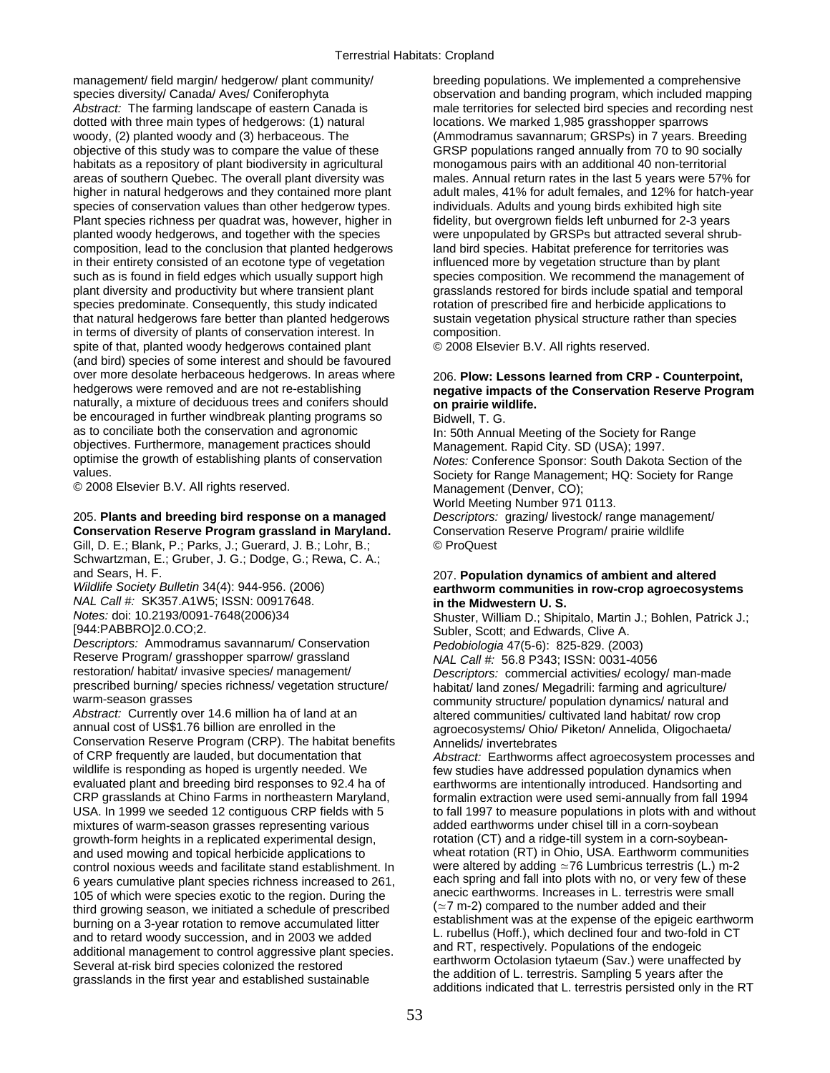management/ field margin/ hedgerow/ plant community/ breeding populations. We implemented a comprehensive species diversity/ Canada/ Aves/ Coniferophyta **observation** and banding program, which included mapping *Abstract:* The farming landscape of eastern Canada is male territories for selected bird species and recording nest dotted with three main types of hedgerows: (1) natural locations. We marked 1,985 grasshopper sparrows woody, (2) planted woody and (3) herbaceous. The (Ammodramus savannarum; GRSPs) in 7 years. Breeding objective of this study was to compare the value of these GRSP populations ranged annually from 70 to 90 socially habitats as a repository of plant biodiversity in agricultural monogamous pairs with an additional 40 non-territorial areas of southern Quebec. The overall plant diversity was males. Annual return rates in the last 5 years were 57% for higher in natural hedgerows and they contained more plant adult males, 41% for adult females, and 12% for hatch-year species of conservation values than other hedgerow types. individuals. Adults and young birds exhibited high site Plant species richness per quadrat was, however, higher in fidelity, but overgrown fields left unburned for 2-3 years planted woody hedgerows, and together with the species were unpopulated by GRSPs but attracted several shrubcomposition, lead to the conclusion that planted hedgerows land bird species. Habitat preference for territories was in their entirety consisted of an ecotone type of vegetation influenced more by vegetation structure than by plant such as is found in field edges which usually support high species composition. We recommend the management of plant diversity and productivity but where transient plant grasslands restored for birds include spatial and temporal species predominate. Consequently, this study indicated rotation of prescribed fire and herbicide applications to that natural hedgerows fare better than planted hedgerows sustain vegetation physical structure rather than species in terms of diversity of plants of conservation interest. In composition. spite of that, planted woody hedgerows contained plant  $\heartsuit$  2008 Elsevier B.V. All rights reserved. (and bird) species of some interest and should be favoured over more desolate herbaceous hedgerows. In areas where 206. **Plow: Lessons learned from CRP - Counterpoint, hedgerows** were removed and are not re-establishing **negative impacts of the Conservation Reserve Program** naturally, a mixture of deciduous trees and conifers should **on prairie wildlife.** be encouraged in further windbreak planting programs so Bidwell, T. G.<br>as to conciliate both the conservation and agronomic ln: 50th Annual objectives. Furthermore, management practices should Management. Rapid City. SD (USA); 1997.<br>
optimise the growth of establishing plants of conservation Motes: Conference Sponsor: South Dakota optimise the growth of establishing plants of conservation *Notes:* Conference Sponsor: South Dakota Section of the

© 2008 Elsevier B.V. All rights reserved. Management (Denver, CO);

## 205. **Plants and breeding bird response on a managed** *Descriptors:* grazing/ livestock/ range management/ **Conservation Reserve Program grassland in Maryland.** Conservation Reserve Program/ prairie wildlife

Gill, D. E.; Blank, P.; Parks, J.; Guerard, J. B.; Lohr, B.; © ProQuest Schwartzman, E.; Gruber, J. G.; Dodge, G.; Rewa, C. A.;

*NAL Call #:* SK357.A1W5; ISSN: 00917648. **in the Midwestern U. S.** 

*Descriptors:* Ammodramus savannarum/ Conservation *Pedobiologia* 47(5-6): 825-829. (2003) Reserve Program/ grasshopper sparrow/ grassland **NAL Call #:** 56.8 P343; ISSN: 0031-4056<br>
restoration/ habitat/ invasive species/ management/ *Descriptors: commercial activities/ ecolog* prescribed burning/ species richness/ vegetation structure/ habitat/ land zones/ Megadrili: farming and agriculture/<br>community structure/ population dynamics/ natural and

Abstract: Currently over 14.6 million ha of land at an altered communities/ cultivated land habitat/ row crop annual cost of US\$1.76 billion are enrolled in the agroecosystems/ Ohio/ Piketon/ Annelida, Oligochaeta/ Conservation Reserve Program (CRP). The habitat benefits Annelids/ invertebrates<br>of CRP frequently are lauded, but documentation that *Abstract:* Farthworms a of CRP frequently are lauded, but documentation that *Abstract:* Earthworms affect agroecosystem processes and wildlife is responding as hoped is urgently needed. We few studies have addressed population dynamics when<br>
evaluated plant and breeding bird responses to 92.4 ha of earthworms are intentionally introduced. Handsorting an evaluated plant and breeding bird responses to 92.4 ha of earthworms are intentionally introduced. Handsorting and<br>CRP grasslands at Chino Farms in northeastern Maryland, formalin extraction were used semi-annually from fa USA. In 1999 we seeded 12 contiguous CRP fields with 5 to fall 1997 to measure populations in plots with and without mixtures of warm-season grasses representing various added earthworms under chisel till in a corn-soybean mixtures of warm-season grasses representing various growth-form heights in a replicated experimental design, rotation (CT) and a ridge-till system in a corn-soybeanand used mowing and topical herbicide applications to wheat rotation (RT) in Ohio, USA. Earthworm communities control noxious weeds and facilitate stand establishment. In were altered by adding  $\simeq$  76 Lumbricus terrestr control noxious weeds and facilitate stand establishment. In 6 years cumulative plant species richness increased to 261, each spring and fall into plots with no, or very few of these<br>105 of which were species exotic to the region During the anecic earthworms. Increases in L. terrest 105 of which were species exotic to the region. During the anecic earthworms. Increases in L. terrestris were s<br>third growing season, we initiated a schedule of prescribed  $( \approx 7 \text{ m-2})$  compared to the number added and t third growing season, we initiated a schedule of prescribed (≃7 m-2) compared to the number added and their<br>burning on a 3-year rotation to remove accumulated litter establishment was at the expense of the epigeic eart burning on a 3-year rotation to remove accumulated litter establishment was at the expense of the epigeic earthword in CT

# hegative impacts of the Conservation Reserve Program

In: 50th Annual Meeting of the Society for Range Society for Range Management; HQ: Society for Range World Meeting Number 971 0113.

## and Sears, H. F. 207. **Population dynamics of ambient and altered**   $earthworm$  communities in row-crop agroecosystems

*Notes:* doi: 10.2193/0091-7648(2006)34 Shuster, William D.; Shipitalo, Martin J.; Bohlen, Patrick J.; Subler, Scott; and Edwards, Clive A. Descriptors: commercial activities/ ecology/ man-made warm-season grasses<br>Abstract: Currently over 14.6 million ha of land at an example altered communities/ cultivated land habitat/ row crop

formalin extraction were used semi-annually from fall 1994 and to retard woody succession, and in 2003 we added<br>additional management to control aggressive plant species.<br>Several at-risk bird species colonized the restored<br>grasslands in the first year and established sustainable<br>g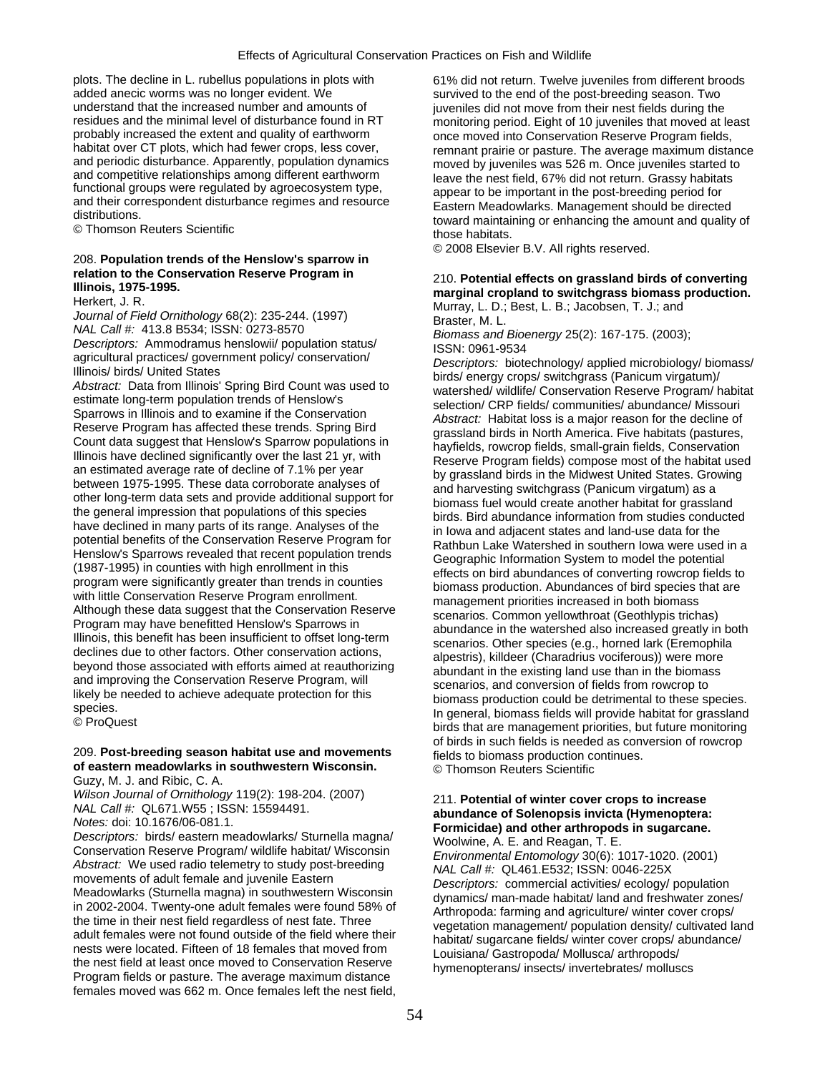plots. The decline in L. rubellus populations in plots with 61% did not return. Twelve juveniles from different broods added anecic worms was no longer evident. We survived to the end of the post-breeding season. Two added anecic worms was no longer evident. We survived to the end of the post-breeding season. Two<br>understand that the increased number and amounts of inveniles did not move from their nest fields during the understand that the increased number and amounts of juveniles did not move from their nest fields during the residues and the minimal level of disturbance found in RT monitoring period. Eight of 10 juveniles that moved at residues and the minimal level of disturbance found in RT monitoring period. Eight of 10 juveniles that moved at least probably increased the extent and quality of earthworm once moved into Conservation Reserve Program fie

# © 2008 Elsevier B.V. All rights reserved. 208. **Population trends of the Henslow's sparrow in**

Guzy, M. J. and Ribic, C. A.<br>Wilson Journal of Ornithology 119(2): 198-204. (2007)

Wilson Journal of Omithology 119(2): 198-204. (2007)<br>
Notes: doi: 10.1676/06-081.1.<br>
Notes: doi: 10.1676/06-081.1.<br>
Notes: doi: 10.1676/06-081.1.<br>
Descriptors: birds/ eastern meadowlarks/ Sturnella magna/<br>
Descriptors: bir females moved was 662 m. Once females left the nest field,

probably increased the extent and quality of earthworm<br>
habitat over CT plots, which had fewer crops, less cover,<br>
and periodic disturbance. Apparently, population dynamics<br>
and competitive relationships among different ea

relation to the Conservation Reserve Program in<br>
Hilrinois, 1975-1995.<br>
Heriset, 1, R.<br>
Heriset, 1, R. Best, L. B.; Jacobsen, T. J.; See S. Decembers and biret<br>
However, 1, D.; Best, L. B.; Jacobsen, T. J.; and<br>
Nourral of 209. Post-breeding season habitat use and movements of birds in such fields is needed as conversion of rowcrop<br>199. Post-breeding season habitat use and movements of eastern continues.<br>199. Thomson Reuters Scientific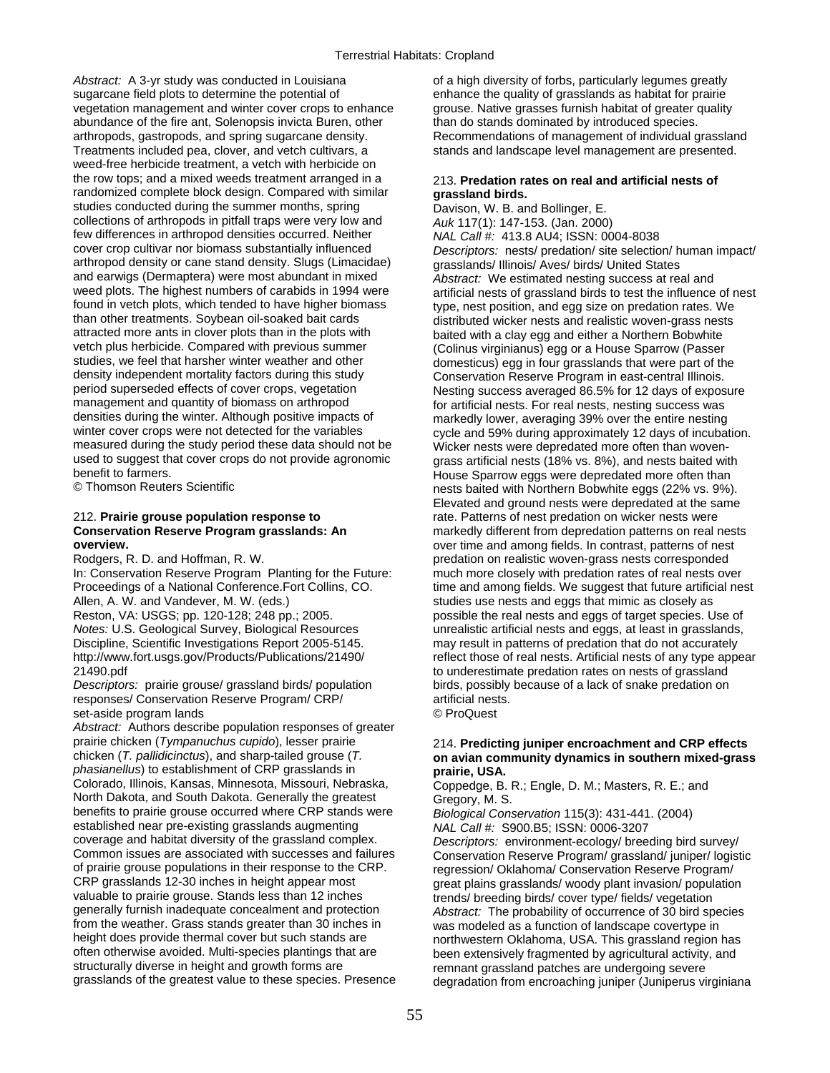Abstract: A 3-yr study was conducted in Louisiana **of a high diversity of forbs**, particularly legumes greatly sugarcane field plots to determine the potential of enhance the quality of grasslands as habitat for prairie vegetation management and winter cover crops to enhance grouse. Native grasses furnish habitat of greater quality abundance of the fire ant, Solenopsis invicta Buren, other than do stands dominated by introduced species. arthropods, gastropods, and spring sugarcane density. Recommendations of management of individual grassland Treatments included pea, clover, and vetch cultivars, a stands and landscape level management are presented. weed-free herbicide treatment, a vetch with herbicide on the row tops; and a mixed weeds treatment arranged in a 213. **Predation rates on real and artificial nests of**  randomized complete block design. Compared with similar **grassland birds.**<br>
studies conducted during the summer months, spring **Davison, W. B. and Bollinger, E.** studies conducted during the summer months, spring collections of arthropods in pitfall traps were very low and *Auk* 117(1): 147-153. (Jan. 2000) few differences in arthropod densities occurred. Neither *NAL Call #:* 413.8 AU4; ISSN: 0004-8038<br>cover crop cultivar nor biomass substantially influenced *Descriptors:* nests/ predation/ site selection arthropod density or cane stand density. Slugs (Limacidae) grasslands/ Illinois/ Aves/ birds/ United States and earwigs (Dermaptera) were most abundant in mixed<br>weed plots. The highest numbers of carabids in 1994 were<br>artificial nests of grassland birds to test the influence found in vetch plots, which tended to have higher biomass type, nest position, and egg size on predation rates. We than other treatments. Soybean oil-soaked bait cards distributed wicker nests and realistic woven-grass nests<br>attracted more ants in clover plots than in the plots with baited with a clay egg and either a Northern Bobwhite attracted more ants in clover plots than in the plots with baited with a clay egg and either a Northern Bobwhite<br>Vetch plus herbicide. Compared with previous summer (Colinus virginianus) egg or a House Sparrow (Passer vetch plus herbicide. Compared with previous summer (Colinus virginianus) egg or a House Sparrow (Passer<br>studies, we feel that harsher winter weather and other domesticus) egg or a House Sparrow (Passer studies, we feel that harsher winter weather and other domesticus) egg in four grasslands that were part of the<br>density independent mortality factors during this study<br>Conservation Reserve Program in east-central Illinois. density independent mortality factors during this study<br>
Denservation Reserve Program in east-central Illinois.<br>
Nesting success averaged 86.5% for 12 days of exposition management and quantity of biomass on arthropod for artificial nests. For real nests, nesting success was<br>densities during the winter. Although positive impacts of markedly lower, averaging 39% over the entire nesting densities during the winter. Although positive impacts of markedly lower, averaging 39% over the entire nesting<br>winter cover crops were not detected for the variables excle and 59% during approximately 12 days of incubatin measured during the study period these data should not be Wicker nests were depredated more often than woven-<br>used to suggest that cover crops do not provide agronomic grass artificial nests (18% vs. 8%), and nests baited used to suggest that cover crops do not provide agronomic grass artificial nests (18% vs. 8%), and nests baited with

Allen, A. W. and Vandever, M. W. (eds.) studies use nests and eggs that mimic as closely as Allen, A. W. in the S<br>Reston, VA: USGS; pp. 120-128; 248 pp.; 2005. Discipline, Scientific Investigations Report 2005-5145. may result in patterns of predation that do not accurately

responses/ Conservation Reserve Program/ CRP/ artificial nests. set-aside program lands © ProQuest

*Abstract:* Authors describe population responses of greater prairie chicken (*Tympanuchus cupido*), lesser prairie 214. **Predicting juniper encroachment and CRP effects**  $\overline{C}$  chicken (*T. pallidicinctus*), and sharp-tailed grouse (*T.* **and an** avian community dynamics in south *phasianellus*) to establishment of CRP grasslands in **prairie, USA.**  North Dakota, and South Dakota. Generally the greatest Gregory, M. S. benefits to prairie grouse occurred where CRP stands were *Biological Conservation* 115(3): 431-441. (2004) established near pre-existing grasslands augmenting<br>*coverage and habitat diversity of the grassland complex.* coverage and habitat diversity of the grassland complex. *Descriptors:* environment-ecology/ breeding bird survey/ of prairie grouse populations in their response to the CRP.<br>CRP grasslands 12-30 inches in height appear most expansion or eat plains grasslands/ woody plant invasion/ population valuable to prairie grouse. Stands less than 12 inches trends/ breeding birds/ cover type/ fields/ vegetation generally furnish inadequate concealment and protection *Abstract:* The probability of occurrence of 30 bird species from the weather. Grass stands greater than 30 inches in was modeled as a function of landscape covertype in height does provide thermal cover but such stands are northwestern Oklahoma USA. This grassland region height does provide thermal cover but such stands are northwestern Oklahoma, USA. This grassland region has<br>The northerwise avoided. Multi-species plantings that are the proposition of ragmented by agricultural activity, a often otherwise avoided. Multi-species plantings that are been extensively fragmented by agricultural activity, and<br>structurally diverse in height and growth forms are structured permant grassland patches are undergoing se structurally diverse in height and growth forms are entity remnant grassland patches are undergoing severe<br>The remainds of the greatest value to these species. Presence and degradation from encroaching juniper (Juniperus v

Descriptors: nests/ predation/ site selection/ human impact/ weed plots. The highest numbers of carabids in 1994 were artificial nests of grassland birds to test the influence of nest<br>found in vetch plots, which tended to have higher biomass to the nest position, and egg size on pre Nesting success averaged 86.5% for 12 days of exposure cycle and 59% during approximately 12 days of incubation. benefit to farmers.<br>© Thomson Reuters Scientific entity and the sparrow eggs were depredated more often than nests baited with Northern Bobwhite eggs (22% vs. 9%). Elevated and ground nests were depredated at the same 212. **Prairie grouse population response to** rate. Patterns of nest predation on wicker nests were **Conservation Reserve Program grasslands: An <br>
over time and among fields. In contrast, patterns of nest<br>
over time and among fields. In contrast, patterns of nest** over time and among fields. In contrast, patterns of nest Rodgers, R. D. and Hoffman, R. W. **predation** on realistic woven-grass nests corresponded In: Conservation Reserve Program Planting for the Future: much more closely with predation rates of real nests over Proceedings of a National Conference. Fort Collins, CO. The and among fields. We suggest that future artificial nest possible the real nests and eggs of target species. Use of *Notes:* U.S. Geological Survey, Biological Resources unrealistic artificial nests and eggs, at least in grasslands, http://www.fort.usgs.gov/Products/Publications/21490/ reflect those of real nests. Artificial nests of any type appear<br>21490.pdf<br>to underestimate predation rates on nests of grassland 21490.pdf<br>
Descriptors: prairie grouse/ grassland birds/ population birds, possibly because of a lack of snake predation on birds, possibly because of a lack of snake predation on

# chicken (*T. pallidicinctus*), and sharp-tailed grouse (*T.* **on avian community dynamics in southern mixed-grass**

Coppedge, B. R.; Engle, D. M.; Masters, R. E.; and

Conservation Reserve Program/ grassland/ juniper/ logistic great plains grasslands/ woody plant invasion/ population degradation from encroaching juniper (Juniperus virginiana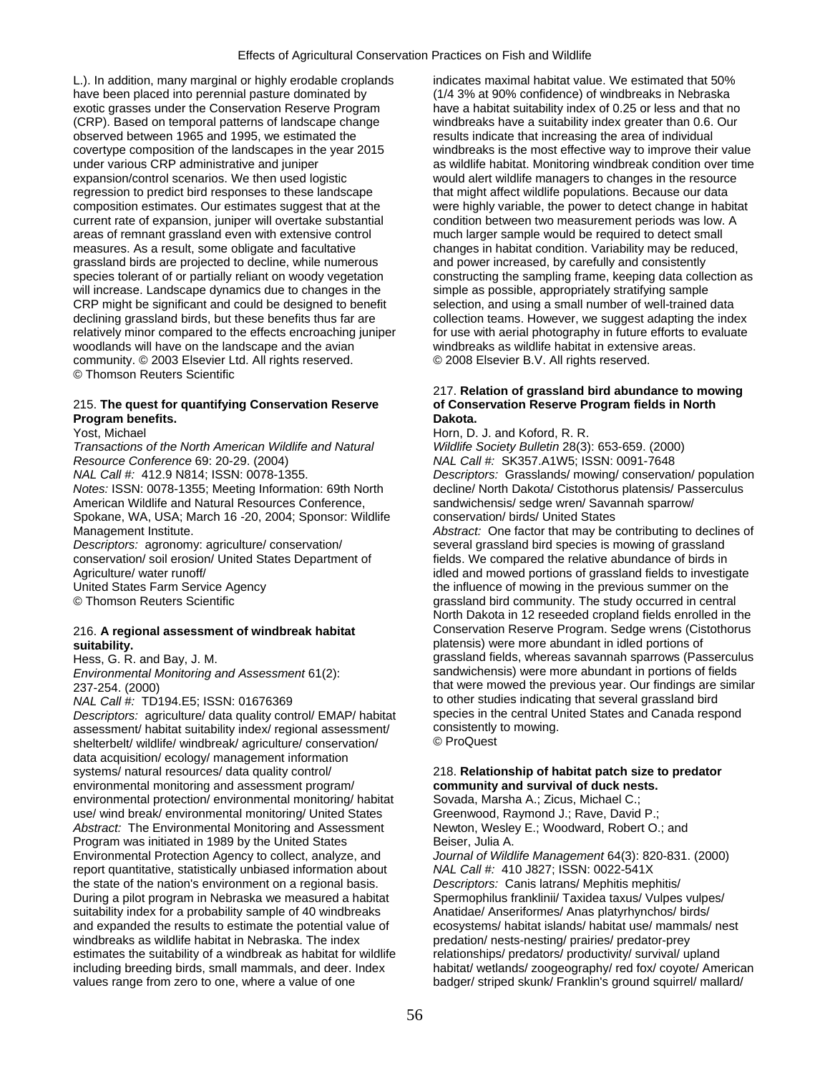L.). In addition, many marginal or highly erodable croplands indicates maximal habitat value. We estimated that 50% have been placed into perennial pasture dominated by (1/4 3% at 90% confidence) of windbreaks in Nebraska exotic grasses under the Conservation Reserve Program have a habitat suitability index of 0.25 or less and that no (CRP). Based on temporal patterns of landscape change windbreaks have a suitability index greater than 0.6. Our observed between 1965 and 1995, we estimated the results indicate that increasing the area of individual covertype composition of the landscapes in the year 2015 windbreaks is the most effective way to improve their value under various CRP administrative and juniper and as wildlife habitat. Monitoring windbreak condition over time expansion/control scenarios. We then used logistic would alert wildlife managers to changes in the resource regression to predict bird responses to these landscape that might affect wildlife populations. Because our data composition estimates. Our estimates suggest that at the were highly variable, the power to detect change in habitat current rate of expansion, juniper will overtake substantial condition between two measurement periods was low. A areas of remnant grassland even with extensive control much larger sample would be required to detect small measures. As a result, some obligate and facultative changes in habitat condition. Variability may be reduced, grassland birds are projected to decline, while numerous and power increased, by carefully and consistently species tolerant of or partially reliant on woody vegetation constructing the sampling frame, keeping data collection as will increase. Landscape dynamics due to changes in the simple as possible, appropriately stratifying sample<br>CRP might be significant and could be designed to benefit selection, and using a small number of well-trained dat CRP might be significant and could be designed to benefit declining grassland birds, but these benefits thus far are collection teams. However, we suggest adapting the index relatively minor compared to the effects encroaching juniper for use with aerial photography in future efforts to evaluate woodlands will have on the landscape and the avian windbreaks as wildlife habitat in extensive areas. community. © 2003 Elsevier Ltd. All rights reserved. © 2008 Elsevier B.V. All rights reserved. © Thomson Reuters Scientific

## 215. **The quest for quantifying Conservation Reserve of Conservation Reserve Program fields in North Program benefits. Dakota. Dakota. Dakota. Dakota. Dakota.**

*Transactions of the North American Wildlife and Natural Wildlife Society Bulletin* 28(3): 653-659. (2000) *Resource Conference* 69: 20-29. (2004) *NAL Call #:* SK357.A1W5; ISSN: 0091-7648

American Wildlife and Natural Resources Conference, sandwichensis/ sedge wren/ Savannah sparrow/ Spokane, WA, USA; March 16 -20, 2004; Sponsor: Wildlife conservation/ birds/ United States

*Descriptors:* agronomy: agriculture/ conservation/ several grassland bird species is mowing of grassland conservation/ soil erosion/ United States Department of fields. We compared the relative abundance of birds in

*Descriptors:* agriculture/ data quality control/ EMAP/ habitat species in the central U<br>assessment/ habitat suitability index/ regional assessment/ consistently to mowing. assessment/ habitat suitability index/ regional assessment/ consistently to move that it moves that the moment<br>shelterhelt/ wildlife/ windbreak/ agriculture/ conservation/ C ProQuest shelterbelt/ wildlife/ windbreak/ agriculture/ conservation/ data acquisition/ ecology/ management information systems/ natural resources/ data quality control/ 218. **Relationship of habitat patch size to predator**  environmental monitoring and assessment program/ **community and survival of duck nests.**  environmental protection/ environmental monitoring/ habitat Sovada, Marsha A.; Zicus, Michael C.; use/ wind break/ environmental monitoring/ United States Greenwood, Raymond J.; Rave, David P.;<br>
Abstract: The Environmental Monitoring and Assessment Newton, Wesley E.; Woodward, Robert O.; and Abstract: The Environmental Monitoring and Assessment Program was initiated in 1989 by the United States Beiser, Julia A. Environmental Protection Agency to collect, analyze, and *Journal of Wildlife Management* 64(3): 820-831. (2000) report quantitative, statistically unbiased information about *NAL Call #:* 410 J827; ISSN: 0022-541X the state of the nation's environment on a regional basis. *Descriptors:* Canis latrans/ Mephitis mephitis/ During a pilot program in Nebraska we measured a habitat Spermophilus franklinii/ Taxidea taxus/ Vulpes vulpes/ suitability index for a probability sample of 40 windbreaks Anatidae/ Anseriformes/ Anas platyrhynchos/ birds/ and expanded the results to estimate the potential value of ecosystems/ habitat islands/ habitat use/ mammals/ nest windbreaks as wildlife habitat in Nebraska. The index predation/ nests-nesting/ prairies/ predator-prey estimates the suitability of a windbreak as habitat for wildlife relationships/ predators/ productivity/ survival/ upland including breeding birds, small mammals, and deer. Index habitat/ wetlands/ zoogeography/ red fox/ coyote/ American values range from zero to one, where a value of one badger/ striped skunk/ Franklin's ground squirrel/ mallard/

# 217. **Relation of grassland bird abundance to mowing**

Yost, Michael **Horn, D. J. and Koford, R. R.** And Horn, D. J. and Koford, R. R. *NAL Call #:* 412.9 N814; ISSN: 0078-1355. *Descriptors:* Grasslands/ mowing/ conservation/ population *Notes:* ISSN: 0078-1355; Meeting Information: 69th North decline/ North Dakota/ Cistothorus platensis/ Passerculus Management Institute. *Abstract:* One factor that may be contributing to declines of Agriculture/ water runoff/ individual and moved portions of grassland fields to investigate

United States Farm Service Agency the influence of mowing in the previous summer on the © Thomson Reuters Scientific Grassland Structure grassland bird community. The study occurred in central North Dakota in 12 reseeded cropland fields enrolled in the 216. **A regional assessment of windbreak habitat** Conservation Reserve Program. Sedge wrens (Cistothorus **suitability.** platensis) were more abundant in idled portions of grassland fields, whereas savannah sparrows (Passerculus *Environmental Monitoring and Assessment* 61(2): sandwichensis) were more abundant in portions of fields 237-254. (2000)<br>
MAL Call #: TD194.E5; ISSN: 01676369<br>
to other studies indicating that several grassland bird to other studies indicating that several grassland bird<br>species in the central United States and Canada respond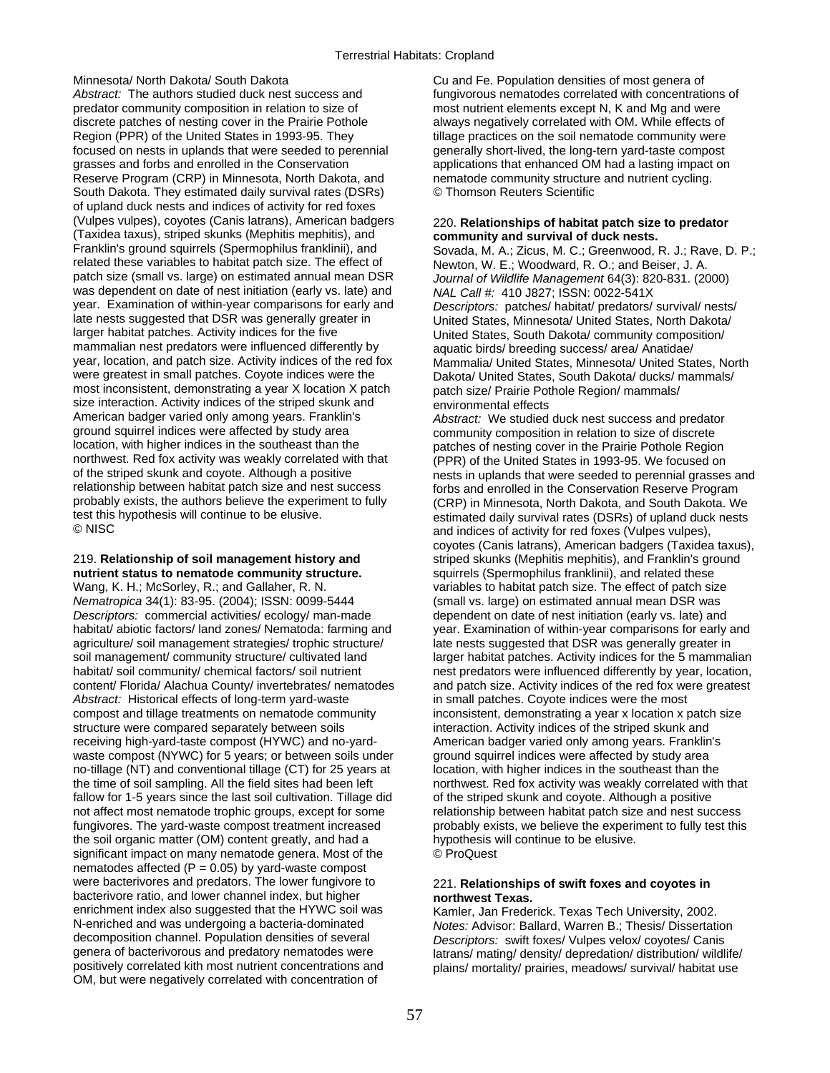*Abstract:* The authors studied duck nest success and fungivorous nematodes correlated with concentrations of predator community composition in relation to size of most nutrient elements except N, K and Mg and were predator community composition in relation to size of discrete patches of nesting cover in the Prairie Pothole always negatively correlated with OM. While effects of Region (PPR) of the United States in 1993-95. They tillage practices on the soil nematode community were focused on nests in uplands that were seeded to perennial generally short-lived, the long-tern yard-taste compost grasses and forbs and enrolled in the Conservation applications that enhanced OM had a lasting impact on Reserve Program (CRP) in Minnesota, North Dakota, and nematode community structure and nutrient cycling. South Dakota. They estimated daily survival rates (DSRs) © Thomson Reuters Scientific of upland duck nests and indices of activity for red foxes (Vulpes vulpes), coyotes (Canis latrans), American badgers 220. **Relationships of habitat patch size to predator**  (Taxidea taxus), striped skunks (Mephitis mephitis), and **community and survival of duck nests.**  related these variables to habitat patch size. The effect of Newton, W. E.; Woodward, R. O.; and Beiser, J. A. patch size (small vs. large) on estimated annual mean DSR *Journal of Wildlife Management* 64(3): 820-831. (2000) was dependent on date of nest initiation (early vs. late) and *NAL Call #:* 410 J827; ISSN: 0022-541X<br>year. Examination of within-year comparisons for early and *Descriptors: patches/ habitat/ predators/* year. Examination of within-year comparisons for early and *Descriptors:* patches/ habitat/ predators/ survival/ nests/ late nests suggested that DSR was generally greater in United States, Minnesota/ United States, North Dakota/<br>United States, South Dakota/ community composition/ larger habitat patches. Activity indices for the five United States, South Dakota/ community composition/<br>mammalian nest predators were influenced differently by aquatic birds/ breeding success/ area/ Anatidae/ mammalian nest predators were influenced differently by aquatic birds/ breeding success/ area/ Anatidae/<br>year, location, and patch size. Activity indices of the red fox Mammalia/ United States Minnesota/ United Sta year, location, and patch size. Activity indices of the red fox Mammalia/ United States, Minnesota/ United States, North<br>Were greatest in small patches. Coyote indices were the Dakota/ United States, South Dakota/ ducks/ m most inconsistent, demonstrating a year X location X patch patch size/ Prairie Pothole Region/ mammals/ size interaction. Activity indices of the striped skunk and environmental effects American badger varied only among years. Franklin's *Abstract:* We studied duck nest success and predator ground squirrel indices were affected by study area community composition in relation to size of discrete<br>location, with higher indices in the southeast than the same patches of nesting cover in the Prairie Pothole Regio location, with higher indices in the southeast than the patches of nesting cover in the Prairie Pothole Region<br>
northwest. Red fox activity was weakly correlated with that (PPR) of the United States in 1993-95. We focused northwest. Red fox activity was weakly correlated with that (PPR) of the United States in 1993-95. We focused on<br>of the striped skunk and coyote. Although a positive on the sets in unlands that were seeded to perennial gra relationship between habitat patch size and nest success forbs and enrolled in the Conservation Reserve Program<br>probably exists, the authors believe the experiment to fully fraction in Minnesota, North Dakota, and South Da probably exists, the authors believe the experiment to fully (CRP) in Minnesota, North Dakota, and South Dakota. We test this hypothesis will continue to be elusive.<br>
© NISC<br>
end indices of activity for red foxes (Vulnes vulnes)

# **nutrient status to nematode community structure.** squirrels (Spermophilus franklinii), and related these

Wang, K. H.; McSorley, R.; and Gallaher, R. N. variables to habitat patch size. The effect of patch size *Nematropica* 34(1): 83-95. (2004); ISSN: 0099-5444 (small vs. large) on estimated annual mean DSR was *Descriptors:* commercial activities/ ecology/ man-made dependent on date of nest initiation (early vs. late) and habitat/ abiotic factors/ land zones/ Nematoda: farming and year. Examination of within-year comparisons for early and agriculture/ soil management strategies/ trophic structure/ late nests suggested that DSR was generally greater in soil management/ community structure/ cultivated land larger habitat patches. Activity indices for the 5 mammalian habitat/ soil community/ chemical factors/ soil nutrient nest predators were influenced differently by year, location, content/ Florida/ Alachua County/ invertebrates/ nematodes and patch size. Activity indices of the red fox were greatest<br>Abstract: Historical effects of long-term yard-waste in small patches. Coyote indices were the most Abstract: Historical effects of long-term yard-waste compost and tillage treatments on nematode community inconsistent, demonstrating a year x location x patch size structure were compared separately between soils interaction. Activity indices of the striped skunk and receiving high-yard-taste compost (HYWC) and no-yard- American badger varied only among years. Franklin's waste compost (NYWC) for 5 years; or between soils under ground squirrel indices were affected by study area no-tillage (NT) and conventional tillage (CT) for 25 years at location, with higher indices in the southeast than the the time of soil sampling. All the field sites had been left northwest. Red fox activity was weakly correlated with that fallow for 1-5 years since the last soil cultivation. Tillage did of the striped skunk and coyote. Although a positive not affect most nematode trophic groups, except for some relationship between habitat patch size and nest success fungivores. The yard-waste compost treatment increased probably exists, we believe the experiment to fully test this the soil organic matter (OM) content greatly, and had a hypothesis will continue to be elusive. significant impact on many nematode genera. Most of the © ProQuest nematodes affected ( $P = 0.05$ ) by yard-waste compost were bacterivores and predators. The lower fungivore to bacterivore ratio, and lower channel index, but higher **northwest Texas.** enrichment index also suggested that the HYWC soil was Kamler, Jan Frederick. Texas Tech University, 2002.<br>N-enriched and was undergoing a bacteria-dominated Notes: Advisor: Ballard. Warren B.: Thesis/ Dissertati N-enriched and was undergoing a bacteria-dominated *Notes:* Advisor: Ballard, Warren B.; Thesis/ Dissertation decomposition channel. Population densities of several *Descriptors: swift foxes/ Vulpes velox/ covotes/ Canis* decomposition channel. Population densities of several *Descriptors:* swift foxes/ Vulpes velox/ coyotes/ Canis genera of bacterivorous and predatory nematodes were latrans/ mating/ density/ depredation/ distribution/ wildlife/<br>positively correlated kith most nutrient concentrations and later plains/ mortality/ prairies, meadows/ su OM, but were negatively correlated with concentration of

Minnesota/ North Dakota/ South Dakota Cu and Fe. Population densities of most genera of

Sovada, M. A.; Zicus, M. C.; Greenwood, R. J.; Rave, D. P.; Dakota/ United States, South Dakota/ ducks/ mammals/

of the striped skunk and coyote. Although a positive nests in uplands that were seeded to perennial grasses and<br>
relationship between habitat patch size and nest success forbs and enrolled in the Conservation Reserve Progr and indices of activity for red foxes (Vulpes vulpes), coyotes (Canis latrans), American badgers (Taxidea taxus), 219. **Relationship of soil management history and striped skunks (Mephitis mephitis)**, and Franklin's ground

# 221. Relationships of swift foxes and coyotes in

plains/ mortality/ prairies, meadows/ survival/ habitat use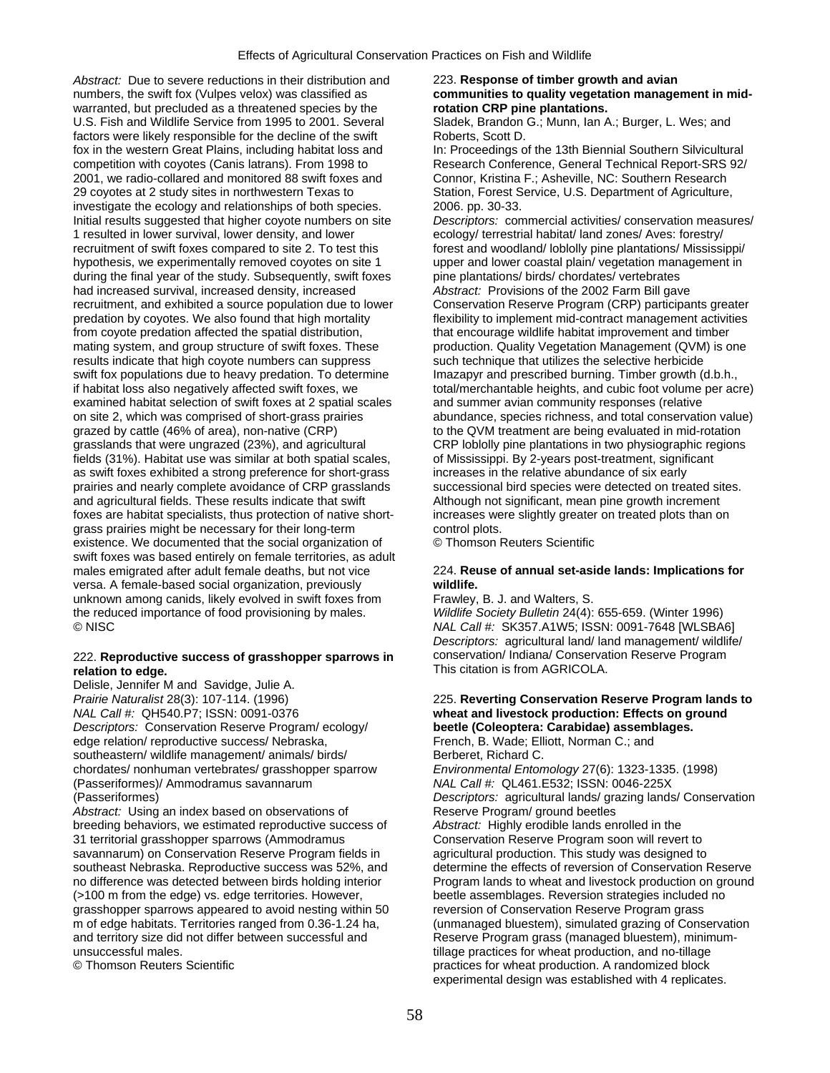*Abstract:* Due to severe reductions in their distribution and 223. **Response of timber growth and avian**  numbers, the swift fox (Vulpes velox) was classified as **communities to quality vegetation management in mid**warranted, but precluded as a threatened species by the **rotation CRP pine plantations.**  U.S. Fish and Wildlife Service from 1995 to 2001. Several Sladek, Brandon G.; Munn, Ian A.; Burger, L. Wes; and factors were likely responsible for the decline of the swift Roberts, Scott D. fox in the western Great Plains, including habitat loss and In: Proceedings of the 13th Biennial Southern Silvicultural competition with coyotes (Canis latrans). From 1998 to Research Conference, General Technical Report-SRS 92/<br>
2001, we radio-collared and monitored 88 swift foxes and Connor, Kristina F.; Asheville, NC: Southern Research 2001, we radio-collared and monitored 88 swift foxes and 29 coyotes at 2 study sites in northwestern Texas to Station, Forest Service, U.S. Department of Agriculture, investigate the ecology and relationships of both species. 2006. pp. 30-33. Initial results suggested that higher coyote numbers on site *Descriptors:* commercial activities/ conservation measures/ 1 resulted in lower survival, lower density, and lower ecology/ terrestrial habitat/ land zones/ Aves: forestry/ recruitment of swift foxes compared to site 2. To test this forest and woodland/ loblolly pine plantations/ Mississippi/ hypothesis, we experimentally removed coyotes on site 1 upper and lower coastal plain/ vegetation management in<br>
during the final year of the study. Subsequently, swift foxes pine plantations/ birds/ chordates/ vertebrates during the final year of the study. Subsequently, swift foxes pine plantations/ birds/ chordates/ vertebrates had increased survival, increased density, increased  $\overline{A}\overline{B}$  Abstract: Provisions of the 2002 Farm Bill ga had increased survival, increased density, increased **Abstract:** Provisions of the 2002 Farm Bill gave<br>
recruitment, and exhibited a source population due to lower Conservation Reserve Program (CRP) participants greater recruitment, and exhibited a source population due to lower predation by coyotes. We also found that high mortality flexibility to implement mid-contract management activities from coyote predation affected the spatial distribution, that encourage wildlife habitat improvement and timber mating system, and group structure of swift foxes. These production. Quality Vegetation Management (QVM) is one results indicate that high coyote numbers can suppress such technique that utilizes the selective herbicide swift fox populations due to heavy predation. To determine Imazapyr and prescribed burning. Timber growth (d.b.h., if habitat loss also negatively affected swift foxes, we total/merchantable heights, and cubic foot volume per acre) examined habitat selection of swift foxes at 2 spatial scales and summer avian community responses (relative<br>on site 2, which was comprised of short-grass prairies abundance, species richness, and total conservation grazed by cattle (46% of area), non-native (CRP) to the QVM treatment are being evaluated in mid-rotation grasslands that were ungrazed (23%), and agricultural CRP loblolly pine plantations in two physiographic regions fields (31%). Habitat use was similar at both spatial scales, on Mississippi. By 2-years post-treatment, significant as swift foxes exhibited a strong preference for short-grass increases in the relative abundance of six early prairies and nearly complete avoidance of CRP grasslands successional bird species were detected on treated sites. and agricultural fields. These results indicate that swift Although not significant, mean pine growth increment foxes are habitat specialists, thus protection of native short- increases were slightly greater on treated plots than on grass prairies might be necessary for their long-term control plots. existence. We documented that the social organization of © Thomson Reuters Scientific swift foxes was based entirely on female territories, as adult males emigrated after adult female deaths, but not vice 224. **Reuse of annual set-aside lands: Implications for**  versa. A female-based social organization, previously **wildlife.**  unknown among canids, likely evolved in swift foxes from Frawley, B. J. and Walters, S. the reduced importance of food provisioning by males. *Wildlife Society Bulletin* 24(4): 655-659. (Winter 1996) © NISC *NAL Call #:* SK357.A1W5; ISSN: 0091-7648 [WLSBA6]

## 222. Reproductive success of grasshopper sparrows in **relation to edge.** This citation is from AGRICOLA.

Delisle, Jennifer M and Savidge, Julie A. *NAL Call #:* QH540.P7; ISSN: 0091-0376 **wheat and livestock production: Effects on ground**  *Descriptors:* Conservation Reserve Program/ ecology/ **beetle (Coleoptera: Carabidae) assemblages.**  edge relation/ reproductive success/ Nebraska, French, B. Wade; Elliott, Norman C.; and southeastern/ wildlife management/ animals/ birds/ Berberet, Richard C. chordates/ nonhuman vertebrates/ grasshopper sparrow *Environmental Entomology* 27(6): 1323-1335. (1998) (Passeriformes)/ Ammodramus savannarum *NAL Call #:* QL461.E532; ISSN: 0046-225X

Abstract: Using an index based on observations of Reserve Program/ ground beetles breeding behaviors, we estimated reproductive success of *Abstract:* Highly erodible lands enrolled in the 31 territorial grasshopper sparrows (Ammodramus Conservation Reserve Program soon will revert to savannarum) on Conservation Reserve Program fields in agricultural production. This study was designed to grasshopper sparrows appeared to avoid nesting within 50 reversion of Conservation Reserve Program grass and territory size did not differ between successful and unsuccessful males. tillage practices for wheat production, and no-tillage

abundance, species richness, and total conservation value)

*Descriptors:* agricultural land/ land management/ wildlife/ conservation/ Indiana/ Conservation Reserve Program

# *Prairie Naturalist* 28(3): 107-114. (1996) 225. **Reverting Conservation Reserve Program lands to**

(Passeriformes) *Descriptors:* agricultural lands/ grazing lands/ Conservation southeast Nebraska. Reproductive success was 52%, and determine the effects of reversion of Conservation Reserve<br>no difference was detected between birds holding interior Program lands to wheat and livestock production on no difference was detected between birds holding interior Program lands to wheat and livestock production on ground<br>
(>100 m from the edge) vs. edge territories. However, beetle assemblages. Reversion strategies included n beetle assemblages. Reversion strategies included no m of edge habitats. Territories ranged from 0.36-1.24 ha, (unmanaged bluestem), simulated grazing of Conservation<br>and territory size did not differ between successful and Reserve Program grass (managed bluestem), minimum-© Thomson Reuters Scientific practices for wheat production. A randomized block experimental design was established with 4 replicates.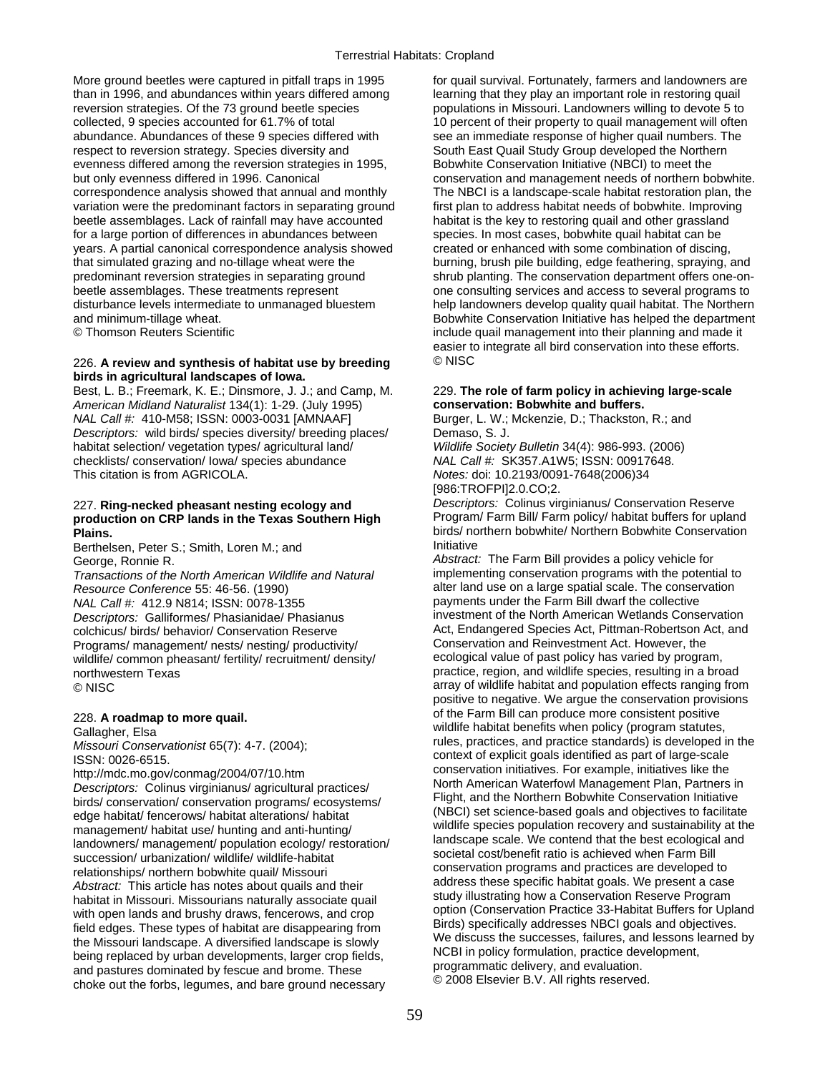More ground beetles were captured in pitfall traps in 1995 for quail survival. Fortunately, farmers and landowners are than in 1996, and abundances within years differed among learning that they play an important role in restoring quail reversion strategies. Of the 73 ground beetle species populations in Missouri. Landowners willing to devote 5 to collected, 9 species accounted for 61.7% of total 10 percent of their property to quail management will often abundance. Abundances of these 9 species differed with see an immediate response of higher quail numbers. The respect to reversion strategy. Species diversity and South East Quail Study Group developed the Northern evenness differed among the reversion strategies in 1995, Bobwhite Conservation Initiative (NBCI) to meet the but only evenness differed in 1996. Canonical conservation and management needs of northern bobwhite. correspondence analysis showed that annual and monthly The NBCI is a landscape-scale habitat restoration plan, the variation were the predominant factors in separating ground first plan to address habitat needs of bobwhite. Improving beetle assemblages. Lack of rainfall may have accounted habitat is the key to restoring quail and other grassland for a large portion of differences in abundances between species. In most cases, bobwhite quail habitat can be years. A partial canonical correspondence analysis showed created or enhanced with some combination of discing, that simulated grazing and no-tillage wheat were the burning, brush pile building, edge feathering, spraying, and predominant reversion strategies in separating ground shrub planting. The conservation department offers one-onbeetle assemblages. These treatments represent one consulting services and access to several programs to disturbance levels intermediate to unmanaged bluestem help landowners develop quality quail habitat. The Northern

## 226. **A review and synthesis of habitat use by breeding** © NISC **birds in agricultural landscapes of Iowa.**

Best, L. B.; Freemark, K. E.; Dinsmore, J. J.; and Camp, M. 229. **The role of farm policy in achieving large-scale**  *American Midland Naturalist* 134(1): 1-29. (July 1995) **conservation: Bobwhite and buffers.**  *NAL Call #:* 410-M58; ISSN: 0003-0031 [AMNAAF] Burger, L. W.; Mckenzie, D.; Thackston, R.; and *Descriptors:* wild birds/ species diversity/ breeding places/ Demaso, S. J. habitat selection/ vegetation types/ agricultural land/ *Wildlife Society Bulletin* 34(4): 986-993. (2006) checklists/ conservation/ Iowa/ species abundance *NAL Call #:* SK357.A1W5; ISSN: 00917648. This citation is from AGRICOLA. *Notes:* doi: 10.2193/0091-7648(2006)34

# production on CRP lands in the Texas Southern High

Berthelsen, Peter S.; Smith, Loren M.; and

*Transactions of the North American Wildlife and Natural Resource Conference* 55: 46-56. (1990) alter land use on a large spatial scale. The conservation<br>
NAL Call #: 412.9 N814: ISSN: 0078-1355 *Descriptors: Galliformes/ Phasianidae/ Phasianus* Programs/ management/ nests/ nesting/ productivity/ Conservation and Reinvestment Act. However, the<br>
wildlife/ common pheasant/ fertility/ recruitment/ density/ ecological value of past policy has varied by program, wildlife/ common pheasant/ fertility/ recruitment/ density/ northwestern Texas **practice, region, and wildlife species, resulting in a broad**<br> **EXEC PRODUSC PRODUSC PRODUSC PRODUSC PRODUSC PRODUSC PRODUSC PRODUSC PRODUSC PRODUSC PRODUSC PRODUSC PRODUSC P** 

Felationships/northern bobwhite quail/Missouri<br>
Abstract: This article has notes about quails and their<br>
Abstract: This article has notes about quails and their<br>
habitat in Missouri. Missourians naturally associate quail<br>

and minimum-tillage wheat. Bobwhite Conservation Initiative has helped the department © Thomson Reuters Scientific include quail management into their planning and made it easier to integrate all bird conservation into these efforts.

[986:TROFPI]2.0.CO;2.

227. **Ring-necked pheasant nesting ecology and** *Descriptors:* Colinus virginianus/ Conservation Reserve **Plains.** birds/ northern bobwhite/ Northern Bobwhite Conservation<br>Borthelese Botter S: Smith Leren M: and little little initiative

George, Ronnie R.<br>*Transactions of the North American Wildlife and Natural Abstract:* The Farm Bill provides a policy vehicle for<br>*Transactions of the North American Wildlife and Natural* implementing conservation progra *NAL Call #:* 412.9 N814; ISSN: 0078-1355 payments under the Farm Bill dwarf the collective<br>Descriptors: Galliformes/ Phasianidae/ Phasianus investment of the North American Wetlands Conservation colchicus/ birds/ behavior/ Conservation Reserve **Act, Endangered Species Act, Pittman-Robertson Act, and**<br>Programs/ management/ nests/ nesting/ productivity/ Conservation and Reinvestment Act. However, the array of wildlife habitat and population effects ranging from positive to negative. We argue the conservation provisions of the Farm Bill can produce more consistent positive 228. **A roadmap to more quail.**   $\frac{1}{\text{Cell}}$  Gallagher, Elsa wildlife habitat benefits when policy (program statutes,<br>Gallagher, Elsa wildlife habitat benefits when policy (program statutes,<br>Missouri Consequenter 65(7): 4.7, (2004): *Missouri Conservationist* 65(7): 4-7. (2004);<br>
ISSN: 0026-6515.<br>
http://mdc.mo.gov/conmag/2004/07/10.htm context of explicit goals identified as part of large-scale conservation initiatives. For example, initiatives like http://mdc.mo.gov/conmag/2004/07/10.htm conservation initiatives. For example, initiatives like the<br>
Descriptors: Colinus virginianus/ agricultural practices/<br>
birds/ conservation/ conservation programs/ ecosystems/<br>
edge edge habitat/ fencerows/ habitat alterations/ habitat<br>
management/ habitat use/ hunting and anti-hunting/<br>
landowners/ management/ population ecology/ restoration/<br>
landscape scale. We contend that the best ecological and<br>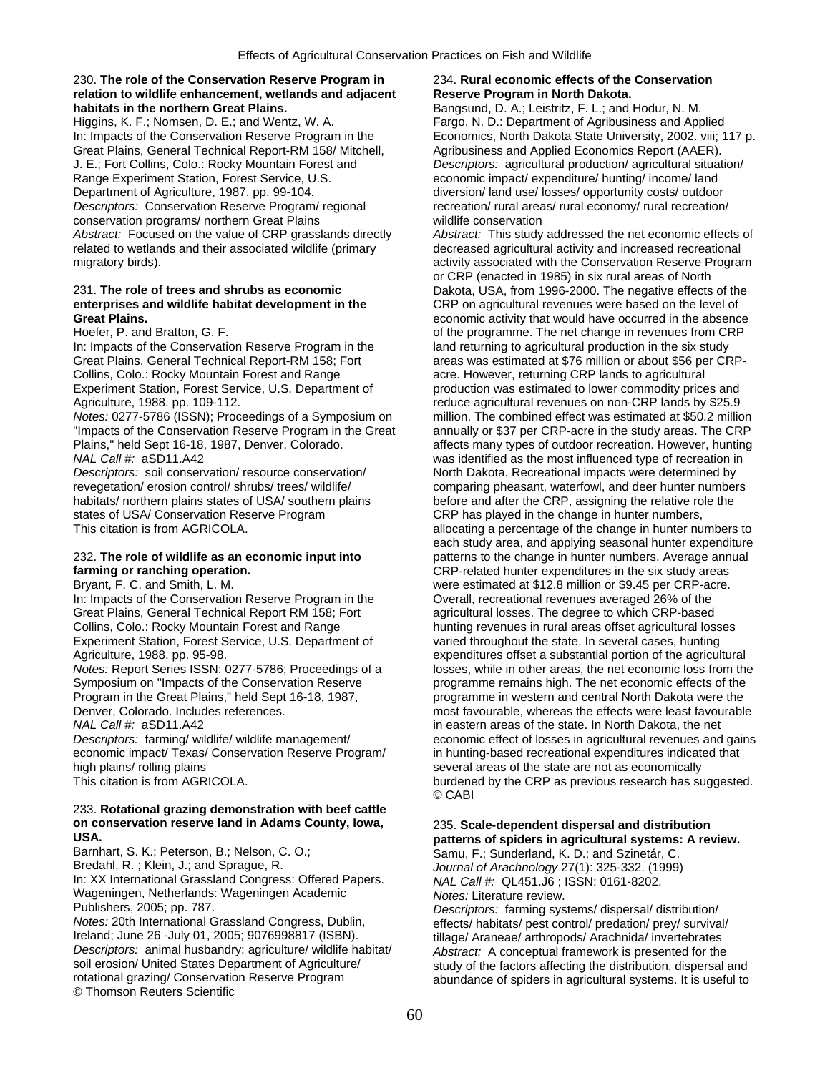## 230. **The role of the Conservation Reserve Program in** 234. **Rural economic effects of the Conservation**  relation to wildlife enhancement, wetlands and adjacent **Reserve Program in North Dakota. habitats in the northern Great Plains. Bangsund, D. A.; Leistritz, F. L.; and Hodur, N. M.**

Higgins, K. F.; Nomsen, D. E.; and Wentz, W. A. Fargo, N. D.: Department of Agribusiness and Applied Great Plains, General Technical Report-RM 158/ Mitchell, Agribusiness and Applied Economics Report (AAER). J. E.; Fort Collins, Colo.: Rocky Mountain Forest and *Descriptors:* agricultural production/ agricultural situation/ Range Experiment Station, Forest Service, U.S. economic impact/ expenditure/ hunting/ income/ land Department of Agriculture, 1987. pp. 99-104. diversion/ land use/ losses/ opportunity costs/ outdoor *Descriptors:* Conservation Reserve Program/ regional recreation/ rural areas/ rural economy/ rural recreation/ conservation programs/ northern Great Plains wildlife conservation related to wetlands and their associated wildlife (primary decreased agricultural activity and increased recreational migratory birds). The conservation of the Conservation Reserve Program activity associated with the Conservation Reserve Program

In: Impacts of the Conservation Reserve Program in the land returning to agricultural production in the six study Collins, Colo.: Rocky Mountain Forest and Range acre. However, returning CRP lands to agricultural

"Impacts of the Conservation Reserve Program in the Great annually or \$37 per CRP-acre in the study areas. The CRP Plains," held Sept 16-18, 1987, Denver, Colorado. and affects many types of outdoor recreation. However, hunting

states of USA/ Conservation Reserve Program CRP has played in the change in hunter numbers,

Great Plains, General Technical Report RM 158; Fort agricultural losses. The degree to which CRP-based Collins, Colo.: Rocky Mountain Forest and Range hunting revenues in rural areas offset agricultural losses Experiment Station, Forest Service, U.S. Department of varied throughout the state. In several cases, hunting

economic impact/ Texas/ Conservation Reserve Program/ in hunting-based recreational expenditures indicated that

# 233. **Rotational grazing demonstration with beef cattle**

**USA.**<br>Barnhart, S. K.; Peterson, B.; Nelson, C. O.; **patterns of spiders in agricultural systems: A review.**<br>
Samu F. Sunderland K. D.: and Szinetár, C. Barnhart, S. K.; Peterson, B.; Nelson, C. O.; Sammer Samu, F.; Sunderland, K. D.; and Szinetár, C.<br>Bredahl, R. ; Klein, J.; and Sprague, R. Sammer Sammer Samu, *Journal of Arachnology 27(1*): 325-332, (1999) In: XX International Grassland Congress: Offered Papers. *NAL Call #: QL451.J6* ; I<br>Wageningen, Netherlands: Wageningen Academic *Notes: Literature review.* Wageningen, Netherlands: Wageningen Academic<br>Publishers. 2005: pp. 787.

*Notes:* 20th International Grassland Congress, Dublin, effects/ habitats/ pest control/ predation/ prey/ survival/<br>Ireland; June 26 -July 01, 2005; 9076998817 (ISBN). *Descriptors:* animal husbandry: agriculture/ wildlife habitat/ *Abstract:* A conceptual framework is presented for the soil erosion/ United States Department of Agriculture/ study of the factors affecting the distribution, dispersal and<br>
rotational grazing/ Conservation Reserve Program abundance of spiders in agricultural systems. It is us © Thomson Reuters Scientific

In: Impacts of the Conservation Reserve Program in the Economics, North Dakota State University, 2002. viii; 117 p.

*Abstract:* Focused on the value of CRP grasslands directly *Abstract:* This study addressed the net economic effects of or CRP (enacted in 1985) in six rural areas of North 231. **The role of trees and shrubs as economic** Dakota, USA, from 1996-2000. The negative effects of the **CRP** on agricultural revenues were based on the level of **Great Plains.** economic activity that would have occurred in the absence Hoefer, P. and Bratton, G. F. **C. C. A. S. A. S. A. S. A. S. A. S. A. S. A. S. A. S. A. S. A. S. A. S. A. S. A.** S Great Plains, General Technical Report-RM 158; Fort areas was estimated at \$76 million or about \$56 per CRP-Experiment Station, Forest Service, U.S. Department of production was estimated to lower commodity prices and Agriculture, 1988. pp. 109-112.<br>
Notes: 0277-5786 (ISSN); Proceedings of a Symposium on million. The combined effect was estimated at \$50.2 million *million. The combined effect was estimated at \$50.2 million NAL Call #:* aSD11.A42 was identified as the most influenced type of recreation in *Descriptors:* soil conservation/ resource conservation/ North Dakota. Recreational impacts were determined by revegetation/ erosion control/ shrubs/ trees/ wildlife/ comparing pheasant, waterfowl, and deer hunter numbers habitats/ northern plains states of USA/ southern plains before and after the CRP, assigning the relative role the This citation is from AGRICOLA. This citation is from AGRICOLA. Allocating a percentage of the change in hunter numbers to each study area, and applying seasonal hunter expenditure 232. **The role of wildlife as an economic input into** patterns to the change in hunter numbers. Average annual **farming or ranching operation. CRP-related hunter expenditures in the six study areas** Bryant, F. C. and Smith, L. M. were estimated at \$12.8 million or \$9.45 per CRP-acre. In: Impacts of the Conservation Reserve Program in the Overall, recreational revenues averaged 26% of the Agriculture, 1988. pp. 95-98.<br>
Notes: Report Series ISSN: 0277-5786; Proceedings of a losses, while in other areas, the net economic loss from the losses, while in other areas, the net economic loss from the Symposium on "Impacts of the Conservation Reserve programme remains high. The net economic effects of the Program in the Great Plains," held Sept 16-18, 1987, programme in western and central North Dakota were the Denver, Colorado. Includes references. The most favourable, whereas the effects were least favourable *NAL Call #:* aSD11.A42 in eastern areas of the state. In North Dakota, the net *Descriptors:* farming/ wildlife/ wildlife management/ economic effect of losses in agricultural revenues and gains high plains/ rolling plains<br>This citation is from AGRICOLA.<br>
burdened by the CRP as previous research has summing the several areas of the state are not as economically burdened by the CRP as previous research has suggested. © CABI

# **on conservation reserve land in Adams County, Iowa,** 235. **Scale-dependent dispersal and distribution**

Journal of Arachnology 27(1): 325-332. (1999)<br>NAL Call #: QL451.J6 : ISSN: 0161-8202.

Publishers, 2005; pp. 787. *Descriptors:* farming systems/ dispersal/ distribution/ tillage/ Araneae/ arthropods/ Arachnida/ invertebrates abundance of spiders in agricultural systems. It is useful to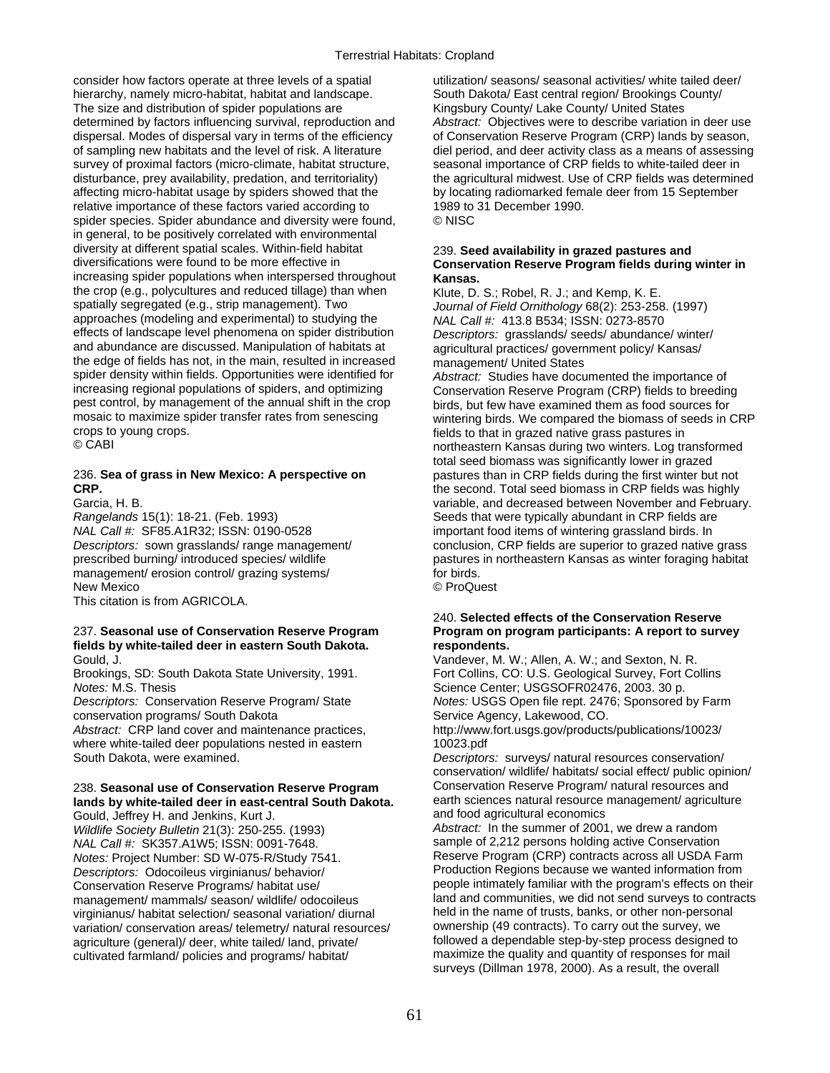consider how factors operate at three levels of a spatial utilization/ seasons/ seasonal activities/ white tailed deer/ hierarchy, namely micro-habitat, habitat and landscape. South Dakota/ East central region/ Brookings County/<br>The size and distribution of spider populations are Standard Kingsbury County/ Lake County/ United States The size and distribution of spider populations are determined by factors influencing survival, reproduction and *Abstract:* Objectives were to describe variation in deer use dispersal. Modes of dispersal vary in terms of the efficiency of Conservation Reserve Program (CRP) lands by season, of sampling new habitats and the level of risk. A literature diel period, and deer activity class as a means of assessing<br>survey of proximal factors (micro-climate, habitat structure, seasonal importance of CRP fields to w survey of proximal factors (micro-climate, habitat structure, disturbance, prey availability, predation, and territoriality) the agricultural midwest. Use of CRP fields was determined affecting micro-habitat usage by spiders showed that the by locating radiomarked female deer from 15 September relative importance of these factors varied according to 1989 to 31 December 1990. spider species. Spider abundance and diversity were found, © NISC in general, to be positively correlated with environmental diversity at different spatial scales. Within-field habitat 239. **Seed availability in grazed pastures and**  increasing spider populations when interspersed throughout **Kansas.** the crop (e.g., polycultures and reduced tillage) than when Klute, D. S.; Robel, R. J.; and Kemp, K. E.<br>spatially segregated (e.g., strip management). Two Journal of Field Ornithology 68(2): 253-258 spatially segregated (e.g., strip management). Two *Journal of Field Ornithology* 68(2): 253-258. (1997)<br>approaches (modeling and experimental) to studying the MALCalLE 413 8 B534: ISSN: 0273-8570 approaches (modeling and experimental) to studying the *NAL Call #:* 413.8 B534; ISSN: 0273-8570<br>effects of landscape level phenomena on spider distribution *Descriptors: grasslands/ seeds/ abundance* effects of landscape level phenomena on spider distribution *Descriptors:* grasslands/ seeds/ abundance/ winter/ the edge of fields has not, in the main, resulted in increased management/ United States<br>spider density within fields. Opportunities were identified for *Abstract:* Studies have docu increasing regional populations of spiders, and optimizing Conservation Reserve Program (CRP) fields to breeding pest control, by management of the annual shift in the crop birds, but few have examined them as food sources for<br>mosaic to maximize spider transfer rates from senescing wintering birds. We compared the biomass of seeds in mosaic to maximize spider transfer rates from senescing wintering birds. We compared the biomass of seeds in CRP<br>
fields to that in grazed native grass pastures in crops to young crops.<br>
© CABI<br>
© CABI

*NAL Call #:* SF85.A1R32; ISSN: 0190-0528 important food items of wintering grassland birds. In<br>Descriptors: sown grasslands/ range management/ conclusion, CRP fields are superior to grazed native management/ erosion control/ grazing systems/ New Mexico © ProQuest This citation is from AGRICOLA.

## **fields by white-tailed deer in eastern South Dakota. respondents.**  Gould, J. Vandever, M. W.; Allen, A. W.; and Sexton, N. R.

*Notes:* M.S. Thesis **Science Center; USGSOFR02476, 2003. 30 p.** Science Center; USGSOFR02476, 2003. 30 p.

*Abstract:* CRP land cover and maintenance practices, where white-tailed deer populations nested in eastern 10023.pdf<br>South Dakota, were examined.

## 238. **Seasonal use of Conservation Reserve Program** Conservation Reserve Program/ natural resources and **lands by white-tailed deer in east-central South Dakota.** <sup>earth</sup> sciences natural resource management Gould Jenkins Kurt J Gould, Jeffrey H. and Jenkins, Kurt J.

*Wildlife Society Bulletin* 21(3): 250-255. (1993) *Abstract:* In the summer of 2001, we drew a random *NAL Call #:* SK357.A1W5; ISSN: 0091-7648. *Notes:* Project Number: SD W-075-R/Study 7541. Reserve Program (CRP) contracts across all USDA Farm<br>Descriptors: Odocoileus virginianus/ behavior/ Production Regions because we wanted information from *Descriptors: Odocoileus virginianus/ behavior/* management/ mammals/ season/ wildlife/ odocoileus land and communities, we did not send surveys to contraction<br>virginianus/ habitat selection/ seasonal variation/ diurnal held in the name of trusts, banks, or other non-per virginianus/ habitat selection/ seasonal variation/ diurnal held in the name of trusts, banks, or other non-person<br>variation/ conservation areas/ telemetry/ natural resources/ ownership (49 contracts). To carry out the sur variation/ conservation areas/ telemetry/ natural resources/ agriculture (general)/ deer, white tailed/ land, private/ followed a dependable step-by-step process designed to cultivated farmland/ policies and programs/ habitat/ maximize the quality and quantity of responses for mail

# **Conservation Reserve Program fields during winter in**

agricultural practices/ government policy/ Kansas/

Abstract: Studies have documented the importance of northeastern Kansas during two winters. Log transformed total seed biomass was significantly lower in grazed 236. **Sea of grass in New Mexico: A perspective on** pastures than in CRP fields during the first winter but not **CRP. CRP. the second.** Total seed biomass in CRP fields was highly Garcia, H. B. variable, and decreased between November and February. Rangelands 15(1): 18-21. (Feb. 1993) Seeds that were typically abundant in CRP fields are<br>
NAL Call #: SF85.A1R32; ISSN: 0190-0528 important food items of wintering grassland birds. In *Descriptors:* sown grasslands/ range management/ conclusion, CRP fields are superior to grazed native grass pastures in northeastern Kansas as winter foraging habitat

## 240. **Selected effects of the Conservation Reserve**  237. Seasonal use of Conservation Reserve Program Program on program participants: A report to survey

Brookings, SD: South Dakota State University, 1991. Fort Collins, CO: U.S. Geological Survey, Fort Collins *Descriptors:* Conservation Reserve Program/ State *Notes:* USGS Open file rept. 2476; Sponsored by Farm conservation programs/ South Dakota<br>
Abstract: CRP land cover and maintenance practices. http://www.fort.usgs.gov/products/publications/10023/<br>
http://www.fort.usgs.gov/products/publications/10023/

> Descriptors: surveys/ natural resources conservation/ conservation/ wildlife/ habitats/ social effect/ public opinion/

Conservation Reserve Programs/ habitat use/ people intimately familiar with the program's effects on their<br>management/ mammals/ season/ wildlife/ odocoileus and and and communities, we did not send surveys to contracts surveys (Dillman 1978, 2000). As a result, the overall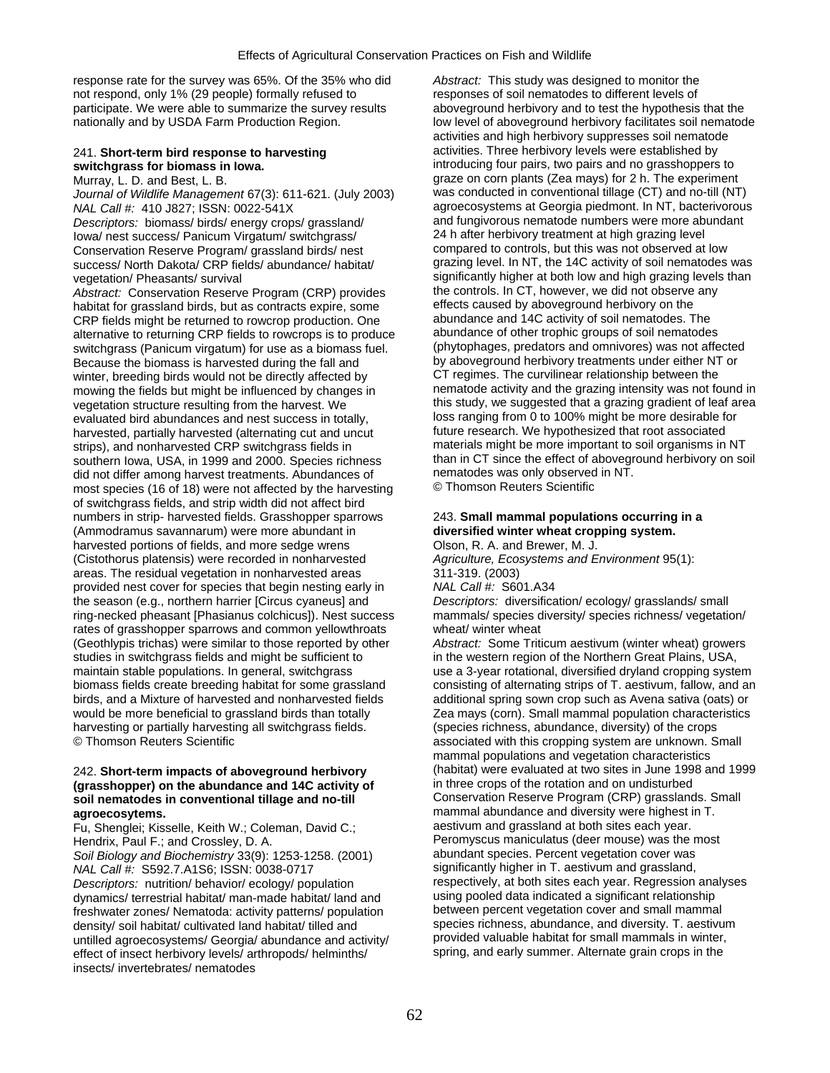response rate for the survey was 65%. Of the 35% who did *Abstract:* This study was designed to monitor the not respond, only 1% (29 people) formally refused to responses of soil nematodes to different levels of participate. We were able to summarize the survey results aboveground herbivory and to test the hypothesis that the participate. We were able to summarize the survey results

*Journal of Wildlife Management* 67(3): 611-621. (July 2003)

Iowa/ nest success/ Panicum Virgatum/ switchgrass/ success/ North Dakota/ CRP fields/ abundance/ habitat/

*Abstract:* Conservation Reserve Program (CRP) provides the controls. In CT, however, we did not observe habitat for grassland birds, but as contracts expire, some effects caused by aboveground herbivory on the habitat for grassland birds, but as contracts expire, some effects caused by aboveground herbivory on the<br>CRP fields might be returned to rowcrop production. One abundance and 14C activity of soil nematodes. The CRP fields might be returned to rowcrop production. One abundance and 14C activity of soil nematodes. The<br>alternative to returning CRP fields to rowcrops is to produce abundance of other trophic groups of soil nematodes alternative to returning CRP fields to rowcrops is to produce abundance of other trophic groups of soil nematodes<br>switchgrass (Panicum virgatum) for use as a biomass fuel (phytophages, predators and omnivores) was not affe switchgrass (Panicum virgatum) for use as a biomass fuel. (phytophages, predators and omnivores) was not affected<br>Because the biomass is harvested during the fall and by aboveground herbivory treatments under either NT or Because the biomass is harvested during the fall and by aboveground herbivory treatments under either NT winter breeding birds would not be directly affected by CT regimes. The curvilinear relationship between the mowing the fields but might be influenced by changes in evaluated bird abundances and nest success in totally, loss ranging from 0 to 100% might be more desirable for<br>harvested, partially harvested (alternating cut and uncut future research. We hypothesized that root associated harvested, partially harvested (alternating cut and uncut southern Iowa, USA, in 1999 and 2000. Species richness than in CT since the effect of aboveground herbivory on social herbivory on social herbivory on social herbivory on social herbivory on social herbivory on social herb did not differ among harvest treatments. Abundances of nematodes was only observed<br>most species (16 of 18) were not affected by the barvesting © Thomson Reuters Scientific most species (16 of 18) were not affected by the harvesting of switchgrass fields, and strip width did not affect bird numbers in strip- harvested fields. Grasshopper sparrows 243. **Small mammal populations occurring in a (Ammodramus savannarum)** were more abundant in **a diversified winter wheat cropping system.** (Ammodramus savannarum) were more abundant in **diversified winter wheat crop**<br>
harvested portions of fields, and more sedge wrens **Dison, R. A. and Brewer, M. J.** harvested portions of fields, and more sedge wrens (Cistothorus platensis) were recorded in nonharvested *Agriculture, Ecosystems and Environment* 95(1): areas. The residual vegetation in nonharvested areas 311-319. (2003)<br>provided nest cover for species that begin nesting early in MAL Call #: S601.A34 provided nest cover for species that begin nesting early in the season (e.g., northern harrier [Circus cyaneus] and *Descriptors:* diversification/ ecology/ grasslands/ small ring-necked pheasant [Phasianus colchicus]). Nest success mammals/ species diversity/ species richness/ vegetation/ rates of grasshopper sparrows and common yellowthroats wheat/ winter wheat (Geothlypis trichas) were similar to those reported by other *Abstract:* Some Triticum aestivum (winter wheat) growers studies in switchgrass fields and might be sufficient to in the western region of the Northern Great Plains, USA, maintain stable populations. In general, switchgrass use a 3-year rotational, diversified dryland cropping system<br>biomass fields create breeding habitat for some grassland consisting of alternating strips of T. aestivum, f birds, and a Mixture of harvested and nonharvested fields additional spring sown crop such as Avena sativa (oats) or would be more beneficial to grassland birds than totally Zea mays (corn). Small mammal population characteristics harvesting or partially harvesting all switchgrass fields. (species richness, abundance, diversity) of the crops<br>© Thomson Reuters Scientific

# soil nematodes in conventional tillage and no-till

Fu, Shenglei; Kisselle, Keith W.; Coleman, David C.;<br>Hendrix, Paul F.; and Crossley, D. A.

*Soil Biology and Biochemistry* 33(9): 1253-1258. (2001) *NAL Call #:* S592.7.A1S6: ISSN: 0038-0717 significantly higher in T. aestivum and grassland, *Descriptors:* nutrition/ behavior/ ecology/ population respectively, at both sites each year. Regression analyses dynamics/ terrestrial habitat/ man-made habitat/ land and using pooled data indicated a significant relationship<br>freshwater zones/ Nematoda: activity patterns/ population between percent vegetation cover and small mammal freshwater zones/ Nematoda: activity patterns/ population density/ soil habitat/ cultivated land habitat/ tilled and species richness, abundance, and diversity. T. aestivum<br>
untilled agroecosystems/ Georgia/ abundance and activity/ provided valuable habitat for small mammals in w untilled agroecosystems/ Georgia/ abundance and activity/ provided valuable habitat for small mammals in winter,<br>effect of insect herbivory levels/ arthropods/ helminths/ spring, and early summer. Alternate grain crops in effect of insect herbivory levels/ arthropods/ helminths/ insects/ invertebrates/ nematodes

nationally and by USDA Farm Production Region. low level of aboveground herbivory facilitates soil nematode activities and high herbivory suppresses soil nematode 241. **Short-term bird response to harvesting exercity of the activities.** Three herbivory levels were established by switchgrass for biomass in lowa. **switchgrass for biomass in Iowa. introducing four pairs, two pairs and no grasshoppers to all metallies of the experiment** of the experiment of the experiment of the experiment of the experiment of the experiment graze on corn plants (Zea mays) for 2 h. The experiment was conducted in conventional tillage (CT) and no-till (NT) *NAL Call #:* 410 J827; ISSN: 0022-541X agroecosystems at Georgia piedmont. In NT, bacterivorous<br>Descriptors: biomass/ birds/ energy crops/ grassland/ and fungivorous nematode numbers were more abundant Descriptors: biomass/ birds/ energy crops/ grassland/ and fungivorous nematode numbers were more ab<br>Iowa/ nest success/ Panicum Virgatum/ switchgrass/ and alter herbivory treatment at high grazing level Conservation Reserve Program/ grassland birds/ nest compared to controls, but this was not observed at low<br>Success/ North Dakota/ CRP fields/ abundance/ habitat/ grazing level. In NT, the 14C activity of soil nematodes was vegetation/ Pheasants/ survival<br>Abstract: Conservation Reserve Program (CRP) provides the controls. In CT, however, we did not observe any winter, breeding birds would not be directly affected by CT regimes. The curvilinear relationship between the<br>mowing the fields but might be influenced by changes in ematode activity and the grazing intensity was not found vegetation structure resulting from the harvest. We this study, we suggested that a grazing gradient of leaf area<br>evaluated bird abundances and nest success in totally. I loss ranging from 0 to 100% might be more desirable strips), and nonharvested CRP switchgrass fields in materials might be more important to soil organisms in NT<br>southern lowa, USA, in 1999 and 2000. Species richness than in CT since the effect of aboveground herbivory on s

consisting of alternating strips of T. aestivum, fallow, and an associated with this cropping system are unknown. Small mammal populations and vegetation characteristics 242. **Short-term impacts of aboveground herbivory** (habitat) were evaluated at two sites in June 1998 and 1999<br> **(grasshopper)** on the abundance and 14C activity of in three crops of the rotation and on undisturbed **(grasshopper) on the abundance and 14C activity of** in three crops of the rotation and on undisturbed **agroecosytems.**<br>
Fu. Shenglei: Kisselle. Keith W.: Coleman. David C.: **agroecosytems** are abundance and diversity were highest in T. Peromyscus maniculatus (deer mouse) was the most abundant species. Percent vegetation cover was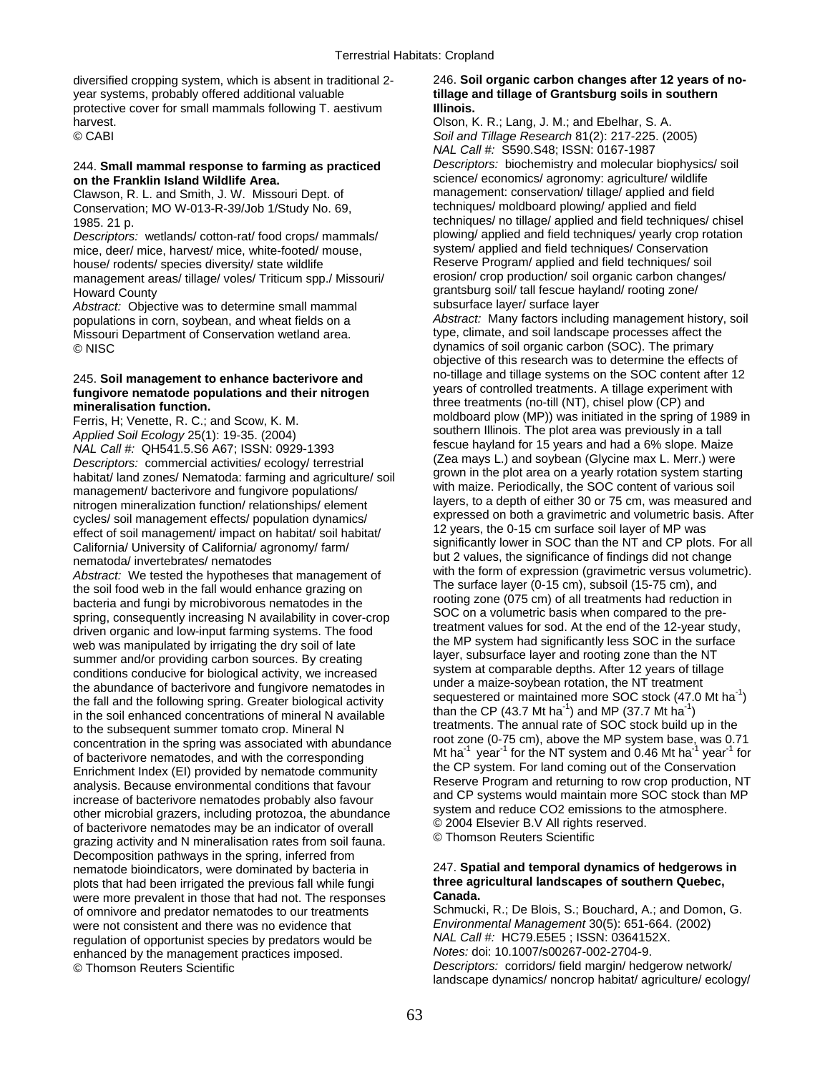diversified cropping system, which is absent in traditional 2- 246. **Soil organic carbon changes after 12 years of no**year systems, probably offered additional valuable **tillage and tillage of Grantsburg soils in southern**  protective cover for small mammals following T. aestivum **Illinois.**  harvest. Olson, K. R.; Lang, J. M.; and Ebelhar, S. A.

Clawson, R. L. and Smith, J. W. Missouri Dept. of management: conservation/ tillage/ applied and field<br>Conservation: MO W-013-R-39/Job 1/Study No. 69. entitled the chniques/ moldboard plowing/ applied and field Conservation; MO W-013-R-39/Job 1/Study No. 69,

mice, deer/ mice, harvest/ mice, white-footed/ mouse. house/ rodents/ species diversity/ state wildlife Reserve Program/ applied and field techniques/ soil<br>management areas/ tillage/ voles/ Triticum spp / Missouri/ erosion/ crop production/ soil organic carbon changes/ management areas/ tillage/ voles/ Triticum spp./ Missouri/

Abstract: Objective was to determine small mammal subsurface layer/ surface layer<br>nopulations in corn, soybean, and wheat fields on a **Abstract: Many factors including management** history, soil Missouri Department of Conservation wetland area. © NISC dynamics of soil organic carbon (SOC). The primary

Ferris, H; Venette, R. C.; and Scow, K. M. M. Moldboard plow (MP)) was initiated in the spring of 1989 in<br>
Applied Soil Ecology 25(1): 19-35. (2004)<br>
MAL Call #: QH541.5.S6 A67; ISSN: 0929-1393<br>
Descriptors: commercial act habitat/ land zones/ Nematoda: farming and agriculture/ soil grown in the plot area on a yearly rotation system starting<br>management/ bacterivore and fungivore populations/<br>nitrogen mineralization function/ relationships/ e introgen mineralization function/relationships/element<br>
cycles/soil management effects/population dynamics/<br>
effect of soil management/impact on habitat/soil habitat/<br>
California/ University of California/ agronomy/farm/<br> Abstract: We tested the hypotheses that management of<br>
the soil food web in the fall would enhance grazing on<br>
bacteria and fungi by microbivorous nematodes in the<br>
spring, consequently increasing N availability in coverto the subsequent summer tomato crop. Mineral N<br>
concentration in the spring was associated with abundance<br>
of bacterivore nematodes, and with the corresponding<br>
Enrichment Index (EI) provided by nematode community<br>
analys analysis. Because environmental conditions that favour<br>increase of bacterivore nematodes probably also favour<br>other microbial grazers, including protozoa, the abundance<br>of bacterivore nematodes may be an indicator of overa Decomposition pathways in the spring, inferred from nematode bioindicators, were dominated by bacteria in 247. **Spatial and temporal dynamics of hedgerows in**  plots that had been irrigated the previous fall while fungi **three age in three agricultural landscape of the southern Canada.**<br>Were more prevalent in those that had not. The responses were more prevalent in those that had not. The responses of omnivore and predator nematodes to our treatments Schmucki, R.; De Blois, S.; Bouchard, A.; and Domon, G. were not consistent and there was no evidence that Environmental Management 30(5): 651-664. (2002) were not consistent and there was no evidence that *Environmental Management* 30(5): 651-664.<br>
requistion of opportunist species by predators would be **NAL Call #: HC79.E5E5**; ISSN: 0364152X. regulation of opportunist species by predators would be *NAL Call #:* HC79.E5E5 ; ISSN: 036415<br>2002-2704-9. *Notes:* doi: 10.1007/s00267-002-2704-9. enhanced by the management practices imposed. © Thomson Reuters Scientific

© CABI *Soil and Tillage Research* 81(2): 217-225. (2005) *NAL Call #:* S590.S48; ISSN: 0167-1987 244. **Small mammal response to farming as practiced** *Descriptors:* biochemistry and molecular biophysics/ soil science/ economics/ agronomy: agriculture/ wildlife management: conservation/ tillage/ applied and field 1985. 21 p. techniques/ no tillage/ applied and field techniques/ chisel *Descriptors:* wetlands/ cotton-rat/ food crops/ mammals/ plowing/ applied and field techniques/ yearly crop rotation<br>mice, deer/ mice, harvest/ mice, white-footed/ mouse. system/ applied and field techniques/ Conservation Howard County<br>
Howard County<br>
Abstract: Objective was to determine small mammal<br>
Abstract: Objective was to determine small mammal<br>
Subsurface laver/ surface laver

populations in corn, soybean, and wheat fields on a *Abstract:* Many factors including management history, soil objective of this research was to determine the effects of 245. Soil management to enhance bacterivore and no-tillage and tillage systems on the SOC content after 12 fungivore nematode populations and their nitrogen years of controlled treatments. A tillage experiment with **mineralisation function.**<br> **mineralisation function.**<br> **Example 1989** in Entris H: Venette R. C.: and Scow K. M. The moldboard plow (MP)) was initiated in the spring of 1989 in

Descriptors: corridors/ field margin/ hedgerow network/ landscape dynamics/ noncrop habitat/ agriculture/ ecology/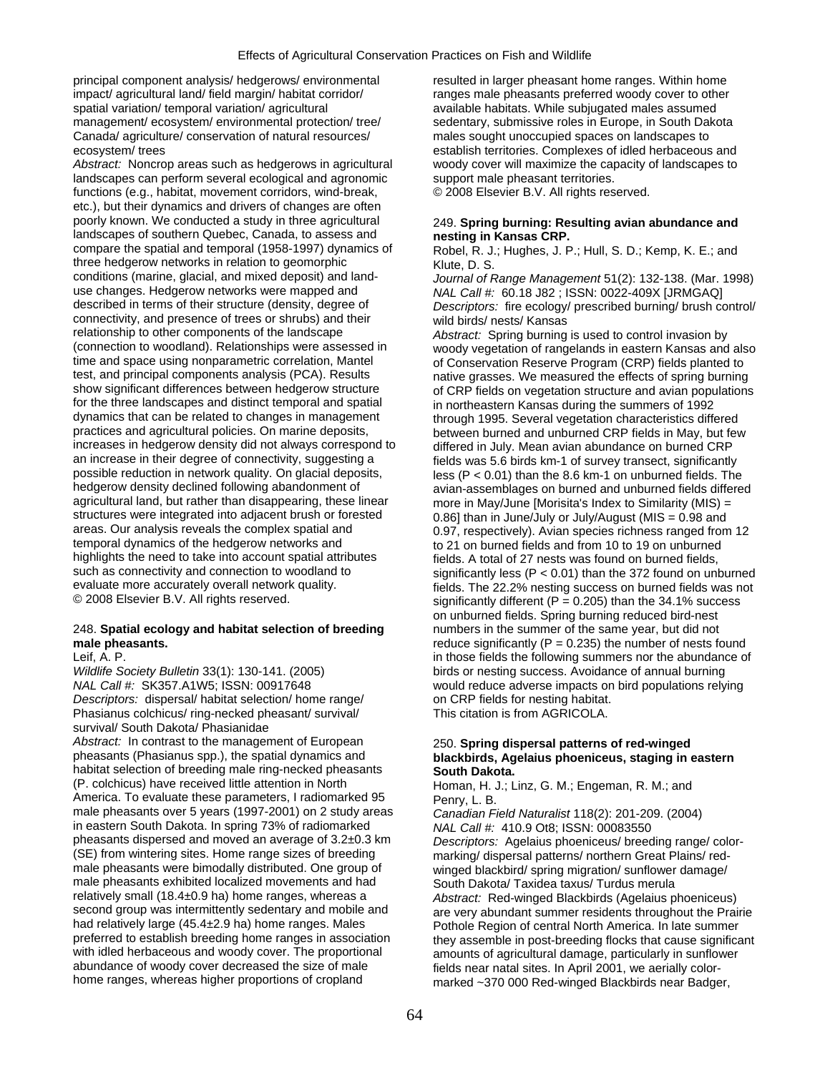principal component analysis/ hedgerows/ environmental resulted in larger pheasant home ranges. Within home impact/ agricultural land/ field margin/ habitat corridor/ ranges male pheasants preferred woody cover to other spatial variation/ temporal variation/ agricultural available habitats. While subjugated males assumed management/ ecosystem/ environmental protection/ tree/ sedentary, submissive roles in Europe, in South Dakota Canada/ agriculture/ conservation of natural resources/ males sought unoccupied spaces on landscapes to ecosystem/ trees establish territories. Complexes of idled herbaceous and

landscapes can perform several ecological and agronomic support male pheasant territories. functions (e.g., habitat, movement corridors, wind-break, © 2008 Elsevier B.V. All rights reserved. etc.), but their dynamics and drivers of changes are often poorly known. We conducted a study in three agricultural 249. **Spring burning: Resulting avian abundance and**  landscapes of southern Quebec, Canada, to assess and **nesting in Kansas CRP.**  three hedgerow networks in relation to geomorphic Klute, D. S.<br>conditions (marine, glacial, and mixed deposit) and land-<br>Journal of F conditions (marine, glacial, and mixed deposit) and land- *Journal of Range Management* 51(2): 132-138. (Mar. 1998) use changes. Hedgerow networks were mapped and *NAL Call #:* 60.18 J82 ; ISSN: 0022-409X [JRMGAQ] connectivity, and presence of trees or shrubs) and their wild birds/ nests/ Kansas<br>relationship to other components of the landscape *Abstract:* Spring burning relationship to other components of the landscape *Abstract:* Spring burning is used to control invasion by time and space using nonparametric correlation, Mantel of Conservation Reserve Program (CRP) fields planted to<br>test, and principal components analysis (PCA). Results harrive grasses. We measured the effects of spring burni test, and principal components analysis (PCA). Results native grasses. We measured the effects of spring burning<br>show significant differences between hedgerow structure of CRP fields on vegetation structure and avian popul for the three landscapes and distinct temporal and spatial in northeastern Kansas during the summers of 1992<br>dynamics that can be related to changes in management through 1995. Several vegetation characteristics differe dynamics that can be related to changes in management entity of through 1995. Several vegetation characteristics differed<br>practices and agricultural policies. On marine deposits, entity between burned and unburned CRP fiel increases in hedgerow density did not always correspond to differed in July. Mean avian abundance on burned CRP<br>an increase in their degree of connectivity, suggesting a fields was 5.6 birds km-1 of survey transect, signif an increase in their degree of connectivity, suggesting a fields was 5.6 birds km-1 of survey transect, significantly<br>possible reduction in network quality. On glacial deposits,  $\log (P < 0.01)$  than the 8.6 km-1 on unburned possible reduction in network quality. On glacial deposits, less (P < 0.01) than the 8.6 km-1 on unburned fields. The<br>hedgerow density declined following abandonment of less (P < 0.01) than the 8.6 km-1 on unburned fields hedgerow density declined following abandonment of avian-assemblages on burned and unburned fields differed hered<br>agricultural land, but rather than disappearing, these linear more in May/June [Morisita's Index to Similari structures were integrated into adjacent brush or forested 0.86] than in June/July or July/August (MIS = 0.98 and<br>0.97. respectively). Avian species richness ranged from areas. Our analysis reveals the complex spatial and 0.97, respectively). Avian species richness ranged from 12<br>
to 21 on burned fields and from 10 to 19 on unburned temporal dynamics of the hedgerow networks and to 21 on burned fields and from 10 to 19 on unburned<br>tighlights the need to take into account spatial attributes fields. A total of 27 nests was found on burned fields. highlights the need to take into account spatial attributes fields. A total of 27 nests was found on burned fields, such as connectivity and connection to woodland to significantly less ( $P < 0.01$ ) than the 372 found on u evaluate more accurately overall network quality.  $\qquad \qquad$  fields. The 22.2% nesting success on burned fields was not  $\heartsuit$  2008 Elsevier B.V. All rights reserved.

# 248. **Spatial ecology and habitat selection of breeding** numbers in the summer of the same year, but did not

*Wildlife Society Bulletin* 33(1): 130-141. (2005) birds or nesting success. Avoidance of annual burning *NAL Call #:* SK357.A1W5; ISSN: 00917648 would reduce adverse impacts on bird populations relying **Descriptors:** dispersal/ habitat selection/ home range/ on CRP fields for nesting habitat. Phasianus colchicus/ ring-necked pheasant/ survival/ This citation is from AGRICOLA. survival/ South Dakota/ Phasianidae *Abstract:* In contrast to the management of European 250. **Spring dispersal patterns of red-winged**  habitat selection of breeding male ring-necked pheasants **South Dakota.**<br>(P. colchicus) have received little attention in North **Homan Hull** America. To evaluate these parameters, I radiomarked 95 Penry,  $\overline{L}$ . B. male pheasants over 5 years (1997-2001) on 2 study areas *Canadian Field Naturalist* 118(2): 201-209. (2004) in eastern South Dakota. In spring 73% of radiomarked *NAL Call #:* 410.9 Ot8; ISSN: 00083550 in eastern South Dakota. In spring 73% of radiomarked pheasants dispersed and moved an average of 3.2±0.3 km pheasants dispersed and moved an average of 3.2±0.3 km *Descriptors:* Agelaius phoeniceus/ breeding range/ color- (SE) from wintering sites. Home range sizes of breeding marking/ dispersal patterns/ northern Great Plains/ red-<br>male pheasants were bimodally distributed. One group of winged blackbird/ spring migration/ sunflower damage/ male pheasants exhibited localized movements and had South Dakota/ Taxidea taxus/ Turdus merula<br>
relatively small (18.4±0.9 ha) home ranges, whereas a Abstract: Red-winged Blackbirds (Agelaius p had relatively large (45.4±2.9 ha) home ranges. Males Pothole Region of central North America. In late summer<br>Pote Region of central North America. In late summer preferred to estable in post-breeding flocks that cause sig with idled herbaceous and woody cover. The proportional amounts of agricultural damage, particularly in sunflower<br>Abundance of woody cover decreased the size of male said and stields near natal sites. In April 2001, we aer abundance of woody cover decreased the size of male fields near natal sites. In April 2001, we aerially color-<br>home ranges, whereas higher proportions of cropland marked ~370,000 Red-winged Blackbirds near Badge

*Abstract:* Noncrop areas such as hedgerows in agricultural woody cover will maximize the capacity of landscapes to

Robel, R. J.; Hughes, J. P.; Hull, S. D.; Kemp, K. E.; and

Descriptors: fire ecology/ prescribed burning/ brush control/

(connection to woodland). Relationships were assessed in woody vegetation of rangelands in eastern Kansas and also<br>time and space using nonparametric correlation, Mantel of Conservation Reserve Program (CRP) fields planted of CRP fields on vegetation structure and avian populations between burned and unburned CRP fields in May, but few more in May/June [Morisita's Index to Similarity (MIS) = such as connectivity and connection to woodland to<br>evaluate more accurately overall network quality.<br>fields. The 22.2% nesting success on burned fields was not significantly different (P = 0.205) than the 34.1% success on unburned fields. Spring burning reduced bird-nest **male pheasants. reduce significantly (P = 0.235)** the number of nests found Leif, A. P. in those fields the following summers nor the abundance of

# blackbirds, Agelaius phoeniceus, staging in eastern

Homan, H. J.; Linz, G. M.; Engeman, R. M.; and

winged blackbird/ spring migration/ sunflower damage/ Abstract: Red-winged Blackbirds (Agelaius phoeniceus) second group was intermittently sedentary and mobile and are very abundant summer residents throughout the Prairie<br>had relatively large (45.4±2.9 ha) home ranges. Males Pothole Region of central North America. In late summ preferred to establish breeding home ranges in association they assemble in post-breeding flocks that cause significant<br>with idled herbaceous and woody cover. The proportional amounts of agricultural damage, particularly i marked ~370 000 Red-winged Blackbirds near Badger,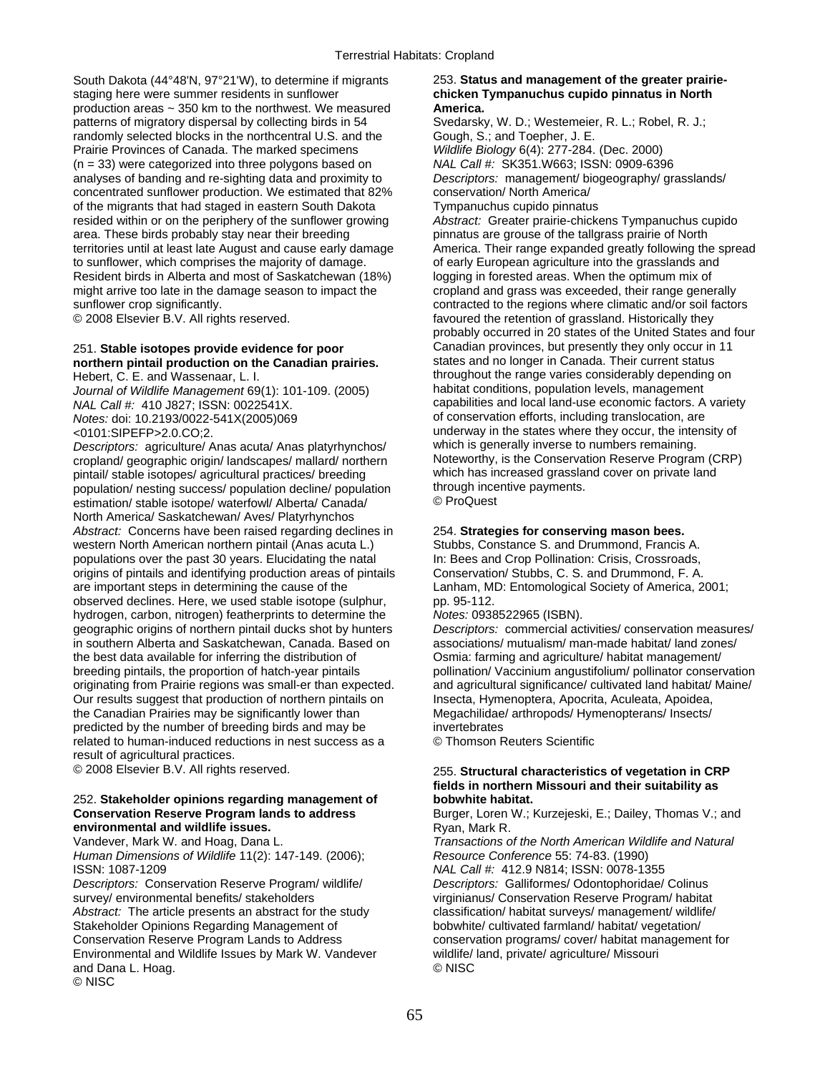South Dakota (44°48'N, 97°21'W), to determine if migrants 253. **Status and management of the greater prairie**staging here were summer residents in sunflower **chicken Tympanuchus cupido pinnatus in North**  production areas ~ 350 km to the northwest. We measured **America.**  patterns of migratory dispersal by collecting birds in 54 Svedarsky, W. D.; Westemeier, R. L.; Robel, R. J.; randomly selected blocks in the northcentral U.S. and the Gough, S.; and Toepher, J. E. Prairie Provinces of Canada. The marked specimens *Wildlife Biology* 6(4): 277-284. (Dec. 2000) (n = 33) were categorized into three polygons based on *NAL Call #:* SK351.W663; ISSN: 0909-6396 analyses of banding and re-sighting data and proximity to *Descriptors:* management/ biogeography/ grasslands/ concentrated sunflower production. We estimated that 82% conservation/ North America/ of the migrants that had staged in eastern South Dakota Tympanuchus cupido pinnatus resided within or on the periphery of the sunflower growing *Abstract:* Greater prairie-chickens Tympanuchus cupido area. These birds probably stay near their breeding entity provinctus are grouse of the tallgrass prairie of North<br>19 pinnatus are pinnatus are the tallgrass prairie of North terminations of the spread territories until at least late August and cause early damage to sunflower, which comprises the majority of damage. of early European agriculture into the grasslands and Resident birds in Alberta and most of Saskatchewan (18%) logging in forested areas. When the optimum mix of might arrive too late in the damage season to impact the cropland and grass was exceeded, their range generally sunflower crop significantly. The regions where climatic and/or soil factors contracted to the regions where climatic and/or soil factors

# **northern pintail production on the Canadian prairies.**

*Journal of Wildlife Management* 69(1): 101-109. (2005)<br>NAL Call #: 410 J827; ISSN: 0022541X.

*Descriptors:* agriculture/ Anas acuta/ Anas platyrhynchos/ which is generally inverse to numbers remaining. cropland/ geographic origin/ landscapes/ mallard/ northern Noteworthy, is the Conservation Reserve Program (C<br>Noteworthy, is the Conservation Reserve Program (C pintail/ stable isotopes/ agricultural practices/ breeding which has increased grassla<br>nopulation/ nesting success/ population decline/ population through incentive payments. population/ nesting success/ population decline/ population through ince<br>estimation/ stable isotope/ waterfowl/ Alberta/ Canada/ © ProQuest estimation/ stable isotope/ waterfowl/ Alberta/ Canada/ North America/ Saskatchewan/ Aves/ Platyrhynchos *Abstract:* Concerns have been raised regarding declines in 254. **Strategies for conserving mason bees.**  western North American northern pintail (Anas acuta L.) Stubbs, Constance S. and Drummond, Francis A. populations over the past 30 years. Elucidating the natal In: Bees and Crop Pollination: Crisis, Crossroads, populations over the past 30 years. Elucidating the natal In: Bees and Crop Pollination: Crisis, Crossroads, origins of pintails and identifying production areas of pintails Conservation/ Stubbs, C. S. and Drummond, F. A. origins of pintails and identifying production areas of pintails are important steps in determining the cause of the Lanham, MD: Entomological Society of America, 2001; observed declines. Here, we used stable isotope (sulphur, pp. 95-112. hydrogen, carbon, nitrogen) featherprints to determine the *Notes:* 0938522965 (ISBN). geographic origins of northern pintail ducks shot by hunters *Descriptors:* commercial activities/ conservation measures/ in southern Alberta and Saskatchewan, Canada. Based on associations/ mutualism/ man-made habitat/ land zones/ the best data available for inferring the distribution of Osmia: farming and agriculture/ habitat management/ breeding pintails, the proportion of hatch-year pintails pollination/ Vaccinium angustifolium/ pollinator conservation originating from Prairie regions was small-er than expected. and agricultural significance/ cultivated land habitat/ Maine/ Our results suggest that production of northern pintails on Insecta, Hymenoptera, Apocrita, Aculeata, Apoidea, the Canadian Prairies may be significantly lower than Megachilidae/ arthropods/ Hymenopterans/ Insects/ predicted by the number of breeding birds and may be invertebrates related to human-induced reductions in nest success as a © Thomson Reuters Scientific result of agricultural practices.

## 252. **Stakeholder opinions regarding management of bobwhite habitat.**<br>**Conservation Reserve Program lands to address** Burger, Loren W.; New **environmental and wildlife issues. Ryan, Mark R. Vandever, Mark W. and Hoag, Dana L. Transactions of Transactions of Transactions of Transactions of Transactions of Transactions of Transactions of Transactions of Transa**

*Human Dimensions of Wildlife* 11(2): 147-149. (2006); *Resource Conference* 55: 74-83. (1990) ISSN: 1087-1209 *NAL Call #:* 412.9 N814; ISSN: 0078-1355

*Descriptors:* Conservation Reserve Program/ wildlife/ *Descriptors:* Galliformes/ Odontophoridae/ Colinus survey/ environmental benefits/ stakeholders virginianus/ Conservation Reserve Program/ habitat Abstract: The article presents an abstract for the study classification/ habitat surveys/ management/ wildlife/ Stakeholder Opinions Regarding Management of bobwhite/ cultivated farmland/ habitat/ vegetation/ Conservation Reserve Program Lands to Address conservation programs/ cover/ habitat management for Environmental and Wildlife Issues by Mark W. Vandever wildlife/ land, private/ agriculture/ Missouri and Dana L. Hoag. © NISC © NISC

© 2008 Elsevier B.V. All rights reserved. favoured the retention of grassland. Historically they probably occurred in 20 states of the United States and four 251. **Stable isotopes provide evidence for poor** Canadian provinces, but presently they only occur in 11 Hebert, C. E. and Wassenaar, L. I.<br>Journal of Wildlife Management 69(1): 101-109. (2005) habitat conditions, population levels, management capabilities and local land-use economic factors. A variety *Notes:* doi: 10.2193/0022-541X(2005)069 of conservation efforts, including translocation, are <0101:SIPEFP>2.0.CO;2.  $\overline{O}$  underway in the states where they occur, the intensity of Descriptors: agriculture/ Anas acuta/ Anas platyrhynchos/ which is generally inverse to numbers remaining.

## © 2008 Elsevier B.V. All rights reserved. 255. **Structural characteristics of vegetation in CRP fields in northern Missouri and their suitability as**

Burger, Loren W.; Kurzejeski, E.; Dailey, Thomas V.; and

**Transactions of the North American Wildlife and Natural**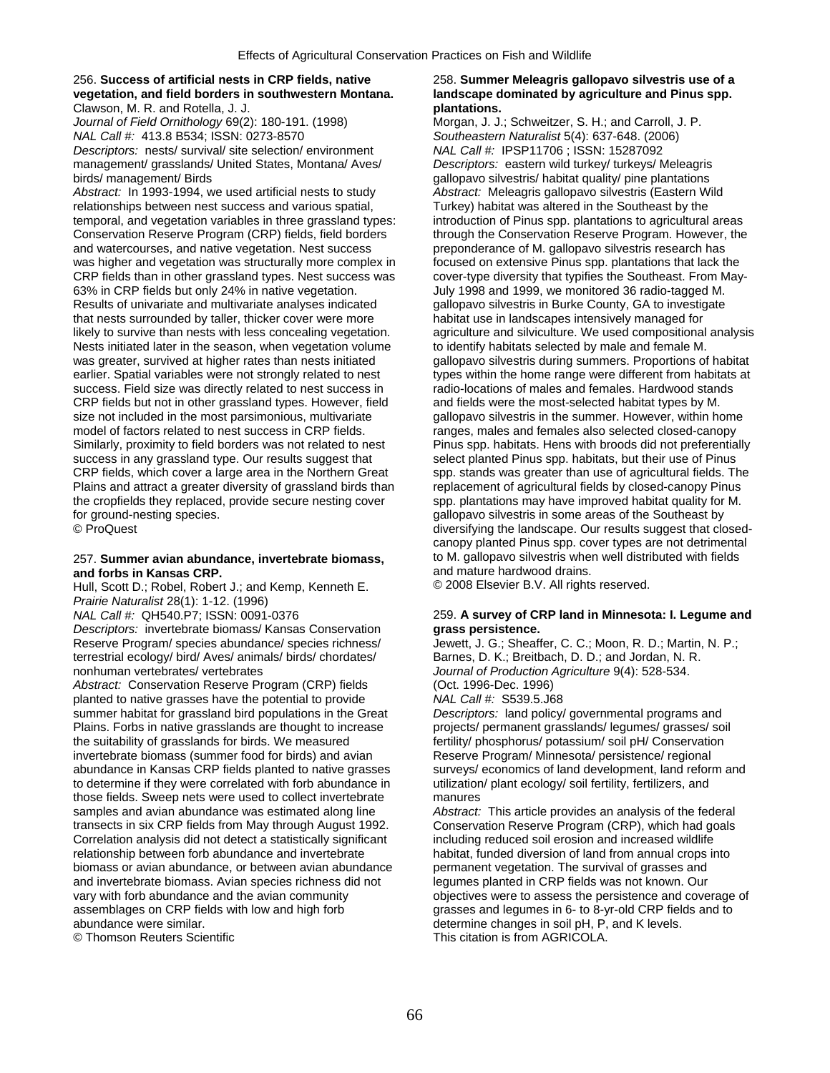## 256. **Success of artificial nests in CRP fields, native** 258. **Summer Meleagris gallopavo silvestris use of a vegetation, and field borders in southwestern Montana. landscape dominated by agriculture and Pinus spp.**  Clawson, M. R. and Rotella, J. J. **plantations.**

*Journal of Field Ornithology* 69(2): 180-191. (1998) Morgan, J. J.; Schweitzer, S. H.; and Carroll, J. P. *NAL Call #:* 413.8 B534; ISSN: 0273-8570 *Southeastern Naturalist* 5(4): 637-648. (2006) *Descriptors:* nests/ survival/ site selection/ environment management/ grasslands/ United States, Montana/ Aves/ *Descriptors:* eastern wild turkey/ turkeys/ Meleagris birds/ management/ Birds gallopavo silvestris/ habitat quality/ pine plantations

*Abstract:* In 1993-1994, we used artificial nests to study *Abstract:* Meleagris gallopavo silvestris (Eastern Wild relationships between nest success and various spatial, Turkey) habitat was altered in the Southeast by the temporal, and vegetation variables in three grassland types: introduction of Pinus spp. plantations to agricultural areas Conservation Reserve Program (CRP) fields, field borders through the Conservation Reserve Program. However, the<br>
and watercourses, and native vegetation. Nest success preponderance of M. gallopavo silvestris research has and watercourses, and native vegetation. Nest success was higher and vegetation was structurally more complex in focused on extensive Pinus spp. plantations that lack the CRP fields than in other grassland types. Nest success was cover-type diversity that typifies the Southeast. From May-<br>63% in CRP fields but only 24% in native vegetation. July 1998 and 1999, we monitored 36 radio-tagged M Results of univariate and multivariate analyses indicated gallopavo silvestris in Burke County, GA to investig<br>that nests surrounded by taller, thicker cover were more habitat use in landscapes intensively managed for that nests surrounded by taller, thicker cover were more likely to survive than nests with less concealing vegetation. agriculture and silviculture. We used compositional analysis Nests initiated later in the season, when vegetation volume to identify habitats selected by male and female M. was greater, survived at higher rates than nests initiated gallopavo silvestris during summers. Proportions of habitat earlier. Spatial variables were not strongly related to nest types within the home range were different from habitats at success. Field size was directly related to nest success in radio-locations of males and females. Hardwood stands CRP fields but not in other grassland types. However, field and fields were the most-selected habitat types by M.<br>size not included in the most parsimonious, multivariate gallopavo silvestris in the summer. However, within model of factors related to nest success in CRP fields. ranges, males and females also selected closed-canopy Similarly, proximity to field borders was not related to nest Pinus spp. habitats. Hens with broods did not preferentially success in any grassland type. Our results suggest that select planted Pinus spp. habitats, but their use of Pinus CRP fields, which cover a large area in the Northern Great spp. stands was greater than use of agricultural fields. The Plains and attract a greater diversity of grassland birds than replacement of agricultural fields by closed-canopy Pinus the cropfields they replaced, provide secure nesting cover spp. plantations may have improved habitat quality for M.

# **and forbs in Kansas CRP. and mature hardwood drains.**<br> **And Scott D.: Robel, Robert J.: and Kemp. Kenneth E.** © 2008 Elsevier B.V. All rights reserved.

Hull, Scott D.; Robel, Robert J.; and Kemp, Kenneth E. *Prairie Naturalist* 28(1): 1-12. (1996)

*Descriptors:* invertebrate biomass/ Kansas Conservation **grass persistence.** 

terrestrial ecology/ bird/ Aves/ animals/ birds/ chordates/ nonhuman vertebrates/ vertebrates

*Abstract: Conservation Reserve Program (CRP) fields* planted to native grasses have the potential to provide *NAL Call #:* S539.5.J68 summer habitat for grassland bird populations in the Great *Descriptors:* land policy/ governmental programs and Plains. Forbs in native grasslands are thought to increase projects/ permanent grasslands/ legumes/ grasses/ soil the suitability of grasslands for birds. We measured fertility/ phosphorus/ potassium/ soil pH/ Conservation invertebrate biomass (summer food for birds) and avian Reserve Program/ Minnesota/ persistence/ regional abundance in Kansas CRP fields planted to native grasses surveys/ economics of land development, land reform and to determine if they were correlated with forb abundance in utilization/ plant ecology/ soil fertility, fertilizers, and those fields. Sweep nets were used to collect invertebrate manures samples and avian abundance was estimated along line *Abstract:* This article provides an analysis of the federal transects in six CRP fields from May through August 1992. Conservation Reserve Program (CRP), which had goals Correlation analysis did not detect a statistically significant including reduced soil erosion and increased wildlife relationship between forb abundance and invertebrate habitat, funded diversion of land from annual crops into<br>biomass or avian abundance, or between avian abundance permanent vegetation. The survival of grasses and biomass or avian abundance, or between avian abundance permanent vegetation. The survival of grasses and and invertebrate biomass. Avian species richness did not legumes planted in CRP fields was not known. Our and invertebrate biomass. Avian species richness did not vary with forb abundance and the avian community vary with forb abundance and the avian community objectives were to assess the persistence and coverage of assemblages on CRP fields with low and high forb grasses and legumes in 6- to 8-yr-old CRP fields and to assemblages on CRP fields with low and high forb grasses and legumes in 6- to 8-yr-old CRP fields and to abundance were similar.

July 1998 and 1999, we monitored 36 radio-tagged M.<br>
gallopayo silvestris in Burke County. GA to investigate gallopavo silvestris in the summer. However, within home for ground-nesting species.<br>
© ProQuest by Government Controller and the Southeast by diversifying the landscape. Our results suggest that clo diversifying the landscape. Our results suggest that closedcanopy planted Pinus spp. cover types are not detrimental 257. **Summer avian abundance, invertebrate biomass,** to M. gallopavo silvestris when well distributed with fields

## 259. A survey of CRP land in Minnesota: I. Legume and

Reserve Program/ species abundance/ species richness/ Jewett, J. G.; Sheaffer, C. C.; Moon, R. D.; Martin, N. P.; etc.; Moon, R. D.; Martin, N. P.; etc.; Moon, R. D.; And Jordan, N. R.; etc.; Moon, R. L. Journal of Production Agriculture 9(4): 528-534.<br>(Oct. 1996-Dec. 1996)

abundance were similar.<br>
© Thomson Reuters Scientific **and Contract of the Contract of Contract of Contract Contract of Contract Of This citation is from AGRICOLA.** This citation is from AGRICOLA.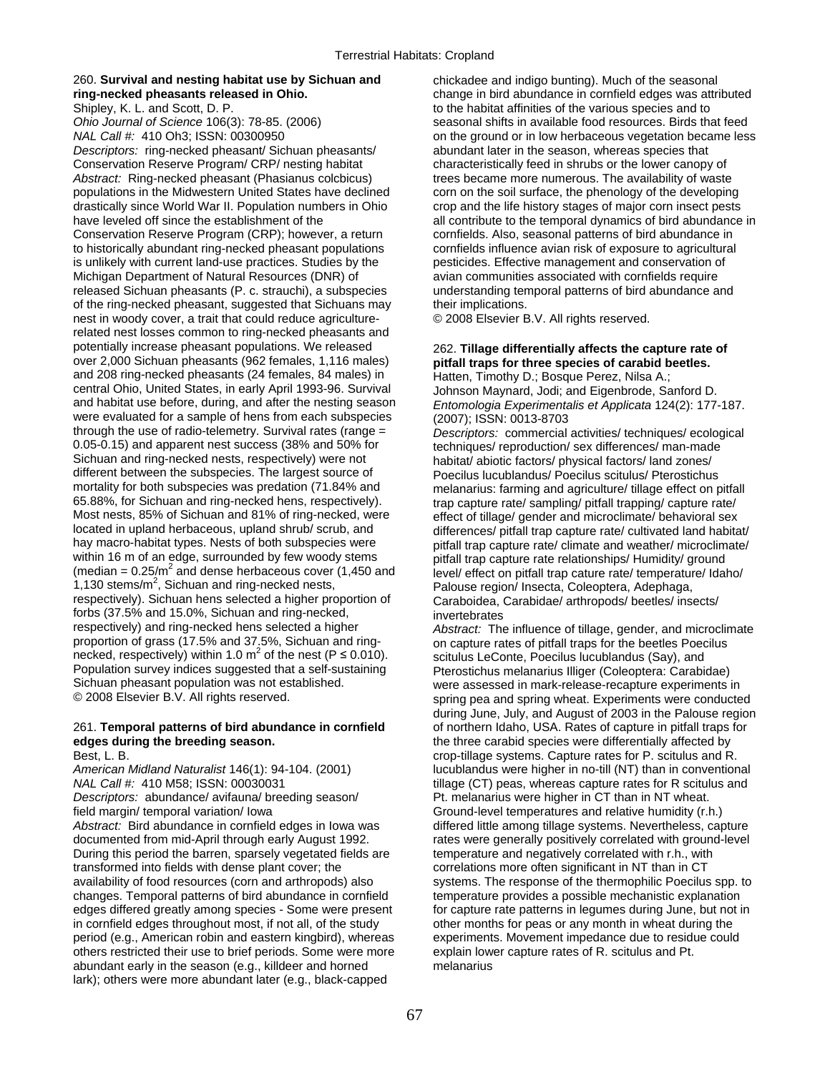# 260. **Survival and nesting habitat use by Sichuan and** chickadee and indigo bunting). Much of the seasonal

*Ohio Journal of Science* 106(3): 78-85. (2006) seasonal shifts in available food resources. Birds that feed *Descriptors:* ring-necked pheasant/ Sichuan pheasants/ abundant later in the season, whereas species that Conservation Reserve Program/ CRP/ nesting habitat characteristically feed in shrubs or the lower canopy of *Abstract:* Ring-necked pheasant (Phasianus colcbicus) trees became more numerous. The availability of waste populations in the Midwestern United States have declined corn on the soil surface, the phenology of the developing drastically since World War II. Population numbers in Ohio crop and the life history stages of major corn insect pests Conservation Reserve Program (CRP); however, a return cornfields. Also, seasonal patterns of bird abundance in to historically abundant ring-necked pheasant populations cornfields influence avian risk of exposure to agricultural is unlikely with current land-use practices. Studies by the pesticides. Effective management and conservation of Michigan Department of Natural Resources (DNR) of avian communities associated with cornfields require released Sichuan pheasants (P. c. strauchi), a subspecies understanding temporal patterns of bird abundance and of the ring-necked pheasant, suggested that Sichuans may their implications. nest in woody cover, a trait that could reduce agriculture- © 2008 Elsevier B.V. All rights reserved. related nest losses common to ring-necked pheasants and potentially increase pheasant populations. We released 262. **Tillage differentially affects the capture rate of**  $over 2,000$  Sichuan pheasants (962 females, 1,116 males) **butfall traps for three species of carabid beetles**. and 208 ring-necked pheasants (24 females, 84 males) in Hatten, Timothy D.; Bosque Perez, Nilsa A.; central Ohio, United States, in early April 1993-96. Survival Johnson Maynard, Jodi; and Eigenbrode, Sanford D. and habitat use before, during, and after the nesting season *Entomologia Experimentalis et Applicata* 124(2): 177-187. were evaluated for a sample of hens from each subspecies  $(2007)$ ; ISSN: 0013-8703<br>through the use of radio-telemetry. Survival rates (range =  $\qquad$  Descriptors: commercial through the use of radio-telemetry. Survival rates (range = *Descriptors:* commercial activities/ techniques/ ecological 0.05-0.15) and apparent nest success (38% and 50% for the entiniques/ reproduction/ sex differences/ man-made<br>Sichuan and ring-necked nests, respectively) were not habitat/ abiotic factors/ physical factors/ land zones/ Sichuan and ring-necked nests, respectively) were not habitat/ abiotic factors/ physical factors/ land zones/<br>different between the subspecies. The largest source of here peecilus lucublandus/ Poecilus scitulus/ Pterostich different between the subspecies. The largest source of Poecilus lucublandus/ Poecilus scitulus/ Pterostichus<br>metality for both subspecies was predation (71.84% and metanarius: farming and agriculture/ tillage effect on r mortality for both subspecies was predation (71.84% and melanarius: farming and agriculture/ tillage effect on pitfall<br>65.88%, for Sichuan and ring-necked hens, respectively). The trap capture rate/ sampling/ pitfall trapp 65.88%, for Sichuan and ring-necked hens, respectively). The trap capture rate/ sampling/ pitfall trapping/ capture rate/<br>Most nests, 85% of Sichuan and 81% of ring-necked, were effect of tillage/ gender and microclimate/ Most nests, 85% of Sichuan and 81% of ring-necked, were effect of tillage/ gender and microclimate/ behavioral sex<br>Iocated in upland herbaceous, upland shrub/ scrub, and eifferences/ pitfall trap capture rate/ cultivated l located in upland herbaceous, upland shrub/ scrub, and differences/ pitfall trap capture rate/ cultivated land habitat/<br>hay macro-habitat types. Nests of both subspecies were pitfall trap capture rate/ climate and weather/ hay macro-habitat types. Nests of both subspecies were pitfall trap capture rate/ climate and weather/ microclimate/<br>within 16 m of an edge, surrounded by few woody stems pitfall trap capture rate relationships/ Humidity/ (median =  $0.25/m^2$  and dense herbaceous cover (1,450 and 1,130 stems/ $m^2$ , Sichuan and ring-necked nests, respectively). Sichuan hens selected a higher proportion of Caraboidea, Carabidae/ arthropods/ beetles/ insects/ forbs (37.5% and 15.0%, Sichuan and ring-necked, invertebrates<br>respectively) and ring-necked hens selected a higher *Abstract:* The proportion of grass (17.5% and 37.5%, Sichuan and ring- on capture rates of pitfall traps for the beetles Poecilus necked, respectively) within 1.0 m<sup>2</sup> of the nest ( $P \le 0.010$ ).<br>Population survey indices suggested that a self-sustaining Population survey indices suggested that a self-sustaining Pterostichus melanarius Illiger (Coleoptera: Carabidae)<br>Sichuan pheasant population was not established. Were assessed in mark-release-recapture experiments i Sichuan pheasant population was not established.<br>
© 2008 Elsevier B.V. All rights reserved.<br>
Soring pea and spring wheat Experiments were conducte

## 261. **Temporal patterns of bird abundance in cornfield** of northern Idaho, USA. Rates of capture in pitfall traps for **edges during the breeding season. the three carabid species were differentially affected by**

*NAL Call #:* 410 M58; ISSN: 00030031 tillage (CT) peas, whereas capture rates for R scitulus and *Descriptors:* abundance/ avifauna/ breeding season/ Pt. melanarius were higher in CT than in NT wheat. field margin/ temporal variation/ Iowa Ground-level temperatures and relative humidity (r.h.) *Abstract:* Bird abundance in cornfield edges in Iowa was differed little among tillage systems. Nevertheless, capture During this period the barren, sparsely vegetated fields are temperature and negatively correlated with r.h., with transformed into fields with dense plant cover; the correlations more often significant in NT than in CT changes. Temporal patterns of bird abundance in cornfield in cornfield edges throughout most, if not all, of the study other months for peas or any month in wheat during the period (e.g., American robin and eastern kingbird), whereas experiments. Movement impedance due to residue period (e.g., American robin and eastern kingbird), whereas others restricted their use to brief periods. Some were more explain lower capture rates of R. scitulus and Pt. abundant early in the season (e.g., killdeer and horned melanarius lark); others were more abundant later (e.g., black-capped

**ring-necked pheasants released in Ohio.** change in bird abundance in cornfield edges was attributed Shipley, K. L. and Scott, D. P. to the habitat affinities of the various species and to *NAL Call #:* 410 Oh3; ISSN: 00300950 on the ground or in low herbaceous vegetation became less have leveled off since the establishment of the all contribute to the temporal dynamics of bird abundance in

# pitfall traps for three species of carabid beetles.

pitfall trap capture rate relationships/ Humidity/ ground level/ effect on pitfall trap cature rate/ temperature/ Idaho/ Palouse region/ Insecta, Coleoptera, Adephaga,

Abstract: The influence of tillage, gender, and microclimate scitulus LeConte, Poecilus lucublandus (Say), and spring pea and spring wheat. Experiments were conducted during June, July, and August of 2003 in the Palouse region Best, L. B. crop-tillage systems. Capture rates for P. scitulus and R. *American Midland Naturalist* 146(1): 94-104. (2001) lucublandus were higher in no-till (NT) than in conventional documented from mid-April through early August 1992. rates were generally positively correlated with ground-level availability of food resources (corn and arthropods) also systems. The response of the thermophilic Poecilus spp. to<br>
changes. Temporal patterns of bird abundance in cornfield temperature provides a possible mechanistic ex edges differed greatly among species - Some were present for capture rate patterns in legumes during June, but not in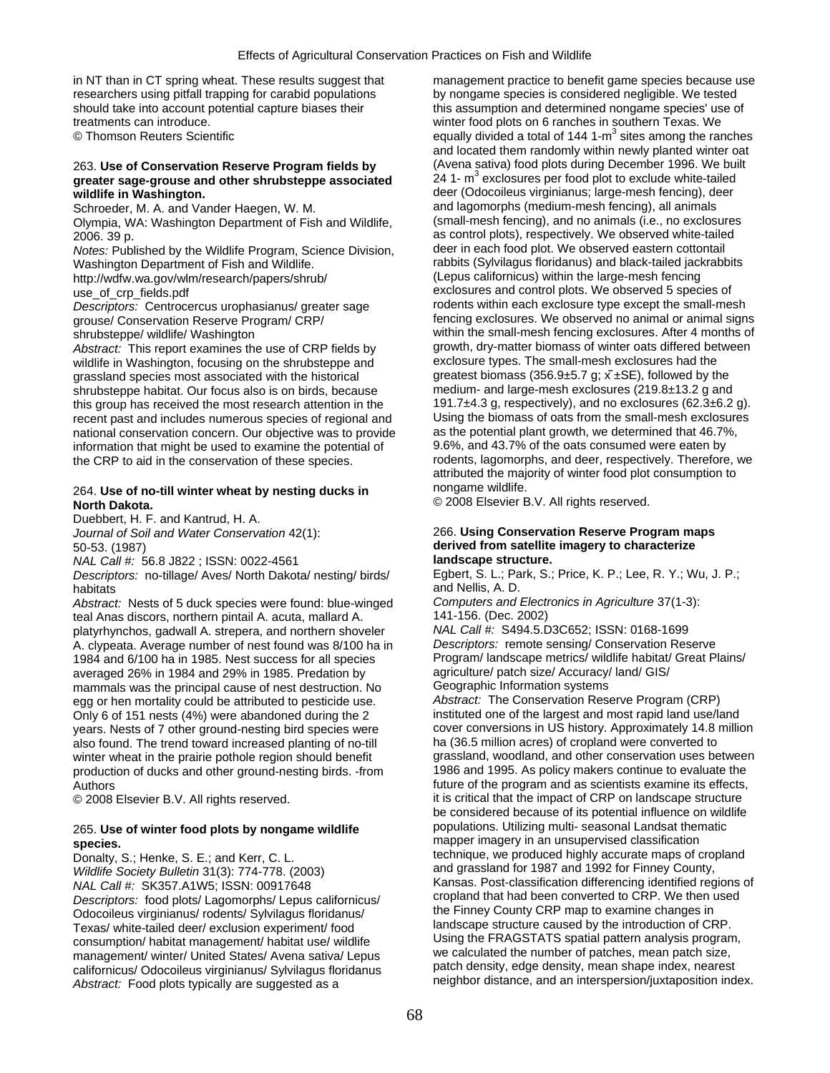in NT than in CT spring wheat. These results suggest that management practice to benefit game species because use researchers using pitfall trapping for carabid populations by nongame species is considered negligible. We tested treatments can introduce. winter food plots on 6 ranches in southern Texas. We

## greater sage-grouse and other shrubsteppe associated **wildlife in Washington.** deer (Odocoileus virginianus; large-mesh fencing), deer

Olympia, WA: Washington Department of Fish and Wildlife,

*Notes:* Published by the Wildlife Program, Science Division, Washington Department of Fish and Wildlife. The rabbits (Sylvilagus floridanus) and black-tailed jackrabbits http://wdfw.wa.gov/wlm/research/papers/shrub/ (Lepus californicus) within the large-mesh fencing

*Descriptors:* Centrocercus urophasianus/ greater sage

Abstract: This report examines the use of CRP fields by growth, dry-matter biomass of winter oats differed be<br>wildlife in Washington, focusing on the shrubsteppe and exclosure types. The small-mesh exclosures had the wildlife in Washington, focusing on the shrubsteppe and exclosure types. The small-mesh exclosures had the anassiand species most associated with the historical quarectes biomass (356.9±5.7 g;  $\bar{x}$  ±SE), followed by the grassland species most associated with the historical greatest biomass (356.9±5.7 g;  $\bar{x}$  ±SE), followed by the shrubsteppe habitat. Our focus also is on birds, because medium- and large-mesh exclosures (219.8±13.2 g an shrubsteppe habitat. Our focus also is on birds, because this group has received the most research attention in the 191.7±4.3 g, respectively), and no exclosures (62.3±6.2 g). recent past and includes numerous species of regional and Using the biomass of oats from the small-mesh exclosures<br>national conservation concern. Our objective was to provide as the potential plant growth, we determined th national conservation concern. Our objective was to provide as the potential plant growth, we determined that 46.7%<br>information that might be used to examine the potential of 9.6%, and 43.7% of the oats consumed were eaten information that might be used to examine the potential of the CRP to aid in the conservation of these species. rodents, lagomorphs, and deer, respectively. Therefore, we

## 264. **Use of no-till winter wheat by nesting ducks in** nongame wildlife. **North Dakota. Construction of the Construction Construction Construction Construction Construction Construction**

Duebbert, H. F. and Kantrud, H. A.

*NAL Call #:* 56.8 J822 ; ISSN: 0022-4561 **landscape structure.** 

*Descriptors:* no-tillage/ Aves/ North Dakota/ nesting/ birds/ Egbert, S. L.; Park, S.; Price, K. P.; Lee, R. Y.; Wu, J. P.; habitats<br>
Abstract: Nests of 5 duck species were found: blue-winged Computers and Electronics in Agriculture 37(1-3):

*Abstract:* Nests of 5 duck species were found: blue-winged *Computers and Electronical Anas discors, northern pintail A. acuta, mallard A.* (2014) 741-156. (Dec. 2002) teal Anas discors, northern pintail A. acuta, mallard A. 141-156. (Dec. 2002)<br>Diatyrhynchos, gadwall A. strepera, and northern shoveler 1988 MAL Call #: S494.5.D3C652: ISSN: 0168-1699 platyrhynchos, gadwall A. strepera, and northern shoveler *NAL Call #:* S494.5.D3C652; ISSN: 0168-1699 A. clypeata. Average number of nest found was 8/100 ha in *Descriptors:* remote sensing/ Conservation Reserve 1984 and 6/100 ha in 1985. Nest success for all species Program/ landscape metrics/ wildlife habitat/<br>1984 averaged 26% in 1984 and 29% in 1985. Predation by agriculture/ patch size/ Accuracy/ land/ GIS/ averaged 26% in 1984 and 29% in 1985. Predation by agriculture/ patch size/ Accuracy/<br>mammals was the principal cause of nest destruction. No Geographic Information systems mammals was the principal cause of nest destruction. No Geographic Information systems<br>egg or hen mortality could be attributed to pesticide use. Abstract: The Conservation Reserve Program (CRP) egg or hen mortality could be attributed to pesticide use. *Abstract:* The Conservation Reserve Program (CRP)<br>Only 6 of 151 nests (4%) were abandoned during the 2 instituted one of the largest and most rapid land use/land years. Nests of 7 other ground-nesting bird species were winter wheat in the prairie pothole region should benefit production of ducks and other ground-nesting birds. -from 1986 and 1995. As policy makers continue to evaluate the Authors **Future of the program and as scientists examine its effects,** 

# **species.** mapper imagery in an unsupervised classification

*Wildlife Society Bulletin* 31(3): 774-778. (2003) *Descriptors:* food plots/ Lagomorphs/ Lepus californicus/ cropland that had been converted to CRP. We then under<br>Colocoileus virginianus/ rodents/ Sylvilagus floridanus/ the Finney County CRP map to examine changes in Odocoileus virginianus/ rodents/ Sylvilagus floridanus/ Texas/ white-tailed deer/ exclusion experiment/ food landscape structure caused by the introduction of CRP.<br>
consumption/ habitat management/ habitat use/ wildlife Using the FRAGSTATS spatial pattern analysis program, consumption/ habitat management/ habitat use/ wildlife Using the FRAGSTATS spatial pattern analysis program<br>we calculated the number of patches, mean patch size, management/ winter/ United States/ Avena sativa/ Lepus we calculated the number of patches, mean patch size,<br>californicus/ Odocoileus virginianus/ Sylvilagus floridanus patch density, edge density, mean shape index, neares *Abstract:* Food plots typically are suggested as a

should take into account potential capture biases their this assumption and determined nongame species' use of  $\degree$  Thomson Reuters Scientific equally divided a total of 144 1-m<sup>3</sup> sites among the ranches and located them randomly within newly planted winter oat 263. **Use of Conservation Reserve Program fields by** (Avena sativa) food plots during December 1996. We built 24 1-  $m<sup>3</sup>$  exclosures per food plot to exclude white-tailed Schroeder, M. A. and Vander Haegen, W. M. and Wildlife and lagomorphs (medium-mesh fencing), all animals<br>Olympia WA: Washington Department of Fish and Wildlife (small-mesh fencing), and no animals (i.e., no exclosures 2006. 39 p.<br>
Notes: Published by the Wildlife Program. Science Division. as control plots), respectively. We observed eastern cottontail use\_of\_crp\_fields.pdf<br>
Descriptors: Centrocercus urophasianus/ greater sage exclosures within each exclosure type except the small-mesh grouse/ Conservation Reserve Program/ CRP/ fencing exclosures. We observed no animal or animal signs shrubsteppe/ wildlife/ Washington within the small-mesh fencing exclosures. After 4 months of<br>Abstract: This report examines the use of CRP fields by growth, dry-matter biomass of winter oats differed between attributed the majority of winter food plot consumption to ̄

## *Journal of Soil and Water Conservation* 42(1): 266. **Using Conservation Reserve Program maps**  50-53. (1987) **derived from satellite imagery to characterize**

Only 6 of 151 nests (4%) were abandoned during the 2 instituted one of the largest and most rapid land use/land<br>vears. Nests of 7 other ground-nesting bird species were cover conversions in US history. Approximately 14.8 m also found. The trend toward increased planting of no-till ha (36.5 million acres) of cropland were converted to<br>winter wheat in the prairie pothole region should benefit quassland, woodland, and other conservation uses be © 2008 Elsevier B.V. All rights reserved. it is critical that the impact of CRP on landscape structure be considered because of its potential influence on wildlife 265. **Use of winter food plots by nongame wildlife** populations. Utilizing multi- seasonal Landsat thematic Donalty, S.; Henke, S. E.; and Kerr, C. L. technique, we produced highly accurate maps of cropland<br>
Mildlife Society Bulletin 31(3): 774-778 (2003) and grassland for 1987 and 1992 for Finney County, *NAL Call #:* SK357.A1W5; ISSN: 00917648 <br>
Ransas. Post-classification differencing identified regions of<br>
Consections: food plots/Lagomorphs/Lanus californique/<br>
Copland that had been converted to CRP. We then used californicus/ Odocoileus virginianus/ Sylvilagus floridanus patch density, edge density, mean shape index, nearest<br>Abstract: Eood plots typically are suggested as a preceding preighbor distance, and an interspersion/juxtap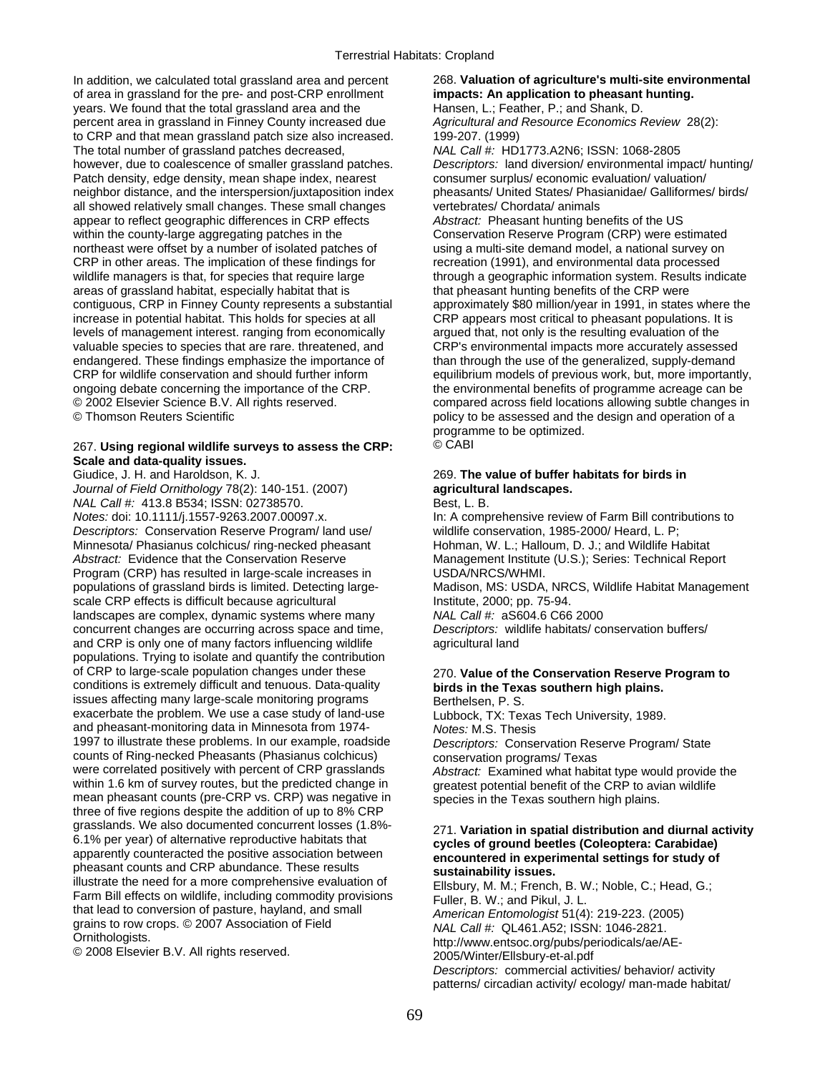In addition, we calculated total grassland area and percent 268. **Valuation of agriculture's multi-site environmental**  of area in grassland for the pre- and post-CRP enrollment **impacts: An application to pheasant hunting.**<br>
years. We found that the total grassland area and the Hansen, L.; Feather, P.; and Shank, D. years. We found that the total grassland area and the percent area in grassland in Finney County increased due *Agricultural and Resource Economics Review* 28(2): to CRP and that mean grassland patch size also increased. 199-207. (1999) The total number of grassland patches decreased, *NAL Call #:* HD1773.A2N6; ISSN: 1068-2805 however, due to coalescence of smaller grassland patches. *Descriptors:* land diversion/ environmental impact/ hunting/ Patch density, edge density, mean shape index, nearest consumer surplus/ economic evaluation/ valuation/ neighbor distance, and the interspersion/juxtaposition index pheasants/ United States/ Phasianidae/ Galliformes/ birds/ all showed relatively small changes. These small changes vertebrates/ Chordata/ animals appear to reflect geographic differences in CRP effects *Abstract:* Pheasant hunting benefits of the US within the county-large aggregating patches in the Conservation Reserve Program (CRP) were estimated<br>
northeast were offset by a number of isolated patches of using a multi-site demand model, a national survey on northeast were offset by a number of isolated patches of CRP in other areas. The implication of these findings for recreation (1991), and environmental data processed wildlife managers is that, for species that require large through a geographic information system. Results indicate areas of grassland habitat, especially habitat that is that pheasant hunting benefits of the CRP were areas of grassland habitat, especially habitat that is contiguous, CRP in Finney County represents a substantial increase in potential habitat. This holds for species at all levels of management interest. ranging from economically argued that, not only is the resulting evaluation of the valuable species to species that are rare. threatened, and CRP's environmental impacts more accurately assessed endangered. These findings emphasize the importance of the than through the use of the generalized, supply-demand CRP for wildlife conservation and should further inform equilibrium models of previous work, but, more importantly, ongoing debate concerning the importance of the CRP. The environmental benefits of programme acreage can be<br>© 2002 Elsevier Science B.V. All rights reserved. Compared across field locations allowing subtle changes in © 2002 Elsevier Science B.V. All rights reserved. compared across field locations allowing subtle changes in<br>© Thomson Reuters Scientific<br>
© Thomson Reuters Scientific

## 267. **Using regional wildlife surveys to assess the CRP:** © CABI **Scale and data-quality issues.**

*Journal of Field Ornithology* 78(2): 140-151. (2007) **agricultural landscapes.**  *NAL Call #:* 413.8 B534; ISSN: 02738570. Best, L. B. *Notes:* doi: 10.1111/j.1557-9263.2007.00097.x. In: A comprehensive review of Farm Bill contributions to *Descriptors:* Conservation Reserve Program/ land use/ wildlife conservation, 1985-2000/ Heard, L. P; Minnesota/ Phasianus colchicus/ ring-necked pheasant Abstract: Evidence that the Conservation Reserve Management Institute (U.S.); Series: Technical Report Program (CRP) has resulted in large-scale increases in USDA/NRCS/WHMI. populations of grassland birds is limited. Detecting large- Madison, MS: USDA, NRCS, Wildlife Habitat Management scale CRP effects is difficult because agricultural Institute, 2000; pp. 75-94. landscapes are complex, dynamic systems where many *NAL Call #:* aS604.6 C66 2000 concurrent changes are occurring across space and time, *Descriptors:* wildlife habitats/ conservation buffers/ and CRP is only one of many factors influencing wildlife agricultural land populations. Trying to isolate and quantify the contribution of CRP to large-scale population changes under these 270. **Value of the Conservation Reserve Program to**  conditions is extremely difficult and tenuous. Data-quality **birds in the Texas southern high plains.**  issues affecting many large-scale monitoring programs<br>
exacerbate the problem. We use a case study of land-use Lubbock, TX: Texas Tech University, 1989. exacerbate the problem. We use a case study of land-use and pheasant-monitoring data in Minnesota from 1974- *Notes:* M.S. Thesis counts of Ring-necked Pheasants (Phasianus colchicus) conservation programs/ Texas<br>were correlated positively with percent of CRP grasslands *Abstract:* Examined what habi were correlated positively with percent of CRP grasslands *Abstract:* Examined what habitat type would provide the within 1.6 km of survey routes, but the predicted change in a greatest potential benefit of the CRP to avia mean pheasant counts (pre-CRP vs. CRP) was negative in  $\sum_{\text{species}}$  in the Texas southern high plains. three of five regions despite the addition of up to 8% CRP grasslands. We also documented concurrent losses (1.8%-<br>
6.1% per year) of alternative reproductive habitats that<br>
apparently counteracted the positive association between<br>
pheasant counts and CRP abundance. These results<br>

approximately \$80 million/year in 1991, in states where the CRP appears most critical to pheasant populations. It is policy to be assessed and the design and operation of a programme to be optimized.

# Giudice, J. H. and Haroldson, K. J. 269. **The value of buffer habitats for birds in**

Descriptors: Conservation Reserve Program/ State

greatest potential benefit of the CRP to avian wildlife

*Descriptors:* commercial activities/ behavior/ activity patterns/ circadian activity/ ecology/ man-made habitat/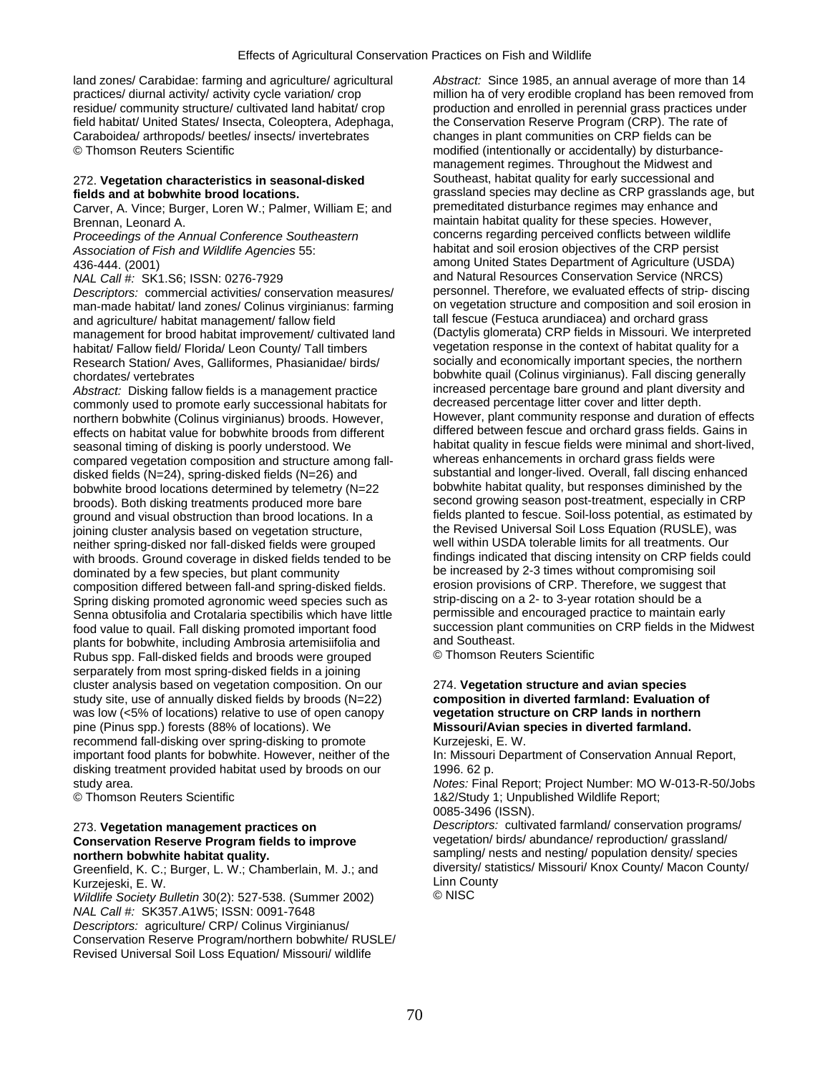land zones/ Carabidae: farming and agriculture/ agricultural *Abstract:* Since 1985, an annual average of more than 14 practices/ diurnal activity/ activity cycle variation/ crop million ha of very erodible cropland has been removed from residue/ community structure/ cultivated land habitat/ crop production and enrolled in perennial grass practices under field habitat/ United States/ Insecta, Coleoptera, Adephaga, the Conservation Reserve Program (CRP). The rate of Caraboidea/ arthropods/ beetles/ insects/ invertebrates changes in plant communities on CRP fields can be © Thomson Reuters Scientific modified (intentionally or accidentally) by disturbance-

## Carver, A. Vince; Burger, Loren W.; Palmer, William E; and

*Proceedings of the Annual Conference Southeastern Association of Fish and Wildlife Agencies* 55: habitat and soil erosion objectives of the CRP persist

*Descriptors:* commercial activities/ conservation measures/ personnel. Therefore, we evaluated effects of strip- discing man-made habitat/ land zones/ Colinus virginianus: farming on vegetation structure and composition and soil er<br>and agriculture/ habitat management/ fallow field<br>and social fescue (Festuca arundiacea) and orchard grass and agriculture/ habitat management/ fallow field tall fescue (Festuca arundiacea) and orchard grass<br>management for brood habitat improvement/ cultivated land (Dactylis glomerata) CRP fields in Missouri. We interpreted management for brood habitat improvement/ cultivated land (Dactylis glomerata) CRP fields in Missouri. We interprete<br>habitat/ Fallow field/ Florida/ Leon County/ Tall timbers vegetation response in the context of habitat q habitat/ Fallow field/ Florida/ Leon County/ Tall timbers vegetation response in the context of habitat quality for a<br>Research Station/ Aves, Galliformes, Phasianidae/ birds/ socially and economically important species, th Research Station/ Aves, Galliformes, Phasianidae/ birds/

*Abstract:* Disking fallow fields is a management practice increased percentage bare ground and plant diver<br>commonly used to promote early successional habitats for decreased percentage litter cover and litter depth. commonly used to promote early successional habitats for decreased percentage litter cover and litter depth.<br>northern bobwhite (Colinus virginianus) broods. However. However, plant community response and duration of effect northern bobwhite (Colinus virginianus) broods. However, However, plant community response and duration of effects<br>effects on habitat value for bobwhite broods from different differed between fescue and orchard grass field effects on habitat value for bobwhite broods from different seasonal timing of disking is poorly understood. We habitat quality in fescue fields were minimal and short-lived,<br>
compared vegetation composition and structure among fall-<br>
whereas enhancements in orchard grass fields we compared vegetation composition and structure among fall-<br>disked fields (N=24), spring-disked fields (N=26) and substantial and longer-lived. Overall, fall discing enhanced disked fields (N=24), spring-disked fields (N=26) and substantial and longer-lived. Overall, fall discing enhanced<br>hobwhite hrood locations determined by telemetry (N=22 bobwhite habitat quality, but responses diminished b bobwhite brood locations determined by telemetry (N=22 broods). Both disking treatments produced more bare second growing season post-treatment, especially in CRP<br>oround and visual obstruction than brood locations. In a still fields planted to fescue. Soil-loss potential, as e ground and visual obstruction than brood locations. In a fields planted to fescue. Soil-loss potential, as estimated<br>ioining cluster analysis based on vegetation structure. The Revised Universal Soil Loss Equation (RUSLE), joining cluster analysis based on vegetation structure, the Revised Universal Soil Loss Equation (RUSLE), wa<br>neither spring-disked nor fall-disked fields were grouped well within USDA tolerable limits for all trea neither spring-disked nor fall-disked fields were grouped well within USDA tolerable limits for all treatments. Our with broods. Ground coverage in disked fields tended to be findings indicated that discing intensity on CRP fields<br>dominated by a few species, but plant community be increased by 2-3 times without compromising soil dominated by a few species, but plant community be increased by 2-3 times without compromising soil<br>composition differed between fall-and spring-disked fields. The erosion provisions of CRP. Therefore, we suggest that composition differed between fall-and spring-disked fields. erosion provisions of CRP. Therefore, we suggest<br>Spring disking promoted agronomic weed species such as strip-discing on a 2- to 3-year rotation should be a Spring disking promoted agronomic weed species such as strip-discing on a 2- to 3-year rotation should be a<br>Senna obtusifolia and Crotalaria spectibilis which have little sermissible and encouraged practice to maintain ear Senna obtusifolia and Crotalaria spectibilis which have little food value to quail. Fall disking promoted important food succession plant communities on CRP fields in the Midwest<br>plants for bobwhite including Ambrosia artemisiifolia and and Southeast. plants for bobwhite, including Ambrosia artemisiifolia and and Southeast.<br>Rubus spp. Fall-disked fields and broods were grouped \_\_\_\_\_\_\_\_\_\_\_\_\_\_\_\_\_\_\_\_\_\_\_\_\_\_ Rubus spp. Fall-disked fields and broods were grouped serparately from most spring-disked fields in a joining cluster analysis based on vegetation composition. On our 274. **Vegetation structure and avian species**  study site, use of annually disked fields by broods (N=22) **composition in diverted farmland: Evaluation of**  was low (<5% of locations) relative to use of open canopy **vegetation structure on CRP lands in northern**  pine (Pinus spp.) forests (88% of locations). We **Missouri/Avian species in diverted farmland.**  recommend fall-disking over spring-disking to promote Kurzejeski, E. W. important food plants for bobwhite. However, neither of the In: Missouri Department of Conservation Annual Report, disking treatment provided habitat used by broods on our 1996. 62 p. study area. *Notes:* Final Report; Project Number: MO W-013-R-50/Jobs

# **Conservation Reserve Program fields to improve**

Greenfield, K. C.; Burger, L. W.; Chamberlain, M. J.; and diversity/ sta<br>Kurzejeski, F. W. County Kurzejeski, E. W. Linn County (1997)<br>Wildlife Society Bulletin 30(2): 527-538 (Summer 2002) © NISC

*Wildlife Society Bulletin* 30(2): 527-538. (Summer 2002) *NAL Call #:* SK357.A1W5; ISSN: 0091-7648 *Descriptors:* agriculture/ CRP/ Colinus Virginianus/ Conservation Reserve Program/northern bobwhite/ RUSLE/ Revised Universal Soil Loss Equation/ Missouri/ wildlife

management regimes. Throughout the Midwest and 272. **Vegetation characteristics in seasonal-disked** Southeast, habitat quality for early successional and<br> **fields and at bobwhite brood locations.** The synapsiand species may decline as CRP grasslands a grassland species may decline as CRP grasslands age, but premeditated disturbance regimes may enhance and Brennan, Leonard A.<br>**Proceedings of the Annual Conference Southeastern** concerns regarding perceived conflicts between wildlife 436-444. (2001)<br>
MAL Call #: SK1.S6: ISSN: 0276-7929<br>
MAL Call #: SK1.S6: ISSN: 0276-7929<br>
and Natural Resources Conservation Service (NRCS) and Natural Resources Conservation Service (NRCS)<br>personnel, Therefore, we evaluated effects of strip- discing chordates/ vertebrates<br> *Abstract:* Disking fallow fields is a management practice increased percentage bare ground and plant diversity and

© Thomson Reuters Scientific 1&2/Study 1; Unpublished Wildlife Report;

0085-3496 (ISSN).

273. **Vegetation management practices on** *Descriptors:* cultivated farmland/ conservation programs/ **northern bobwhite habitat quality. sampling/ nests and nesting/ population density/ species**<br>
Greenfield, K. C.: Burger, L. W.: Chamberlain, M. J.: and **diversity/ statistics/ Missouri/ Knox County/ Macon County/**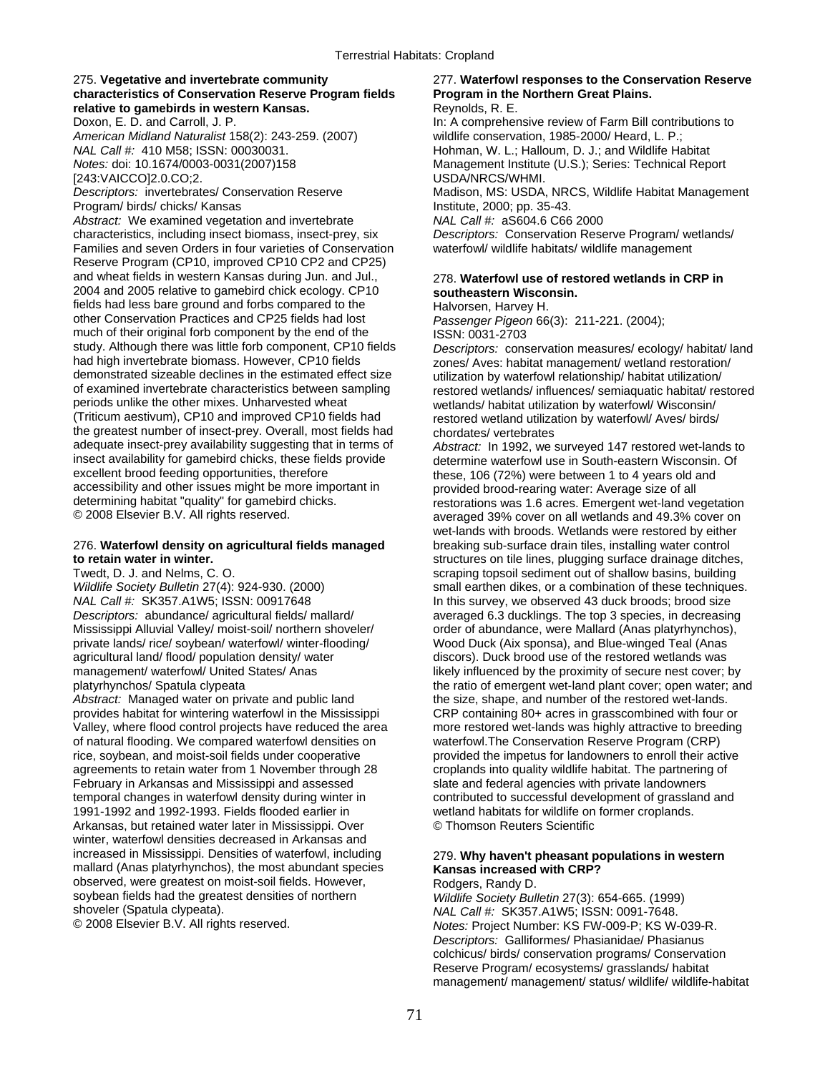## 275. **Vegetative and invertebrate community** 277. **Waterfowl responses to the Conservation Reserve characteristics of Conservation Reserve Program fields Program in the Northern Great Plains. relative to gamebirds in western Kansas. Reprodustive to gamebirds in western Kansas.** Reynolds, R. E.

*American Midland Naturalist* 158(2): 243-259. (2007) wildlife conservation, 1985-2000/ Heard, L. P.; *NAL Call #:* 410 M58; ISSN: 00030031. Hohman, W. L.; Halloum, D. J.; and Wildlife Habitat [243:VAICCO]2.0.CO;2. USDA/NRCS/WHMI.

Program/ birds/ chicks/ Kansas Institute, 2000; pp. 35-43.

*Abstract:* We examined vegetation and invertebrate *NAL Call #:* aS604.6 C66 2000 characteristics, including insect biomass, insect-prey, six *Descriptors:* Conservation Reserve Program/ wetlands/ Families and seven Orders in four varieties of Conservation Reserve Program (CP10, improved CP10 CP2 and CP25) and wheat fields in western Kansas during Jun. and Jul., 278. **Waterfowl use of restored wetlands in CRP in**  2004 and 2005 relative to gamebird chick ecology. CP10 **southeastern Wisconsin.**  fields had less bare ground and forbs compared to the Halvorsen, Harvey H.<br>
other Conservation Practices and CP25 fields had lost Passenger Pigeon 66 much of their original forb component by the end of the study. Although there was little forb component, CP10 fields study. Although there was little forb component, CP10 fields *Descriptors:* conservation measures/ ecology/ habitat/ land had high invertebrate biomass. However, CP10 fields zones/ Aves: habitat management/ wetland restoration/<br>demonstrated sizeable declines in the estimated effect size utilization by waterfowl relationship/ habitat utilizati demonstrated sizeable declines in the estimated effect size utilization by waterfowl relationship/ habitat utilization/<br>of examined invertebrate characteristics between sampling restored wetlands/ influences/ semiaquatic h of examined invertebrate characteristics between sampling restored wetlands/ influences/ semiaquatic habitat/ restored<br>periods unlike the other mixes. Unharvested wheat vertands/ habitat utilization by waterfowl/ Wisconsin (Triticum aestivum), CP10 and improved CP10 fields had restored wetland utilization by waterfowl/ Aves/ birds/ the greatest number of insect-prey. Overall, most fields had chordates/ vertebrates adequate insect-prey availability suggesting that in terms of *Abstract*: In 1992, we adequate insect-prey availability suggesting that in terms of *Abstract:* In 1992, we surveyed 147 restored wet-lands to insect availability for gamebird chicks, these fields provide determine waterfowl use in South-eastern Wisconsin. Of excellent brood feeding opportunities, therefore these. 106 (72%) were between 1 to 4 years old and accessibility and other issues might be more important in provided brood-rearing water: Average size of all<br>determining habitat "quality" for gamebird chicks. determining habitat "quality" for gamebird chicks. restorations was 1.6 acres. Emergent wet-land vegetation<br>© 2008 Elsevier B.V. All rights reserved. restorations was averaged 39% cover on all wetlands and 49.3% cover o

*NAL Call #:* SK357.A1W5; ISSN: 00917648 In this survey, we observed 43 duck broods; brood size Mississippi Alluvial Valley/ moist-soil/ northern shoveler/ order of abundance, were Mallard (Anas platyrhynchos), private lands/ rice/ soybean/ waterfowl/ winter-flooding/ Wood Duck (Aix sponsa), and Blue-winged Teal (Anas agricultural land/ flood/ population density/ water discors). Duck brood use of the restored wetlands was

provides habitat for wintering waterfowl in the Mississippi CRP containing 80+ acres in grasscombined with four or Valley, where flood control projects have reduced the area more restored wet-lands was highly attractive to breeding of natural flooding. We compared waterfowl densities on waterfowl.The Conservation Reserve Program (CRP) rice, soybean, and moist-soil fields under cooperative provided the impetus for landowners to enroll their active agreements to retain water from 1 November through 28 croplands into quality wildlife habitat. The partnering of February in Arkansas and Mississippi and assessed slate and federal agencies with private landowners temporal changes in waterfowl density during winter in contributed to successful development of grassland and 1991-1992 and 1992-1993. Fields flooded earlier in wetland habitats for wildlife on former croplands. Arkansas, but retained water later in Mississippi. Over © Thomson Reuters Scientific winter, waterfowl densities decreased in Arkansas and increased in Mississippi. Densities of waterfowl, including 279. **Why haven't pheasant populations in western**  mallard (Anas platyrhynchos), the most abundant species **Kansas increased with CRP?** observed, were greatest on moist-soil fields. However, Rodgers, Randy D. soybean fields had the greatest densities of northern *Wildlife Society Bulletin* 27(3): 654-665. (1999)

Doxon, E. D. and Carroll, J. P. In: A comprehensive review of Farm Bill contributions to *Notes:* doi: 10.1674/0003-0031(2007)158 Management Institute (U.S.); Series: Technical Report *Descriptors:* invertebrates/ Conservation Reserve Madison, MS: USDA, NRCS, Wildlife Habitat Management

Passenger Pigeon 66(3): 211-221. (2004);<br>ISSN: 0031-2703

wetlands/ habitat utilization by waterfowl/ Wisconsin/

these, 106 (72%) were between 1 to 4 years old and averaged 39% cover on all wetlands and 49.3% cover on wet-lands with broods. Wetlands were restored by either 276. **Waterfowl density on agricultural fields managed** breaking sub-surface drain tiles, installing water control structures on tile lines, plugging surface drainage ditches, Twedt, D. J. and Nelms, C. O. scraping topsoil sediment out of shallow basins, building *Wildlife Society Bulletin* 27(4): 924-930. (2000) small earthen dikes, or a combination of these techniques. *Descriptors:* abundance/ agricultural fields/ mallard/ averaged 6.3 ducklings. The top 3 species, in decreasing management/ waterfowl/ United States/ Anas likely influenced by the proximity of secure nest cover; by platyrhynchos/ Spatula clypeata<br>
Abstract: Managed water on private and public land<br>
Abstract: Managed water on private and public land<br>
the size, shape, and number of the restored wet-lands. the size, shape, and number of the restored wet-lands.

shoveler (Spatula clypeata). *NAL Call #:* SK357.A1W5; ISSN: 0091-7648. © 2008 Elsevier B.V. All rights reserved. *Notes:* Project Number: KS FW-009-P; KS W-039-R. *Descriptors:* Galliformes/ Phasianidae/ Phasianus colchicus/ birds/ conservation programs/ Conservation Reserve Program/ ecosystems/ grasslands/ habitat management/ management/ status/ wildlife/ wildlife-habitat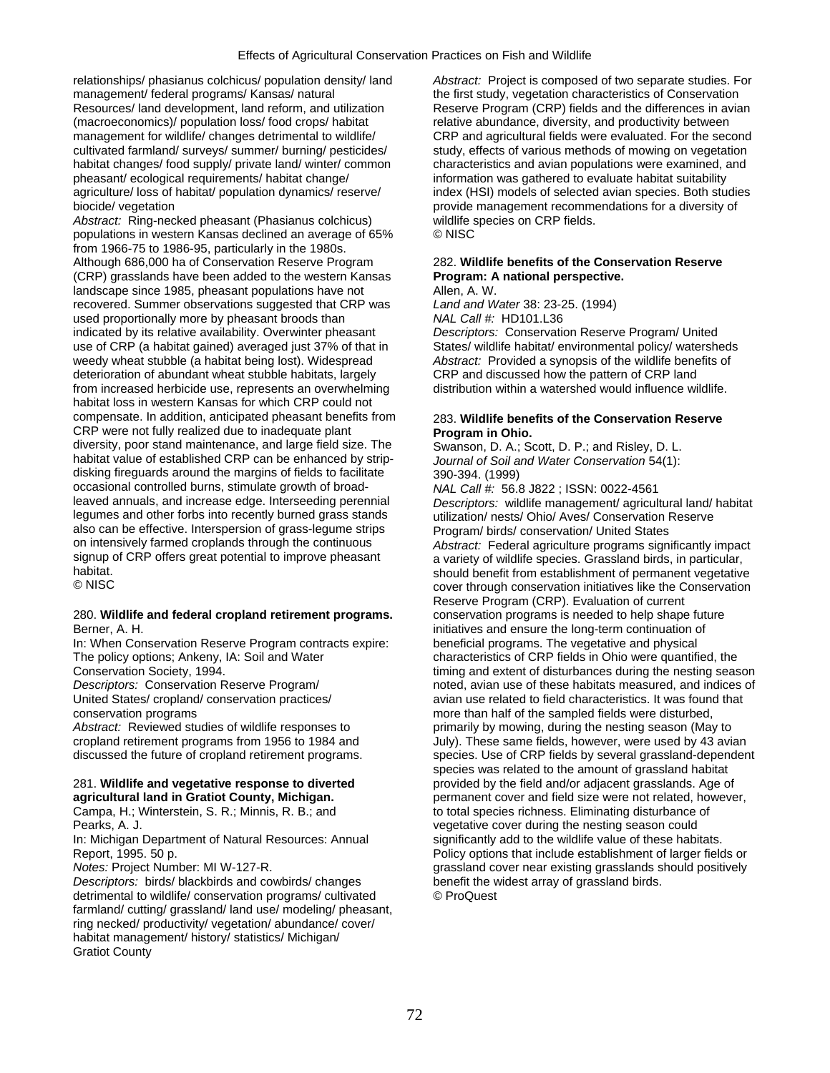relationships/ phasianus colchicus/ population density/ land *Abstract:* Project is composed of two separate studies. For management/ federal programs/ Kansas/ natural the first study, vegetation characteristics of Conservation<br>Resources/ land development, land reform, and utilization Reserve Program (CRP) fields and the differences in avia (macroeconomics)/ population loss/ food crops/ habitat relative abundance, diversity, and productivity between management for wildlife/ changes detrimental to wildlife/ CRP and agricultural fields were evaluated. For the second cultivated farmland/ surveys/ summer/ burning/ pesticides/ study, effects of various methods of mowing on vegetation habitat changes/ food supply/ private land/ winter/ common characteristics and avian populations were examined, and pheasant/ ecological requirements/ habitat change/ information was gathered to evaluate habitat suitability agriculture/ loss of habitat/ population dynamics/ reserve/ index (HSI) models of selected avian species. Both studies biocide/ vegetation provide management recommendations for a diversity of

Abstract: Ring-necked pheasant (Phasianus colchicus) wildlife species on CRP fields.<br>
populations in western Kansas declined an average of 65% © NISC. populations in western Kansas declined an average of 65% from 1966-75 to 1986-95, particularly in the 1980s. Although 686,000 ha of Conservation Reserve Program 282. **Wildlife benefits of the Conservation Reserve**  (CRP) grasslands have been added to the western Kansas **Program: A national perspective.**  landscape since 1985, pheasant populations have not Allen, A. W.<br>
recovered. Summer observations suggested that CRP was Land and Water 38: 23-25. (1994) recovered. Summer observations suggested that CRP was used proportionally more by pheasant broods than *NAL Call #:* HD101.L36 indicated by its relative availability. Overwinter pheasant *Descriptors:* Conservation Reserve Program/ United use of CRP (a habitat gained) averaged just 37% of that in States/ wildlife habitat/ environmental policy/ watersheds weedy wheat stubble (a habitat being lost). Widespread *Abstract:* Provided a synopsis of the wildlife benefits of deterioration of abundant wheat stubble habitats, largely CRP and discussed how the pattern of CRP land<br>from increased herbicide use, represents an overwhelming distribution within a watershed would influence wildlife. from increased herbicide use, represents an overwhelming habitat loss in western Kansas for which CRP could not compensate. In addition, anticipated pheasant benefits from 283. **Wildlife benefits of the Conservation Reserve**  CRP were not fully realized due to inadequate plant **Program in Ohio.** diversity, poor stand maintenance, and large field size. The Swanson, D. A.; Scott, D. P.; and Risley, D. L. habitat value of established CRP can be enhanced by strip- *Journal of Soil and Water Conservation* 54(1): disking fireguards around the margins of fields to facilitate 390-394. (1999) occasional controlled burns, stimulate growth of broad-<br>leaved annuals, and increase edge. Interseeding perennial *Descriptors: wildlife management/ agricul* leaved annuals, and increase edge. Interseeding perennial *Descriptors:* wildlife management/ agricultural land/ habitat also can be effective. Interspersion of grass-legume strips<br>on intensively farmed croplands through the continuous on intensively farmed croplands through the continuous *Abstract:* Federal agriculture programs significantly impact signup of CRP offers great potential to improve pheasant a variety of wildlife species. Grassland birds, in particular,<br>should benefit from establishment of permanent vegetative

## 280. **Wildlife and federal cropland retirement programs.** conservation programs is needed to help shape future Berner, A. H. initiatives and ensure the long-term continuation of

In: When Conservation Reserve Program contracts expire: beneficial programs. The vegetative and physical The policy options; Ankeny, IA: Soil and Water characteristics of CRP fields in Ohio were quantified, the

*Descriptors:* birds/ blackbirds and cowbirds/ changes benefit the wide trimental to wildlife/ conservation programs/ cultivated  $\circ$  ProQuest detrimental to wildlife/ conservation programs/ cultivated farmland/ cutting/ grassland/ land use/ modeling/ pheasant, ring necked/ productivity/ vegetation/ abundance/ cover/ habitat management/ history/ statistics/ Michigan/ Gratiot County

Reserve Program (CRP) fields and the differences in avian

utilization/nests/Ohio/Aves/Conservation Reserve<br>Program/birds/conservation/ United States habitat.<br>
Should benefit from establishment of permanent vegetative<br>
CONISC SALL CONSERVATION CONSERVATION CONSERVATION INTERFERIES IN A CONSERVATION cover through conservation initiatives like the Conservation Reserve Program (CRP). Evaluation of current Conservation Society, 1994. timing and extent of disturbances during the nesting season<br>
Descriptors: Conservation Reserve Program/
The new these habitats measured, and indices of noted, avian use of these habitats measured, and indices of United States/ cropland/ conservation practices/ and the state of related to field characteristics. It was found that conservation programs more than half of the sampled fields were disturbed, Abstract: Reviewed studies of wildlife responses to primarily by mowing, during the nesting season (May to cropland retirement programs from 1956 to 1984 and July). These same fields, however, were used by 43 avian discussed the future of cropland retirement programs. Species. Use of CRP fields by several grassland-dependent species was related to the amount of grassland habitat 281. **Wildlife and vegetative response to diverted** provided by the field and/or adjacent grasslands. Age of **agricultural land in Gratiot County, Michigan. permanent cover and field size were not related, however,** Campa, H.; Winterstein, S. R.; Minnis, R. B.; and to total species richness. Eliminating disturbance of Pearks, A. J. vegetative cover during the nesting season could In: Michigan Department of Natural Resources: Annual significantly add to the wildlife value of these habitats. Report, 1995. 50 p.<br>Notes: Project Number: MI W-127-R.<br>
Notes: Project Number: MI W-127-R.<br>
Notes: Project Number: MI W-127-R. grassland cover near existing grasslands should positively<br>benefit the widest array of grassland birds.